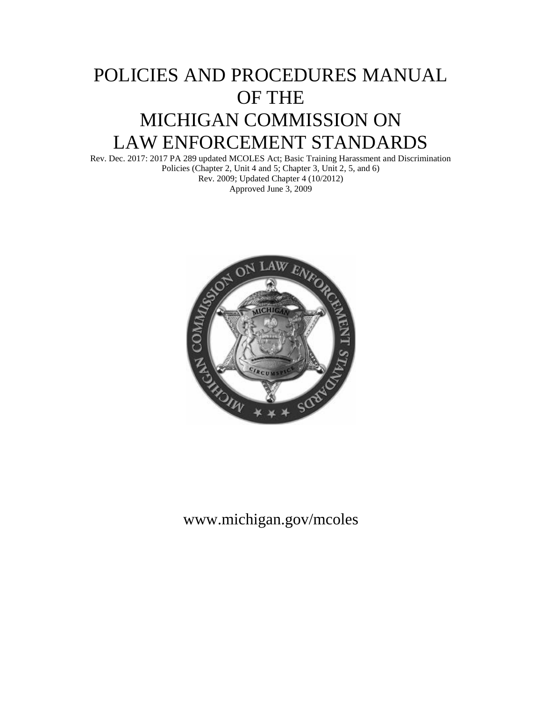# POLICIES AND PROCEDURES MANUAL OF THE MICHIGAN COMMISSION ON LAW ENFORCEMENT STANDARDS

Rev. Dec. 2017: 2017 PA 289 updated MCOLES Act; Basic Training Harassment and Discrimination Policies (Chapter 2, Unit 4 and 5; Chapter 3, Unit 2, 5, and 6) Rev. 2009; Updated Chapter 4 (10/2012) Approved June 3, 2009



# www.michigan.gov/mcoles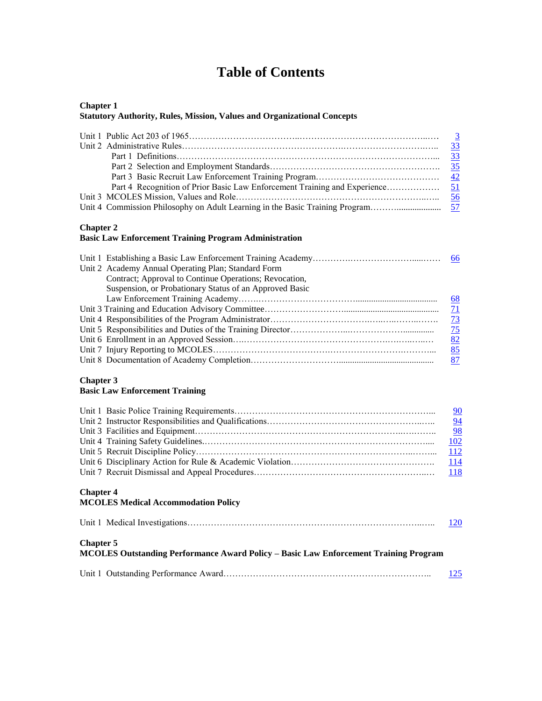# **Table of Contents**

#### **Chapter 1 Statutory Authority, Rules, Mission, Values and Organizational Concepts**

#### **Chapter 2**

### **Basic Law Enforcement Training Program Administration**

| Unit 2 Academy Annual Operating Plan; Standard Form     |                |
|---------------------------------------------------------|----------------|
| Contract; Approval to Continue Operations; Revocation,  |                |
| Suspension, or Probationary Status of an Approved Basic |                |
|                                                         | <u>68</u>      |
|                                                         | $\sqrt{11}$    |
|                                                         | $\frac{73}{2}$ |
|                                                         | $\frac{75}{2}$ |
|                                                         | 82             |
|                                                         | 85             |
|                                                         |                |
|                                                         |                |

#### **Chapter 3**

#### **Basic Law Enforcement Training**

|                                                                                                          | $\frac{90}{94}$ |
|----------------------------------------------------------------------------------------------------------|-----------------|
|                                                                                                          | 102             |
|                                                                                                          | 112             |
|                                                                                                          | <u>114</u>      |
|                                                                                                          | <b>118</b>      |
| <b>Chapter 4</b><br><b>MCOLES Medical Accommodation Policy</b>                                           |                 |
|                                                                                                          | 120             |
| <b>Chapter 5</b><br>MCOLES Outstanding Performance Award Policy - Basic Law Enforcement Training Program |                 |
|                                                                                                          | 125             |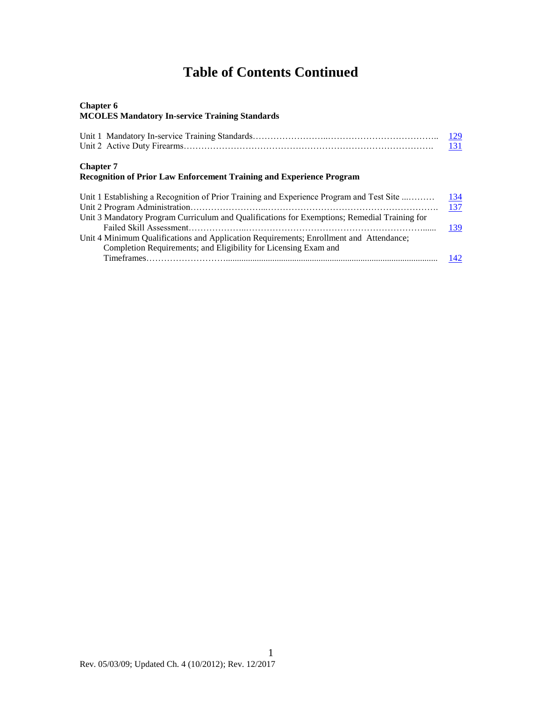# **Table of Contents Continued**

#### **Chapter 6 MCOLES Mandatory In-service Training Standards**

|                                                                                                 | <u>129</u><br>131 |
|-------------------------------------------------------------------------------------------------|-------------------|
| <b>Chapter 7</b><br><b>Recognition of Prior Law Enforcement Training and Experience Program</b> |                   |
| Unit 1 Establishing a Recognition of Prior Training and Experience Program and Test Site        | 134               |
| Unit 3 Mandatory Program Curriculum and Qualifications for Exemptions; Remedial Training for    | 137               |
| Unit 4 Minimum Qualifications and Application Requirements; Enrollment and Attendance;          | 139               |
| Completion Requirements; and Eligibility for Licensing Exam and                                 | 142               |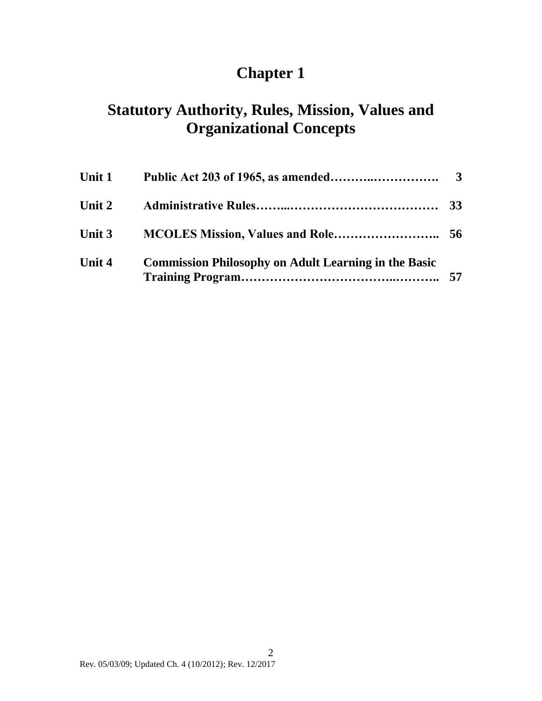# **Chapter 1**

# **Statutory Authority, Rules, Mission, Values and Organizational Concepts**

| Unit 1   |                                                             |  |
|----------|-------------------------------------------------------------|--|
| Unit 2   |                                                             |  |
| Unit $3$ |                                                             |  |
| Unit 4   | <b>Commission Philosophy on Adult Learning in the Basic</b> |  |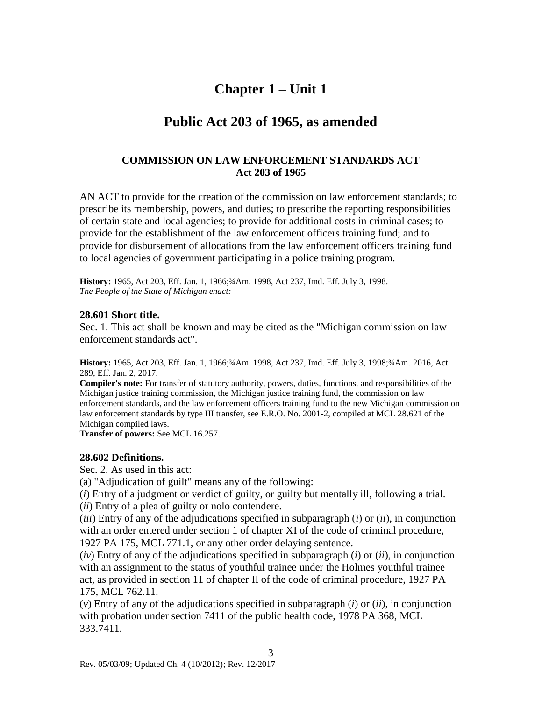## **Chapter 1 – Unit 1**

## <span id="page-4-0"></span>**Public Act 203 of 1965, as amended**

### **COMMISSION ON LAW ENFORCEMENT STANDARDS ACT Act 203 of 1965**

AN ACT to provide for the creation of the commission on law enforcement standards; to prescribe its membership, powers, and duties; to prescribe the reporting responsibilities of certain state and local agencies; to provide for additional costs in criminal cases; to provide for the establishment of the law enforcement officers training fund; and to provide for disbursement of allocations from the law enforcement officers training fund to local agencies of government participating in a police training program.

**History:** 1965, Act 203, Eff. Jan. 1, 1966;¾Am. 1998, Act 237, Imd. Eff. July 3, 1998. *The People of the State of Michigan enact:*

#### **28.601 Short title.**

Sec. 1. This act shall be known and may be cited as the "Michigan commission on law enforcement standards act".

**History:** 1965, Act 203, Eff. Jan. 1, 1966;¾Am. 1998, Act 237, Imd. Eff. July 3, 1998;¾Am. 2016, Act 289, Eff. Jan. 2, 2017.

**Compiler's note:** For transfer of statutory authority, powers, duties, functions, and responsibilities of the Michigan justice training commission, the Michigan justice training fund, the commission on law enforcement standards, and the law enforcement officers training fund to the new Michigan commission on law enforcement standards by type III transfer, see E.R.O. No. 2001-2, compiled at MCL 28.621 of the Michigan compiled laws.

**Transfer of powers:** See MCL 16.257.

### **28.602 Definitions.**

Sec. 2. As used in this act:

(a) "Adjudication of guilt" means any of the following:

(*i*) Entry of a judgment or verdict of guilty, or guilty but mentally ill, following a trial. (*ii*) Entry of a plea of guilty or nolo contendere.

(*iii*) Entry of any of the adjudications specified in subparagraph (*i*) or (*ii*), in conjunction with an order entered under section 1 of chapter XI of the code of criminal procedure, 1927 PA 175, MCL 771.1, or any other order delaying sentence.

(*iv*) Entry of any of the adjudications specified in subparagraph (*i*) or (*ii*), in conjunction with an assignment to the status of youthful trainee under the Holmes youthful trainee act, as provided in section 11 of chapter II of the code of criminal procedure, 1927 PA 175, MCL 762.11.

(*v*) Entry of any of the adjudications specified in subparagraph (*i*) or (*ii*), in conjunction with probation under section 7411 of the public health code, 1978 PA 368, MCL 333.7411.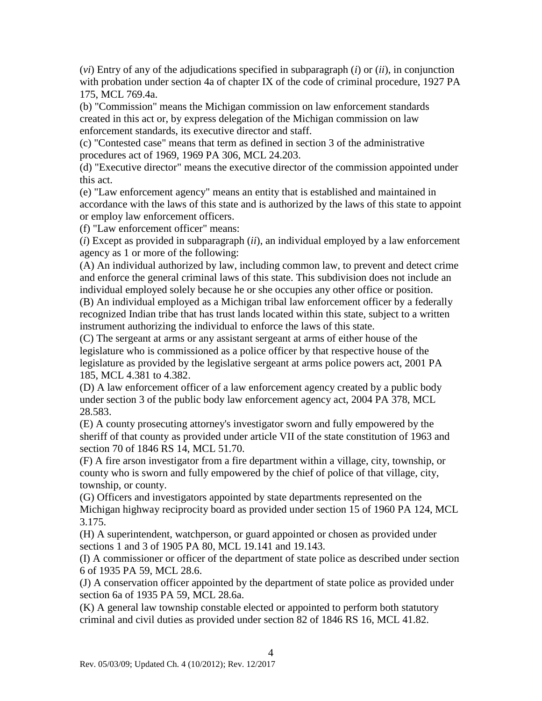(*vi*) Entry of any of the adjudications specified in subparagraph (*i*) or (*ii*), in conjunction with probation under section 4a of chapter IX of the code of criminal procedure, 1927 PA 175, MCL 769.4a.

(b) "Commission" means the Michigan commission on law enforcement standards created in this act or, by express delegation of the Michigan commission on law enforcement standards, its executive director and staff.

(c) "Contested case" means that term as defined in section 3 of the administrative procedures act of 1969, 1969 PA 306, MCL 24.203.

(d) "Executive director" means the executive director of the commission appointed under this act.

(e) "Law enforcement agency" means an entity that is established and maintained in accordance with the laws of this state and is authorized by the laws of this state to appoint or employ law enforcement officers.

(f) "Law enforcement officer" means:

(*i*) Except as provided in subparagraph (*ii*), an individual employed by a law enforcement agency as 1 or more of the following:

(A) An individual authorized by law, including common law, to prevent and detect crime and enforce the general criminal laws of this state. This subdivision does not include an individual employed solely because he or she occupies any other office or position.

(B) An individual employed as a Michigan tribal law enforcement officer by a federally recognized Indian tribe that has trust lands located within this state, subject to a written instrument authorizing the individual to enforce the laws of this state.

(C) The sergeant at arms or any assistant sergeant at arms of either house of the legislature who is commissioned as a police officer by that respective house of the legislature as provided by the legislative sergeant at arms police powers act, 2001 PA 185, MCL 4.381 to 4.382.

(D) A law enforcement officer of a law enforcement agency created by a public body under section 3 of the public body law enforcement agency act, 2004 PA 378, MCL 28.583.

(E) A county prosecuting attorney's investigator sworn and fully empowered by the sheriff of that county as provided under article VII of the state constitution of 1963 and section 70 of 1846 RS 14, MCL 51.70.

(F) A fire arson investigator from a fire department within a village, city, township, or county who is sworn and fully empowered by the chief of police of that village, city, township, or county.

(G) Officers and investigators appointed by state departments represented on the Michigan highway reciprocity board as provided under section 15 of 1960 PA 124, MCL 3.175.

(H) A superintendent, watchperson, or guard appointed or chosen as provided under sections 1 and 3 of 1905 PA 80, MCL 19.141 and 19.143.

(I) A commissioner or officer of the department of state police as described under section 6 of 1935 PA 59, MCL 28.6.

(J) A conservation officer appointed by the department of state police as provided under section 6a of 1935 PA 59, MCL 28.6a.

4

(K) A general law township constable elected or appointed to perform both statutory criminal and civil duties as provided under section 82 of 1846 RS 16, MCL 41.82.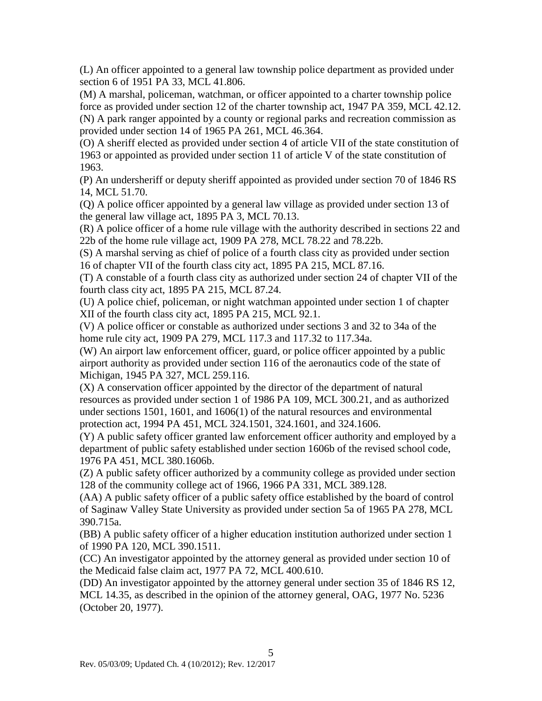(L) An officer appointed to a general law township police department as provided under section 6 of 1951 PA 33, MCL 41.806.

(M) A marshal, policeman, watchman, or officer appointed to a charter township police force as provided under section 12 of the charter township act, 1947 PA 359, MCL 42.12. (N) A park ranger appointed by a county or regional parks and recreation commission as provided under section 14 of 1965 PA 261, MCL 46.364.

(O) A sheriff elected as provided under section 4 of article VII of the state constitution of 1963 or appointed as provided under section 11 of article V of the state constitution of 1963.

(P) An undersheriff or deputy sheriff appointed as provided under section 70 of 1846 RS 14, MCL 51.70.

(Q) A police officer appointed by a general law village as provided under section 13 of the general law village act, 1895 PA 3, MCL 70.13.

(R) A police officer of a home rule village with the authority described in sections 22 and 22b of the home rule village act, 1909 PA 278, MCL 78.22 and 78.22b.

(S) A marshal serving as chief of police of a fourth class city as provided under section 16 of chapter VII of the fourth class city act, 1895 PA 215, MCL 87.16.

(T) A constable of a fourth class city as authorized under section 24 of chapter VII of the fourth class city act, 1895 PA 215, MCL 87.24.

(U) A police chief, policeman, or night watchman appointed under section 1 of chapter XII of the fourth class city act, 1895 PA 215, MCL 92.1.

(V) A police officer or constable as authorized under sections 3 and 32 to 34a of the home rule city act, 1909 PA 279, MCL 117.3 and 117.32 to 117.34a.

(W) An airport law enforcement officer, guard, or police officer appointed by a public airport authority as provided under section 116 of the aeronautics code of the state of Michigan, 1945 PA 327, MCL 259.116.

(X) A conservation officer appointed by the director of the department of natural resources as provided under section 1 of 1986 PA 109, MCL 300.21, and as authorized under sections 1501, 1601, and 1606(1) of the natural resources and environmental protection act, 1994 PA 451, MCL 324.1501, 324.1601, and 324.1606.

(Y) A public safety officer granted law enforcement officer authority and employed by a department of public safety established under section 1606b of the revised school code, 1976 PA 451, MCL 380.1606b.

(Z) A public safety officer authorized by a community college as provided under section 128 of the community college act of 1966, 1966 PA 331, MCL 389.128.

(AA) A public safety officer of a public safety office established by the board of control of Saginaw Valley State University as provided under section 5a of 1965 PA 278, MCL 390.715a.

(BB) A public safety officer of a higher education institution authorized under section 1 of 1990 PA 120, MCL 390.1511.

(CC) An investigator appointed by the attorney general as provided under section 10 of the Medicaid false claim act, 1977 PA 72, MCL 400.610.

(DD) An investigator appointed by the attorney general under section 35 of 1846 RS 12, MCL 14.35, as described in the opinion of the attorney general, OAG, 1977 No. 5236 (October 20, 1977).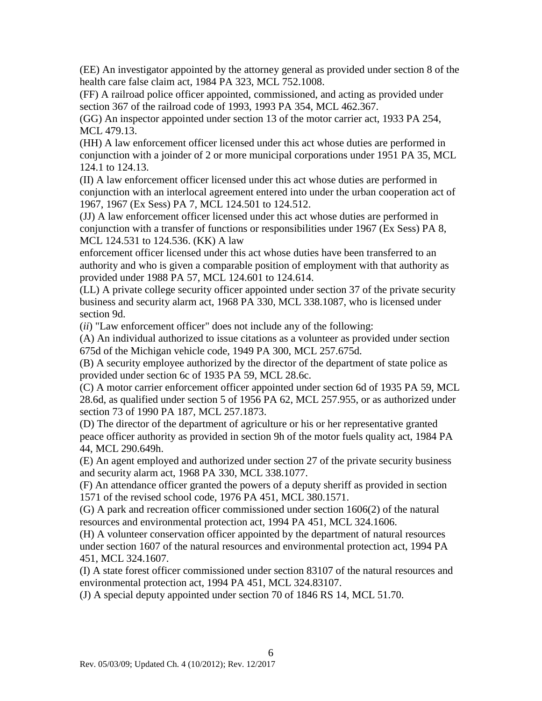(EE) An investigator appointed by the attorney general as provided under section 8 of the health care false claim act, 1984 PA 323, MCL 752.1008.

(FF) A railroad police officer appointed, commissioned, and acting as provided under section 367 of the railroad code of 1993, 1993 PA 354, MCL 462.367.

(GG) An inspector appointed under section 13 of the motor carrier act, 1933 PA 254, MCL 479.13.

(HH) A law enforcement officer licensed under this act whose duties are performed in conjunction with a joinder of 2 or more municipal corporations under 1951 PA 35, MCL 124.1 to 124.13.

(II) A law enforcement officer licensed under this act whose duties are performed in conjunction with an interlocal agreement entered into under the urban cooperation act of 1967, 1967 (Ex Sess) PA 7, MCL 124.501 to 124.512.

(JJ) A law enforcement officer licensed under this act whose duties are performed in conjunction with a transfer of functions or responsibilities under 1967 (Ex Sess) PA 8, MCL 124.531 to 124.536. (KK) A law

enforcement officer licensed under this act whose duties have been transferred to an authority and who is given a comparable position of employment with that authority as provided under 1988 PA 57, MCL 124.601 to 124.614.

(LL) A private college security officer appointed under section 37 of the private security business and security alarm act, 1968 PA 330, MCL 338.1087, who is licensed under section 9d.

(*ii*) "Law enforcement officer" does not include any of the following:

(A) An individual authorized to issue citations as a volunteer as provided under section 675d of the Michigan vehicle code, 1949 PA 300, MCL 257.675d.

(B) A security employee authorized by the director of the department of state police as provided under section 6c of 1935 PA 59, MCL 28.6c.

(C) A motor carrier enforcement officer appointed under section 6d of 1935 PA 59, MCL 28.6d, as qualified under section 5 of 1956 PA 62, MCL 257.955, or as authorized under section 73 of 1990 PA 187, MCL 257.1873.

(D) The director of the department of agriculture or his or her representative granted peace officer authority as provided in section 9h of the motor fuels quality act, 1984 PA 44, MCL 290.649h.

(E) An agent employed and authorized under section 27 of the private security business and security alarm act, 1968 PA 330, MCL 338.1077.

(F) An attendance officer granted the powers of a deputy sheriff as provided in section 1571 of the revised school code, 1976 PA 451, MCL 380.1571.

(G) A park and recreation officer commissioned under section 1606(2) of the natural resources and environmental protection act, 1994 PA 451, MCL 324.1606.

(H) A volunteer conservation officer appointed by the department of natural resources under section 1607 of the natural resources and environmental protection act, 1994 PA 451, MCL 324.1607.

(I) A state forest officer commissioned under section 83107 of the natural resources and environmental protection act, 1994 PA 451, MCL 324.83107.

(J) A special deputy appointed under section 70 of 1846 RS 14, MCL 51.70.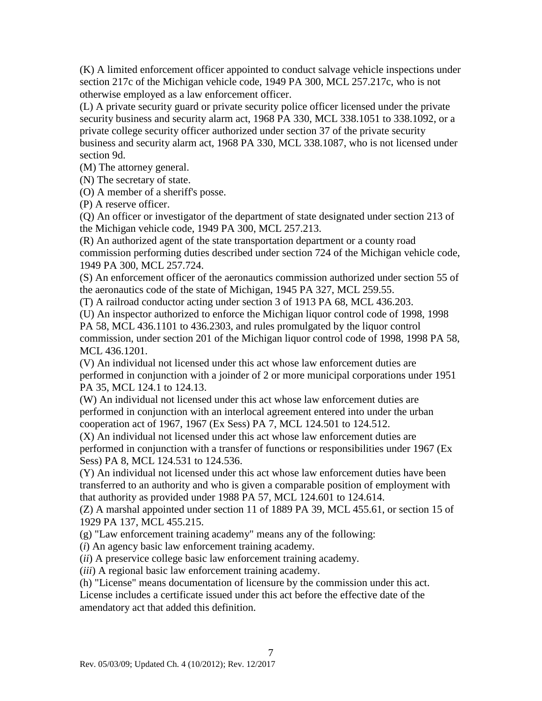(K) A limited enforcement officer appointed to conduct salvage vehicle inspections under section 217c of the Michigan vehicle code, 1949 PA 300, MCL 257.217c, who is not otherwise employed as a law enforcement officer.

(L) A private security guard or private security police officer licensed under the private security business and security alarm act, 1968 PA 330, MCL 338.1051 to 338.1092, or a private college security officer authorized under section 37 of the private security business and security alarm act, 1968 PA 330, MCL 338.1087, who is not licensed under section 9d.

(M) The attorney general.

(N) The secretary of state.

(O) A member of a sheriff's posse.

(P) A reserve officer.

(Q) An officer or investigator of the department of state designated under section 213 of the Michigan vehicle code, 1949 PA 300, MCL 257.213.

(R) An authorized agent of the state transportation department or a county road commission performing duties described under section 724 of the Michigan vehicle code, 1949 PA 300, MCL 257.724.

(S) An enforcement officer of the aeronautics commission authorized under section 55 of the aeronautics code of the state of Michigan, 1945 PA 327, MCL 259.55.

(T) A railroad conductor acting under section 3 of 1913 PA 68, MCL 436.203.

(U) An inspector authorized to enforce the Michigan liquor control code of 1998, 1998

PA 58, MCL 436.1101 to 436.2303, and rules promulgated by the liquor control commission, under section 201 of the Michigan liquor control code of 1998, 1998 PA 58, MCL 436.1201.

(V) An individual not licensed under this act whose law enforcement duties are performed in conjunction with a joinder of 2 or more municipal corporations under 1951 PA 35, MCL 124.1 to 124.13.

(W) An individual not licensed under this act whose law enforcement duties are performed in conjunction with an interlocal agreement entered into under the urban cooperation act of 1967, 1967 (Ex Sess) PA 7, MCL 124.501 to 124.512.

(X) An individual not licensed under this act whose law enforcement duties are performed in conjunction with a transfer of functions or responsibilities under 1967 (Ex Sess) PA 8, MCL 124.531 to 124.536.

(Y) An individual not licensed under this act whose law enforcement duties have been transferred to an authority and who is given a comparable position of employment with that authority as provided under 1988 PA 57, MCL 124.601 to 124.614.

(Z) A marshal appointed under section 11 of 1889 PA 39, MCL 455.61, or section 15 of 1929 PA 137, MCL 455.215.

(g) "Law enforcement training academy" means any of the following:

(*i*) An agency basic law enforcement training academy.

(*ii*) A preservice college basic law enforcement training academy.

(*iii*) A regional basic law enforcement training academy.

(h) "License" means documentation of licensure by the commission under this act.

License includes a certificate issued under this act before the effective date of the amendatory act that added this definition.

7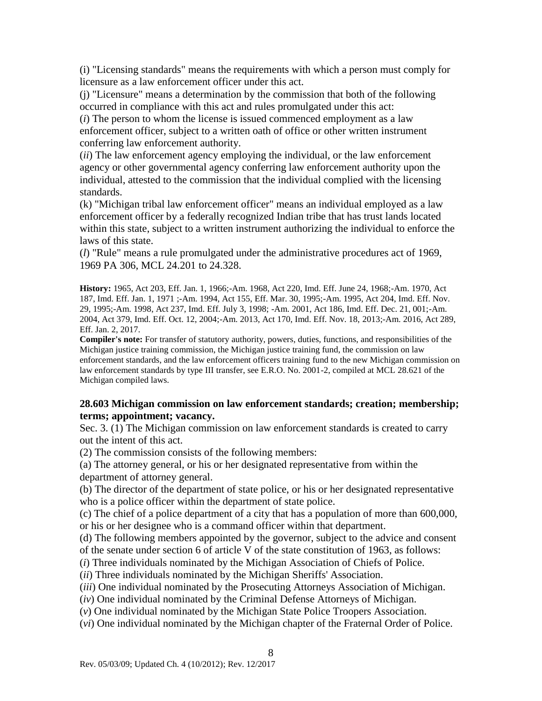(i) "Licensing standards" means the requirements with which a person must comply for licensure as a law enforcement officer under this act.

(j) "Licensure" means a determination by the commission that both of the following occurred in compliance with this act and rules promulgated under this act:

(*i*) The person to whom the license is issued commenced employment as a law enforcement officer, subject to a written oath of office or other written instrument conferring law enforcement authority.

(*ii*) The law enforcement agency employing the individual, or the law enforcement agency or other governmental agency conferring law enforcement authority upon the individual, attested to the commission that the individual complied with the licensing standards.

(k) "Michigan tribal law enforcement officer" means an individual employed as a law enforcement officer by a federally recognized Indian tribe that has trust lands located within this state, subject to a written instrument authorizing the individual to enforce the laws of this state.

(*l*) "Rule" means a rule promulgated under the administrative procedures act of 1969, 1969 PA 306, MCL 24.201 to 24.328.

**History:** 1965, Act 203, Eff. Jan. 1, 1966;-Am. 1968, Act 220, Imd. Eff. June 24, 1968;-Am. 1970, Act 187, Imd. Eff. Jan. 1, 1971 ;-Am. 1994, Act 155, Eff. Mar. 30, 1995;-Am. 1995, Act 204, Imd. Eff. Nov. 29, 1995;-Am. 1998, Act 237, Imd. Eff. July 3, 1998; -Am. 2001, Act 186, Imd. Eff. Dec. 21, 001;-Am. 2004, Act 379, Imd. Eff. Oct. 12, 2004;-Am. 2013, Act 170, Imd. Eff. Nov. 18, 2013;-Am. 2016, Act 289, Eff. Jan. 2, 2017.

**Compiler's note:** For transfer of statutory authority, powers, duties, functions, and responsibilities of the Michigan justice training commission, the Michigan justice training fund, the commission on law enforcement standards, and the law enforcement officers training fund to the new Michigan commission on law enforcement standards by type III transfer, see E.R.O. No. 2001-2, compiled at MCL 28.621 of the Michigan compiled laws.

#### **28.603 Michigan commission on law enforcement standards; creation; membership; terms; appointment; vacancy.**

Sec. 3. (1) The Michigan commission on law enforcement standards is created to carry out the intent of this act.

(2) The commission consists of the following members:

(a) The attorney general, or his or her designated representative from within the department of attorney general.

(b) The director of the department of state police, or his or her designated representative who is a police officer within the department of state police.

(c) The chief of a police department of a city that has a population of more than 600,000, or his or her designee who is a command officer within that department.

(d) The following members appointed by the governor, subject to the advice and consent of the senate under section 6 of article V of the state constitution of 1963, as follows:

(*i*) Three individuals nominated by the Michigan Association of Chiefs of Police.

(*ii*) Three individuals nominated by the Michigan Sheriffs' Association.

(*iii*) One individual nominated by the Prosecuting Attorneys Association of Michigan.

(*iv*) One individual nominated by the Criminal Defense Attorneys of Michigan.

(*v*) One individual nominated by the Michigan State Police Troopers Association.

(*vi*) One individual nominated by the Michigan chapter of the Fraternal Order of Police.

8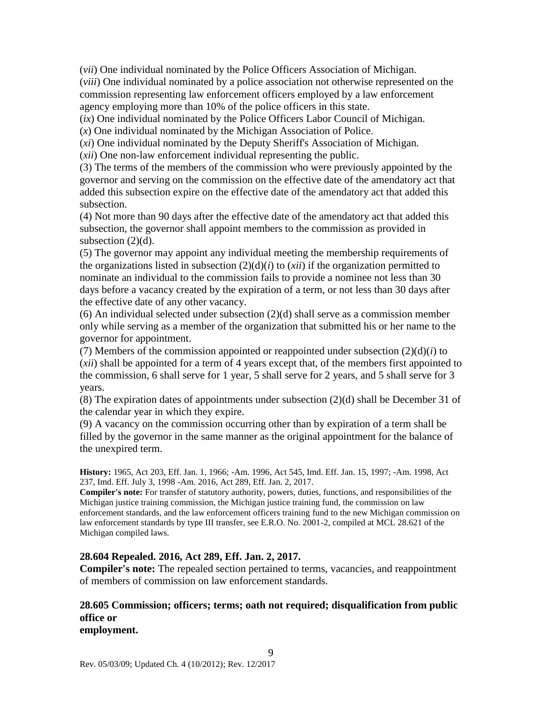(*vii*) One individual nominated by the Police Officers Association of Michigan.

(*viii*) One individual nominated by a police association not otherwise represented on the commission representing law enforcement officers employed by a law enforcement agency employing more than 10% of the police officers in this state.

(*ix*) One individual nominated by the Police Officers Labor Council of Michigan.

(*x*) One individual nominated by the Michigan Association of Police.

(*xi*) One individual nominated by the Deputy Sheriff's Association of Michigan.

(*xii*) One non-law enforcement individual representing the public.

(3) The terms of the members of the commission who were previously appointed by the governor and serving on the commission on the effective date of the amendatory act that added this subsection expire on the effective date of the amendatory act that added this subsection.

(4) Not more than 90 days after the effective date of the amendatory act that added this subsection, the governor shall appoint members to the commission as provided in subsection (2)(d).

(5) The governor may appoint any individual meeting the membership requirements of the organizations listed in subsection  $(2)(d)(i)$  to  $(xii)$  if the organization permitted to nominate an individual to the commission fails to provide a nominee not less than 30 days before a vacancy created by the expiration of a term, or not less than 30 days after the effective date of any other vacancy.

 $(6)$  An individual selected under subsection  $(2)(d)$  shall serve as a commission member only while serving as a member of the organization that submitted his or her name to the governor for appointment.

(7) Members of the commission appointed or reappointed under subsection  $(2)(d)(i)$  to (*xii*) shall be appointed for a term of 4 years except that, of the members first appointed to the commission, 6 shall serve for 1 year, 5 shall serve for 2 years, and 5 shall serve for 3 years.

(8) The expiration dates of appointments under subsection (2)(d) shall be December 31 of the calendar year in which they expire.

(9) A vacancy on the commission occurring other than by expiration of a term shall be filled by the governor in the same manner as the original appointment for the balance of the unexpired term.

**History:** 1965, Act 203, Eff. Jan. 1, 1966; -Am. 1996, Act 545, Imd. Eff. Jan. 15, 1997; -Am. 1998, Act 237, Imd. Eff. July 3, 1998 -Am. 2016, Act 289, Eff. Jan. 2, 2017.

**Compiler's note:** For transfer of statutory authority, powers, duties, functions, and responsibilities of the Michigan justice training commission, the Michigan justice training fund, the commission on law enforcement standards, and the law enforcement officers training fund to the new Michigan commission on law enforcement standards by type III transfer, see E.R.O. No. 2001-2, compiled at MCL 28.621 of the Michigan compiled laws.

### **28.604 Repealed. 2016, Act 289, Eff. Jan. 2, 2017.**

**Compiler's note:** The repealed section pertained to terms, vacancies, and reappointment of members of commission on law enforcement standards.

#### **28.605 Commission; officers; terms; oath not required; disqualification from public office or employment.**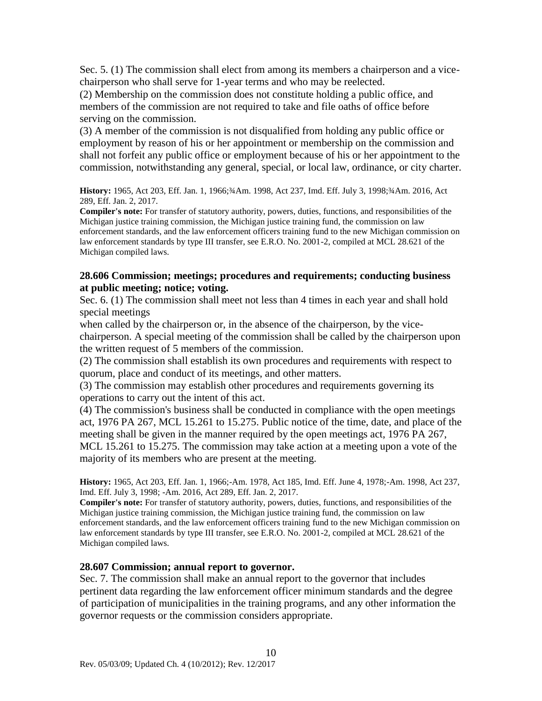Sec. 5. (1) The commission shall elect from among its members a chairperson and a vicechairperson who shall serve for 1-year terms and who may be reelected.

(2) Membership on the commission does not constitute holding a public office, and members of the commission are not required to take and file oaths of office before serving on the commission.

(3) A member of the commission is not disqualified from holding any public office or employment by reason of his or her appointment or membership on the commission and shall not forfeit any public office or employment because of his or her appointment to the commission, notwithstanding any general, special, or local law, ordinance, or city charter.

**History:** 1965, Act 203, Eff. Jan. 1, 1966;¾Am. 1998, Act 237, Imd. Eff. July 3, 1998;¾Am. 2016, Act 289, Eff. Jan. 2, 2017.

**Compiler's note:** For transfer of statutory authority, powers, duties, functions, and responsibilities of the Michigan justice training commission, the Michigan justice training fund, the commission on law enforcement standards, and the law enforcement officers training fund to the new Michigan commission on law enforcement standards by type III transfer, see E.R.O. No. 2001-2, compiled at MCL 28.621 of the Michigan compiled laws.

#### **28.606 Commission; meetings; procedures and requirements; conducting business at public meeting; notice; voting.**

Sec. 6. (1) The commission shall meet not less than 4 times in each year and shall hold special meetings

when called by the chairperson or, in the absence of the chairperson, by the vicechairperson. A special meeting of the commission shall be called by the chairperson upon the written request of 5 members of the commission.

(2) The commission shall establish its own procedures and requirements with respect to quorum, place and conduct of its meetings, and other matters.

(3) The commission may establish other procedures and requirements governing its operations to carry out the intent of this act.

(4) The commission's business shall be conducted in compliance with the open meetings act, 1976 PA 267, MCL 15.261 to 15.275. Public notice of the time, date, and place of the meeting shall be given in the manner required by the open meetings act, 1976 PA 267, MCL 15.261 to 15.275. The commission may take action at a meeting upon a vote of the majority of its members who are present at the meeting.

**History:** 1965, Act 203, Eff. Jan. 1, 1966;-Am. 1978, Act 185, Imd. Eff. June 4, 1978;-Am. 1998, Act 237, Imd. Eff. July 3, 1998; -Am. 2016, Act 289, Eff. Jan. 2, 2017.

**Compiler's note:** For transfer of statutory authority, powers, duties, functions, and responsibilities of the Michigan justice training commission, the Michigan justice training fund, the commission on law enforcement standards, and the law enforcement officers training fund to the new Michigan commission on law enforcement standards by type III transfer, see E.R.O. No. 2001-2, compiled at MCL 28.621 of the Michigan compiled laws.

#### **28.607 Commission; annual report to governor.**

Sec. 7. The commission shall make an annual report to the governor that includes pertinent data regarding the law enforcement officer minimum standards and the degree of participation of municipalities in the training programs, and any other information the governor requests or the commission considers appropriate.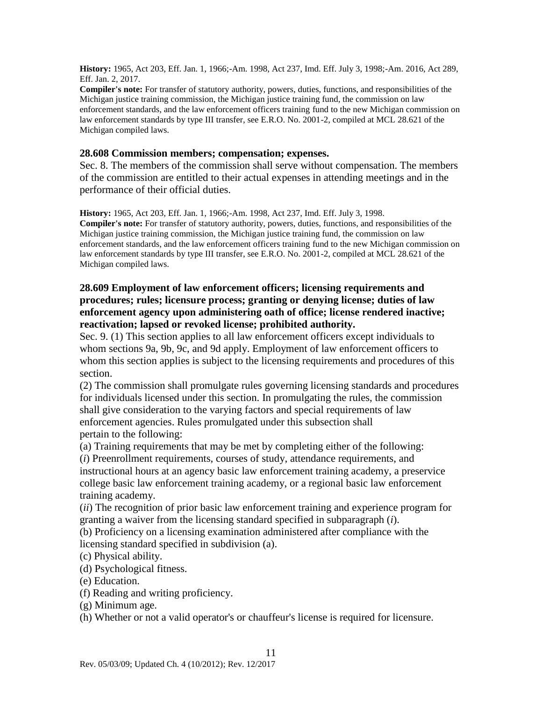**History:** 1965, Act 203, Eff. Jan. 1, 1966;-Am. 1998, Act 237, Imd. Eff. July 3, 1998;-Am. 2016, Act 289, Eff. Jan. 2, 2017.

**Compiler's note:** For transfer of statutory authority, powers, duties, functions, and responsibilities of the Michigan justice training commission, the Michigan justice training fund, the commission on law enforcement standards, and the law enforcement officers training fund to the new Michigan commission on law enforcement standards by type III transfer, see E.R.O. No. 2001-2, compiled at MCL 28.621 of the Michigan compiled laws.

#### **28.608 Commission members; compensation; expenses.**

Sec. 8. The members of the commission shall serve without compensation. The members of the commission are entitled to their actual expenses in attending meetings and in the performance of their official duties.

**History:** 1965, Act 203, Eff. Jan. 1, 1966;-Am. 1998, Act 237, Imd. Eff. July 3, 1998. **Compiler's note:** For transfer of statutory authority, powers, duties, functions, and responsibilities of the Michigan justice training commission, the Michigan justice training fund, the commission on law enforcement standards, and the law enforcement officers training fund to the new Michigan commission on law enforcement standards by type III transfer, see E.R.O. No. 2001-2, compiled at MCL 28.621 of the Michigan compiled laws.

#### **28.609 Employment of law enforcement officers; licensing requirements and procedures; rules; licensure process; granting or denying license; duties of law enforcement agency upon administering oath of office; license rendered inactive; reactivation; lapsed or revoked license; prohibited authority.**

Sec. 9. (1) This section applies to all law enforcement officers except individuals to whom sections 9a, 9b, 9c, and 9d apply. Employment of law enforcement officers to whom this section applies is subject to the licensing requirements and procedures of this section.

(2) The commission shall promulgate rules governing licensing standards and procedures for individuals licensed under this section. In promulgating the rules, the commission shall give consideration to the varying factors and special requirements of law enforcement agencies. Rules promulgated under this subsection shall pertain to the following:

(a) Training requirements that may be met by completing either of the following:

(*i*) Preenrollment requirements, courses of study, attendance requirements, and instructional hours at an agency basic law enforcement training academy, a preservice college basic law enforcement training academy, or a regional basic law enforcement training academy.

(*ii*) The recognition of prior basic law enforcement training and experience program for granting a waiver from the licensing standard specified in subparagraph (*i*).

(b) Proficiency on a licensing examination administered after compliance with the licensing standard specified in subdivision (a).

(c) Physical ability.

(d) Psychological fitness.

(e) Education.

(f) Reading and writing proficiency.

(g) Minimum age.

(h) Whether or not a valid operator's or chauffeur's license is required for licensure.

11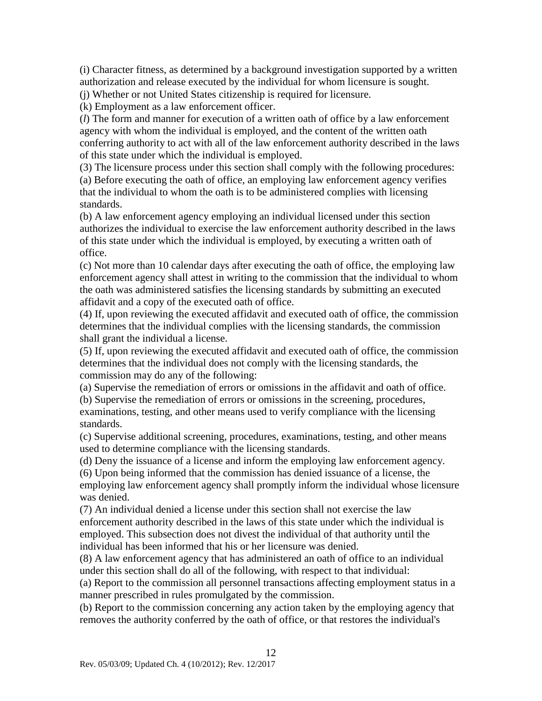(i) Character fitness, as determined by a background investigation supported by a written authorization and release executed by the individual for whom licensure is sought.

(j) Whether or not United States citizenship is required for licensure.

(k) Employment as a law enforcement officer.

(*l*) The form and manner for execution of a written oath of office by a law enforcement agency with whom the individual is employed, and the content of the written oath conferring authority to act with all of the law enforcement authority described in the laws of this state under which the individual is employed.

(3) The licensure process under this section shall comply with the following procedures: (a) Before executing the oath of office, an employing law enforcement agency verifies that the individual to whom the oath is to be administered complies with licensing standards.

(b) A law enforcement agency employing an individual licensed under this section authorizes the individual to exercise the law enforcement authority described in the laws of this state under which the individual is employed, by executing a written oath of office.

(c) Not more than 10 calendar days after executing the oath of office, the employing law enforcement agency shall attest in writing to the commission that the individual to whom the oath was administered satisfies the licensing standards by submitting an executed affidavit and a copy of the executed oath of office.

(4) If, upon reviewing the executed affidavit and executed oath of office, the commission determines that the individual complies with the licensing standards, the commission shall grant the individual a license.

(5) If, upon reviewing the executed affidavit and executed oath of office, the commission determines that the individual does not comply with the licensing standards, the commission may do any of the following:

(a) Supervise the remediation of errors or omissions in the affidavit and oath of office.

(b) Supervise the remediation of errors or omissions in the screening, procedures, examinations, testing, and other means used to verify compliance with the licensing standards.

(c) Supervise additional screening, procedures, examinations, testing, and other means used to determine compliance with the licensing standards.

(d) Deny the issuance of a license and inform the employing law enforcement agency.

(6) Upon being informed that the commission has denied issuance of a license, the employing law enforcement agency shall promptly inform the individual whose licensure was denied.

(7) An individual denied a license under this section shall not exercise the law enforcement authority described in the laws of this state under which the individual is employed. This subsection does not divest the individual of that authority until the individual has been informed that his or her licensure was denied.

(8) A law enforcement agency that has administered an oath of office to an individual under this section shall do all of the following, with respect to that individual:

(a) Report to the commission all personnel transactions affecting employment status in a manner prescribed in rules promulgated by the commission.

(b) Report to the commission concerning any action taken by the employing agency that removes the authority conferred by the oath of office, or that restores the individual's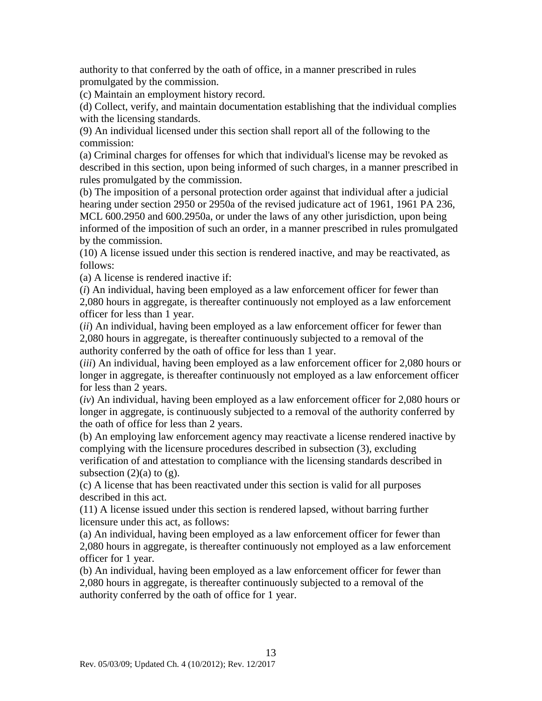authority to that conferred by the oath of office, in a manner prescribed in rules promulgated by the commission.

(c) Maintain an employment history record.

(d) Collect, verify, and maintain documentation establishing that the individual complies with the licensing standards.

(9) An individual licensed under this section shall report all of the following to the commission:

(a) Criminal charges for offenses for which that individual's license may be revoked as described in this section, upon being informed of such charges, in a manner prescribed in rules promulgated by the commission.

(b) The imposition of a personal protection order against that individual after a judicial hearing under section 2950 or 2950a of the revised judicature act of 1961, 1961 PA 236, MCL 600.2950 and 600.2950a, or under the laws of any other jurisdiction, upon being informed of the imposition of such an order, in a manner prescribed in rules promulgated by the commission.

(10) A license issued under this section is rendered inactive, and may be reactivated, as follows:

(a) A license is rendered inactive if:

(*i*) An individual, having been employed as a law enforcement officer for fewer than 2,080 hours in aggregate, is thereafter continuously not employed as a law enforcement officer for less than 1 year.

(*ii*) An individual, having been employed as a law enforcement officer for fewer than 2,080 hours in aggregate, is thereafter continuously subjected to a removal of the authority conferred by the oath of office for less than 1 year.

(*iii*) An individual, having been employed as a law enforcement officer for 2,080 hours or longer in aggregate, is thereafter continuously not employed as a law enforcement officer for less than 2 years.

(*iv*) An individual, having been employed as a law enforcement officer for 2,080 hours or longer in aggregate, is continuously subjected to a removal of the authority conferred by the oath of office for less than 2 years.

(b) An employing law enforcement agency may reactivate a license rendered inactive by complying with the licensure procedures described in subsection (3), excluding verification of and attestation to compliance with the licensing standards described in subsection  $(2)(a)$  to  $(g)$ .

(c) A license that has been reactivated under this section is valid for all purposes described in this act.

(11) A license issued under this section is rendered lapsed, without barring further licensure under this act, as follows:

(a) An individual, having been employed as a law enforcement officer for fewer than 2,080 hours in aggregate, is thereafter continuously not employed as a law enforcement officer for 1 year.

(b) An individual, having been employed as a law enforcement officer for fewer than 2,080 hours in aggregate, is thereafter continuously subjected to a removal of the authority conferred by the oath of office for 1 year.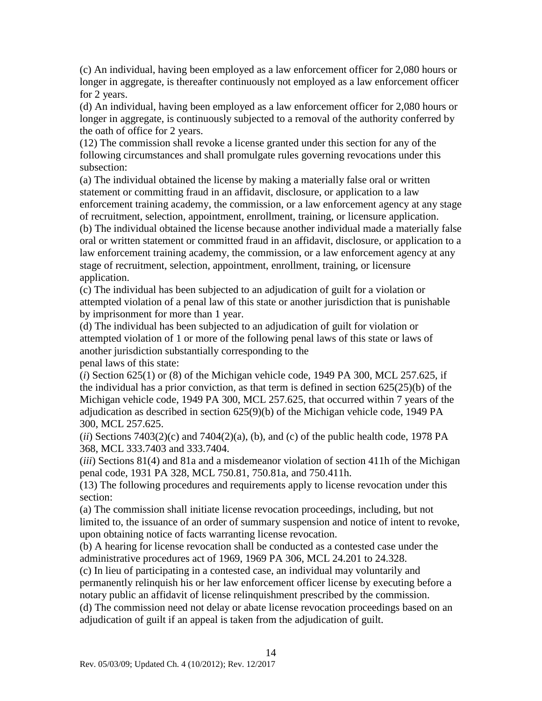(c) An individual, having been employed as a law enforcement officer for 2,080 hours or longer in aggregate, is thereafter continuously not employed as a law enforcement officer for 2 years.

(d) An individual, having been employed as a law enforcement officer for 2,080 hours or longer in aggregate, is continuously subjected to a removal of the authority conferred by the oath of office for 2 years.

(12) The commission shall revoke a license granted under this section for any of the following circumstances and shall promulgate rules governing revocations under this subsection:

(a) The individual obtained the license by making a materially false oral or written statement or committing fraud in an affidavit, disclosure, or application to a law enforcement training academy, the commission, or a law enforcement agency at any stage of recruitment, selection, appointment, enrollment, training, or licensure application.

(b) The individual obtained the license because another individual made a materially false oral or written statement or committed fraud in an affidavit, disclosure, or application to a law enforcement training academy, the commission, or a law enforcement agency at any stage of recruitment, selection, appointment, enrollment, training, or licensure application.

(c) The individual has been subjected to an adjudication of guilt for a violation or attempted violation of a penal law of this state or another jurisdiction that is punishable by imprisonment for more than 1 year.

(d) The individual has been subjected to an adjudication of guilt for violation or attempted violation of 1 or more of the following penal laws of this state or laws of another jurisdiction substantially corresponding to the penal laws of this state:

(*i*) Section 625(1) or (8) of the Michigan vehicle code, 1949 PA 300, MCL 257.625, if the individual has a prior conviction, as that term is defined in section 625(25)(b) of the Michigan vehicle code, 1949 PA 300, MCL 257.625, that occurred within 7 years of the adjudication as described in section 625(9)(b) of the Michigan vehicle code, 1949 PA 300, MCL 257.625.

 $(iii)$  Sections  $7403(2)(c)$  and  $7404(2)(a)$ , (b), and (c) of the public health code, 1978 PA 368, MCL 333.7403 and 333.7404.

(*iii*) Sections 81(4) and 81a and a misdemeanor violation of section 411h of the Michigan penal code, 1931 PA 328, MCL 750.81, 750.81a, and 750.411h.

(13) The following procedures and requirements apply to license revocation under this section:

(a) The commission shall initiate license revocation proceedings, including, but not limited to, the issuance of an order of summary suspension and notice of intent to revoke, upon obtaining notice of facts warranting license revocation.

(b) A hearing for license revocation shall be conducted as a contested case under the administrative procedures act of 1969, 1969 PA 306, MCL 24.201 to 24.328.

(c) In lieu of participating in a contested case, an individual may voluntarily and permanently relinquish his or her law enforcement officer license by executing before a notary public an affidavit of license relinquishment prescribed by the commission.

(d) The commission need not delay or abate license revocation proceedings based on an adjudication of guilt if an appeal is taken from the adjudication of guilt.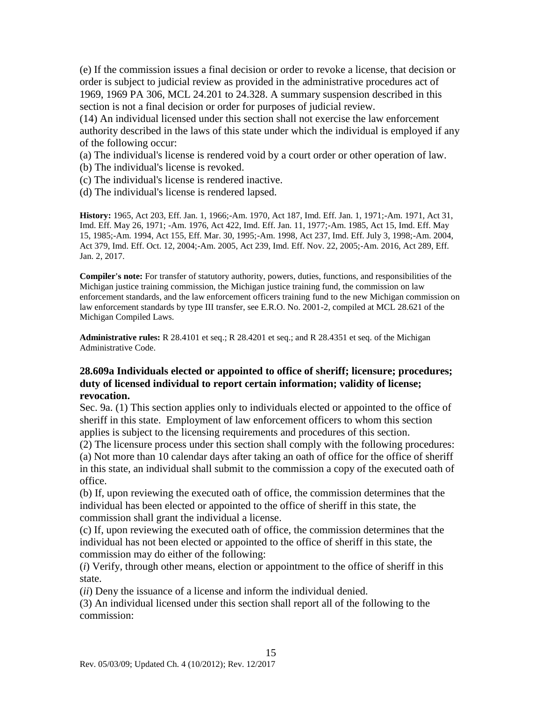(e) If the commission issues a final decision or order to revoke a license, that decision or order is subject to judicial review as provided in the administrative procedures act of 1969, 1969 PA 306, MCL 24.201 to 24.328. A summary suspension described in this section is not a final decision or order for purposes of judicial review.

(14) An individual licensed under this section shall not exercise the law enforcement authority described in the laws of this state under which the individual is employed if any of the following occur:

(a) The individual's license is rendered void by a court order or other operation of law.

- (b) The individual's license is revoked.
- (c) The individual's license is rendered inactive.
- (d) The individual's license is rendered lapsed.

**History:** 1965, Act 203, Eff. Jan. 1, 1966;-Am. 1970, Act 187, Imd. Eff. Jan. 1, 1971;-Am. 1971, Act 31, Imd. Eff. May 26, 1971; -Am. 1976, Act 422, Imd. Eff. Jan. 11, 1977;-Am. 1985, Act 15, Imd. Eff. May 15, 1985;-Am. 1994, Act 155, Eff. Mar. 30, 1995;-Am. 1998, Act 237, Imd. Eff. July 3, 1998;-Am. 2004, Act 379, Imd. Eff. Oct. 12, 2004;-Am. 2005, Act 239, Imd. Eff. Nov. 22, 2005;-Am. 2016, Act 289, Eff. Jan. 2, 2017.

**Compiler's note:** For transfer of statutory authority, powers, duties, functions, and responsibilities of the Michigan justice training commission, the Michigan justice training fund, the commission on law enforcement standards, and the law enforcement officers training fund to the new Michigan commission on law enforcement standards by type III transfer, see E.R.O. No. 2001-2, compiled at MCL 28.621 of the Michigan Compiled Laws.

**Administrative rules:** R 28.4101 et seq.; R 28.4201 et seq.; and R 28.4351 et seq. of the Michigan Administrative Code.

#### **28.609a Individuals elected or appointed to office of sheriff; licensure; procedures; duty of licensed individual to report certain information; validity of license; revocation.**

Sec. 9a. (1) This section applies only to individuals elected or appointed to the office of sheriff in this state. Employment of law enforcement officers to whom this section applies is subject to the licensing requirements and procedures of this section.

(2) The licensure process under this section shall comply with the following procedures: (a) Not more than 10 calendar days after taking an oath of office for the office of sheriff in this state, an individual shall submit to the commission a copy of the executed oath of office.

(b) If, upon reviewing the executed oath of office, the commission determines that the individual has been elected or appointed to the office of sheriff in this state, the commission shall grant the individual a license.

(c) If, upon reviewing the executed oath of office, the commission determines that the individual has not been elected or appointed to the office of sheriff in this state, the commission may do either of the following:

(*i*) Verify, through other means, election or appointment to the office of sheriff in this state.

(*ii*) Deny the issuance of a license and inform the individual denied.

(3) An individual licensed under this section shall report all of the following to the commission: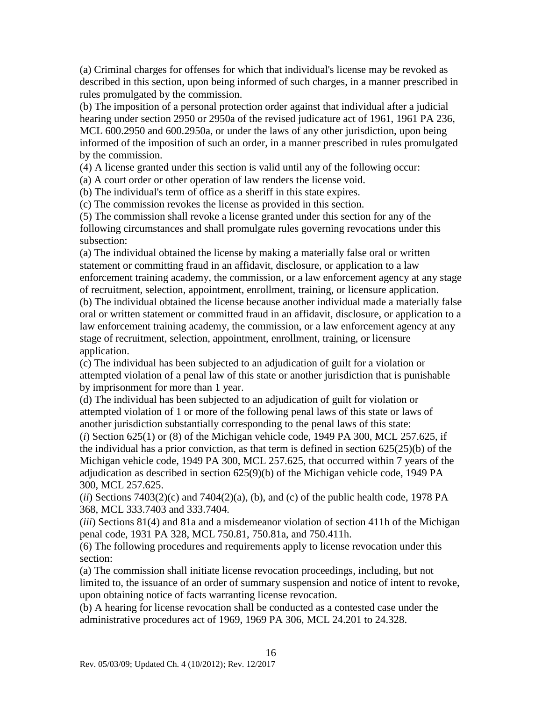(a) Criminal charges for offenses for which that individual's license may be revoked as described in this section, upon being informed of such charges, in a manner prescribed in rules promulgated by the commission.

(b) The imposition of a personal protection order against that individual after a judicial hearing under section 2950 or 2950a of the revised judicature act of 1961, 1961 PA 236, MCL 600.2950 and 600.2950a, or under the laws of any other jurisdiction, upon being informed of the imposition of such an order, in a manner prescribed in rules promulgated by the commission.

(4) A license granted under this section is valid until any of the following occur:

(a) A court order or other operation of law renders the license void.

(b) The individual's term of office as a sheriff in this state expires.

(c) The commission revokes the license as provided in this section.

(5) The commission shall revoke a license granted under this section for any of the following circumstances and shall promulgate rules governing revocations under this subsection:

(a) The individual obtained the license by making a materially false oral or written statement or committing fraud in an affidavit, disclosure, or application to a law enforcement training academy, the commission, or a law enforcement agency at any stage of recruitment, selection, appointment, enrollment, training, or licensure application. (b) The individual obtained the license because another individual made a materially false oral or written statement or committed fraud in an affidavit, disclosure, or application to a law enforcement training academy, the commission, or a law enforcement agency at any stage of recruitment, selection, appointment, enrollment, training, or licensure application.

(c) The individual has been subjected to an adjudication of guilt for a violation or attempted violation of a penal law of this state or another jurisdiction that is punishable by imprisonment for more than 1 year.

(d) The individual has been subjected to an adjudication of guilt for violation or attempted violation of 1 or more of the following penal laws of this state or laws of another jurisdiction substantially corresponding to the penal laws of this state:

(*i*) Section 625(1) or (8) of the Michigan vehicle code, 1949 PA 300, MCL 257.625, if the individual has a prior conviction, as that term is defined in section 625(25)(b) of the Michigan vehicle code, 1949 PA 300, MCL 257.625, that occurred within 7 years of the adjudication as described in section 625(9)(b) of the Michigan vehicle code, 1949 PA 300, MCL 257.625.

 $(iii)$  Sections 7403(2)(c) and 7404(2)(a), (b), and (c) of the public health code, 1978 PA 368, MCL 333.7403 and 333.7404.

(*iii*) Sections 81(4) and 81a and a misdemeanor violation of section 411h of the Michigan penal code, 1931 PA 328, MCL 750.81, 750.81a, and 750.411h.

(6) The following procedures and requirements apply to license revocation under this section:

(a) The commission shall initiate license revocation proceedings, including, but not limited to, the issuance of an order of summary suspension and notice of intent to revoke, upon obtaining notice of facts warranting license revocation.

(b) A hearing for license revocation shall be conducted as a contested case under the administrative procedures act of 1969, 1969 PA 306, MCL 24.201 to 24.328.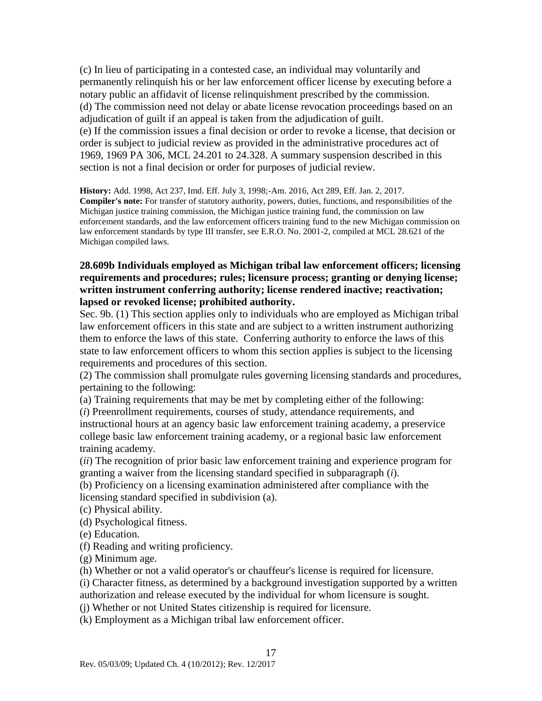(c) In lieu of participating in a contested case, an individual may voluntarily and permanently relinquish his or her law enforcement officer license by executing before a notary public an affidavit of license relinquishment prescribed by the commission. (d) The commission need not delay or abate license revocation proceedings based on an adjudication of guilt if an appeal is taken from the adjudication of guilt. (e) If the commission issues a final decision or order to revoke a license, that decision or order is subject to judicial review as provided in the administrative procedures act of 1969, 1969 PA 306, MCL 24.201 to 24.328. A summary suspension described in this section is not a final decision or order for purposes of judicial review.

**History:** Add. 1998, Act 237, Imd. Eff. July 3, 1998;-Am. 2016, Act 289, Eff. Jan. 2, 2017. **Compiler's note:** For transfer of statutory authority, powers, duties, functions, and responsibilities of the Michigan justice training commission, the Michigan justice training fund, the commission on law enforcement standards, and the law enforcement officers training fund to the new Michigan commission on law enforcement standards by type III transfer, see E.R.O. No. 2001-2, compiled at MCL 28.621 of the Michigan compiled laws.

#### **28.609b Individuals employed as Michigan tribal law enforcement officers; licensing requirements and procedures; rules; licensure process; granting or denying license; written instrument conferring authority; license rendered inactive; reactivation; lapsed or revoked license; prohibited authority.**

Sec. 9b. (1) This section applies only to individuals who are employed as Michigan tribal law enforcement officers in this state and are subject to a written instrument authorizing them to enforce the laws of this state. Conferring authority to enforce the laws of this state to law enforcement officers to whom this section applies is subject to the licensing requirements and procedures of this section.

(2) The commission shall promulgate rules governing licensing standards and procedures, pertaining to the following:

(a) Training requirements that may be met by completing either of the following:

(*i*) Preenrollment requirements, courses of study, attendance requirements, and instructional hours at an agency basic law enforcement training academy, a preservice college basic law enforcement training academy, or a regional basic law enforcement training academy.

(*ii*) The recognition of prior basic law enforcement training and experience program for granting a waiver from the licensing standard specified in subparagraph (*i*).

(b) Proficiency on a licensing examination administered after compliance with the licensing standard specified in subdivision (a).

(c) Physical ability.

(d) Psychological fitness.

(e) Education.

(f) Reading and writing proficiency.

(g) Minimum age.

(h) Whether or not a valid operator's or chauffeur's license is required for licensure.

(i) Character fitness, as determined by a background investigation supported by a written authorization and release executed by the individual for whom licensure is sought.

(j) Whether or not United States citizenship is required for licensure.

(k) Employment as a Michigan tribal law enforcement officer.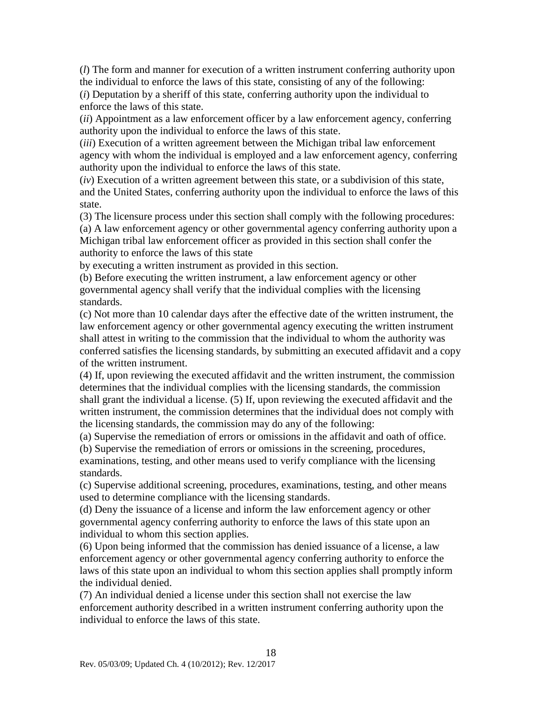(*l*) The form and manner for execution of a written instrument conferring authority upon the individual to enforce the laws of this state, consisting of any of the following:

(*i*) Deputation by a sheriff of this state, conferring authority upon the individual to enforce the laws of this state.

(*ii*) Appointment as a law enforcement officer by a law enforcement agency, conferring authority upon the individual to enforce the laws of this state.

(*iii*) Execution of a written agreement between the Michigan tribal law enforcement agency with whom the individual is employed and a law enforcement agency, conferring authority upon the individual to enforce the laws of this state.

(*iv*) Execution of a written agreement between this state, or a subdivision of this state, and the United States, conferring authority upon the individual to enforce the laws of this state.

(3) The licensure process under this section shall comply with the following procedures:

(a) A law enforcement agency or other governmental agency conferring authority upon a Michigan tribal law enforcement officer as provided in this section shall confer the authority to enforce the laws of this state

by executing a written instrument as provided in this section.

(b) Before executing the written instrument, a law enforcement agency or other governmental agency shall verify that the individual complies with the licensing standards.

(c) Not more than 10 calendar days after the effective date of the written instrument, the law enforcement agency or other governmental agency executing the written instrument shall attest in writing to the commission that the individual to whom the authority was conferred satisfies the licensing standards, by submitting an executed affidavit and a copy of the written instrument.

(4) If, upon reviewing the executed affidavit and the written instrument, the commission determines that the individual complies with the licensing standards, the commission shall grant the individual a license. (5) If, upon reviewing the executed affidavit and the written instrument, the commission determines that the individual does not comply with the licensing standards, the commission may do any of the following:

(a) Supervise the remediation of errors or omissions in the affidavit and oath of office. (b) Supervise the remediation of errors or omissions in the screening, procedures,

examinations, testing, and other means used to verify compliance with the licensing standards.

(c) Supervise additional screening, procedures, examinations, testing, and other means used to determine compliance with the licensing standards.

(d) Deny the issuance of a license and inform the law enforcement agency or other governmental agency conferring authority to enforce the laws of this state upon an individual to whom this section applies.

(6) Upon being informed that the commission has denied issuance of a license, a law enforcement agency or other governmental agency conferring authority to enforce the laws of this state upon an individual to whom this section applies shall promptly inform the individual denied.

(7) An individual denied a license under this section shall not exercise the law enforcement authority described in a written instrument conferring authority upon the individual to enforce the laws of this state.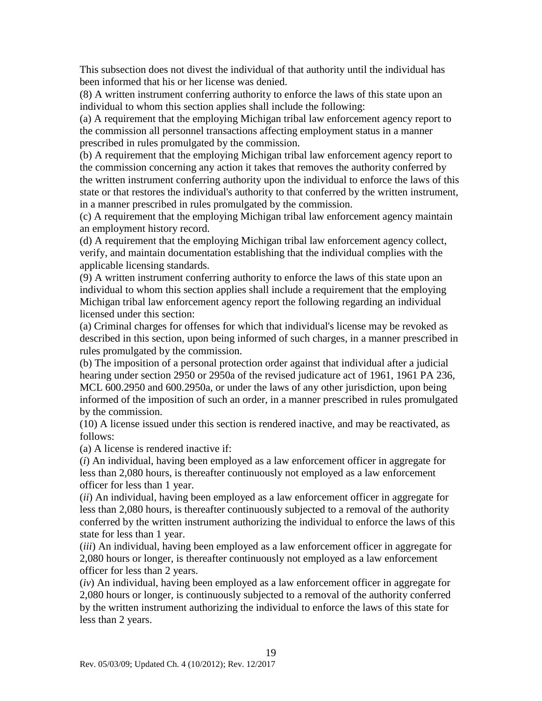This subsection does not divest the individual of that authority until the individual has been informed that his or her license was denied.

(8) A written instrument conferring authority to enforce the laws of this state upon an individual to whom this section applies shall include the following:

(a) A requirement that the employing Michigan tribal law enforcement agency report to the commission all personnel transactions affecting employment status in a manner prescribed in rules promulgated by the commission.

(b) A requirement that the employing Michigan tribal law enforcement agency report to the commission concerning any action it takes that removes the authority conferred by the written instrument conferring authority upon the individual to enforce the laws of this state or that restores the individual's authority to that conferred by the written instrument, in a manner prescribed in rules promulgated by the commission.

(c) A requirement that the employing Michigan tribal law enforcement agency maintain an employment history record.

(d) A requirement that the employing Michigan tribal law enforcement agency collect, verify, and maintain documentation establishing that the individual complies with the applicable licensing standards.

(9) A written instrument conferring authority to enforce the laws of this state upon an individual to whom this section applies shall include a requirement that the employing Michigan tribal law enforcement agency report the following regarding an individual licensed under this section:

(a) Criminal charges for offenses for which that individual's license may be revoked as described in this section, upon being informed of such charges, in a manner prescribed in rules promulgated by the commission.

(b) The imposition of a personal protection order against that individual after a judicial hearing under section 2950 or 2950a of the revised judicature act of 1961, 1961 PA 236, MCL 600.2950 and 600.2950a, or under the laws of any other jurisdiction, upon being informed of the imposition of such an order, in a manner prescribed in rules promulgated by the commission.

(10) A license issued under this section is rendered inactive, and may be reactivated, as follows:

(a) A license is rendered inactive if:

(*i*) An individual, having been employed as a law enforcement officer in aggregate for less than 2,080 hours, is thereafter continuously not employed as a law enforcement officer for less than 1 year.

(*ii*) An individual, having been employed as a law enforcement officer in aggregate for less than 2,080 hours, is thereafter continuously subjected to a removal of the authority conferred by the written instrument authorizing the individual to enforce the laws of this state for less than 1 year.

(*iii*) An individual, having been employed as a law enforcement officer in aggregate for 2,080 hours or longer, is thereafter continuously not employed as a law enforcement officer for less than 2 years.

(*iv*) An individual, having been employed as a law enforcement officer in aggregate for 2,080 hours or longer, is continuously subjected to a removal of the authority conferred by the written instrument authorizing the individual to enforce the laws of this state for less than 2 years.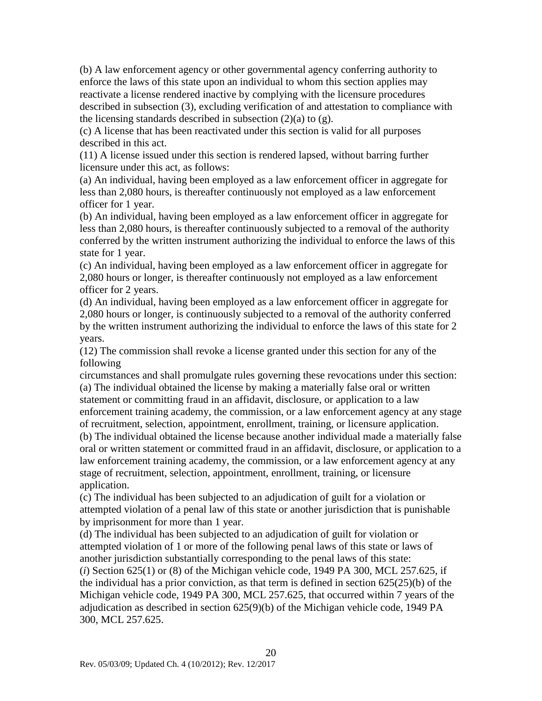(b) A law enforcement agency or other governmental agency conferring authority to enforce the laws of this state upon an individual to whom this section applies may reactivate a license rendered inactive by complying with the licensure procedures described in subsection (3), excluding verification of and attestation to compliance with the licensing standards described in subsection  $(2)(a)$  to  $(g)$ .

(c) A license that has been reactivated under this section is valid for all purposes described in this act.

(11) A license issued under this section is rendered lapsed, without barring further licensure under this act, as follows:

(a) An individual, having been employed as a law enforcement officer in aggregate for less than 2,080 hours, is thereafter continuously not employed as a law enforcement officer for 1 year.

(b) An individual, having been employed as a law enforcement officer in aggregate for less than 2,080 hours, is thereafter continuously subjected to a removal of the authority conferred by the written instrument authorizing the individual to enforce the laws of this state for 1 year.

(c) An individual, having been employed as a law enforcement officer in aggregate for 2,080 hours or longer, is thereafter continuously not employed as a law enforcement officer for 2 years.

(d) An individual, having been employed as a law enforcement officer in aggregate for 2,080 hours or longer, is continuously subjected to a removal of the authority conferred by the written instrument authorizing the individual to enforce the laws of this state for 2 years.

(12) The commission shall revoke a license granted under this section for any of the following

circumstances and shall promulgate rules governing these revocations under this section: (a) The individual obtained the license by making a materially false oral or written statement or committing fraud in an affidavit, disclosure, or application to a law enforcement training academy, the commission, or a law enforcement agency at any stage of recruitment, selection, appointment, enrollment, training, or licensure application. (b) The individual obtained the license because another individual made a materially false oral or written statement or committed fraud in an affidavit, disclosure, or application to a law enforcement training academy, the commission, or a law enforcement agency at any stage of recruitment, selection, appointment, enrollment, training, or licensure application.

(c) The individual has been subjected to an adjudication of guilt for a violation or attempted violation of a penal law of this state or another jurisdiction that is punishable by imprisonment for more than 1 year.

(d) The individual has been subjected to an adjudication of guilt for violation or attempted violation of 1 or more of the following penal laws of this state or laws of another jurisdiction substantially corresponding to the penal laws of this state:

(*i*) Section 625(1) or (8) of the Michigan vehicle code, 1949 PA 300, MCL 257.625, if the individual has a prior conviction, as that term is defined in section 625(25)(b) of the Michigan vehicle code, 1949 PA 300, MCL 257.625, that occurred within 7 years of the adjudication as described in section 625(9)(b) of the Michigan vehicle code, 1949 PA 300, MCL 257.625.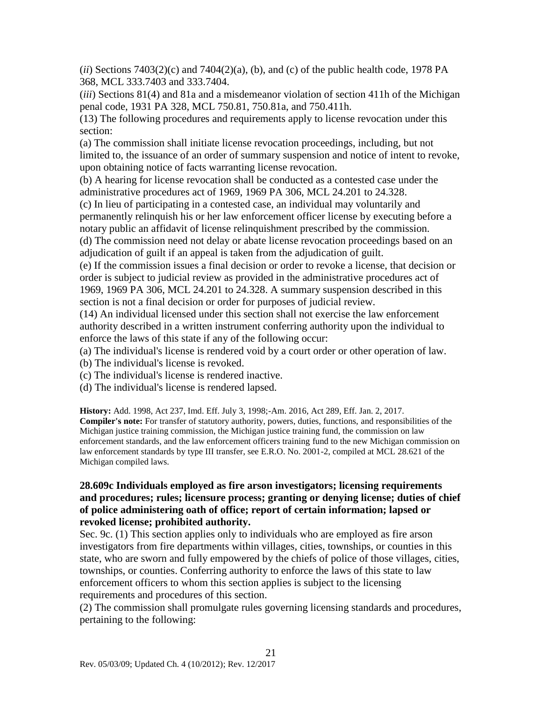$(iii)$  Sections 7403(2)(c) and 7404(2)(a), (b), and (c) of the public health code, 1978 PA 368, MCL 333.7403 and 333.7404.

(*iii*) Sections 81(4) and 81a and a misdemeanor violation of section 411h of the Michigan penal code, 1931 PA 328, MCL 750.81, 750.81a, and 750.411h.

(13) The following procedures and requirements apply to license revocation under this section:

(a) The commission shall initiate license revocation proceedings, including, but not limited to, the issuance of an order of summary suspension and notice of intent to revoke, upon obtaining notice of facts warranting license revocation.

(b) A hearing for license revocation shall be conducted as a contested case under the administrative procedures act of 1969, 1969 PA 306, MCL 24.201 to 24.328.

(c) In lieu of participating in a contested case, an individual may voluntarily and permanently relinquish his or her law enforcement officer license by executing before a notary public an affidavit of license relinquishment prescribed by the commission.

(d) The commission need not delay or abate license revocation proceedings based on an adjudication of guilt if an appeal is taken from the adjudication of guilt.

(e) If the commission issues a final decision or order to revoke a license, that decision or order is subject to judicial review as provided in the administrative procedures act of 1969, 1969 PA 306, MCL 24.201 to 24.328. A summary suspension described in this section is not a final decision or order for purposes of judicial review.

(14) An individual licensed under this section shall not exercise the law enforcement authority described in a written instrument conferring authority upon the individual to enforce the laws of this state if any of the following occur:

(a) The individual's license is rendered void by a court order or other operation of law.

- (b) The individual's license is revoked.
- (c) The individual's license is rendered inactive.

(d) The individual's license is rendered lapsed.

**History:** Add. 1998, Act 237, Imd. Eff. July 3, 1998;-Am. 2016, Act 289, Eff. Jan. 2, 2017. **Compiler's note:** For transfer of statutory authority, powers, duties, functions, and responsibilities of the Michigan justice training commission, the Michigan justice training fund, the commission on law enforcement standards, and the law enforcement officers training fund to the new Michigan commission on law enforcement standards by type III transfer, see E.R.O. No. 2001-2, compiled at MCL 28.621 of the Michigan compiled laws.

### **28.609c Individuals employed as fire arson investigators; licensing requirements and procedures; rules; licensure process; granting or denying license; duties of chief of police administering oath of office; report of certain information; lapsed or revoked license; prohibited authority.**

Sec. 9c. (1) This section applies only to individuals who are employed as fire arson investigators from fire departments within villages, cities, townships, or counties in this state, who are sworn and fully empowered by the chiefs of police of those villages, cities, townships, or counties. Conferring authority to enforce the laws of this state to law enforcement officers to whom this section applies is subject to the licensing requirements and procedures of this section.

(2) The commission shall promulgate rules governing licensing standards and procedures, pertaining to the following: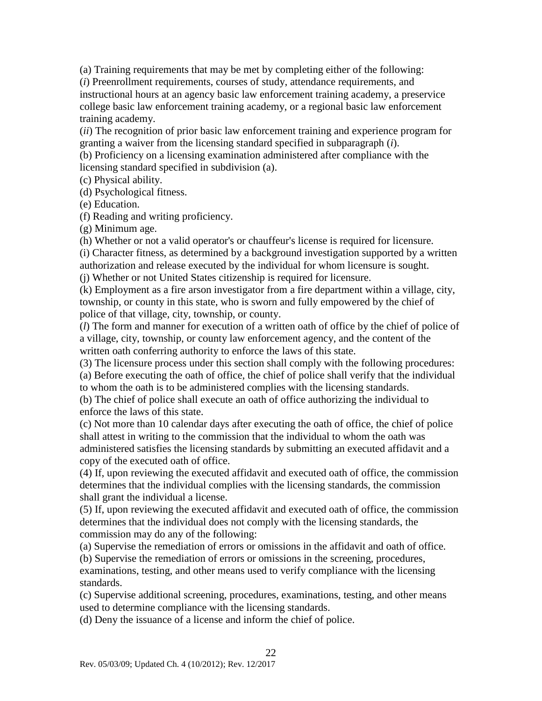(a) Training requirements that may be met by completing either of the following:

(*i*) Preenrollment requirements, courses of study, attendance requirements, and instructional hours at an agency basic law enforcement training academy, a preservice college basic law enforcement training academy, or a regional basic law enforcement training academy.

(*ii*) The recognition of prior basic law enforcement training and experience program for granting a waiver from the licensing standard specified in subparagraph (*i*).

(b) Proficiency on a licensing examination administered after compliance with the licensing standard specified in subdivision (a).

(c) Physical ability.

(d) Psychological fitness.

(e) Education.

(f) Reading and writing proficiency.

(g) Minimum age.

(h) Whether or not a valid operator's or chauffeur's license is required for licensure.

(i) Character fitness, as determined by a background investigation supported by a written authorization and release executed by the individual for whom licensure is sought.

(j) Whether or not United States citizenship is required for licensure.

(k) Employment as a fire arson investigator from a fire department within a village, city, township, or county in this state, who is sworn and fully empowered by the chief of police of that village, city, township, or county.

(*l*) The form and manner for execution of a written oath of office by the chief of police of a village, city, township, or county law enforcement agency, and the content of the written oath conferring authority to enforce the laws of this state.

(3) The licensure process under this section shall comply with the following procedures: (a) Before executing the oath of office, the chief of police shall verify that the individual to whom the oath is to be administered complies with the licensing standards.

(b) The chief of police shall execute an oath of office authorizing the individual to enforce the laws of this state.

(c) Not more than 10 calendar days after executing the oath of office, the chief of police shall attest in writing to the commission that the individual to whom the oath was administered satisfies the licensing standards by submitting an executed affidavit and a copy of the executed oath of office.

(4) If, upon reviewing the executed affidavit and executed oath of office, the commission determines that the individual complies with the licensing standards, the commission shall grant the individual a license.

(5) If, upon reviewing the executed affidavit and executed oath of office, the commission determines that the individual does not comply with the licensing standards, the commission may do any of the following:

(a) Supervise the remediation of errors or omissions in the affidavit and oath of office.

(b) Supervise the remediation of errors or omissions in the screening, procedures, examinations, testing, and other means used to verify compliance with the licensing standards.

(c) Supervise additional screening, procedures, examinations, testing, and other means used to determine compliance with the licensing standards.

(d) Deny the issuance of a license and inform the chief of police.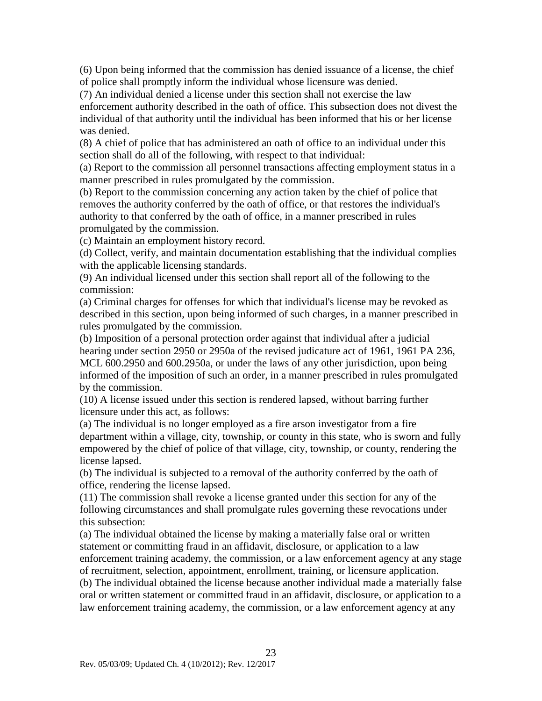(6) Upon being informed that the commission has denied issuance of a license, the chief of police shall promptly inform the individual whose licensure was denied.

(7) An individual denied a license under this section shall not exercise the law enforcement authority described in the oath of office. This subsection does not divest the individual of that authority until the individual has been informed that his or her license was denied.

(8) A chief of police that has administered an oath of office to an individual under this section shall do all of the following, with respect to that individual:

(a) Report to the commission all personnel transactions affecting employment status in a manner prescribed in rules promulgated by the commission.

(b) Report to the commission concerning any action taken by the chief of police that removes the authority conferred by the oath of office, or that restores the individual's authority to that conferred by the oath of office, in a manner prescribed in rules promulgated by the commission.

(c) Maintain an employment history record.

(d) Collect, verify, and maintain documentation establishing that the individual complies with the applicable licensing standards.

(9) An individual licensed under this section shall report all of the following to the commission:

(a) Criminal charges for offenses for which that individual's license may be revoked as described in this section, upon being informed of such charges, in a manner prescribed in rules promulgated by the commission.

(b) Imposition of a personal protection order against that individual after a judicial hearing under section 2950 or 2950a of the revised judicature act of 1961, 1961 PA 236, MCL 600.2950 and 600.2950a, or under the laws of any other jurisdiction, upon being informed of the imposition of such an order, in a manner prescribed in rules promulgated by the commission.

(10) A license issued under this section is rendered lapsed, without barring further licensure under this act, as follows:

(a) The individual is no longer employed as a fire arson investigator from a fire department within a village, city, township, or county in this state, who is sworn and fully empowered by the chief of police of that village, city, township, or county, rendering the license lapsed.

(b) The individual is subjected to a removal of the authority conferred by the oath of office, rendering the license lapsed.

(11) The commission shall revoke a license granted under this section for any of the following circumstances and shall promulgate rules governing these revocations under this subsection:

(a) The individual obtained the license by making a materially false oral or written statement or committing fraud in an affidavit, disclosure, or application to a law enforcement training academy, the commission, or a law enforcement agency at any stage of recruitment, selection, appointment, enrollment, training, or licensure application.

(b) The individual obtained the license because another individual made a materially false oral or written statement or committed fraud in an affidavit, disclosure, or application to a law enforcement training academy, the commission, or a law enforcement agency at any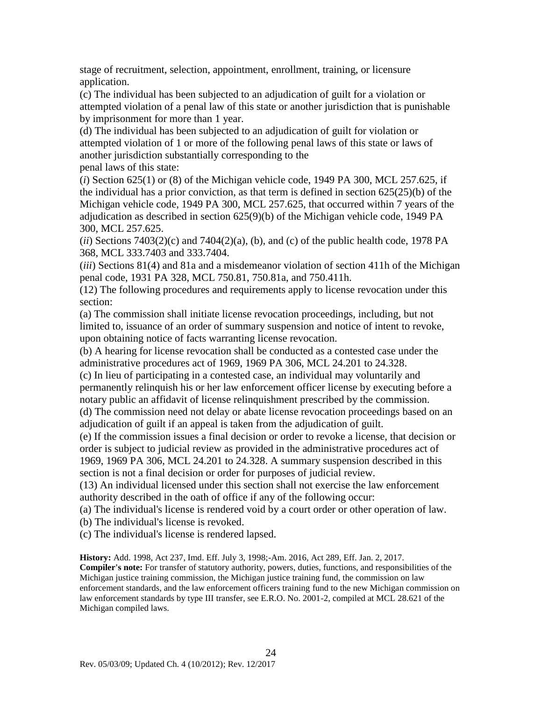stage of recruitment, selection, appointment, enrollment, training, or licensure application.

(c) The individual has been subjected to an adjudication of guilt for a violation or attempted violation of a penal law of this state or another jurisdiction that is punishable by imprisonment for more than 1 year.

(d) The individual has been subjected to an adjudication of guilt for violation or attempted violation of 1 or more of the following penal laws of this state or laws of another jurisdiction substantially corresponding to the penal laws of this state:

(*i*) Section 625(1) or (8) of the Michigan vehicle code, 1949 PA 300, MCL 257.625, if the individual has a prior conviction, as that term is defined in section  $625(25)(b)$  of the Michigan vehicle code, 1949 PA 300, MCL 257.625, that occurred within 7 years of the adjudication as described in section 625(9)(b) of the Michigan vehicle code, 1949 PA 300, MCL 257.625.

 $(iii)$  Sections  $7403(2)(c)$  and  $7404(2)(a)$ , (b), and (c) of the public health code, 1978 PA 368, MCL 333.7403 and 333.7404.

(*iii*) Sections 81(4) and 81a and a misdemeanor violation of section 411h of the Michigan penal code, 1931 PA 328, MCL 750.81, 750.81a, and 750.411h.

(12) The following procedures and requirements apply to license revocation under this section:

(a) The commission shall initiate license revocation proceedings, including, but not limited to, issuance of an order of summary suspension and notice of intent to revoke, upon obtaining notice of facts warranting license revocation.

(b) A hearing for license revocation shall be conducted as a contested case under the administrative procedures act of 1969, 1969 PA 306, MCL 24.201 to 24.328. (c) In lieu of participating in a contested case, an individual may voluntarily and

permanently relinquish his or her law enforcement officer license by executing before a notary public an affidavit of license relinquishment prescribed by the commission.

(d) The commission need not delay or abate license revocation proceedings based on an adjudication of guilt if an appeal is taken from the adjudication of guilt.

(e) If the commission issues a final decision or order to revoke a license, that decision or order is subject to judicial review as provided in the administrative procedures act of 1969, 1969 PA 306, MCL 24.201 to 24.328. A summary suspension described in this section is not a final decision or order for purposes of judicial review.

(13) An individual licensed under this section shall not exercise the law enforcement authority described in the oath of office if any of the following occur:

(a) The individual's license is rendered void by a court order or other operation of law.

(b) The individual's license is revoked.

(c) The individual's license is rendered lapsed.

**History:** Add. 1998, Act 237, Imd. Eff. July 3, 1998;-Am. 2016, Act 289, Eff. Jan. 2, 2017. **Compiler's note:** For transfer of statutory authority, powers, duties, functions, and responsibilities of the Michigan justice training commission, the Michigan justice training fund, the commission on law enforcement standards, and the law enforcement officers training fund to the new Michigan commission on law enforcement standards by type III transfer, see E.R.O. No. 2001-2, compiled at MCL 28.621 of the Michigan compiled laws.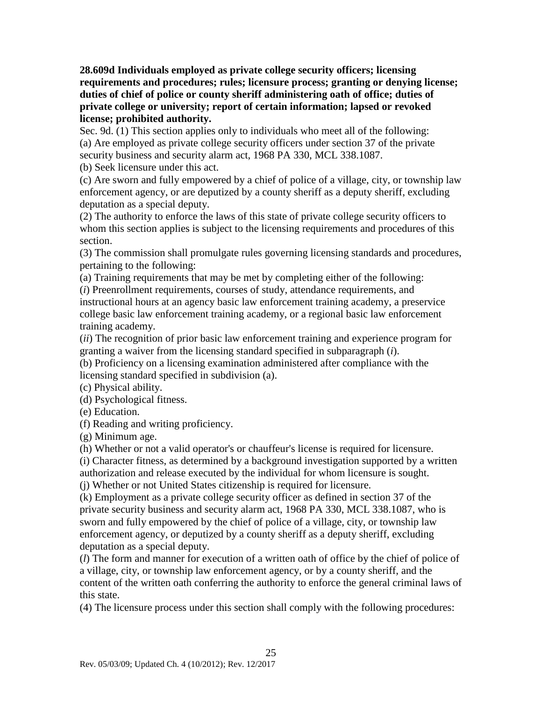**28.609d Individuals employed as private college security officers; licensing requirements and procedures; rules; licensure process; granting or denying license; duties of chief of police or county sheriff administering oath of office; duties of private college or university; report of certain information; lapsed or revoked license; prohibited authority.**

Sec. 9d. (1) This section applies only to individuals who meet all of the following: (a) Are employed as private college security officers under section 37 of the private security business and security alarm act, 1968 PA 330, MCL 338.1087.

(b) Seek licensure under this act.

(c) Are sworn and fully empowered by a chief of police of a village, city, or township law enforcement agency, or are deputized by a county sheriff as a deputy sheriff, excluding deputation as a special deputy.

(2) The authority to enforce the laws of this state of private college security officers to whom this section applies is subject to the licensing requirements and procedures of this section.

(3) The commission shall promulgate rules governing licensing standards and procedures, pertaining to the following:

(a) Training requirements that may be met by completing either of the following: (*i*) Preenrollment requirements, courses of study, attendance requirements, and instructional hours at an agency basic law enforcement training academy, a preservice college basic law enforcement training academy, or a regional basic law enforcement training academy.

(*ii*) The recognition of prior basic law enforcement training and experience program for granting a waiver from the licensing standard specified in subparagraph (*i*).

(b) Proficiency on a licensing examination administered after compliance with the licensing standard specified in subdivision (a).

(c) Physical ability.

(d) Psychological fitness.

(e) Education.

(f) Reading and writing proficiency.

(g) Minimum age.

(h) Whether or not a valid operator's or chauffeur's license is required for licensure.

(i) Character fitness, as determined by a background investigation supported by a written authorization and release executed by the individual for whom licensure is sought.

(j) Whether or not United States citizenship is required for licensure.

(k) Employment as a private college security officer as defined in section 37 of the private security business and security alarm act, 1968 PA 330, MCL 338.1087, who is sworn and fully empowered by the chief of police of a village, city, or township law enforcement agency, or deputized by a county sheriff as a deputy sheriff, excluding deputation as a special deputy.

(*l*) The form and manner for execution of a written oath of office by the chief of police of a village, city, or township law enforcement agency, or by a county sheriff, and the content of the written oath conferring the authority to enforce the general criminal laws of this state.

(4) The licensure process under this section shall comply with the following procedures: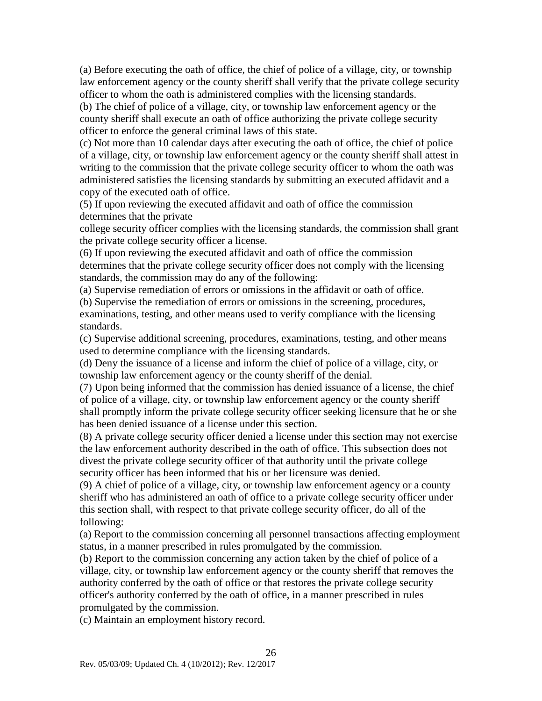(a) Before executing the oath of office, the chief of police of a village, city, or township law enforcement agency or the county sheriff shall verify that the private college security officer to whom the oath is administered complies with the licensing standards.

(b) The chief of police of a village, city, or township law enforcement agency or the county sheriff shall execute an oath of office authorizing the private college security officer to enforce the general criminal laws of this state.

(c) Not more than 10 calendar days after executing the oath of office, the chief of police of a village, city, or township law enforcement agency or the county sheriff shall attest in writing to the commission that the private college security officer to whom the oath was administered satisfies the licensing standards by submitting an executed affidavit and a copy of the executed oath of office.

(5) If upon reviewing the executed affidavit and oath of office the commission determines that the private

college security officer complies with the licensing standards, the commission shall grant the private college security officer a license.

(6) If upon reviewing the executed affidavit and oath of office the commission determines that the private college security officer does not comply with the licensing standards, the commission may do any of the following:

(a) Supervise remediation of errors or omissions in the affidavit or oath of office.

(b) Supervise the remediation of errors or omissions in the screening, procedures, examinations, testing, and other means used to verify compliance with the licensing standards.

(c) Supervise additional screening, procedures, examinations, testing, and other means used to determine compliance with the licensing standards.

(d) Deny the issuance of a license and inform the chief of police of a village, city, or township law enforcement agency or the county sheriff of the denial.

(7) Upon being informed that the commission has denied issuance of a license, the chief of police of a village, city, or township law enforcement agency or the county sheriff shall promptly inform the private college security officer seeking licensure that he or she has been denied issuance of a license under this section.

(8) A private college security officer denied a license under this section may not exercise the law enforcement authority described in the oath of office. This subsection does not divest the private college security officer of that authority until the private college security officer has been informed that his or her licensure was denied.

(9) A chief of police of a village, city, or township law enforcement agency or a county sheriff who has administered an oath of office to a private college security officer under this section shall, with respect to that private college security officer, do all of the following:

(a) Report to the commission concerning all personnel transactions affecting employment status, in a manner prescribed in rules promulgated by the commission.

(b) Report to the commission concerning any action taken by the chief of police of a village, city, or township law enforcement agency or the county sheriff that removes the authority conferred by the oath of office or that restores the private college security officer's authority conferred by the oath of office, in a manner prescribed in rules promulgated by the commission.

(c) Maintain an employment history record.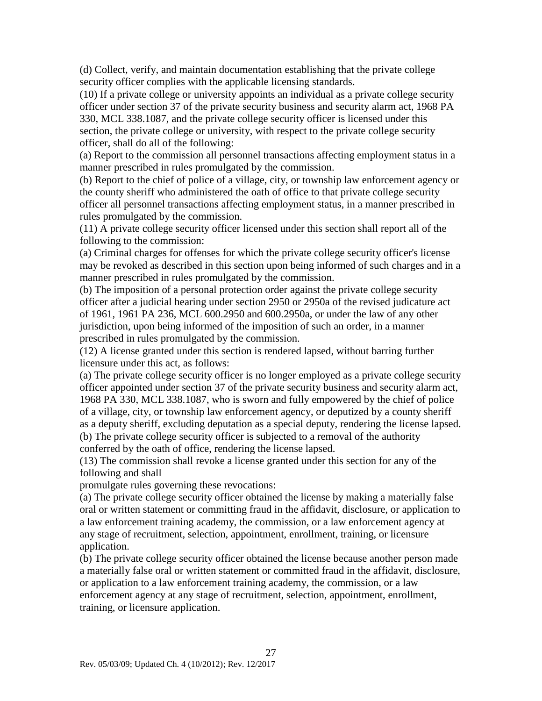(d) Collect, verify, and maintain documentation establishing that the private college security officer complies with the applicable licensing standards.

(10) If a private college or university appoints an individual as a private college security officer under section 37 of the private security business and security alarm act, 1968 PA 330, MCL 338.1087, and the private college security officer is licensed under this section, the private college or university, with respect to the private college security officer, shall do all of the following:

(a) Report to the commission all personnel transactions affecting employment status in a manner prescribed in rules promulgated by the commission.

(b) Report to the chief of police of a village, city, or township law enforcement agency or the county sheriff who administered the oath of office to that private college security officer all personnel transactions affecting employment status, in a manner prescribed in rules promulgated by the commission.

(11) A private college security officer licensed under this section shall report all of the following to the commission:

(a) Criminal charges for offenses for which the private college security officer's license may be revoked as described in this section upon being informed of such charges and in a manner prescribed in rules promulgated by the commission.

(b) The imposition of a personal protection order against the private college security officer after a judicial hearing under section 2950 or 2950a of the revised judicature act of 1961, 1961 PA 236, MCL 600.2950 and 600.2950a, or under the law of any other jurisdiction, upon being informed of the imposition of such an order, in a manner prescribed in rules promulgated by the commission.

(12) A license granted under this section is rendered lapsed, without barring further licensure under this act, as follows:

(a) The private college security officer is no longer employed as a private college security officer appointed under section 37 of the private security business and security alarm act, 1968 PA 330, MCL 338.1087, who is sworn and fully empowered by the chief of police of a village, city, or township law enforcement agency, or deputized by a county sheriff as a deputy sheriff, excluding deputation as a special deputy, rendering the license lapsed. (b) The private college security officer is subjected to a removal of the authority conferred by the oath of office, rendering the license lapsed.

(13) The commission shall revoke a license granted under this section for any of the following and shall

promulgate rules governing these revocations:

(a) The private college security officer obtained the license by making a materially false oral or written statement or committing fraud in the affidavit, disclosure, or application to a law enforcement training academy, the commission, or a law enforcement agency at any stage of recruitment, selection, appointment, enrollment, training, or licensure application.

(b) The private college security officer obtained the license because another person made a materially false oral or written statement or committed fraud in the affidavit, disclosure, or application to a law enforcement training academy, the commission, or a law enforcement agency at any stage of recruitment, selection, appointment, enrollment, training, or licensure application.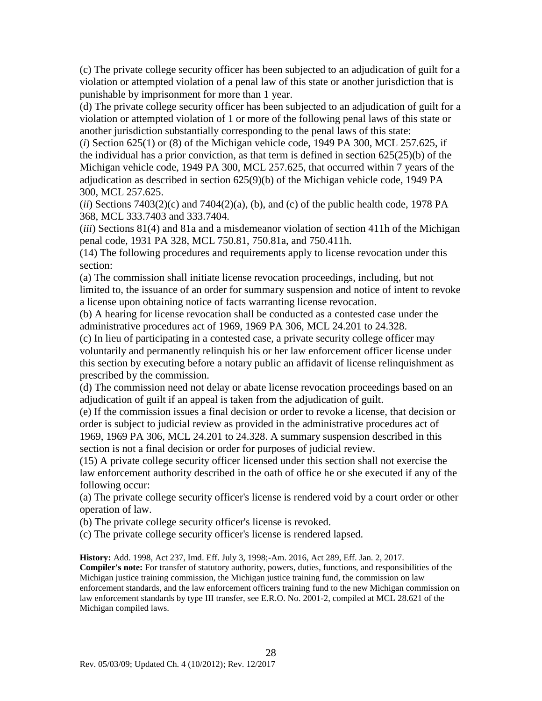(c) The private college security officer has been subjected to an adjudication of guilt for a violation or attempted violation of a penal law of this state or another jurisdiction that is punishable by imprisonment for more than 1 year.

(d) The private college security officer has been subjected to an adjudication of guilt for a violation or attempted violation of 1 or more of the following penal laws of this state or another jurisdiction substantially corresponding to the penal laws of this state:

(*i*) Section 625(1) or (8) of the Michigan vehicle code, 1949 PA 300, MCL 257.625, if the individual has a prior conviction, as that term is defined in section 625(25)(b) of the Michigan vehicle code, 1949 PA 300, MCL 257.625, that occurred within 7 years of the adjudication as described in section 625(9)(b) of the Michigan vehicle code, 1949 PA 300, MCL 257.625.

 $(iii)$  Sections 7403(2)(c) and 7404(2)(a), (b), and (c) of the public health code, 1978 PA 368, MCL 333.7403 and 333.7404.

(*iii*) Sections 81(4) and 81a and a misdemeanor violation of section 411h of the Michigan penal code, 1931 PA 328, MCL 750.81, 750.81a, and 750.411h.

(14) The following procedures and requirements apply to license revocation under this section:

(a) The commission shall initiate license revocation proceedings, including, but not limited to, the issuance of an order for summary suspension and notice of intent to revoke a license upon obtaining notice of facts warranting license revocation.

(b) A hearing for license revocation shall be conducted as a contested case under the administrative procedures act of 1969, 1969 PA 306, MCL 24.201 to 24.328.

(c) In lieu of participating in a contested case, a private security college officer may voluntarily and permanently relinquish his or her law enforcement officer license under this section by executing before a notary public an affidavit of license relinquishment as prescribed by the commission.

(d) The commission need not delay or abate license revocation proceedings based on an adjudication of guilt if an appeal is taken from the adjudication of guilt.

(e) If the commission issues a final decision or order to revoke a license, that decision or order is subject to judicial review as provided in the administrative procedures act of 1969, 1969 PA 306, MCL 24.201 to 24.328. A summary suspension described in this section is not a final decision or order for purposes of judicial review.

(15) A private college security officer licensed under this section shall not exercise the law enforcement authority described in the oath of office he or she executed if any of the following occur:

(a) The private college security officer's license is rendered void by a court order or other operation of law.

(b) The private college security officer's license is revoked.

(c) The private college security officer's license is rendered lapsed.

**History:** Add. 1998, Act 237, Imd. Eff. July 3, 1998;-Am. 2016, Act 289, Eff. Jan. 2, 2017.

**Compiler's note:** For transfer of statutory authority, powers, duties, functions, and responsibilities of the Michigan justice training commission, the Michigan justice training fund, the commission on law enforcement standards, and the law enforcement officers training fund to the new Michigan commission on law enforcement standards by type III transfer, see E.R.O. No. 2001-2, compiled at MCL 28.621 of the Michigan compiled laws.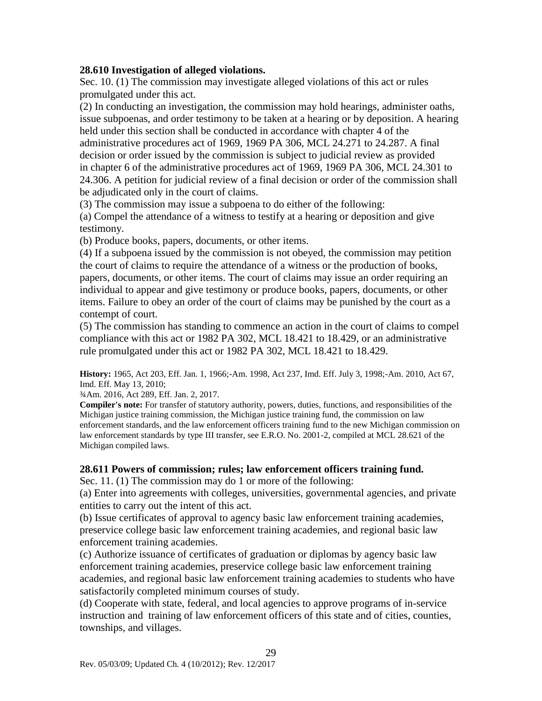#### **28.610 Investigation of alleged violations.**

Sec. 10. (1) The commission may investigate alleged violations of this act or rules promulgated under this act.

(2) In conducting an investigation, the commission may hold hearings, administer oaths, issue subpoenas, and order testimony to be taken at a hearing or by deposition. A hearing held under this section shall be conducted in accordance with chapter 4 of the

administrative procedures act of 1969, 1969 PA 306, MCL 24.271 to 24.287. A final decision or order issued by the commission is subject to judicial review as provided in chapter 6 of the administrative procedures act of 1969, 1969 PA 306, MCL 24.301 to 24.306. A petition for judicial review of a final decision or order of the commission shall be adjudicated only in the court of claims.

(3) The commission may issue a subpoena to do either of the following:

(a) Compel the attendance of a witness to testify at a hearing or deposition and give testimony.

(b) Produce books, papers, documents, or other items.

(4) If a subpoena issued by the commission is not obeyed, the commission may petition the court of claims to require the attendance of a witness or the production of books, papers, documents, or other items. The court of claims may issue an order requiring an individual to appear and give testimony or produce books, papers, documents, or other items. Failure to obey an order of the court of claims may be punished by the court as a contempt of court.

(5) The commission has standing to commence an action in the court of claims to compel compliance with this act or 1982 PA 302, MCL 18.421 to 18.429, or an administrative rule promulgated under this act or 1982 PA 302, MCL 18.421 to 18.429.

**History:** 1965, Act 203, Eff. Jan. 1, 1966;-Am. 1998, Act 237, Imd. Eff. July 3, 1998;-Am. 2010, Act 67, Imd. Eff. May 13, 2010;

¾Am. 2016, Act 289, Eff. Jan. 2, 2017.

**Compiler's note:** For transfer of statutory authority, powers, duties, functions, and responsibilities of the Michigan justice training commission, the Michigan justice training fund, the commission on law enforcement standards, and the law enforcement officers training fund to the new Michigan commission on law enforcement standards by type III transfer, see E.R.O. No. 2001-2, compiled at MCL 28.621 of the Michigan compiled laws.

### **28.611 Powers of commission; rules; law enforcement officers training fund.**

Sec. 11. (1) The commission may do 1 or more of the following:

(a) Enter into agreements with colleges, universities, governmental agencies, and private entities to carry out the intent of this act.

(b) Issue certificates of approval to agency basic law enforcement training academies, preservice college basic law enforcement training academies, and regional basic law enforcement training academies.

(c) Authorize issuance of certificates of graduation or diplomas by agency basic law enforcement training academies, preservice college basic law enforcement training academies, and regional basic law enforcement training academies to students who have satisfactorily completed minimum courses of study.

(d) Cooperate with state, federal, and local agencies to approve programs of in-service instruction and training of law enforcement officers of this state and of cities, counties, townships, and villages.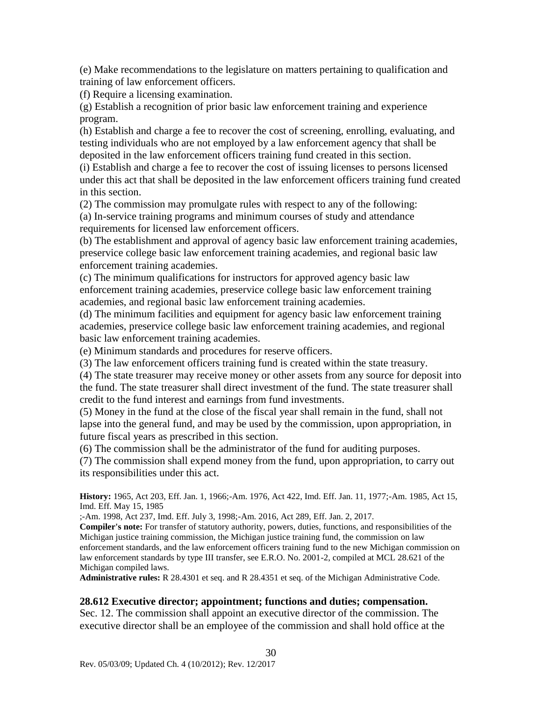(e) Make recommendations to the legislature on matters pertaining to qualification and training of law enforcement officers.

(f) Require a licensing examination.

(g) Establish a recognition of prior basic law enforcement training and experience program.

(h) Establish and charge a fee to recover the cost of screening, enrolling, evaluating, and testing individuals who are not employed by a law enforcement agency that shall be deposited in the law enforcement officers training fund created in this section.

(i) Establish and charge a fee to recover the cost of issuing licenses to persons licensed under this act that shall be deposited in the law enforcement officers training fund created in this section.

(2) The commission may promulgate rules with respect to any of the following: (a) In-service training programs and minimum courses of study and attendance requirements for licensed law enforcement officers.

(b) The establishment and approval of agency basic law enforcement training academies, preservice college basic law enforcement training academies, and regional basic law enforcement training academies.

(c) The minimum qualifications for instructors for approved agency basic law enforcement training academies, preservice college basic law enforcement training academies, and regional basic law enforcement training academies.

(d) The minimum facilities and equipment for agency basic law enforcement training academies, preservice college basic law enforcement training academies, and regional basic law enforcement training academies.

(e) Minimum standards and procedures for reserve officers.

(3) The law enforcement officers training fund is created within the state treasury.

(4) The state treasurer may receive money or other assets from any source for deposit into the fund. The state treasurer shall direct investment of the fund. The state treasurer shall credit to the fund interest and earnings from fund investments.

(5) Money in the fund at the close of the fiscal year shall remain in the fund, shall not lapse into the general fund, and may be used by the commission, upon appropriation, in future fiscal years as prescribed in this section.

(6) The commission shall be the administrator of the fund for auditing purposes.

(7) The commission shall expend money from the fund, upon appropriation, to carry out its responsibilities under this act.

**History:** 1965, Act 203, Eff. Jan. 1, 1966;-Am. 1976, Act 422, Imd. Eff. Jan. 11, 1977;-Am. 1985, Act 15, Imd. Eff. May 15, 1985

;-Am. 1998, Act 237, Imd. Eff. July 3, 1998;-Am. 2016, Act 289, Eff. Jan. 2, 2017.

**Compiler's note:** For transfer of statutory authority, powers, duties, functions, and responsibilities of the Michigan justice training commission, the Michigan justice training fund, the commission on law enforcement standards, and the law enforcement officers training fund to the new Michigan commission on law enforcement standards by type III transfer, see E.R.O. No. 2001-2, compiled at MCL 28.621 of the Michigan compiled laws.

**Administrative rules:** R 28.4301 et seq. and R 28.4351 et seq. of the Michigan Administrative Code.

#### **28.612 Executive director; appointment; functions and duties; compensation.**

Sec. 12. The commission shall appoint an executive director of the commission. The executive director shall be an employee of the commission and shall hold office at the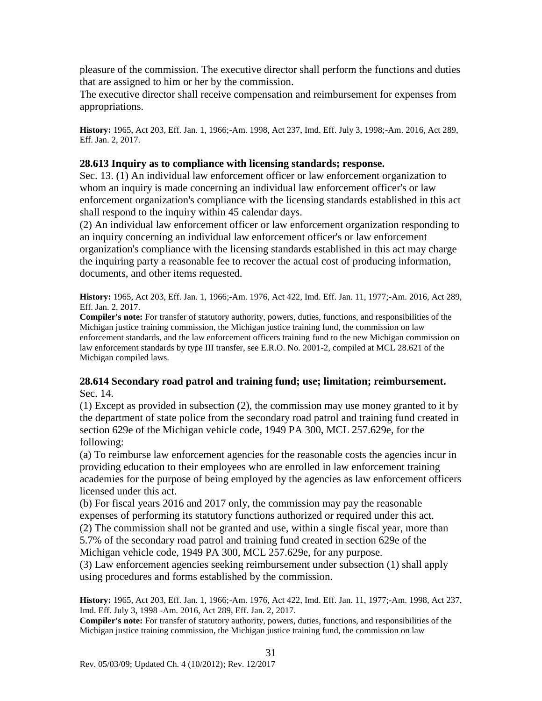pleasure of the commission. The executive director shall perform the functions and duties that are assigned to him or her by the commission.

The executive director shall receive compensation and reimbursement for expenses from appropriations.

**History:** 1965, Act 203, Eff. Jan. 1, 1966;-Am. 1998, Act 237, Imd. Eff. July 3, 1998;-Am. 2016, Act 289, Eff. Jan. 2, 2017.

#### **28.613 Inquiry as to compliance with licensing standards; response.**

Sec. 13. (1) An individual law enforcement officer or law enforcement organization to whom an inquiry is made concerning an individual law enforcement officer's or law enforcement organization's compliance with the licensing standards established in this act shall respond to the inquiry within 45 calendar days.

(2) An individual law enforcement officer or law enforcement organization responding to an inquiry concerning an individual law enforcement officer's or law enforcement organization's compliance with the licensing standards established in this act may charge the inquiring party a reasonable fee to recover the actual cost of producing information, documents, and other items requested.

**History:** 1965, Act 203, Eff. Jan. 1, 1966;-Am. 1976, Act 422, Imd. Eff. Jan. 11, 1977;-Am. 2016, Act 289, Eff. Jan. 2, 2017.

**Compiler's note:** For transfer of statutory authority, powers, duties, functions, and responsibilities of the Michigan justice training commission, the Michigan justice training fund, the commission on law enforcement standards, and the law enforcement officers training fund to the new Michigan commission on law enforcement standards by type III transfer, see E.R.O. No. 2001-2, compiled at MCL 28.621 of the Michigan compiled laws.

#### **28.614 Secondary road patrol and training fund; use; limitation; reimbursement.** Sec. 14.

(1) Except as provided in subsection (2), the commission may use money granted to it by the department of state police from the secondary road patrol and training fund created in section 629e of the Michigan vehicle code, 1949 PA 300, MCL 257.629e, for the following:

(a) To reimburse law enforcement agencies for the reasonable costs the agencies incur in providing education to their employees who are enrolled in law enforcement training academies for the purpose of being employed by the agencies as law enforcement officers licensed under this act.

(b) For fiscal years 2016 and 2017 only, the commission may pay the reasonable expenses of performing its statutory functions authorized or required under this act. (2) The commission shall not be granted and use, within a single fiscal year, more than 5.7% of the secondary road patrol and training fund created in section 629e of the Michigan vehicle code, 1949 PA 300, MCL 257.629e, for any purpose.

(3) Law enforcement agencies seeking reimbursement under subsection (1) shall apply using procedures and forms established by the commission.

**History:** 1965, Act 203, Eff. Jan. 1, 1966;-Am. 1976, Act 422, Imd. Eff. Jan. 11, 1977;-Am. 1998, Act 237, Imd. Eff. July 3, 1998 -Am. 2016, Act 289, Eff. Jan. 2, 2017.

**Compiler's note:** For transfer of statutory authority, powers, duties, functions, and responsibilities of the Michigan justice training commission, the Michigan justice training fund, the commission on law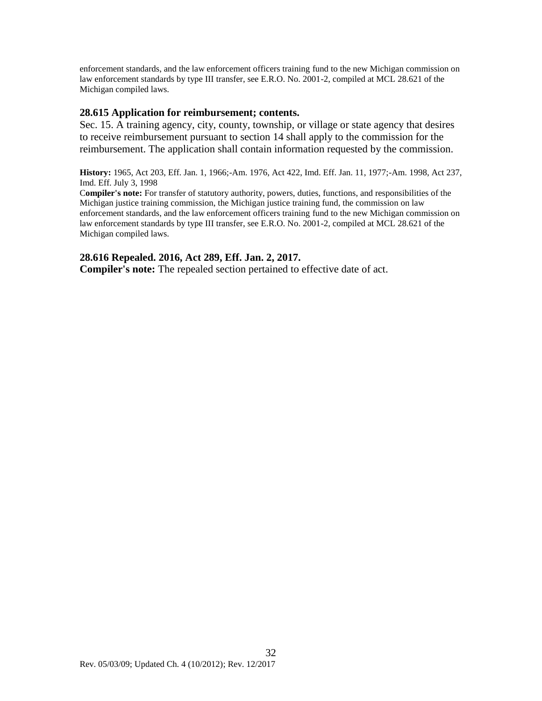enforcement standards, and the law enforcement officers training fund to the new Michigan commission on law enforcement standards by type III transfer, see E.R.O. No. 2001-2, compiled at MCL 28.621 of the Michigan compiled laws.

#### **28.615 Application for reimbursement; contents.**

Sec. 15. A training agency, city, county, township, or village or state agency that desires to receive reimbursement pursuant to section 14 shall apply to the commission for the reimbursement. The application shall contain information requested by the commission.

**History:** 1965, Act 203, Eff. Jan. 1, 1966;-Am. 1976, Act 422, Imd. Eff. Jan. 11, 1977;-Am. 1998, Act 237, Imd. Eff. July 3, 1998

C**ompiler's note:** For transfer of statutory authority, powers, duties, functions, and responsibilities of the Michigan justice training commission, the Michigan justice training fund, the commission on law enforcement standards, and the law enforcement officers training fund to the new Michigan commission on law enforcement standards by type III transfer, see E.R.O. No. 2001-2, compiled at MCL 28.621 of the Michigan compiled laws.

#### **28.616 Repealed. 2016, Act 289, Eff. Jan. 2, 2017.**

**Compiler's note:** The repealed section pertained to effective date of act.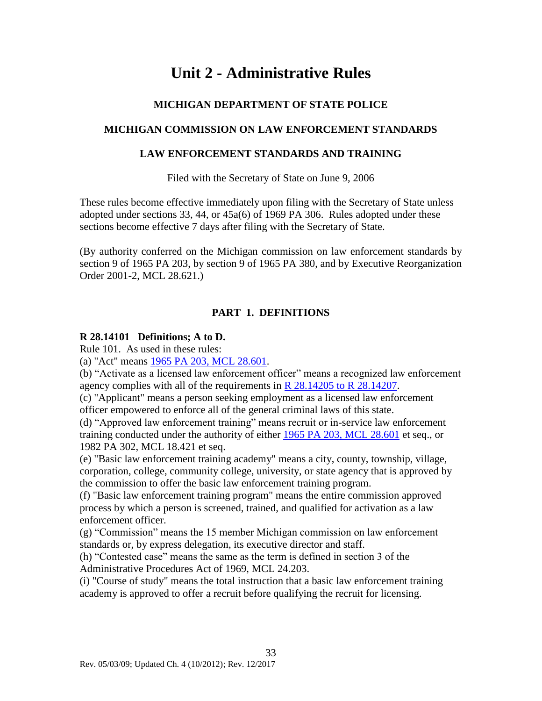# **Unit 2 - Administrative Rules**

### **MICHIGAN DEPARTMENT OF STATE POLICE**

### <span id="page-34-0"></span>**MICHIGAN COMMISSION ON LAW ENFORCEMENT STANDARDS**

#### **LAW ENFORCEMENT STANDARDS AND TRAINING**

Filed with the Secretary of State on June 9, 2006

These rules become effective immediately upon filing with the Secretary of State unless adopted under sections 33, 44, or 45a(6) of 1969 PA 306. Rules adopted under these sections become effective 7 days after filing with the Secretary of State.

(By authority conferred on the Michigan commission on law enforcement standards by section 9 of 1965 PA 203, by section 9 of 1965 PA 380, and by Executive Reorganization Order 2001-2, MCL 28.621.)

### **PART 1. DEFINITIONS**

#### <span id="page-34-1"></span>**R 28.14101 Definitions; A to D.**

Rule 101. As used in these rules:

(a) "Act" means [1965 PA 203, MCL 28.601.](#page-4-0)

(b) "Activate as a licensed law enforcement officer" means a recognized law enforcement agency complies with all of the requirements in  $R$  28.14205 to  $R$  28.14207.

(c) "Applicant" means a person seeking employment as a licensed law enforcement officer empowered to enforce all of the general criminal laws of this state.

(d) "Approved law enforcement training" means recruit or in-service law enforcement training conducted under the authority of either [1965 PA 203, MCL 28.601](#page-4-0) et seq., or 1982 PA 302, MCL 18.421 et seq.

(e) "Basic law enforcement training academy" means a city, county, township, village, corporation, college, community college, university, or state agency that is approved by the commission to offer the basic law enforcement training program.

(f) "Basic law enforcement training program" means the entire commission approved process by which a person is screened, trained, and qualified for activation as a law enforcement officer.

(g) "Commission" means the 15 member Michigan commission on law enforcement standards or, by express delegation, its executive director and staff.

(h) "Contested case" means the same as the term is defined in section 3 of the Administrative Procedures Act of 1969, MCL 24.203.

(i) "Course of study" means the total instruction that a basic law enforcement training academy is approved to offer a recruit before qualifying the recruit for licensing.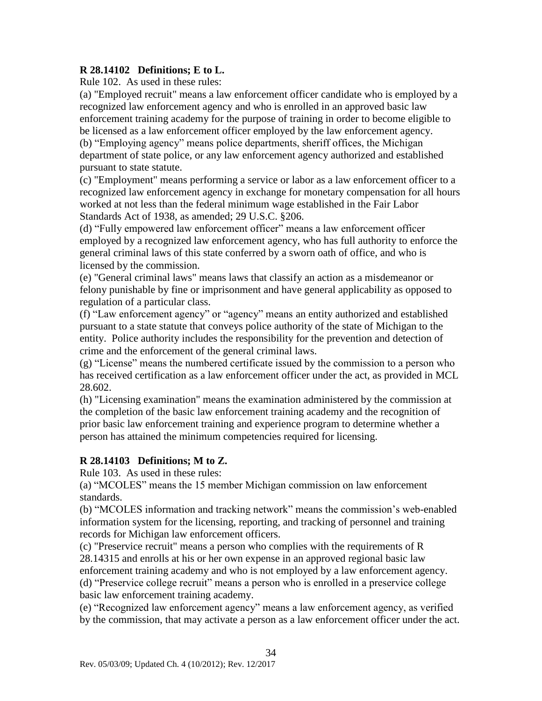#### **R 28.14102 Definitions; E to L.**

Rule 102. As used in these rules:

(a) "Employed recruit" means a law enforcement officer candidate who is employed by a recognized law enforcement agency and who is enrolled in an approved basic law enforcement training academy for the purpose of training in order to become eligible to be licensed as a law enforcement officer employed by the law enforcement agency. (b) "Employing agency" means police departments, sheriff offices, the Michigan department of state police, or any law enforcement agency authorized and established pursuant to state statute.

(c) "Employment" means performing a service or labor as a law enforcement officer to a recognized law enforcement agency in exchange for monetary compensation for all hours worked at not less than the federal minimum wage established in the Fair Labor Standards Act of 1938, as amended; 29 U.S.C. §206.

(d) "Fully empowered law enforcement officer" means a law enforcement officer employed by a recognized law enforcement agency, who has full authority to enforce the general criminal laws of this state conferred by a sworn oath of office, and who is licensed by the commission.

(e) "General criminal laws" means laws that classify an action as a misdemeanor or felony punishable by fine or imprisonment and have general applicability as opposed to regulation of a particular class.

(f) "Law enforcement agency" or "agency" means an entity authorized and established pursuant to a state statute that conveys police authority of the state of Michigan to the entity. Police authority includes the responsibility for the prevention and detection of crime and the enforcement of the general criminal laws.

(g) "License" means the numbered certificate issued by the commission to a person who has received certification as a law enforcement officer under the act, as provided in MCL 28.602.

(h) "Licensing examination" means the examination administered by the commission at the completion of the basic law enforcement training academy and the recognition of prior basic law enforcement training and experience program to determine whether a person has attained the minimum competencies required for licensing.

### **R 28.14103 Definitions; M to Z.**

Rule 103. As used in these rules:

(a) "MCOLES" means the 15 member Michigan commission on law enforcement standards.

(b) "MCOLES information and tracking network" means the commission's web-enabled information system for the licensing, reporting, and tracking of personnel and training records for Michigan law enforcement officers.

(c) "Preservice recruit" means a person who complies with the requirements of R 28.14315 and enrolls at his or her own expense in an approved regional basic law enforcement training academy and who is not employed by a law enforcement agency. (d) "Preservice college recruit" means a person who is enrolled in a preservice college basic law enforcement training academy.

(e) "Recognized law enforcement agency" means a law enforcement agency, as verified by the commission, that may activate a person as a law enforcement officer under the act.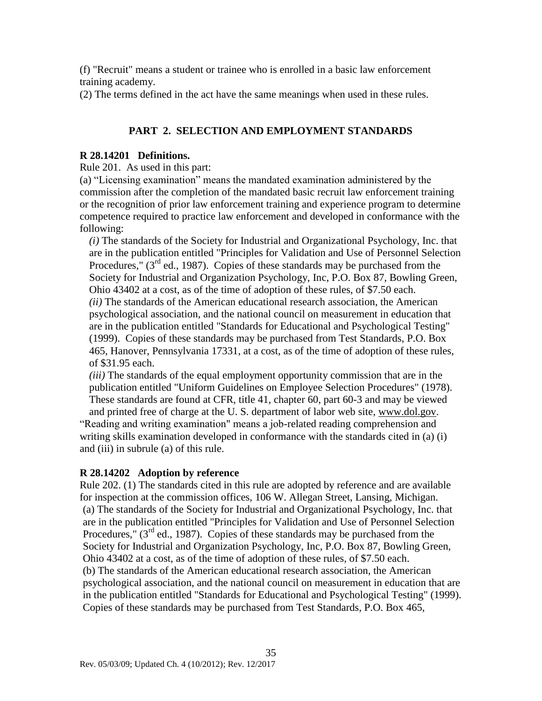(f) "Recruit" means a student or trainee who is enrolled in a basic law enforcement training academy.

(2) The terms defined in the act have the same meanings when used in these rules.

### **PART 2. SELECTION AND EMPLOYMENT STANDARDS**

#### <span id="page-36-0"></span>**R 28.14201 Definitions.**

Rule 201. As used in this part:

(a) "Licensing examination" means the mandated examination administered by the commission after the completion of the mandated basic recruit law enforcement training or the recognition of prior law enforcement training and experience program to determine competence required to practice law enforcement and developed in conformance with the following:

*(i)* The standards of the Society for Industrial and Organizational Psychology, Inc. that are in the publication entitled "Principles for Validation and Use of Personnel Selection Procedures,"  $(3<sup>rd</sup>$  ed., 1987). Copies of these standards may be purchased from the Society for Industrial and Organization Psychology, Inc, P.O. Box 87, Bowling Green, Ohio 43402 at a cost, as of the time of adoption of these rules, of \$7.50 each. *(ii)* The standards of the American educational research association, the American psychological association, and the national council on measurement in education that are in the publication entitled "Standards for Educational and Psychological Testing" (1999). Copies of these standards may be purchased from Test Standards, P.O. Box 465, Hanover, Pennsylvania 17331, at a cost, as of the time of adoption of these rules, of \$31.95 each.

*(iii)* The standards of the equal employment opportunity commission that are in the publication entitled "Uniform Guidelines on Employee Selection Procedures" (1978). These standards are found at CFR, title 41, chapter 60, part 60-3 and may be viewed

and printed free of charge at the U. S. department of labor web site, [www.dol.gov.](http://www.dol.gov/) "Reading and writing examination" means a job-related reading comprehension and writing skills examination developed in conformance with the standards cited in (a) (i) and (iii) in subrule (a) of this rule.

### **R 28.14202 Adoption by reference**

Rule 202. (1) The standards cited in this rule are adopted by reference and are available for inspection at the commission offices, 106 W. Allegan Street, Lansing, Michigan. (a) The standards of the Society for Industrial and Organizational Psychology, Inc. that are in the publication entitled "Principles for Validation and Use of Personnel Selection Procedures,"  $(3<sup>rd</sup>$  ed., 1987). Copies of these standards may be purchased from the Society for Industrial and Organization Psychology, Inc, P.O. Box 87, Bowling Green, Ohio 43402 at a cost, as of the time of adoption of these rules, of \$7.50 each. (b) The standards of the American educational research association, the American psychological association, and the national council on measurement in education that are in the publication entitled "Standards for Educational and Psychological Testing" (1999). Copies of these standards may be purchased from Test Standards, P.O. Box 465,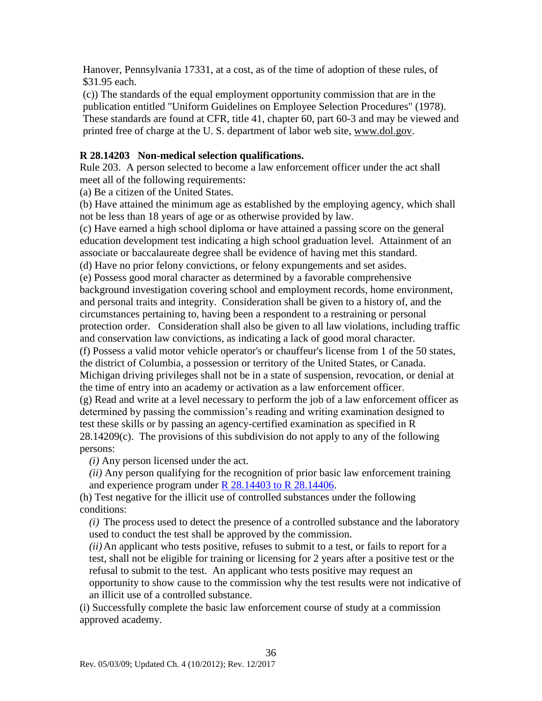Hanover, Pennsylvania 17331, at a cost, as of the time of adoption of these rules, of \$31.95 each.

(c)) The standards of the equal employment opportunity commission that are in the publication entitled "Uniform Guidelines on Employee Selection Procedures" (1978). These standards are found at CFR, title 41, chapter 60, part 60-3 and may be viewed and printed free of charge at the U. S. department of labor web site, [www.dol.gov.](http://www.dol.gov/)

### <span id="page-37-0"></span>**R 28.14203 Non-medical selection qualifications.**

Rule 203. A person selected to become a law enforcement officer under the act shall meet all of the following requirements:

(a) Be a citizen of the United States.

(b) Have attained the minimum age as established by the employing agency, which shall not be less than 18 years of age or as otherwise provided by law.

(c) Have earned a high school diploma or have attained a passing score on the general education development test indicating a high school graduation level. Attainment of an associate or baccalaureate degree shall be evidence of having met this standard.

(d) Have no prior felony convictions, or felony expungements and set asides.

(e) Possess good moral character as determined by a favorable comprehensive background investigation covering school and employment records, home environment, and personal traits and integrity. Consideration shall be given to a history of, and the circumstances pertaining to, having been a respondent to a restraining or personal protection order. Consideration shall also be given to all law violations, including traffic and conservation law convictions, as indicating a lack of good moral character.

(f) Possess a valid motor vehicle operator's or chauffeur's license from 1 of the 50 states, the district of Columbia, a possession or territory of the United States, or Canada. Michigan driving privileges shall not be in a state of suspension, revocation, or denial at the time of entry into an academy or activation as a law enforcement officer.

(g) Read and write at a level necessary to perform the job of a law enforcement officer as determined by passing the commission's reading and writing examination designed to test these skills or by passing an agency-certified examination as specified in R 28.14209(c). The provisions of this subdivision do not apply to any of the following persons:

*(i)* Any person licensed under the act.

*(ii)* Any person qualifying for the recognition of prior basic law enforcement training and experience program under [R 28.14403 to R 28.14406.](#page-52-0)

(h) Test negative for the illicit use of controlled substances under the following conditions:

*(i)* The process used to detect the presence of a controlled substance and the laboratory used to conduct the test shall be approved by the commission.

*(ii)*An applicant who tests positive, refuses to submit to a test, or fails to report for a test, shall not be eligible for training or licensing for 2 years after a positive test or the refusal to submit to the test. An applicant who tests positive may request an opportunity to show cause to the commission why the test results were not indicative of an illicit use of a controlled substance.

(i) Successfully complete the basic law enforcement course of study at a commission approved academy.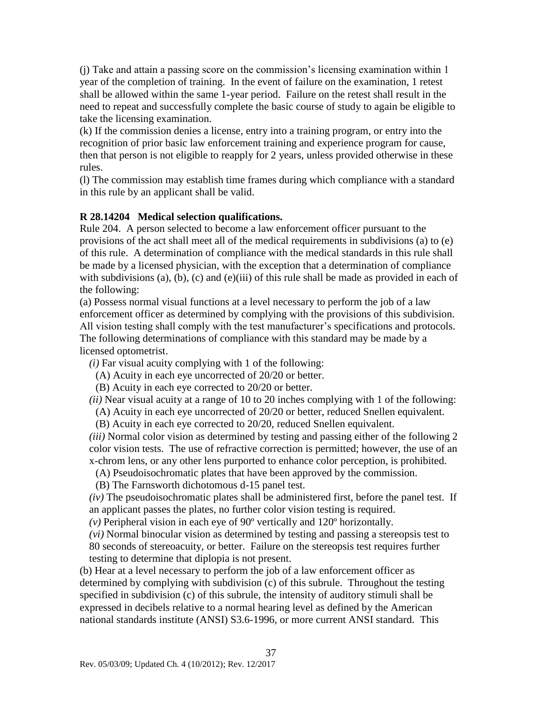(j) Take and attain a passing score on the commission's licensing examination within 1 year of the completion of training. In the event of failure on the examination, 1 retest shall be allowed within the same 1-year period. Failure on the retest shall result in the need to repeat and successfully complete the basic course of study to again be eligible to take the licensing examination.

(k) If the commission denies a license, entry into a training program, or entry into the recognition of prior basic law enforcement training and experience program for cause, then that person is not eligible to reapply for 2 years, unless provided otherwise in these rules.

(l) The commission may establish time frames during which compliance with a standard in this rule by an applicant shall be valid.

### <span id="page-38-0"></span>**R 28.14204 Medical selection qualifications.**

Rule 204. A person selected to become a law enforcement officer pursuant to the provisions of the act shall meet all of the medical requirements in subdivisions (a) to (e) of this rule. A determination of compliance with the medical standards in this rule shall be made by a licensed physician, with the exception that a determination of compliance with subdivisions (a), (b), (c) and (e)(iii) of this rule shall be made as provided in each of the following:

(a) Possess normal visual functions at a level necessary to perform the job of a law enforcement officer as determined by complying with the provisions of this subdivision. All vision testing shall comply with the test manufacturer's specifications and protocols. The following determinations of compliance with this standard may be made by a licensed optometrist.

*(i)* Far visual acuity complying with 1 of the following:

(A) Acuity in each eye uncorrected of 20/20 or better.

(B) Acuity in each eye corrected to 20/20 or better.

*(ii)* Near visual acuity at a range of 10 to 20 inches complying with 1 of the following:

(A) Acuity in each eye uncorrected of 20/20 or better, reduced Snellen equivalent.

(B) Acuity in each eye corrected to 20/20, reduced Snellen equivalent.

*(iii)* Normal color vision as determined by testing and passing either of the following 2 color vision tests. The use of refractive correction is permitted; however, the use of an x-chrom lens, or any other lens purported to enhance color perception, is prohibited.

(A) Pseudoisochromatic plates that have been approved by the commission.

(B) The Farnsworth dichotomous d-15 panel test.

*(iv)* The pseudoisochromatic plates shall be administered first, before the panel test. If an applicant passes the plates, no further color vision testing is required.

*(v)* Peripheral vision in each eye of 90º vertically and 120º horizontally.

*(vi)* Normal binocular vision as determined by testing and passing a stereopsis test to 80 seconds of stereoacuity, or better. Failure on the stereopsis test requires further testing to determine that diplopia is not present.

(b) Hear at a level necessary to perform the job of a law enforcement officer as determined by complying with subdivision (c) of this subrule. Throughout the testing specified in subdivision (c) of this subrule, the intensity of auditory stimuli shall be expressed in decibels relative to a normal hearing level as defined by the American national standards institute (ANSI) S3.6-1996, or more current ANSI standard. This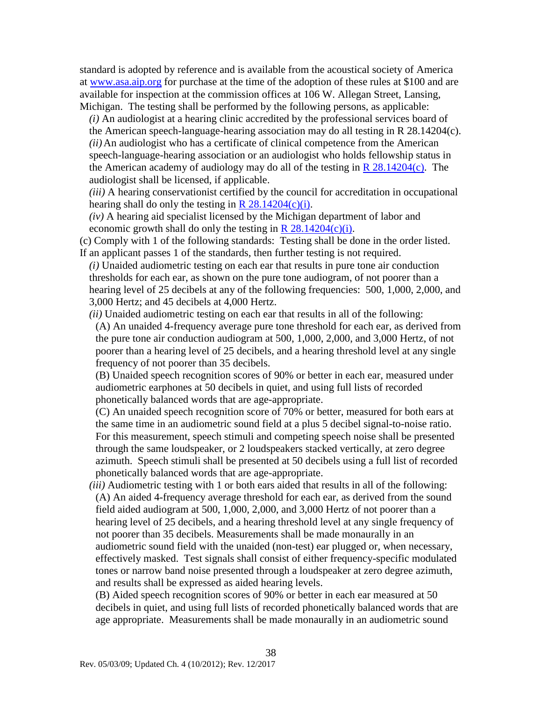standard is adopted by reference and is available from the acoustical society of America at [www.asa.aip.org](http://www.asa.aip.org/) for purchase at the time of the adoption of these rules at \$100 and are available for inspection at the commission offices at 106 W. Allegan Street, Lansing, Michigan. The testing shall be performed by the following persons, as applicable:

*(i)* An audiologist at a hearing clinic accredited by the professional services board of the American speech-language-hearing association may do all testing in R 28.14204(c). *(ii)*An audiologist who has a certificate of clinical competence from the American speech-language-hearing association or an audiologist who holds fellowship status in the American academy of audiology may do all of the testing in  $\mathbb{R}$  28.14204(c). The audiologist shall be licensed, if applicable.

*(iii)* A hearing conservationist certified by the council for accreditation in occupational hearing shall do only the testing in  $\overline{R}$  28.14204(c)(i).

*(iv)* A hearing aid specialist licensed by the Michigan department of labor and economic growth shall do only the testing in  $R$  28.14204(c)(i).

(c) Comply with 1 of the following standards: Testing shall be done in the order listed. If an applicant passes 1 of the standards, then further testing is not required.

*(i)* Unaided audiometric testing on each ear that results in pure tone air conduction thresholds for each ear, as shown on the pure tone audiogram, of not poorer than a hearing level of 25 decibels at any of the following frequencies: 500, 1,000, 2,000, and 3,000 Hertz; and 45 decibels at 4,000 Hertz.

*(ii)* Unaided audiometric testing on each ear that results in all of the following: (A) An unaided 4-frequency average pure tone threshold for each ear, as derived from the pure tone air conduction audiogram at 500, 1,000, 2,000, and 3,000 Hertz, of not poorer than a hearing level of 25 decibels, and a hearing threshold level at any single frequency of not poorer than 35 decibels.

(B) Unaided speech recognition scores of 90% or better in each ear, measured under audiometric earphones at 50 decibels in quiet, and using full lists of recorded phonetically balanced words that are age-appropriate.

(C) An unaided speech recognition score of 70% or better, measured for both ears at the same time in an audiometric sound field at a plus 5 decibel signal-to-noise ratio. For this measurement, speech stimuli and competing speech noise shall be presented through the same loudspeaker, or 2 loudspeakers stacked vertically, at zero degree azimuth. Speech stimuli shall be presented at 50 decibels using a full list of recorded phonetically balanced words that are age-appropriate.

*(iii)* Audiometric testing with 1 or both ears aided that results in all of the following: (A) An aided 4-frequency average threshold for each ear, as derived from the sound field aided audiogram at 500, 1,000, 2,000, and 3,000 Hertz of not poorer than a hearing level of 25 decibels, and a hearing threshold level at any single frequency of not poorer than 35 decibels. Measurements shall be made monaurally in an audiometric sound field with the unaided (non-test) ear plugged or, when necessary, effectively masked. Test signals shall consist of either frequency-specific modulated tones or narrow band noise presented through a loudspeaker at zero degree azimuth, and results shall be expressed as aided hearing levels.

(B) Aided speech recognition scores of 90% or better in each ear measured at 50 decibels in quiet, and using full lists of recorded phonetically balanced words that are age appropriate. Measurements shall be made monaurally in an audiometric sound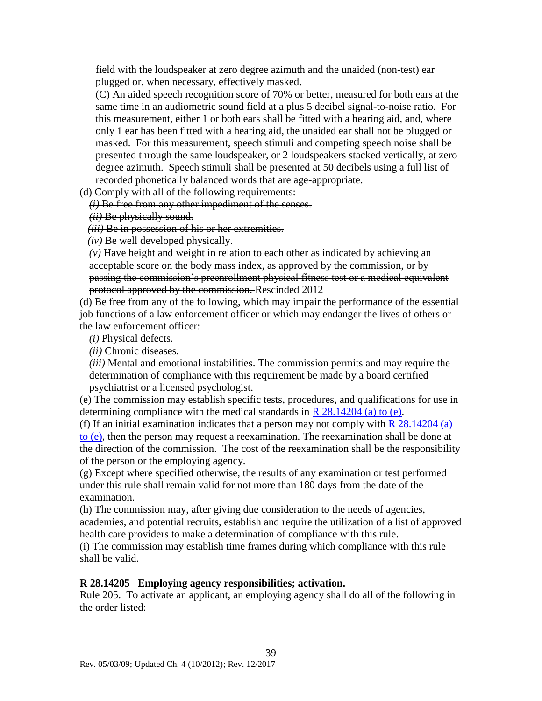field with the loudspeaker at zero degree azimuth and the unaided (non-test) ear plugged or, when necessary, effectively masked.

(C) An aided speech recognition score of 70% or better, measured for both ears at the same time in an audiometric sound field at a plus 5 decibel signal-to-noise ratio. For this measurement, either 1 or both ears shall be fitted with a hearing aid, and, where only 1 ear has been fitted with a hearing aid, the unaided ear shall not be plugged or masked. For this measurement, speech stimuli and competing speech noise shall be presented through the same loudspeaker, or 2 loudspeakers stacked vertically, at zero degree azimuth. Speech stimuli shall be presented at 50 decibels using a full list of recorded phonetically balanced words that are age-appropriate.

(d) Comply with all of the following requirements:

*(i)* Be free from any other impediment of the senses.

*(ii)* Be physically sound.

*(iii)* Be in possession of his or her extremities.

*(iv)* Be well developed physically.

*(v)* Have height and weight in relation to each other as indicated by achieving an acceptable score on the body mass index, as approved by the commission, or by passing the commission's preenrollment physical fitness test or a medical equivalent protocol approved by the commission. Rescinded 2012

(d) Be free from any of the following, which may impair the performance of the essential job functions of a law enforcement officer or which may endanger the lives of others or the law enforcement officer:

*(i)* Physical defects.

*(ii)* Chronic diseases.

*(iii)* Mental and emotional instabilities. The commission permits and may require the determination of compliance with this requirement be made by a board certified psychiatrist or a licensed psychologist.

(e) The commission may establish specific tests, procedures, and qualifications for use in determining compliance with the medical standards in  $R$  28.14204 (a) to (e).

(f) If an initial examination indicates that a person may not comply with  $R$  28.14204 (a) [to \(e\),](#page-38-0) then the person may request a reexamination. The reexamination shall be done at the direction of the commission. The cost of the reexamination shall be the responsibility of the person or the employing agency.

(g) Except where specified otherwise, the results of any examination or test performed under this rule shall remain valid for not more than 180 days from the date of the examination.

(h) The commission may, after giving due consideration to the needs of agencies, academies, and potential recruits, establish and require the utilization of a list of approved health care providers to make a determination of compliance with this rule.

(i) The commission may establish time frames during which compliance with this rule shall be valid.

#### <span id="page-40-0"></span>**R 28.14205 Employing agency responsibilities; activation.**

Rule 205. To activate an applicant, an employing agency shall do all of the following in the order listed: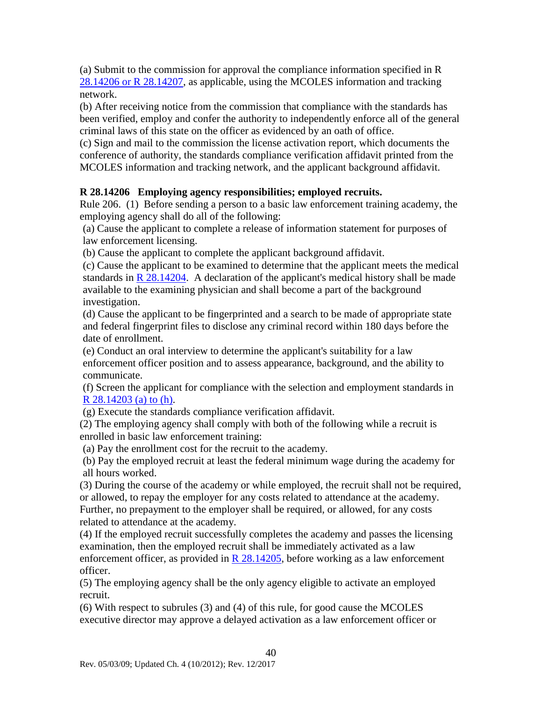(a) Submit to the commission for approval the compliance information specified in R 28.14206 [or R 28.14207,](#page-41-0) as applicable, using the MCOLES information and tracking network.

(b) After receiving notice from the commission that compliance with the standards has been verified, employ and confer the authority to independently enforce all of the general criminal laws of this state on the officer as evidenced by an oath of office.

(c) Sign and mail to the commission the license activation report, which documents the conference of authority, the standards compliance verification affidavit printed from the MCOLES information and tracking network, and the applicant background affidavit.

### <span id="page-41-0"></span>**R 28.14206 Employing agency responsibilities; employed recruits.**

Rule 206. (1) Before sending a person to a basic law enforcement training academy, the employing agency shall do all of the following:

(a) Cause the applicant to complete a release of information statement for purposes of law enforcement licensing.

(b) Cause the applicant to complete the applicant background affidavit.

(c) Cause the applicant to be examined to determine that the applicant meets the medical standards in  $R$  28.14204. A declaration of the applicant's medical history shall be made available to the examining physician and shall become a part of the background investigation.

(d) Cause the applicant to be fingerprinted and a search to be made of appropriate state and federal fingerprint files to disclose any criminal record within 180 days before the date of enrollment.

(e) Conduct an oral interview to determine the applicant's suitability for a law enforcement officer position and to assess appearance, background, and the ability to communicate.

(f) Screen the applicant for compliance with the selection and employment standards in [R 28.14203 \(a\) to \(h\).](#page-37-0)

(g) Execute the standards compliance verification affidavit.

(2) The employing agency shall comply with both of the following while a recruit is enrolled in basic law enforcement training:

(a) Pay the enrollment cost for the recruit to the academy.

(b) Pay the employed recruit at least the federal minimum wage during the academy for all hours worked.

(3) During the course of the academy or while employed, the recruit shall not be required, or allowed, to repay the employer for any costs related to attendance at the academy. Further, no prepayment to the employer shall be required, or allowed, for any costs related to attendance at the academy.

(4) If the employed recruit successfully completes the academy and passes the licensing examination, then the employed recruit shall be immediately activated as a law enforcement officer, as provided in  $R$  28.14205, before working as a law enforcement officer.

(5) The employing agency shall be the only agency eligible to activate an employed recruit.

(6) With respect to subrules (3) and (4) of this rule, for good cause the MCOLES executive director may approve a delayed activation as a law enforcement officer or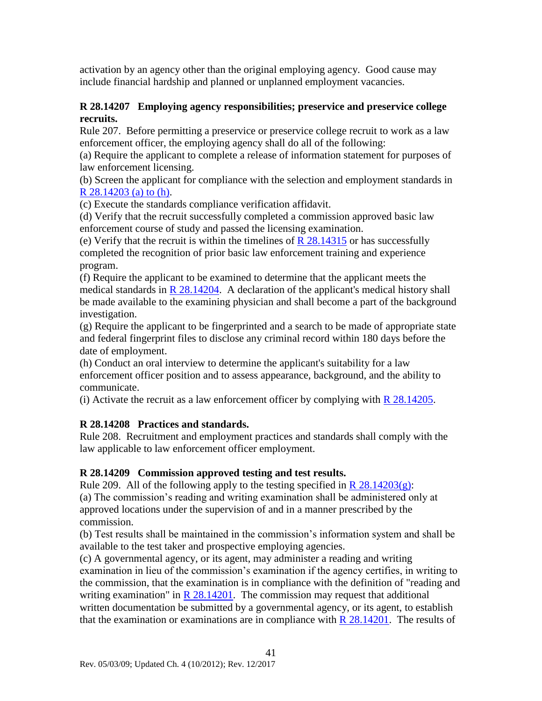activation by an agency other than the original employing agency. Good cause may include financial hardship and planned or unplanned employment vacancies.

### **R 28.14207 Employing agency responsibilities; preservice and preservice college recruits.**

Rule 207. Before permitting a preservice or preservice college recruit to work as a law enforcement officer, the employing agency shall do all of the following:

(a) Require the applicant to complete a release of information statement for purposes of law enforcement licensing.

(b) Screen the applicant for compliance with the selection and employment standards in R  $28.14203$  (a) to (h).

(c) Execute the standards compliance verification affidavit.

(d) Verify that the recruit successfully completed a commission approved basic law enforcement course of study and passed the licensing examination.

(e) Verify that the recruit is within the timelines of  $R$  28.14315 or has successfully completed the recognition of prior basic law enforcement training and experience program.

(f) Require the applicant to be examined to determine that the applicant meets the medical standards in  $R$  28.14204. A declaration of the applicant's medical history shall be made available to the examining physician and shall become a part of the background investigation.

(g) Require the applicant to be fingerprinted and a search to be made of appropriate state and federal fingerprint files to disclose any criminal record within 180 days before the date of employment.

(h) Conduct an oral interview to determine the applicant's suitability for a law enforcement officer position and to assess appearance, background, and the ability to communicate.

(i) Activate the recruit as a law enforcement officer by complying with [R 28.14205.](#page-40-0)

### **R 28.14208 Practices and standards.**

Rule 208. Recruitment and employment practices and standards shall comply with the law applicable to law enforcement officer employment.

### **R 28.14209 Commission approved testing and test results.**

Rule 209. All of the following apply to the testing specified in  $R$  28.14203(g): (a) The commission's reading and writing examination shall be administered only at approved locations under the supervision of and in a manner prescribed by the commission.

(b) Test results shall be maintained in the commission's information system and shall be available to the test taker and prospective employing agencies.

(c) A governmental agency, or its agent, may administer a reading and writing examination in lieu of the commission's examination if the agency certifies, in writing to the commission, that the examination is in compliance with the definition of "reading and writing examination" in  $R$  28.14201. The commission may request that additional written documentation be submitted by a governmental agency, or its agent, to establish that the examination or examinations are in compliance with  $R$  28.14201. The results of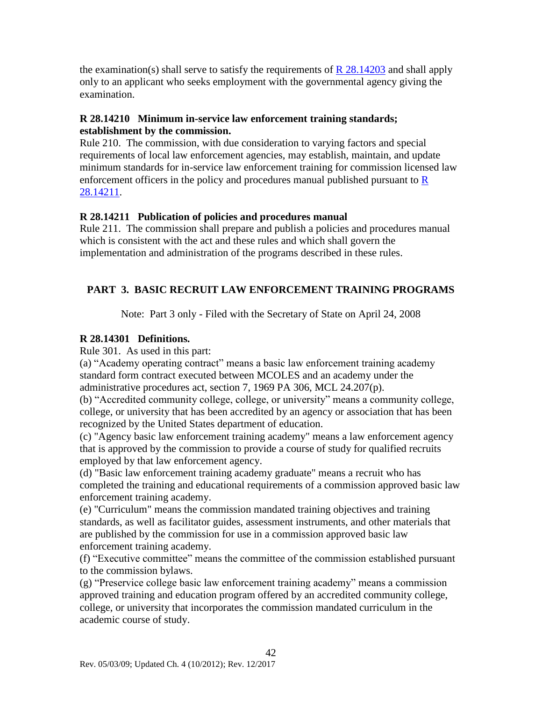the examination(s) shall serve to satisfy the requirements of  $R$  28.14203 and shall apply only to an applicant who seeks employment with the governmental agency giving the examination.

### <span id="page-43-0"></span>**R 28.14210 Minimum in-service law enforcement training standards; establishment by the commission.**

Rule 210. The commission, with due consideration to varying factors and special requirements of local law enforcement agencies, may establish, maintain, and update minimum standards for in-service law enforcement training for commission licensed law enforcement officers in the policy and procedures manual published pursuant to  $\underline{R}$ [28.14211.](#page-43-0)

### **R 28.14211 Publication of policies and procedures manual**

Rule 211. The commission shall prepare and publish a policies and procedures manual which is consistent with the act and these rules and which shall govern the implementation and administration of the programs described in these rules.

### **PART 3. BASIC RECRUIT LAW ENFORCEMENT TRAINING PROGRAMS**

Note: Part 3 only - Filed with the Secretary of State on April 24, 2008

### <span id="page-43-1"></span>**R 28.14301 Definitions.**

Rule 301. As used in this part:

(a) "Academy operating contract" means a basic law enforcement training academy standard form contract executed between MCOLES and an academy under the administrative procedures act, section 7, 1969 PA 306, MCL 24.207(p).

(b) "Accredited community college, college, or university" means a community college, college, or university that has been accredited by an agency or association that has been recognized by the United States department of education.

(c) "Agency basic law enforcement training academy" means a law enforcement agency that is approved by the commission to provide a course of study for qualified recruits employed by that law enforcement agency.

(d) "Basic law enforcement training academy graduate" means a recruit who has completed the training and educational requirements of a commission approved basic law enforcement training academy.

(e) "Curriculum" means the commission mandated training objectives and training standards, as well as facilitator guides, assessment instruments, and other materials that are published by the commission for use in a commission approved basic law enforcement training academy.

(f) "Executive committee" means the committee of the commission established pursuant to the commission bylaws.

(g) "Preservice college basic law enforcement training academy" means a commission approved training and education program offered by an accredited community college, college, or university that incorporates the commission mandated curriculum in the academic course of study.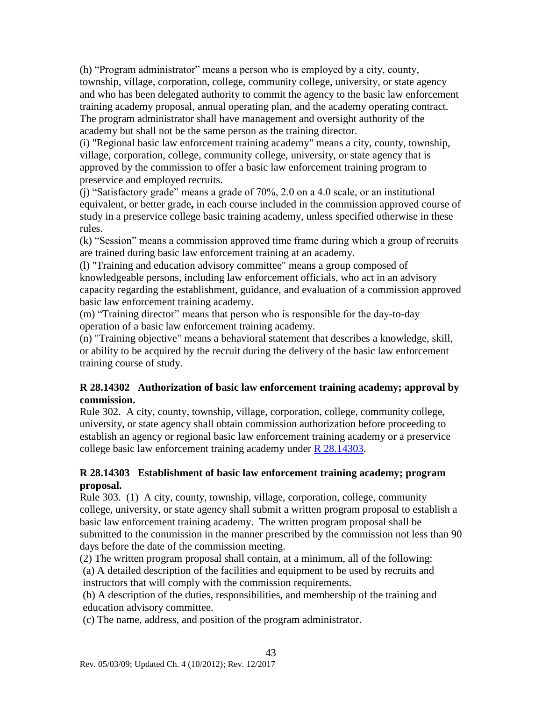(h) "Program administrator" means a person who is employed by a city, county, township, village, corporation, college, community college, university, or state agency and who has been delegated authority to commit the agency to the basic law enforcement training academy proposal, annual operating plan, and the academy operating contract. The program administrator shall have management and oversight authority of the academy but shall not be the same person as the training director.

(i) "Regional basic law enforcement training academy" means a city, county, township, village, corporation, college, community college, university, or state agency that is approved by the commission to offer a basic law enforcement training program to preservice and employed recruits.

(j) "Satisfactory grade" means a grade of 70%, 2.0 on a 4.0 scale, or an institutional equivalent, or better grade**,** in each course included in the commission approved course of study in a preservice college basic training academy, unless specified otherwise in these rules.

(k) "Session" means a commission approved time frame during which a group of recruits are trained during basic law enforcement training at an academy.

(l) "Training and education advisory committee" means a group composed of knowledgeable persons, including law enforcement officials, who act in an advisory capacity regarding the establishment, guidance, and evaluation of a commission approved basic law enforcement training academy.

(m) "Training director" means that person who is responsible for the day-to-day operation of a basic law enforcement training academy.

(n) "Training objective" means a behavioral statement that describes a knowledge, skill, or ability to be acquired by the recruit during the delivery of the basic law enforcement training course of study.

### **R 28.14302 Authorization of basic law enforcement training academy; approval by commission.**

Rule 302. A city, county, township, village, corporation, college, community college, university, or state agency shall obtain commission authorization before proceeding to establish an agency or regional basic law enforcement training academy or a preservice college basic law enforcement training academy under [R 28.14303.](#page-44-0)

### <span id="page-44-0"></span>**R 28.14303 Establishment of basic law enforcement training academy; program proposal.**

Rule 303. (1) A city, county, township, village, corporation, college, community college, university, or state agency shall submit a written program proposal to establish a basic law enforcement training academy. The written program proposal shall be submitted to the commission in the manner prescribed by the commission not less than 90 days before the date of the commission meeting.

(2) The written program proposal shall contain, at a minimum, all of the following: (a) A detailed description of the facilities and equipment to be used by recruits and instructors that will comply with the commission requirements.

(b) A description of the duties, responsibilities, and membership of the training and education advisory committee.

(c) The name, address, and position of the program administrator.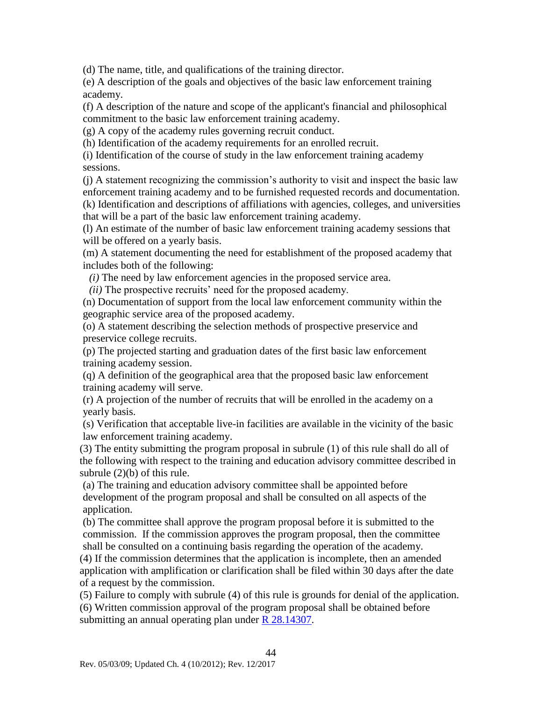(d) The name, title, and qualifications of the training director.

(e) A description of the goals and objectives of the basic law enforcement training academy.

(f) A description of the nature and scope of the applicant's financial and philosophical commitment to the basic law enforcement training academy.

(g) A copy of the academy rules governing recruit conduct.

(h) Identification of the academy requirements for an enrolled recruit.

(i) Identification of the course of study in the law enforcement training academy sessions.

(j) A statement recognizing the commission's authority to visit and inspect the basic law enforcement training academy and to be furnished requested records and documentation. (k) Identification and descriptions of affiliations with agencies, colleges, and universities that will be a part of the basic law enforcement training academy.

(l) An estimate of the number of basic law enforcement training academy sessions that will be offered on a yearly basis.

(m) A statement documenting the need for establishment of the proposed academy that includes both of the following:

*(i)* The need by law enforcement agencies in the proposed service area.

*(ii)* The prospective recruits' need for the proposed academy.

(n) Documentation of support from the local law enforcement community within the geographic service area of the proposed academy.

(o) A statement describing the selection methods of prospective preservice and preservice college recruits.

(p) The projected starting and graduation dates of the first basic law enforcement training academy session.

(q) A definition of the geographical area that the proposed basic law enforcement training academy will serve.

(r) A projection of the number of recruits that will be enrolled in the academy on a yearly basis.

(s) Verification that acceptable live-in facilities are available in the vicinity of the basic law enforcement training academy.

(3) The entity submitting the program proposal in subrule (1) of this rule shall do all of the following with respect to the training and education advisory committee described in subrule (2)(b) of this rule.

(a) The training and education advisory committee shall be appointed before development of the program proposal and shall be consulted on all aspects of the application.

(b) The committee shall approve the program proposal before it is submitted to the commission. If the commission approves the program proposal, then the committee shall be consulted on a continuing basis regarding the operation of the academy.

(4) If the commission determines that the application is incomplete, then an amended application with amplification or clarification shall be filed within 30 days after the date of a request by the commission.

(5) Failure to comply with subrule (4) of this rule is grounds for denial of the application. (6) Written commission approval of the program proposal shall be obtained before submitting an annual operating plan under [R 28.14307.](#page-46-0)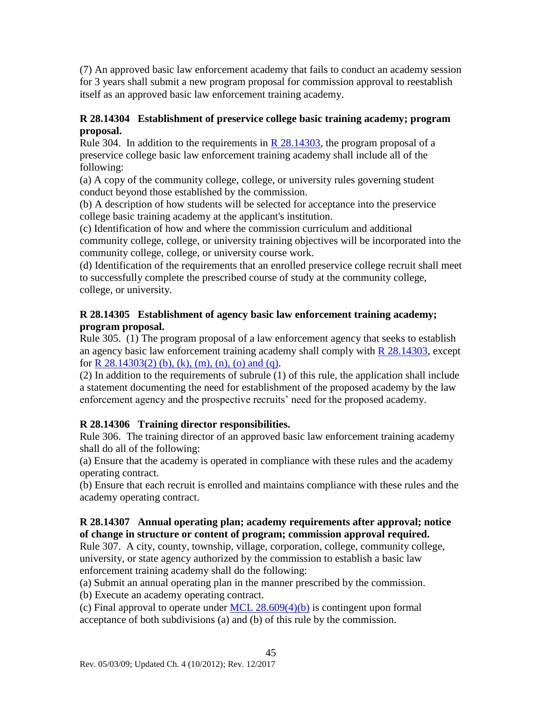(7) An approved basic law enforcement academy that fails to conduct an academy session for 3 years shall submit a new program proposal for commission approval to reestablish itself as an approved basic law enforcement training academy.

### **R 28.14304 Establishment of preservice college basic training academy; program proposal.**

Rule 304. In addition to the requirements in R  $28.14303$ , the program proposal of a preservice college basic law enforcement training academy shall include all of the following:

(a) A copy of the community college, college, or university rules governing student conduct beyond those established by the commission.

(b) A description of how students will be selected for acceptance into the preservice college basic training academy at the applicant's institution.

(c) Identification of how and where the commission curriculum and additional community college, college, or university training objectives will be incorporated into the community college, college, or university course work.

(d) Identification of the requirements that an enrolled preservice college recruit shall meet to successfully complete the prescribed course of study at the community college, college, or university.

### **R 28.14305 Establishment of agency basic law enforcement training academy; program proposal.**

Rule 305. (1) The program proposal of a law enforcement agency that seeks to establish an agency basic law enforcement training academy shall comply with [R 28.14303,](#page-44-0) except for R  $28.14303(2)$  (b), (k), (m), (n), (o) and (q).

(2) In addition to the requirements of subrule (1) of this rule, the application shall include a statement documenting the need for establishment of the proposed academy by the law enforcement agency and the prospective recruits' need for the proposed academy.

### **R 28.14306 Training director responsibilities.**

Rule 306. The training director of an approved basic law enforcement training academy shall do all of the following:

(a) Ensure that the academy is operated in compliance with these rules and the academy operating contract.

(b) Ensure that each recruit is enrolled and maintains compliance with these rules and the academy operating contract.

### <span id="page-46-0"></span>**R 28.14307 Annual operating plan; academy requirements after approval; notice of change in structure or content of program; commission approval required.**

Rule 307. A city, county, township, village, corporation, college, community college, university, or state agency authorized by the commission to establish a basic law enforcement training academy shall do the following:

(a) Submit an annual operating plan in the manner prescribed by the commission.

(b) Execute an academy operating contract.

(c) Final approval to operate under MCL  $28.609(4)(b)$  is contingent upon formal acceptance of both subdivisions (a) and (b) of this rule by the commission.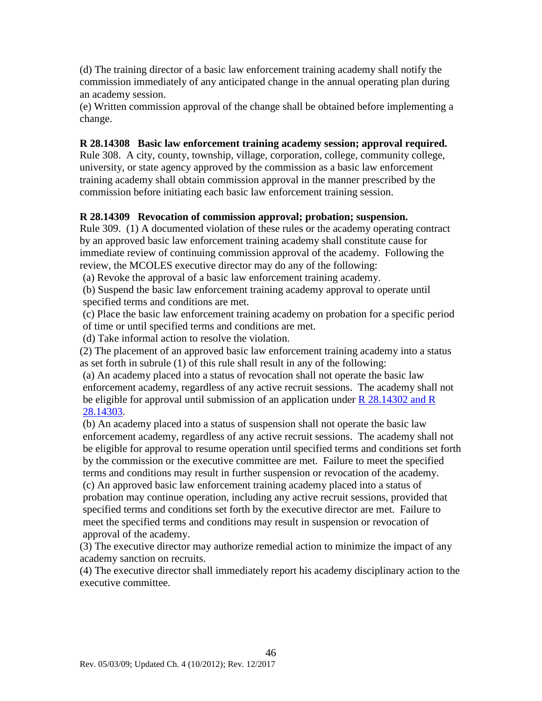(d) The training director of a basic law enforcement training academy shall notify the commission immediately of any anticipated change in the annual operating plan during an academy session.

(e) Written commission approval of the change shall be obtained before implementing a change.

### **R 28.14308 Basic law enforcement training academy session; approval required.**

Rule 308. A city, county, township, village, corporation, college, community college, university, or state agency approved by the commission as a basic law enforcement training academy shall obtain commission approval in the manner prescribed by the commission before initiating each basic law enforcement training session.

#### **R 28.14309 Revocation of commission approval; probation; suspension.**

Rule 309. (1) A documented violation of these rules or the academy operating contract by an approved basic law enforcement training academy shall constitute cause for immediate review of continuing commission approval of the academy. Following the review, the MCOLES executive director may do any of the following:

(a) Revoke the approval of a basic law enforcement training academy.

(b) Suspend the basic law enforcement training academy approval to operate until specified terms and conditions are met.

(c) Place the basic law enforcement training academy on probation for a specific period of time or until specified terms and conditions are met.

(d) Take informal action to resolve the violation.

(2) The placement of an approved basic law enforcement training academy into a status as set forth in subrule (1) of this rule shall result in any of the following:

(a) An academy placed into a status of revocation shall not operate the basic law enforcement academy, regardless of any active recruit sessions. The academy shall not be eligible for approval until submission of an application under [R 28.14302 and R](#page-44-0)  [28.14303.](#page-44-0)

(b) An academy placed into a status of suspension shall not operate the basic law enforcement academy, regardless of any active recruit sessions. The academy shall not be eligible for approval to resume operation until specified terms and conditions set forth by the commission or the executive committee are met. Failure to meet the specified terms and conditions may result in further suspension or revocation of the academy. (c) An approved basic law enforcement training academy placed into a status of probation may continue operation, including any active recruit sessions, provided that specified terms and conditions set forth by the executive director are met. Failure to meet the specified terms and conditions may result in suspension or revocation of approval of the academy.

(3) The executive director may authorize remedial action to minimize the impact of any academy sanction on recruits.

(4) The executive director shall immediately report his academy disciplinary action to the executive committee.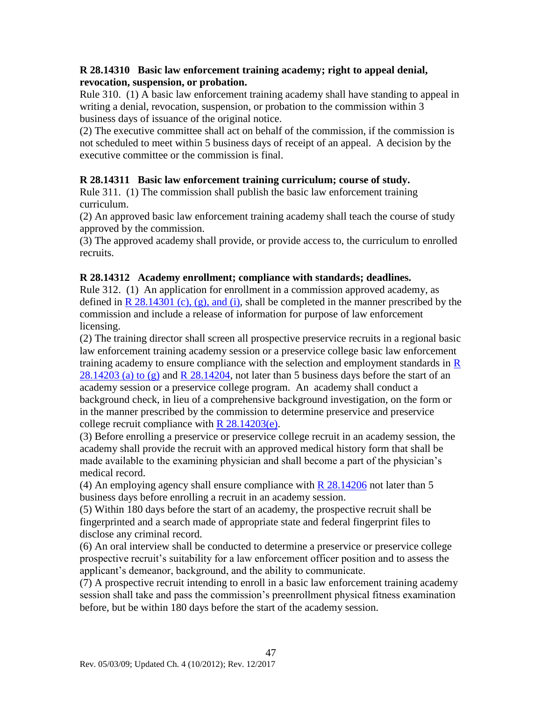### <span id="page-48-0"></span>**R 28.14310 Basic law enforcement training academy; right to appeal denial, revocation, suspension, or probation.**

Rule 310. (1) A basic law enforcement training academy shall have standing to appeal in writing a denial, revocation, suspension, or probation to the commission within 3 business days of issuance of the original notice.

(2) The executive committee shall act on behalf of the commission, if the commission is not scheduled to meet within 5 business days of receipt of an appeal. A decision by the executive committee or the commission is final.

### **R 28.14311 Basic law enforcement training curriculum; course of study.**

Rule 311. (1) The commission shall publish the basic law enforcement training curriculum.

(2) An approved basic law enforcement training academy shall teach the course of study approved by the commission.

(3) The approved academy shall provide, or provide access to, the curriculum to enrolled recruits.

### **R 28.14312 Academy enrollment; compliance with standards; deadlines.**

Rule 312. (1) An application for enrollment in a commission approved academy, as defined in  $R$  28.14301 (c), (g), and (i), shall be completed in the manner prescribed by the commission and include a release of information for purpose of law enforcement licensing.

(2) The training director shall screen all prospective preservice recruits in a regional basic law enforcement training academy session or a preservice college basic law enforcement training academy to ensure compliance with the selection and employment standards in  $\overline{R}$ [28.14203 \(a\) to \(g\)](#page-37-0) and R  $28.14204$ , not later than 5 business days before the start of an academy session or a preservice college program. An academy shall conduct a background check, in lieu of a comprehensive background investigation, on the form or in the manner prescribed by the commission to determine preservice and preservice college recruit compliance with  $R$  28.14203(e).

(3) Before enrolling a preservice or preservice college recruit in an academy session, the academy shall provide the recruit with an approved medical history form that shall be made available to the examining physician and shall become a part of the physician's medical record.

(4) An employing agency shall ensure compliance with  $R$  28.14206 not later than 5 business days before enrolling a recruit in an academy session.

(5) Within 180 days before the start of an academy, the prospective recruit shall be fingerprinted and a search made of appropriate state and federal fingerprint files to disclose any criminal record.

(6) An oral interview shall be conducted to determine a preservice or preservice college prospective recruit's suitability for a law enforcement officer position and to assess the applicant's demeanor, background, and the ability to communicate.

(7) A prospective recruit intending to enroll in a basic law enforcement training academy session shall take and pass the commission's preenrollment physical fitness examination before, but be within 180 days before the start of the academy session.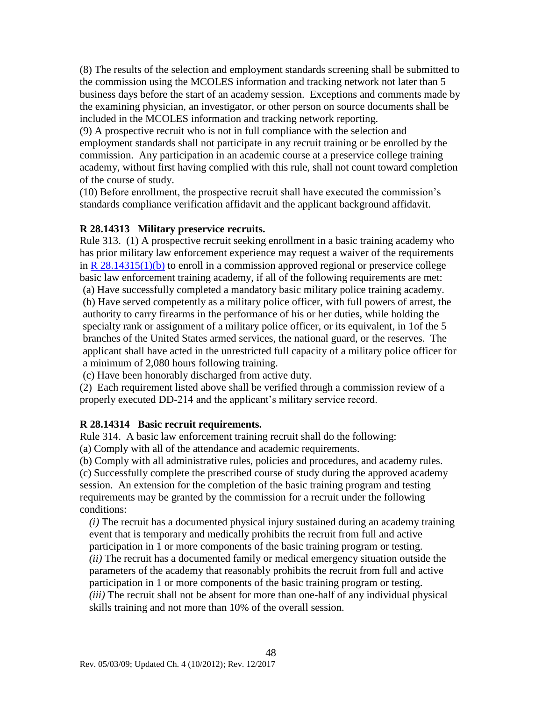(8) The results of the selection and employment standards screening shall be submitted to the commission using the MCOLES information and tracking network not later than 5 business days before the start of an academy session. Exceptions and comments made by the examining physician, an investigator, or other person on source documents shall be included in the MCOLES information and tracking network reporting.

(9) A prospective recruit who is not in full compliance with the selection and employment standards shall not participate in any recruit training or be enrolled by the commission. Any participation in an academic course at a preservice college training academy, without first having complied with this rule, shall not count toward completion of the course of study.

(10) Before enrollment, the prospective recruit shall have executed the commission's standards compliance verification affidavit and the applicant background affidavit.

### <span id="page-49-1"></span>**R 28.14313 Military preservice recruits.**

Rule 313. (1) A prospective recruit seeking enrollment in a basic training academy who has prior military law enforcement experience may request a waiver of the requirements in R  $28.14315(1)(b)$  to enroll in a commission approved regional or preservice college basic law enforcement training academy, if all of the following requirements are met: (a) Have successfully completed a mandatory basic military police training academy.

(b) Have served competently as a military police officer, with full powers of arrest, the authority to carry firearms in the performance of his or her duties, while holding the specialty rank or assignment of a military police officer, or its equivalent, in 1of the 5 branches of the United States armed services, the national guard, or the reserves. The applicant shall have acted in the unrestricted full capacity of a military police officer for a minimum of 2,080 hours following training.

(c) Have been honorably discharged from active duty.

(2) Each requirement listed above shall be verified through a commission review of a properly executed DD-214 and the applicant's military service record.

### <span id="page-49-0"></span>**R 28.14314 Basic recruit requirements.**

Rule 314. A basic law enforcement training recruit shall do the following:

(a) Comply with all of the attendance and academic requirements.

(b) Comply with all administrative rules, policies and procedures, and academy rules. (c) Successfully complete the prescribed course of study during the approved academy session. An extension for the completion of the basic training program and testing requirements may be granted by the commission for a recruit under the following conditions:

*(i)* The recruit has a documented physical injury sustained during an academy training event that is temporary and medically prohibits the recruit from full and active participation in 1 or more components of the basic training program or testing. *(ii)* The recruit has a documented family or medical emergency situation outside the parameters of the academy that reasonably prohibits the recruit from full and active participation in 1 or more components of the basic training program or testing. *(iii)* The recruit shall not be absent for more than one-half of any individual physical skills training and not more than 10% of the overall session.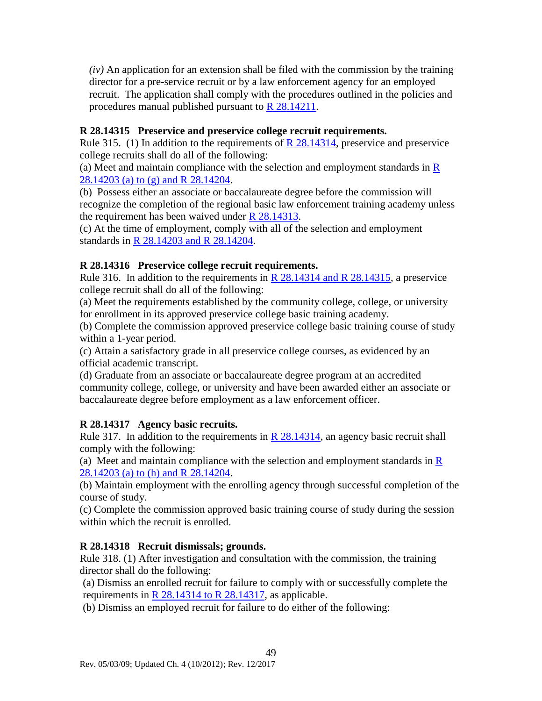*(iv)* An application for an extension shall be filed with the commission by the training director for a pre-service recruit or by a law enforcement agency for an employed recruit. The application shall comply with the procedures outlined in the policies and procedures manual published pursuant to [R 28.14211.](#page-49-0)

### <span id="page-50-0"></span>**R 28.14315 Preservice and preservice college recruit requirements.**

Rule 315. (1) In addition to the requirements of  $\overline{R}$  28.14314, preservice and preservice college recruits shall do all of the following:

(a) Meet and maintain compliance with the selection and employment standards in  $\overline{R}$ [28.14203 \(a\) to \(g\) and R 28.14204.](#page-37-0)

(b) Possess either an associate or baccalaureate degree before the commission will recognize the completion of the regional basic law enforcement training academy unless the requirement has been waived under [R 28.14313.](#page-49-1)

(c) At the time of employment, comply with all of the selection and employment standards in [R 28.14203 and R 28.14204.](#page-37-0)

### **R 28.14316 Preservice college recruit requirements.**

Rule 316. In addition to the requirements in [R 28.14314 and R 28.14315,](#page-49-0) a preservice college recruit shall do all of the following:

(a) Meet the requirements established by the community college, college, or university for enrollment in its approved preservice college basic training academy.

(b) Complete the commission approved preservice college basic training course of study within a 1-year period.

(c) Attain a satisfactory grade in all preservice college courses, as evidenced by an official academic transcript.

(d) Graduate from an associate or baccalaureate degree program at an accredited community college, college, or university and have been awarded either an associate or baccalaureate degree before employment as a law enforcement officer.

### **R 28.14317 Agency basic recruits.**

Rule 317. In addition to the requirements in  $R$  28.14314, an agency basic recruit shall comply with the following:

(a) Meet and maintain compliance with the selection and employment standards in  $\bf{R}$ [28.14203 \(a\) to \(h\) and R 28.14204.](#page-37-0)

(b) Maintain employment with the enrolling agency through successful completion of the course of study.

(c) Complete the commission approved basic training course of study during the session within which the recruit is enrolled.

### **R 28.14318 Recruit dismissals; grounds.**

Rule 318. (1) After investigation and consultation with the commission, the training director shall do the following:

(a) Dismiss an enrolled recruit for failure to comply with or successfully complete the requirements in [R 28.14314 to R 28.14317,](#page-49-0) as applicable.

(b) Dismiss an employed recruit for failure to do either of the following: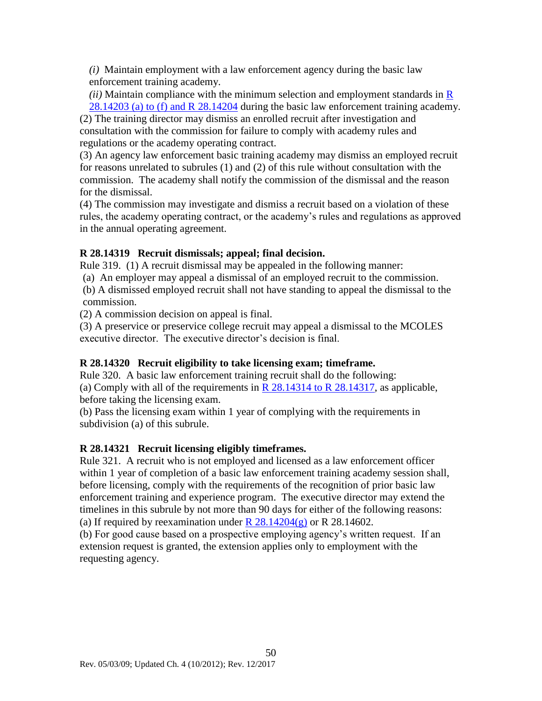*(i)* Maintain employment with a law enforcement agency during the basic law enforcement training academy.

*(ii)* Maintain compliance with the minimum selection and employment standards in [R](#page-37-0)  [28.14203 \(a\) to \(f\) and R 28.14204](#page-37-0) during the basic law enforcement training academy.

(2) The training director may dismiss an enrolled recruit after investigation and consultation with the commission for failure to comply with academy rules and regulations or the academy operating contract.

(3) An agency law enforcement basic training academy may dismiss an employed recruit for reasons unrelated to subrules (1) and (2) of this rule without consultation with the commission. The academy shall notify the commission of the dismissal and the reason for the dismissal.

(4) The commission may investigate and dismiss a recruit based on a violation of these rules, the academy operating contract, or the academy's rules and regulations as approved in the annual operating agreement.

### **R 28.14319 Recruit dismissals; appeal; final decision.**

Rule 319. (1) A recruit dismissal may be appealed in the following manner:

(a) An employer may appeal a dismissal of an employed recruit to the commission.

(b) A dismissed employed recruit shall not have standing to appeal the dismissal to the commission.

(2) A commission decision on appeal is final.

(3) A preservice or preservice college recruit may appeal a dismissal to the MCOLES executive director. The executive director's decision is final.

### **R 28.14320 Recruit eligibility to take licensing exam; timeframe.**

Rule 320. A basic law enforcement training recruit shall do the following: (a) Comply with all of the requirements in  $R$  28.14314 to  $R$  28.14317, as applicable, before taking the licensing exam.

(b) Pass the licensing exam within 1 year of complying with the requirements in subdivision (a) of this subrule.

### **R 28.14321 Recruit licensing eligibly timeframes.**

Rule 321. A recruit who is not employed and licensed as a law enforcement officer within 1 year of completion of a basic law enforcement training academy session shall, before licensing, comply with the requirements of the recognition of prior basic law enforcement training and experience program. The executive director may extend the timelines in this subrule by not more than 90 days for either of the following reasons: (a) If required by reexamination under  $R$  28.14204(g) or R 28.14602.

(b) For good cause based on a prospective employing agency's written request. If an extension request is granted, the extension applies only to employment with the requesting agency.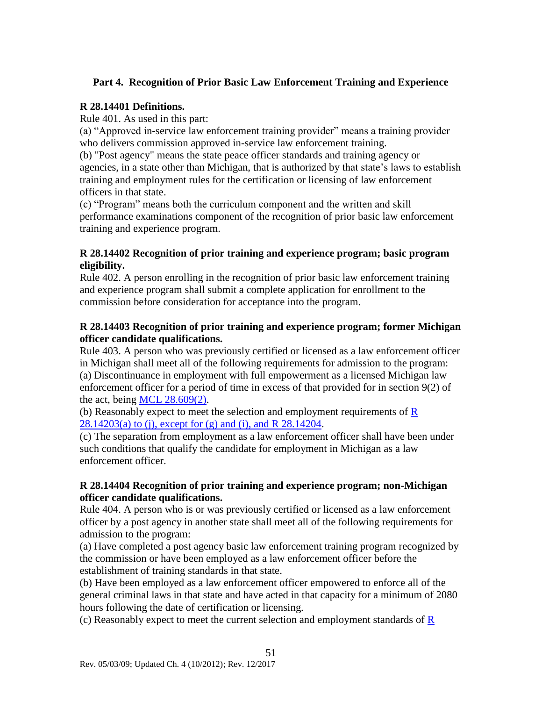### **Part 4. Recognition of Prior Basic Law Enforcement Training and Experience**

### **R 28.14401 Definitions.**

Rule 401. As used in this part:

(a) "Approved in-service law enforcement training provider" means a training provider who delivers commission approved in-service law enforcement training.

(b) "Post agency" means the state peace officer standards and training agency or agencies, in a state other than Michigan, that is authorized by that state's laws to establish training and employment rules for the certification or licensing of law enforcement officers in that state.

(c) "Program" means both the curriculum component and the written and skill performance examinations component of the recognition of prior basic law enforcement training and experience program.

### **R 28.14402 Recognition of prior training and experience program; basic program eligibility.**

Rule 402. A person enrolling in the recognition of prior basic law enforcement training and experience program shall submit a complete application for enrollment to the commission before consideration for acceptance into the program.

### <span id="page-52-0"></span>**R 28.14403 Recognition of prior training and experience program; former Michigan officer candidate qualifications.**

Rule 403. A person who was previously certified or licensed as a law enforcement officer in Michigan shall meet all of the following requirements for admission to the program: (a) Discontinuance in employment with full empowerment as a licensed Michigan law enforcement officer for a period of time in excess of that provided for in section 9(2) of the act, being MCL  $28.609(2)$ .

(b) Reasonably expect to meet the selection and employment requirements of [R](#page-37-0) [28.14203\(a\) to \(j\), except for \(g\) and \(i\), and R 28.14204.](#page-37-0)

(c) The separation from employment as a law enforcement officer shall have been under such conditions that qualify the candidate for employment in Michigan as a law enforcement officer.

### **R 28.14404 Recognition of prior training and experience program; non-Michigan officer candidate qualifications.**

Rule 404. A person who is or was previously certified or licensed as a law enforcement officer by a post agency in another state shall meet all of the following requirements for admission to the program:

(a) Have completed a post agency basic law enforcement training program recognized by the commission or have been employed as a law enforcement officer before the establishment of training standards in that state.

(b) Have been employed as a law enforcement officer empowered to enforce all of the general criminal laws in that state and have acted in that capacity for a minimum of 2080 hours following the date of certification or licensing.

(c) [R](#page-37-0)easonably expect to meet the current selection and employment standards of  $\overline{R}$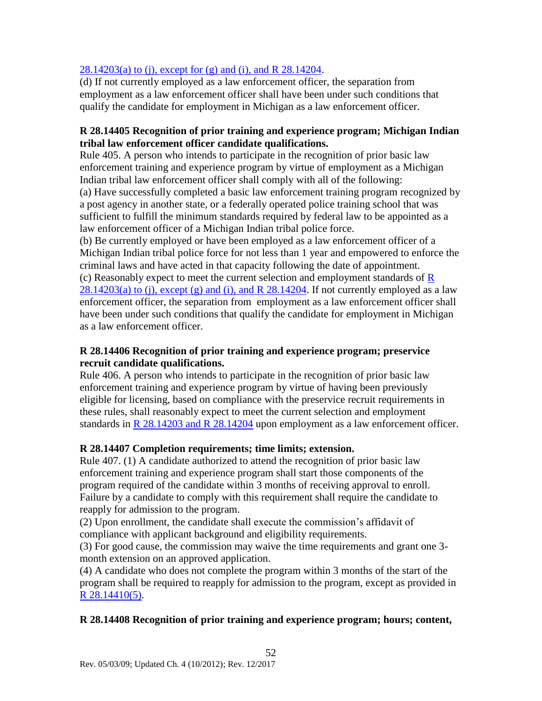### [28.14203\(a\) to \(j\), except for \(g\) and \(i\), and R 28.14204.](#page-37-0)

(d) If not currently employed as a law enforcement officer, the separation from employment as a law enforcement officer shall have been under such conditions that qualify the candidate for employment in Michigan as a law enforcement officer.

### **R 28.14405 Recognition of prior training and experience program; Michigan Indian tribal law enforcement officer candidate qualifications.**

Rule 405. A person who intends to participate in the recognition of prior basic law enforcement training and experience program by virtue of employment as a Michigan Indian tribal law enforcement officer shall comply with all of the following: (a) Have successfully completed a basic law enforcement training program recognized by a post agency in another state, or a federally operated police training school that was sufficient to fulfill the minimum standards required by federal law to be appointed as a law enforcement officer of a Michigan Indian tribal police force.

(b) Be currently employed or have been employed as a law enforcement officer of a Michigan Indian tribal police force for not less than 1 year and empowered to enforce the criminal laws and have acted in that capacity following the date of appointment. (c) [R](#page-37-0)easonably expect to meet the current selection and employment standards of  $\overline{R}$  $28.14203(a)$  to (j), except (g) and (i), and R  $28.14204$ . If not currently employed as a law enforcement officer, the separation from employment as a law enforcement officer shall have been under such conditions that qualify the candidate for employment in Michigan as a law enforcement officer.

### **R 28.14406 Recognition of prior training and experience program; preservice recruit candidate qualifications.**

Rule 406. A person who intends to participate in the recognition of prior basic law enforcement training and experience program by virtue of having been previously eligible for licensing, based on compliance with the preservice recruit requirements in these rules, shall reasonably expect to meet the current selection and employment standards in R 28.14203 [and R 28.14204](#page-37-0) upon employment as a law enforcement officer.

### <span id="page-53-0"></span>**R 28.14407 Completion requirements; time limits; extension.**

Rule 407. (1) A candidate authorized to attend the recognition of prior basic law enforcement training and experience program shall start those components of the program required of the candidate within 3 months of receiving approval to enroll. Failure by a candidate to comply with this requirement shall require the candidate to reapply for admission to the program.

(2) Upon enrollment, the candidate shall execute the commission's affidavit of compliance with applicant background and eligibility requirements.

(3) For good cause, the commission may waive the time requirements and grant one 3 month extension on an approved application.

(4) A candidate who does not complete the program within 3 months of the start of the program shall be required to reapply for admission to the program, except as provided in [R 28.14410\(5\).](#page-54-0)

### **R 28.14408 Recognition of prior training and experience program; hours; content,**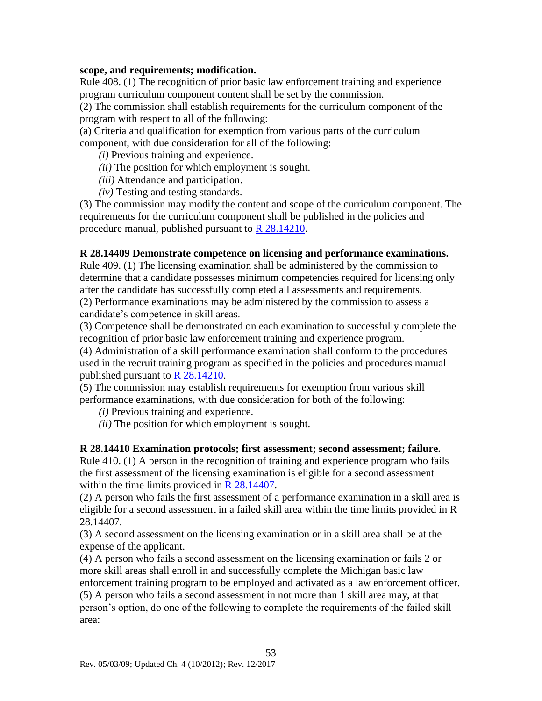#### **scope, and requirements; modification.**

Rule 408. (1) The recognition of prior basic law enforcement training and experience program curriculum component content shall be set by the commission.

(2) The commission shall establish requirements for the curriculum component of the program with respect to all of the following:

(a) Criteria and qualification for exemption from various parts of the curriculum component, with due consideration for all of the following:

- *(i)* Previous training and experience.
- *(ii)* The position for which employment is sought.
- *(iii)* Attendance and participation.
- *(iv)* Testing and testing standards.

(3) The commission may modify the content and scope of the curriculum component. The requirements for the curriculum component shall be published in the policies and procedure manual, published pursuant to [R 28.14210.](#page-43-0)

#### **R 28.14409 Demonstrate competence on licensing and performance examinations.**

Rule 409. (1) The licensing examination shall be administered by the commission to determine that a candidate possesses minimum competencies required for licensing only after the candidate has successfully completed all assessments and requirements. (2) Performance examinations may be administered by the commission to assess a candidate's competence in skill areas.

(3) Competence shall be demonstrated on each examination to successfully complete the recognition of prior basic law enforcement training and experience program.

(4) Administration of a skill performance examination shall conform to the procedures used in the recruit training program as specified in the policies and procedures manual published pursuant to [R 28.14210.](#page-43-0)

(5) The commission may establish requirements for exemption from various skill performance examinations, with due consideration for both of the following:

*(i)* Previous training and experience.

*(ii)* The position for which employment is sought.

#### <span id="page-54-0"></span>**R 28.14410 Examination protocols; first assessment; second assessment; failure.**

Rule 410. (1) A person in the recognition of training and experience program who fails the first assessment of the licensing examination is eligible for a second assessment within the time limits provided in [R 28.14407.](#page-53-0)

(2) A person who fails the first assessment of a performance examination in a skill area is eligible for a second assessment in a failed skill area within the time limits provided in R 28.14407.

(3) A second assessment on the licensing examination or in a skill area shall be at the expense of the applicant.

(4) A person who fails a second assessment on the licensing examination or fails 2 or more skill areas shall enroll in and successfully complete the Michigan basic law enforcement training program to be employed and activated as a law enforcement officer. (5) A person who fails a second assessment in not more than 1 skill area may, at that person's option, do one of the following to complete the requirements of the failed skill area: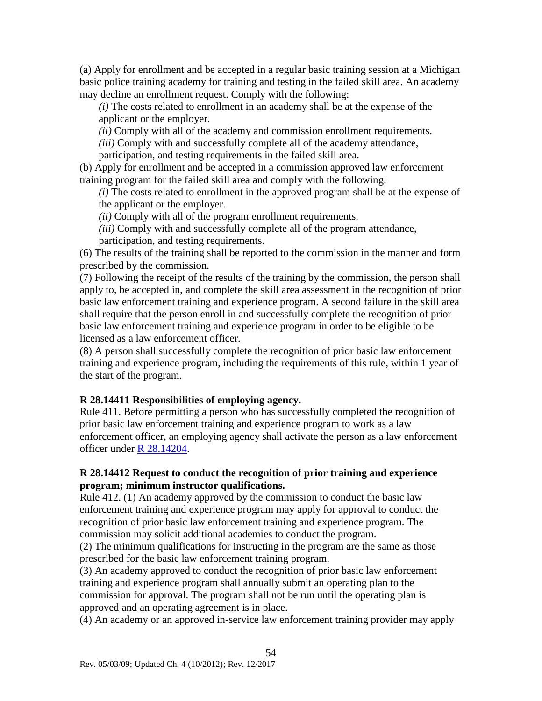(a) Apply for enrollment and be accepted in a regular basic training session at a Michigan basic police training academy for training and testing in the failed skill area. An academy may decline an enrollment request. Comply with the following:

*(i)* The costs related to enrollment in an academy shall be at the expense of the applicant or the employer.

*(ii)* Comply with all of the academy and commission enrollment requirements.

*(iii)* Comply with and successfully complete all of the academy attendance,

participation, and testing requirements in the failed skill area.

(b) Apply for enrollment and be accepted in a commission approved law enforcement training program for the failed skill area and comply with the following:

*(i)* The costs related to enrollment in the approved program shall be at the expense of the applicant or the employer.

*(ii)* Comply with all of the program enrollment requirements.

*(iii)* Comply with and successfully complete all of the program attendance, participation, and testing requirements.

(6) The results of the training shall be reported to the commission in the manner and form prescribed by the commission.

(7) Following the receipt of the results of the training by the commission, the person shall apply to, be accepted in, and complete the skill area assessment in the recognition of prior basic law enforcement training and experience program. A second failure in the skill area shall require that the person enroll in and successfully complete the recognition of prior basic law enforcement training and experience program in order to be eligible to be licensed as a law enforcement officer.

(8) A person shall successfully complete the recognition of prior basic law enforcement training and experience program, including the requirements of this rule, within 1 year of the start of the program.

### **R 28.14411 Responsibilities of employing agency.**

Rule 411. Before permitting a person who has successfully completed the recognition of prior basic law enforcement training and experience program to work as a law enforcement officer, an employing agency shall activate the person as a law enforcement officer under [R 28.14204.](#page-38-0)

### **R 28.14412 Request to conduct the recognition of prior training and experience program; minimum instructor qualifications.**

Rule 412. (1) An academy approved by the commission to conduct the basic law enforcement training and experience program may apply for approval to conduct the recognition of prior basic law enforcement training and experience program. The commission may solicit additional academies to conduct the program.

(2) The minimum qualifications for instructing in the program are the same as those prescribed for the basic law enforcement training program.

(3) An academy approved to conduct the recognition of prior basic law enforcement training and experience program shall annually submit an operating plan to the commission for approval. The program shall not be run until the operating plan is approved and an operating agreement is in place.

(4) An academy or an approved in-service law enforcement training provider may apply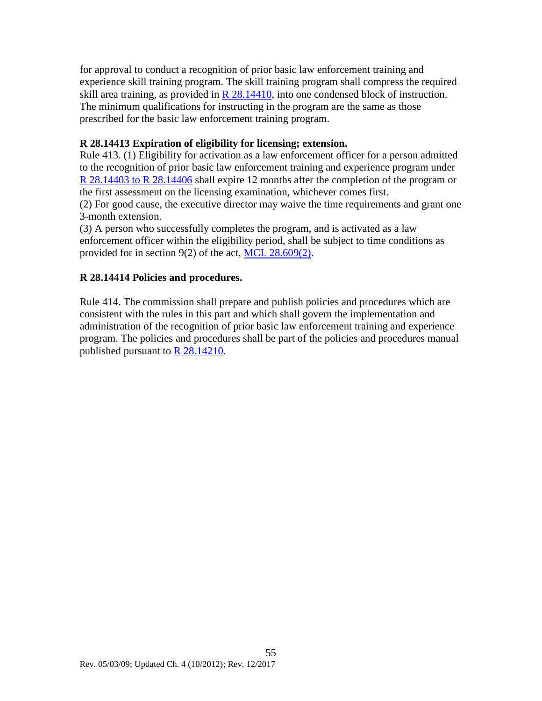for approval to conduct a recognition of prior basic law enforcement training and experience skill training program. The skill training program shall compress the required skill area training, as provided in  $R$  28.14410, into one condensed block of instruction. The minimum qualifications for instructing in the program are the same as those prescribed for the basic law enforcement training program.

### **R 28.14413 Expiration of eligibility for licensing; extension.**

Rule 413. (1) Eligibility for activation as a law enforcement officer for a person admitted to the recognition of prior basic law enforcement training and experience program under [R 28.14403 to R 28.14406](#page-52-0) shall expire 12 months after the completion of the program or the first assessment on the licensing examination, whichever comes first.

(2) For good cause, the executive director may waive the time requirements and grant one 3-month extension.

(3) A person who successfully completes the program, and is activated as a law enforcement officer within the eligibility period, shall be subject to time conditions as provided for in section 9(2) of the act, MCL 28.609(2).

### **R 28.14414 Policies and procedures.**

Rule 414. The commission shall prepare and publish policies and procedures which are consistent with the rules in this part and which shall govern the implementation and administration of the recognition of prior basic law enforcement training and experience program. The policies and procedures shall be part of the policies and procedures manual published pursuant to [R 28.14210.](#page-43-0)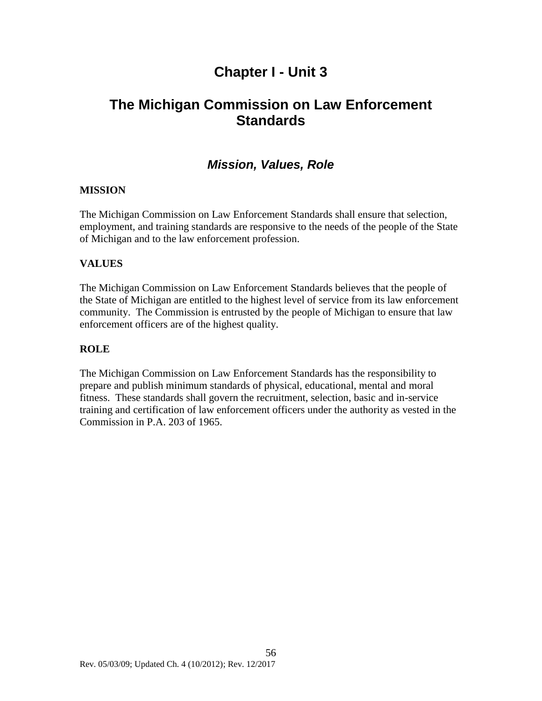# **Chapter I - Unit 3**

# **The Michigan Commission on Law Enforcement Standards**

### *Mission, Values, Role*

### **MISSION**

The Michigan Commission on Law Enforcement Standards shall ensure that selection, employment, and training standards are responsive to the needs of the people of the State of Michigan and to the law enforcement profession.

### **VALUES**

The Michigan Commission on Law Enforcement Standards believes that the people of the State of Michigan are entitled to the highest level of service from its law enforcement community. The Commission is entrusted by the people of Michigan to ensure that law enforcement officers are of the highest quality.

#### **ROLE**

The Michigan Commission on Law Enforcement Standards has the responsibility to prepare and publish minimum standards of physical, educational, mental and moral fitness. These standards shall govern the recruitment, selection, basic and in-service training and certification of law enforcement officers under the authority as vested in the Commission in P.A. 203 of 1965.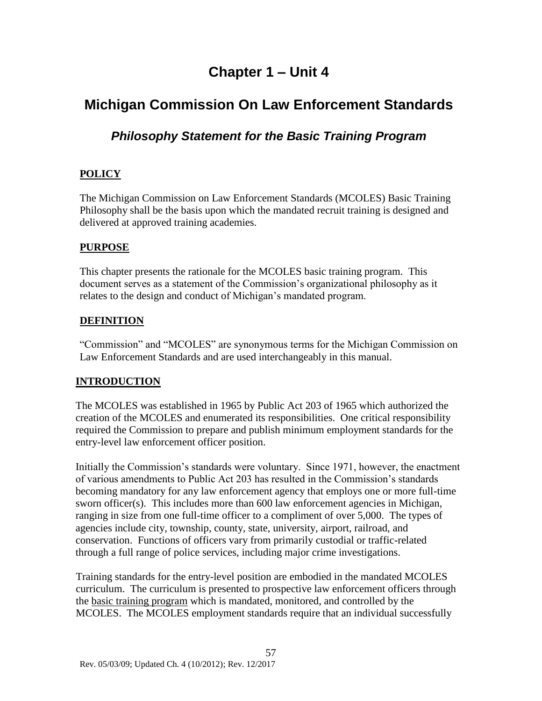# **Chapter 1 – Unit 4**

# **Michigan Commission On Law Enforcement Standards**

### *Philosophy Statement for the Basic Training Program*

### **POLICY**

The Michigan Commission on Law Enforcement Standards (MCOLES) Basic Training Philosophy shall be the basis upon which the mandated recruit training is designed and delivered at approved training academies.

### **PURPOSE**

This chapter presents the rationale for the MCOLES basic training program. This document serves as a statement of the Commission's organizational philosophy as it relates to the design and conduct of Michigan's mandated program.

### **DEFINITION**

"Commission" and "MCOLES" are synonymous terms for the Michigan Commission on Law Enforcement Standards and are used interchangeably in this manual.

### **INTRODUCTION**

The MCOLES was established in 1965 by Public Act 203 of 1965 which authorized the creation of the MCOLES and enumerated its responsibilities. One critical responsibility required the Commission to prepare and publish minimum employment standards for the entry-level law enforcement officer position.

Initially the Commission's standards were voluntary. Since 1971, however, the enactment of various amendments to Public Act 203 has resulted in the Commission's standards becoming mandatory for any law enforcement agency that employs one or more full-time sworn officer(s). This includes more than 600 law enforcement agencies in Michigan, ranging in size from one full-time officer to a compliment of over 5,000. The types of agencies include city, township, county, state, university, airport, railroad, and conservation. Functions of officers vary from primarily custodial or traffic-related through a full range of police services, including major crime investigations.

Training standards for the entry-level position are embodied in the mandated MCOLES curriculum. The curriculum is presented to prospective law enforcement officers through the basic training program which is mandated, monitored, and controlled by the MCOLES. The MCOLES employment standards require that an individual successfully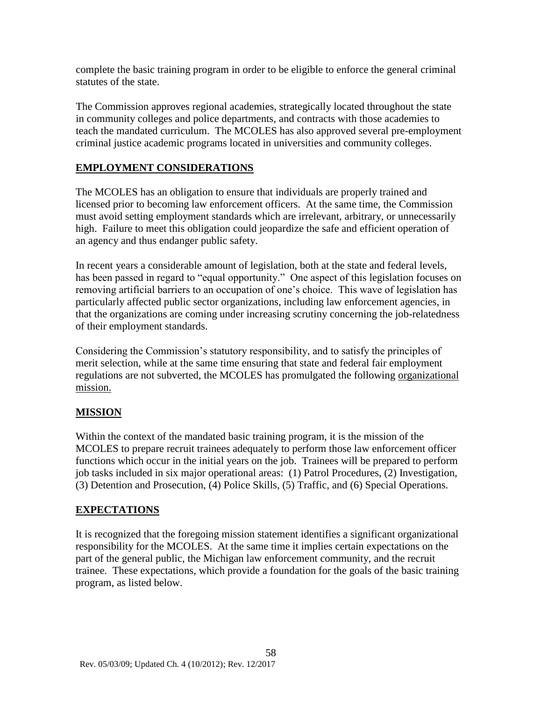complete the basic training program in order to be eligible to enforce the general criminal statutes of the state.

The Commission approves regional academies, strategically located throughout the state in community colleges and police departments, and contracts with those academies to teach the mandated curriculum. The MCOLES has also approved several pre-employment criminal justice academic programs located in universities and community colleges.

### **EMPLOYMENT CONSIDERATIONS**

The MCOLES has an obligation to ensure that individuals are properly trained and licensed prior to becoming law enforcement officers. At the same time, the Commission must avoid setting employment standards which are irrelevant, arbitrary, or unnecessarily high. Failure to meet this obligation could jeopardize the safe and efficient operation of an agency and thus endanger public safety.

In recent years a considerable amount of legislation, both at the state and federal levels, has been passed in regard to "equal opportunity." One aspect of this legislation focuses on removing artificial barriers to an occupation of one's choice. This wave of legislation has particularly affected public sector organizations, including law enforcement agencies, in that the organizations are coming under increasing scrutiny concerning the job-relatedness of their employment standards.

Considering the Commission's statutory responsibility, and to satisfy the principles of merit selection, while at the same time ensuring that state and federal fair employment regulations are not subverted, the MCOLES has promulgated the following organizational mission.

### **MISSION**

Within the context of the mandated basic training program, it is the mission of the MCOLES to prepare recruit trainees adequately to perform those law enforcement officer functions which occur in the initial years on the job. Trainees will be prepared to perform job tasks included in six major operational areas: (1) Patrol Procedures, (2) Investigation, (3) Detention and Prosecution, (4) Police Skills, (5) Traffic, and (6) Special Operations.

### **EXPECTATIONS**

It is recognized that the foregoing mission statement identifies a significant organizational responsibility for the MCOLES. At the same time it implies certain expectations on the part of the general public, the Michigan law enforcement community, and the recruit trainee. These expectations, which provide a foundation for the goals of the basic training program, as listed below.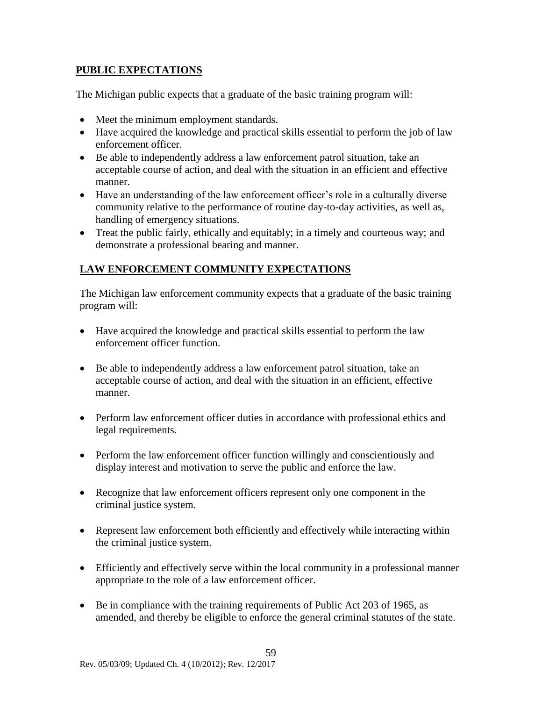### **PUBLIC EXPECTATIONS**

The Michigan public expects that a graduate of the basic training program will:

- Meet the minimum employment standards.
- Have acquired the knowledge and practical skills essential to perform the job of law enforcement officer.
- Be able to independently address a law enforcement patrol situation, take an acceptable course of action, and deal with the situation in an efficient and effective manner.
- Have an understanding of the law enforcement officer's role in a culturally diverse community relative to the performance of routine day-to-day activities, as well as, handling of emergency situations.
- Treat the public fairly, ethically and equitably; in a timely and courteous way; and demonstrate a professional bearing and manner.

### **LAW ENFORCEMENT COMMUNITY EXPECTATIONS**

The Michigan law enforcement community expects that a graduate of the basic training program will:

- Have acquired the knowledge and practical skills essential to perform the law enforcement officer function.
- Be able to independently address a law enforcement patrol situation, take an acceptable course of action, and deal with the situation in an efficient, effective manner.
- Perform law enforcement officer duties in accordance with professional ethics and legal requirements.
- Perform the law enforcement officer function willingly and conscientiously and display interest and motivation to serve the public and enforce the law.
- Recognize that law enforcement officers represent only one component in the criminal justice system.
- Represent law enforcement both efficiently and effectively while interacting within the criminal justice system.
- Efficiently and effectively serve within the local community in a professional manner appropriate to the role of a law enforcement officer.
- Be in compliance with the training requirements of Public Act 203 of 1965, as amended, and thereby be eligible to enforce the general criminal statutes of the state.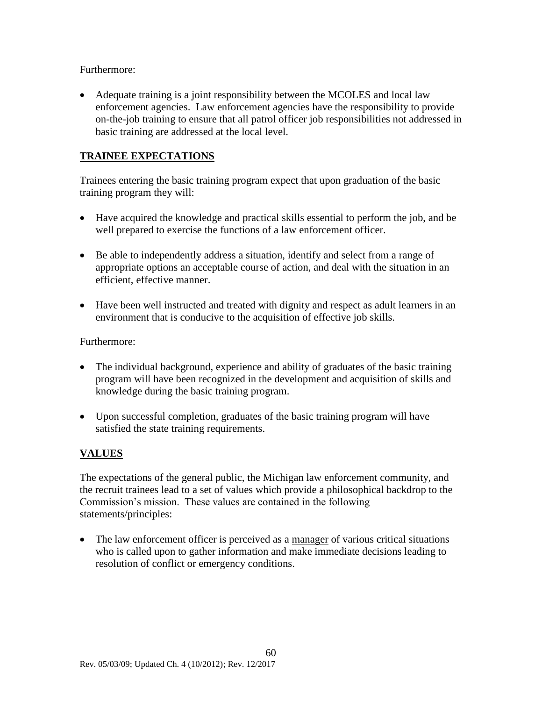Furthermore:

 Adequate training is a joint responsibility between the MCOLES and local law enforcement agencies. Law enforcement agencies have the responsibility to provide on-the-job training to ensure that all patrol officer job responsibilities not addressed in basic training are addressed at the local level.

### **TRAINEE EXPECTATIONS**

Trainees entering the basic training program expect that upon graduation of the basic training program they will:

- Have acquired the knowledge and practical skills essential to perform the job, and be well prepared to exercise the functions of a law enforcement officer.
- Be able to independently address a situation, identify and select from a range of appropriate options an acceptable course of action, and deal with the situation in an efficient, effective manner.
- Have been well instructed and treated with dignity and respect as adult learners in an environment that is conducive to the acquisition of effective job skills.

Furthermore:

- The individual background, experience and ability of graduates of the basic training program will have been recognized in the development and acquisition of skills and knowledge during the basic training program.
- Upon successful completion, graduates of the basic training program will have satisfied the state training requirements.

### **VALUES**

The expectations of the general public, the Michigan law enforcement community, and the recruit trainees lead to a set of values which provide a philosophical backdrop to the Commission's mission. These values are contained in the following statements/principles:

 The law enforcement officer is perceived as a manager of various critical situations who is called upon to gather information and make immediate decisions leading to resolution of conflict or emergency conditions.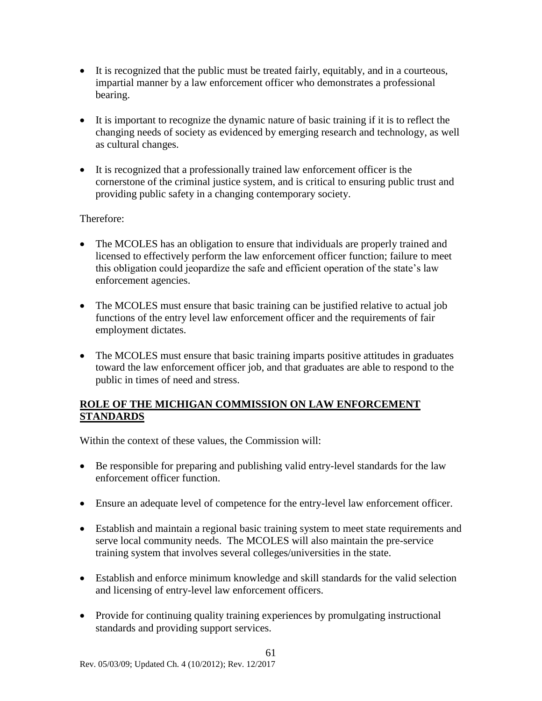- It is recognized that the public must be treated fairly, equitably, and in a courteous, impartial manner by a law enforcement officer who demonstrates a professional bearing.
- It is important to recognize the dynamic nature of basic training if it is to reflect the changing needs of society as evidenced by emerging research and technology, as well as cultural changes.
- It is recognized that a professionally trained law enforcement officer is the cornerstone of the criminal justice system, and is critical to ensuring public trust and providing public safety in a changing contemporary society.

### Therefore:

- The MCOLES has an obligation to ensure that individuals are properly trained and licensed to effectively perform the law enforcement officer function; failure to meet this obligation could jeopardize the safe and efficient operation of the state's law enforcement agencies.
- The MCOLES must ensure that basic training can be justified relative to actual job functions of the entry level law enforcement officer and the requirements of fair employment dictates.
- The MCOLES must ensure that basic training imparts positive attitudes in graduates toward the law enforcement officer job, and that graduates are able to respond to the public in times of need and stress.

### **ROLE OF THE MICHIGAN COMMISSION ON LAW ENFORCEMENT STANDARDS**

Within the context of these values, the Commission will:

- Be responsible for preparing and publishing valid entry-level standards for the law enforcement officer function.
- Ensure an adequate level of competence for the entry-level law enforcement officer.
- Establish and maintain a regional basic training system to meet state requirements and serve local community needs. The MCOLES will also maintain the pre-service training system that involves several colleges/universities in the state.
- Establish and enforce minimum knowledge and skill standards for the valid selection and licensing of entry-level law enforcement officers.
- Provide for continuing quality training experiences by promulgating instructional standards and providing support services.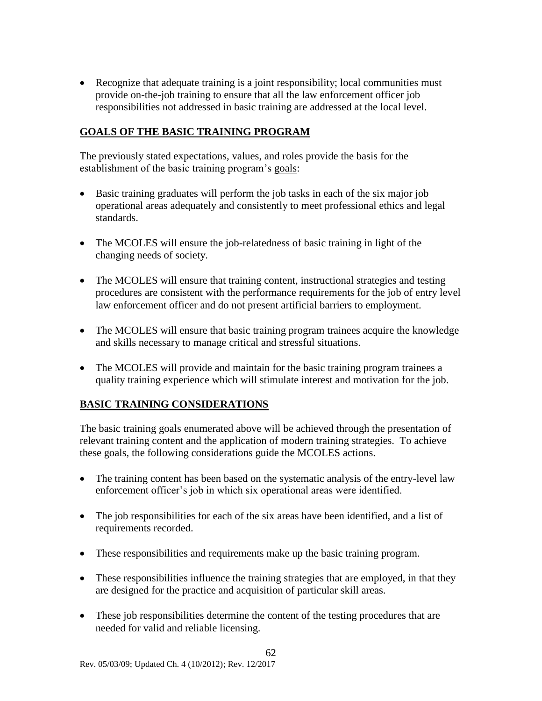Recognize that adequate training is a joint responsibility; local communities must provide on-the-job training to ensure that all the law enforcement officer job responsibilities not addressed in basic training are addressed at the local level.

### **GOALS OF THE BASIC TRAINING PROGRAM**

The previously stated expectations, values, and roles provide the basis for the establishment of the basic training program's goals:

- Basic training graduates will perform the job tasks in each of the six major job operational areas adequately and consistently to meet professional ethics and legal standards.
- The MCOLES will ensure the job-relatedness of basic training in light of the changing needs of society.
- The MCOLES will ensure that training content, instructional strategies and testing procedures are consistent with the performance requirements for the job of entry level law enforcement officer and do not present artificial barriers to employment.
- The MCOLES will ensure that basic training program trainees acquire the knowledge and skills necessary to manage critical and stressful situations.
- The MCOLES will provide and maintain for the basic training program trainees a quality training experience which will stimulate interest and motivation for the job.

### **BASIC TRAINING CONSIDERATIONS**

The basic training goals enumerated above will be achieved through the presentation of relevant training content and the application of modern training strategies. To achieve these goals, the following considerations guide the MCOLES actions.

- The training content has been based on the systematic analysis of the entry-level law enforcement officer's job in which six operational areas were identified.
- The job responsibilities for each of the six areas have been identified, and a list of requirements recorded.
- These responsibilities and requirements make up the basic training program.
- These responsibilities influence the training strategies that are employed, in that they are designed for the practice and acquisition of particular skill areas.
- These job responsibilities determine the content of the testing procedures that are needed for valid and reliable licensing.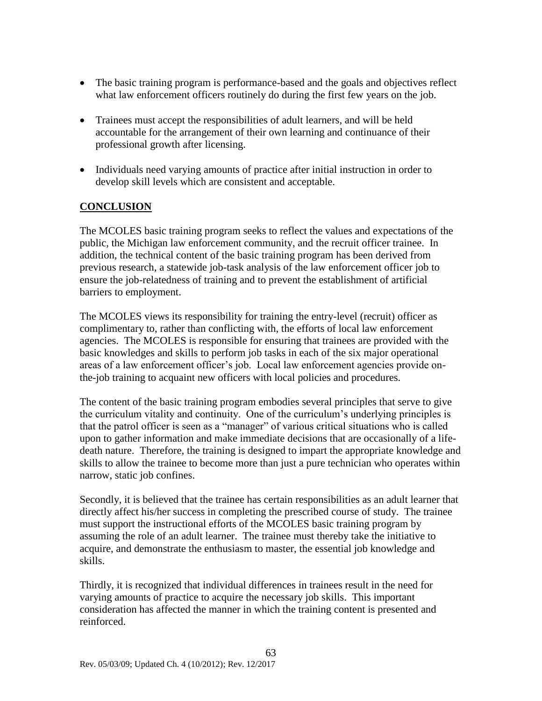- The basic training program is performance-based and the goals and objectives reflect what law enforcement officers routinely do during the first few years on the job.
- Trainees must accept the responsibilities of adult learners, and will be held accountable for the arrangement of their own learning and continuance of their professional growth after licensing.
- Individuals need varying amounts of practice after initial instruction in order to develop skill levels which are consistent and acceptable.

### **CONCLUSION**

The MCOLES basic training program seeks to reflect the values and expectations of the public, the Michigan law enforcement community, and the recruit officer trainee. In addition, the technical content of the basic training program has been derived from previous research, a statewide job-task analysis of the law enforcement officer job to ensure the job-relatedness of training and to prevent the establishment of artificial barriers to employment.

The MCOLES views its responsibility for training the entry-level (recruit) officer as complimentary to, rather than conflicting with, the efforts of local law enforcement agencies. The MCOLES is responsible for ensuring that trainees are provided with the basic knowledges and skills to perform job tasks in each of the six major operational areas of a law enforcement officer's job. Local law enforcement agencies provide onthe-job training to acquaint new officers with local policies and procedures.

The content of the basic training program embodies several principles that serve to give the curriculum vitality and continuity. One of the curriculum's underlying principles is that the patrol officer is seen as a "manager" of various critical situations who is called upon to gather information and make immediate decisions that are occasionally of a lifedeath nature. Therefore, the training is designed to impart the appropriate knowledge and skills to allow the trainee to become more than just a pure technician who operates within narrow, static job confines.

Secondly, it is believed that the trainee has certain responsibilities as an adult learner that directly affect his/her success in completing the prescribed course of study. The trainee must support the instructional efforts of the MCOLES basic training program by assuming the role of an adult learner. The trainee must thereby take the initiative to acquire, and demonstrate the enthusiasm to master, the essential job knowledge and skills.

Thirdly, it is recognized that individual differences in trainees result in the need for varying amounts of practice to acquire the necessary job skills. This important consideration has affected the manner in which the training content is presented and reinforced.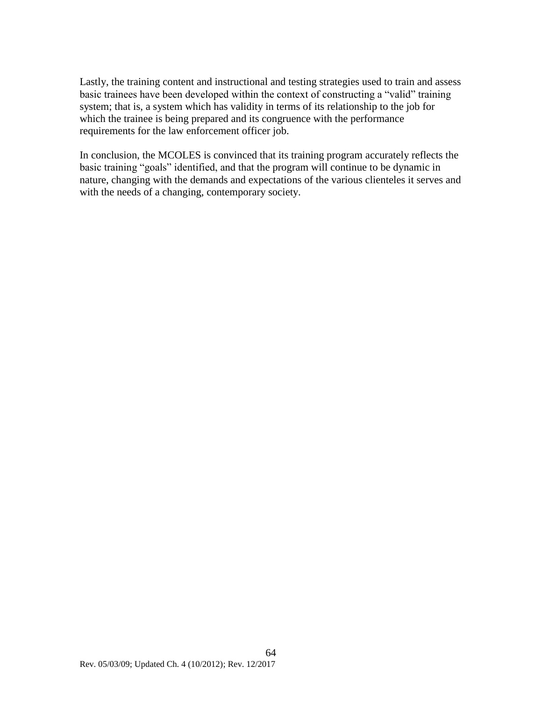Lastly, the training content and instructional and testing strategies used to train and assess basic trainees have been developed within the context of constructing a "valid" training system; that is, a system which has validity in terms of its relationship to the job for which the trainee is being prepared and its congruence with the performance requirements for the law enforcement officer job.

In conclusion, the MCOLES is convinced that its training program accurately reflects the basic training "goals" identified, and that the program will continue to be dynamic in nature, changing with the demands and expectations of the various clienteles it serves and with the needs of a changing, contemporary society.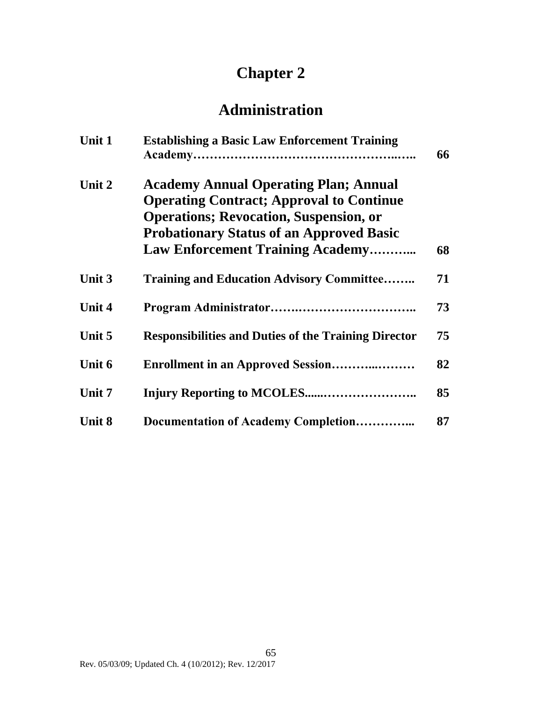# **Chapter 2**

# **Administration**

| Unit 1        | <b>Establishing a Basic Law Enforcement Training</b>                                                                                                                                                                                            | 66 |
|---------------|-------------------------------------------------------------------------------------------------------------------------------------------------------------------------------------------------------------------------------------------------|----|
| Unit 2        | <b>Academy Annual Operating Plan; Annual</b><br><b>Operating Contract; Approval to Continue</b><br><b>Operations</b> ; Revocation, Suspension, or<br><b>Probationary Status of an Approved Basic</b><br><b>Law Enforcement Training Academy</b> | 68 |
| Unit 3        | <b>Training and Education Advisory Committee</b>                                                                                                                                                                                                | 71 |
| <b>Unit 4</b> |                                                                                                                                                                                                                                                 | 73 |
| Unit 5        | <b>Responsibilities and Duties of the Training Director</b>                                                                                                                                                                                     | 75 |
| Unit 6        | <b>Enrollment in an Approved Session</b>                                                                                                                                                                                                        | 82 |
| Unit 7        |                                                                                                                                                                                                                                                 | 85 |
| <b>Unit 8</b> | Documentation of Academy Completion                                                                                                                                                                                                             | 87 |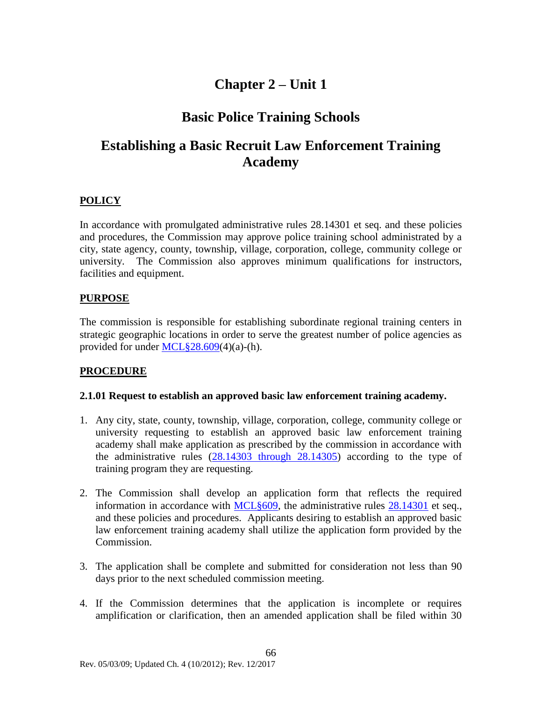## **Chapter 2 – Unit 1**

### **Basic Police Training Schools**

# **Establishing a Basic Recruit Law Enforcement Training Academy**

### **POLICY**

In accordance with promulgated administrative rules 28.14301 et seq. and these policies and procedures, the Commission may approve police training school administrated by a city, state agency, county, township, village, corporation, college, community college or university. The Commission also approves minimum qualifications for instructors, facilities and equipment.

#### **PURPOSE**

The commission is responsible for establishing subordinate regional training centers in strategic geographic locations in order to serve the greatest number of police agencies as provided for under MCL§28.609(4)(a)-(h).

### **PROCEDURE**

#### **2.1.01 Request to establish an approved basic law enforcement training academy.**

- 1. Any city, state, county, township, village, corporation, college, community college or university requesting to establish an approved basic law enforcement training academy shall make application as prescribed by the commission in accordance with the administrative rules  $(28.14303$  through  $28.14305$ ) according to the type of training program they are requesting.
- 2. The Commission shall develop an application form that reflects the required information in accordance with [MCL§609,](#page-4-0) the administrative rules [28.14301](#page-43-1) et seq., and these policies and procedures. Applicants desiring to establish an approved basic law enforcement training academy shall utilize the application form provided by the Commission.
- 3. The application shall be complete and submitted for consideration not less than 90 days prior to the next scheduled commission meeting.
- 4. If the Commission determines that the application is incomplete or requires amplification or clarification, then an amended application shall be filed within 30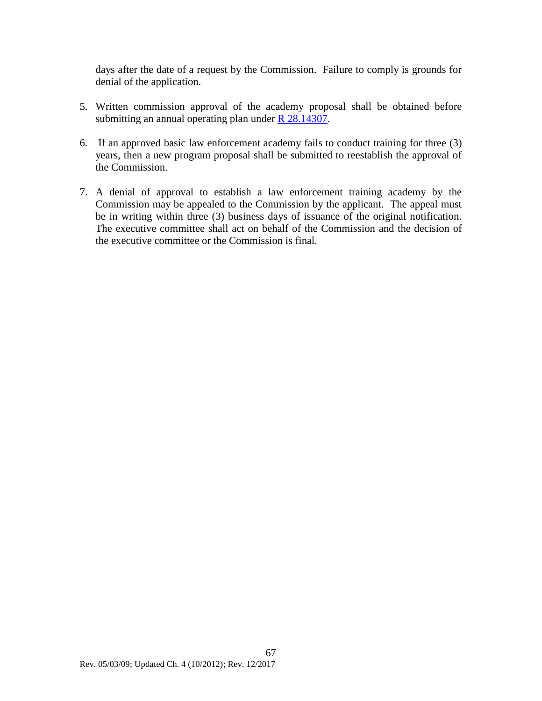days after the date of a request by the Commission. Failure to comply is grounds for denial of the application.

- 5. Written commission approval of the academy proposal shall be obtained before submitting an annual operating plan under R [28.14307.](#page-46-0)
- 6. If an approved basic law enforcement academy fails to conduct training for three (3) years, then a new program proposal shall be submitted to reestablish the approval of the Commission.
- 7. A denial of approval to establish a law enforcement training academy by the Commission may be appealed to the Commission by the applicant. The appeal must be in writing within three (3) business days of issuance of the original notification. The executive committee shall act on behalf of the Commission and the decision of the executive committee or the Commission is final.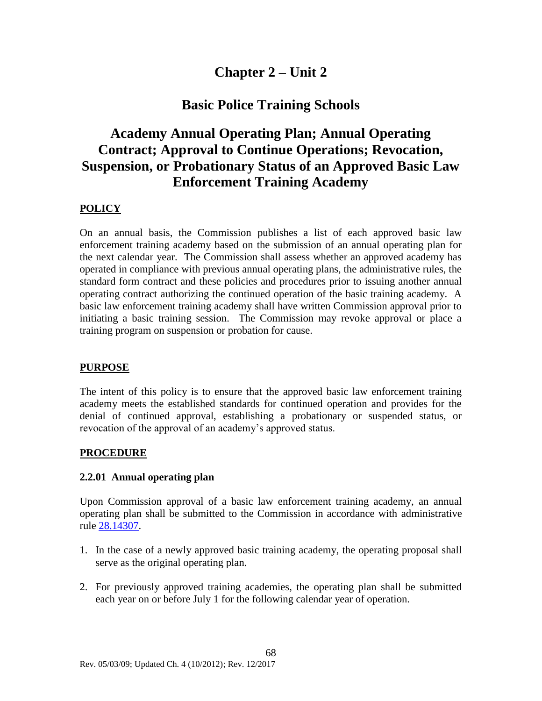### **Chapter 2 – Unit 2**

### **Basic Police Training Schools**

### **Academy Annual Operating Plan; Annual Operating Contract; Approval to Continue Operations; Revocation, Suspension, or Probationary Status of an Approved Basic Law Enforcement Training Academy**

### **POLICY**

On an annual basis, the Commission publishes a list of each approved basic law enforcement training academy based on the submission of an annual operating plan for the next calendar year. The Commission shall assess whether an approved academy has operated in compliance with previous annual operating plans, the administrative rules, the standard form contract and these policies and procedures prior to issuing another annual operating contract authorizing the continued operation of the basic training academy. A basic law enforcement training academy shall have written Commission approval prior to initiating a basic training session. The Commission may revoke approval or place a training program on suspension or probation for cause.

### **PURPOSE**

The intent of this policy is to ensure that the approved basic law enforcement training academy meets the established standards for continued operation and provides for the denial of continued approval, establishing a probationary or suspended status, or revocation of the approval of an academy's approved status.

### **PROCEDURE**

#### **2.2.01 Annual operating plan**

Upon Commission approval of a basic law enforcement training academy, an annual operating plan shall be submitted to the Commission in accordance with administrative rule [28.14307.](#page-46-0)

- 1. In the case of a newly approved basic training academy, the operating proposal shall serve as the original operating plan.
- 2. For previously approved training academies, the operating plan shall be submitted each year on or before July 1 for the following calendar year of operation.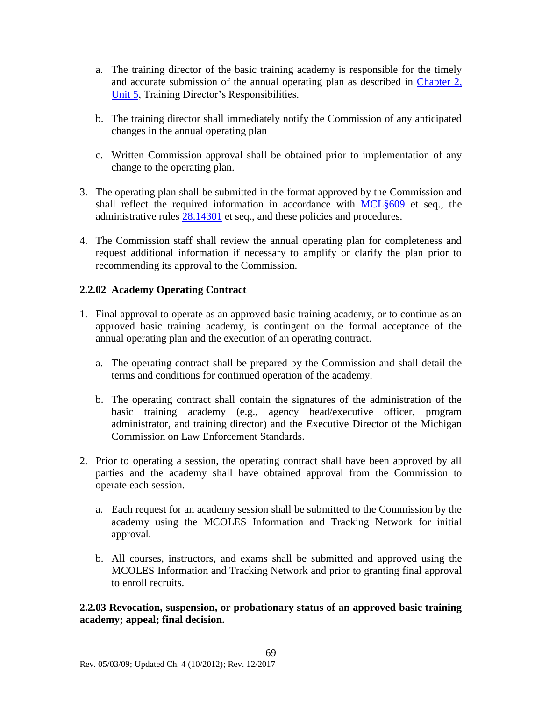- a. The training director of the basic training academy is responsible for the timely and accurate submission of the annual operating plan as described in [Chapter 2,](#page-76-0)  [Unit 5,](#page-76-0) Training Director's Responsibilities.
- b. The training director shall immediately notify the Commission of any anticipated changes in the annual operating plan
- c. Written Commission approval shall be obtained prior to implementation of any change to the operating plan.
- 3. The operating plan shall be submitted in the format approved by the Commission and shall reflect the required information in accordance with MCL§609 et seq., the administrative rules [28.14301](#page-43-1) et seq., and these policies and procedures.
- 4. The Commission staff shall review the annual operating plan for completeness and request additional information if necessary to amplify or clarify the plan prior to recommending its approval to the Commission.

### **2.2.02 Academy Operating Contract**

- 1. Final approval to operate as an approved basic training academy, or to continue as an approved basic training academy, is contingent on the formal acceptance of the annual operating plan and the execution of an operating contract.
	- a. The operating contract shall be prepared by the Commission and shall detail the terms and conditions for continued operation of the academy.
	- b. The operating contract shall contain the signatures of the administration of the basic training academy (e.g., agency head/executive officer, program administrator, and training director) and the Executive Director of the Michigan Commission on Law Enforcement Standards.
- 2. Prior to operating a session, the operating contract shall have been approved by all parties and the academy shall have obtained approval from the Commission to operate each session.
	- a. Each request for an academy session shall be submitted to the Commission by the academy using the MCOLES Information and Tracking Network for initial approval.
	- b. All courses, instructors, and exams shall be submitted and approved using the MCOLES Information and Tracking Network and prior to granting final approval to enroll recruits.

**2.2.03 Revocation, suspension, or probationary status of an approved basic training academy; appeal; final decision.**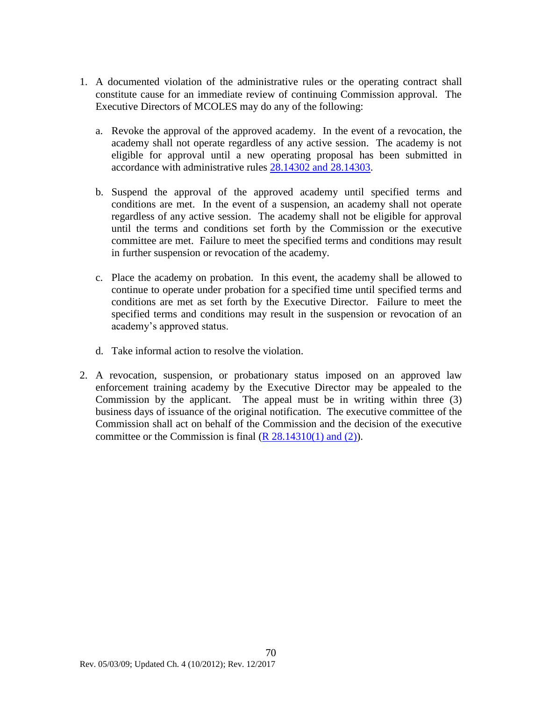- 1. A documented violation of the administrative rules or the operating contract shall constitute cause for an immediate review of continuing Commission approval. The Executive Directors of MCOLES may do any of the following:
	- a. Revoke the approval of the approved academy. In the event of a revocation, the academy shall not operate regardless of any active session. The academy is not eligible for approval until a new operating proposal has been submitted in accordance with administrative rules [28.14302 and 28.14303.](#page-43-1)
	- b. Suspend the approval of the approved academy until specified terms and conditions are met. In the event of a suspension, an academy shall not operate regardless of any active session. The academy shall not be eligible for approval until the terms and conditions set forth by the Commission or the executive committee are met. Failure to meet the specified terms and conditions may result in further suspension or revocation of the academy.
	- c. Place the academy on probation. In this event, the academy shall be allowed to continue to operate under probation for a specified time until specified terms and conditions are met as set forth by the Executive Director. Failure to meet the specified terms and conditions may result in the suspension or revocation of an academy's approved status.
	- d. Take informal action to resolve the violation.
- 2. A revocation, suspension, or probationary status imposed on an approved law enforcement training academy by the Executive Director may be appealed to the Commission by the applicant. The appeal must be in writing within three (3) business days of issuance of the original notification. The executive committee of the Commission shall act on behalf of the Commission and the decision of the executive committee or the Commission is final  $(R 28.14310(1)$  and  $(2)$ ).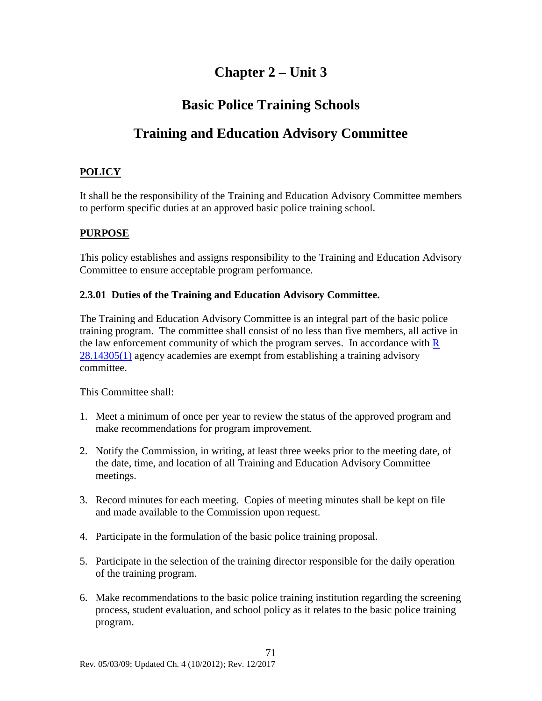# **Chapter 2 – Unit 3**

### **Basic Police Training Schools**

# **Training and Education Advisory Committee**

### **POLICY**

It shall be the responsibility of the Training and Education Advisory Committee members to perform specific duties at an approved basic police training school.

### **PURPOSE**

This policy establishes and assigns responsibility to the Training and Education Advisory Committee to ensure acceptable program performance.

### **2.3.01 Duties of the Training and Education Advisory Committee.**

The Training and Education Advisory Committee is an integral part of the basic police training program. The committee shall consist of no less than five members, all active in the law enforcement community of which the program serves. In accordance with  $\overline{R}$ [28.14305\(1\)](#page-46-0) agency academies are exempt from establishing a training advisory committee.

This Committee shall:

- 1. Meet a minimum of once per year to review the status of the approved program and make recommendations for program improvement.
- 2. Notify the Commission, in writing, at least three weeks prior to the meeting date, of the date, time, and location of all Training and Education Advisory Committee meetings.
- 3. Record minutes for each meeting. Copies of meeting minutes shall be kept on file and made available to the Commission upon request.
- 4. Participate in the formulation of the basic police training proposal.
- 5. Participate in the selection of the training director responsible for the daily operation of the training program.
- 6. Make recommendations to the basic police training institution regarding the screening process, student evaluation, and school policy as it relates to the basic police training program.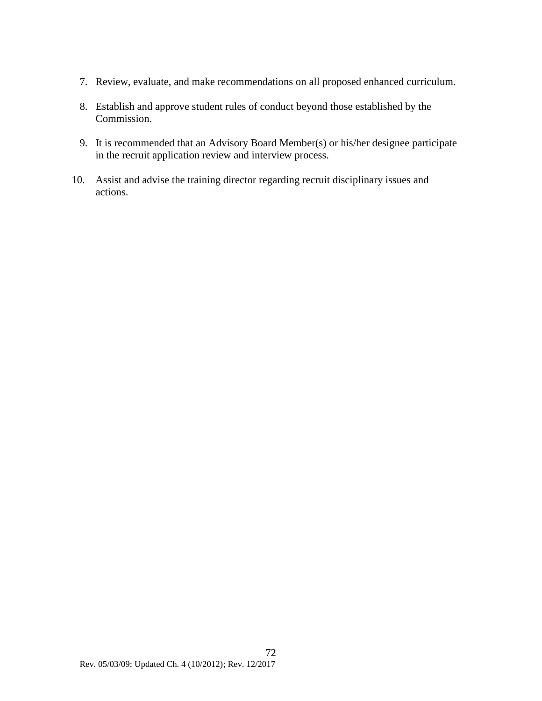- 7. Review, evaluate, and make recommendations on all proposed enhanced curriculum.
- 8. Establish and approve student rules of conduct beyond those established by the Commission.
- 9. It is recommended that an Advisory Board Member(s) or his/her designee participate in the recruit application review and interview process.
- 10. Assist and advise the training director regarding recruit disciplinary issues and actions.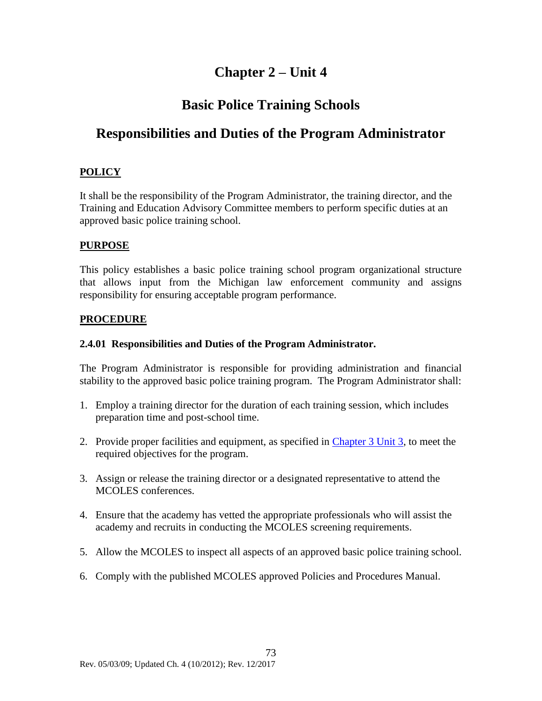# **Chapter 2 – Unit 4**

### **Basic Police Training Schools**

# **Responsibilities and Duties of the Program Administrator**

### **POLICY**

It shall be the responsibility of the Program Administrator, the training director, and the Training and Education Advisory Committee members to perform specific duties at an approved basic police training school.

### **PURPOSE**

This policy establishes a basic police training school program organizational structure that allows input from the Michigan law enforcement community and assigns responsibility for ensuring acceptable program performance.

### **PROCEDURE**

### **2.4.01 Responsibilities and Duties of the Program Administrator.**

The Program Administrator is responsible for providing administration and financial stability to the approved basic police training program. The Program Administrator shall:

- 1. Employ a training director for the duration of each training session, which includes preparation time and post-school time.
- 2. Provide proper facilities and equipment, as specified in [Chapter 3](#page-99-0) Unit 3, to meet the required objectives for the program.
- 3. Assign or release the training director or a designated representative to attend the MCOLES conferences.
- 4. Ensure that the academy has vetted the appropriate professionals who will assist the academy and recruits in conducting the MCOLES screening requirements.
- 5. Allow the MCOLES to inspect all aspects of an approved basic police training school.
- 6. Comply with the published MCOLES approved Policies and Procedures Manual.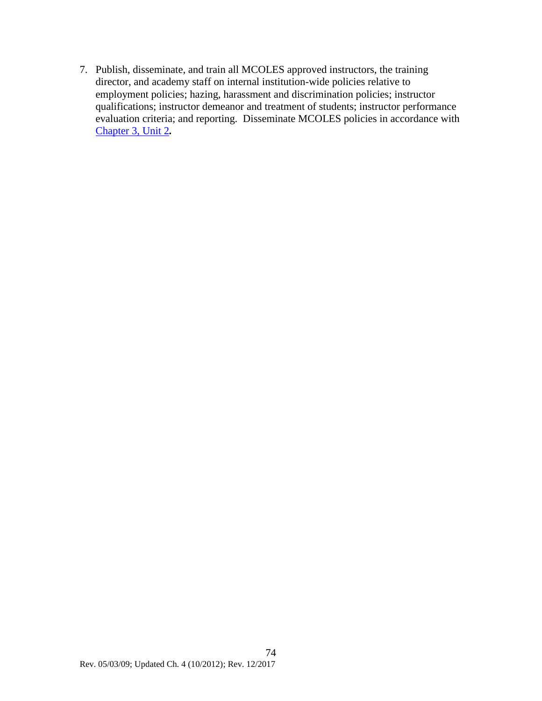7. Publish, disseminate, and train all MCOLES approved instructors, the training director, and academy staff on internal institution-wide policies relative to employment policies; hazing, harassment and discrimination policies; instructor qualifications; instructor demeanor and treatment of students; instructor performance evaluation criteria; and reporting. Disseminate MCOLES policies in accordance with [Chapter 3, Unit 2](#page-95-0)*.*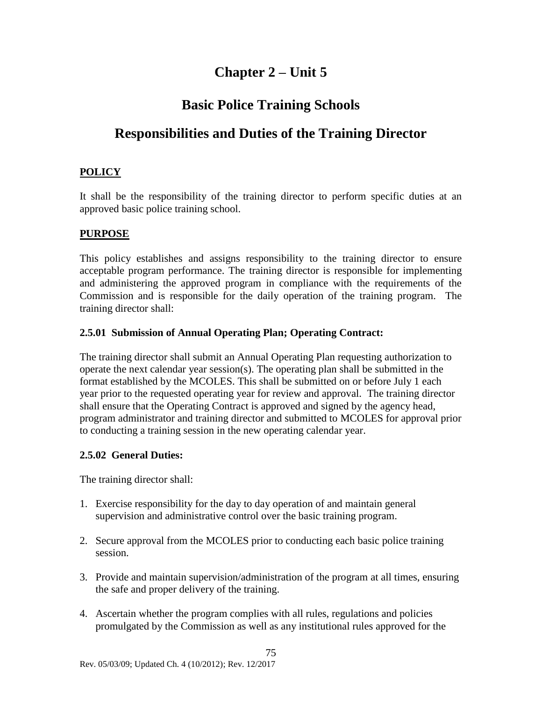# **Chapter 2 – Unit 5**

# **Basic Police Training Schools**

# <span id="page-76-0"></span>**Responsibilities and Duties of the Training Director**

### **POLICY**

It shall be the responsibility of the training director to perform specific duties at an approved basic police training school.

### **PURPOSE**

This policy establishes and assigns responsibility to the training director to ensure acceptable program performance. The training director is responsible for implementing and administering the approved program in compliance with the requirements of the Commission and is responsible for the daily operation of the training program. The training director shall:

### **2.5.01 Submission of Annual Operating Plan; Operating Contract:**

The training director shall submit an Annual Operating Plan requesting authorization to operate the next calendar year session(s). The operating plan shall be submitted in the format established by the MCOLES. This shall be submitted on or before July 1 each year prior to the requested operating year for review and approval. The training director shall ensure that the Operating Contract is approved and signed by the agency head, program administrator and training director and submitted to MCOLES for approval prior to conducting a training session in the new operating calendar year.

### **2.5.02 General Duties:**

The training director shall:

- 1. Exercise responsibility for the day to day operation of and maintain general supervision and administrative control over the basic training program.
- 2. Secure approval from the MCOLES prior to conducting each basic police training session.
- 3. Provide and maintain supervision/administration of the program at all times, ensuring the safe and proper delivery of the training.
- 4. Ascertain whether the program complies with all rules, regulations and policies promulgated by the Commission as well as any institutional rules approved for the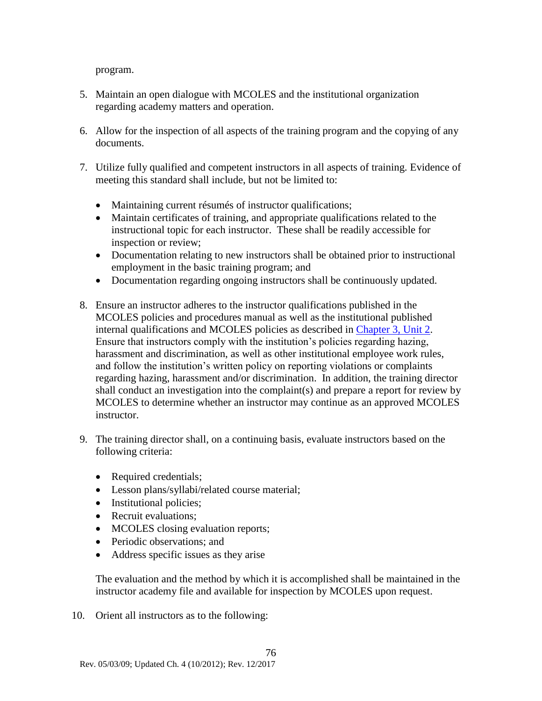program.

- 5. Maintain an open dialogue with MCOLES and the institutional organization regarding academy matters and operation.
- 6. Allow for the inspection of all aspects of the training program and the copying of any documents.
- 7. Utilize fully qualified and competent instructors in all aspects of training. Evidence of meeting this standard shall include, but not be limited to:
	- Maintaining current résumés of instructor qualifications;
	- Maintain certificates of training, and appropriate qualifications related to the instructional topic for each instructor. These shall be readily accessible for inspection or review;
	- Documentation relating to new instructors shall be obtained prior to instructional employment in the basic training program; and
	- Documentation regarding ongoing instructors shall be continuously updated.
- 8. Ensure an instructor adheres to the instructor qualifications published in the MCOLES policies and procedures manual as well as the institutional published internal qualifications and MCOLES policies as described in [Chapter 3, Unit 2.](#page-95-0) Ensure that instructors comply with the institution's policies regarding hazing, harassment and discrimination, as well as other institutional employee work rules, and follow the institution's written policy on reporting violations or complaints regarding hazing, harassment and/or discrimination. In addition, the training director shall conduct an investigation into the complaint(s) and prepare a report for review by MCOLES to determine whether an instructor may continue as an approved MCOLES instructor.
- 9. The training director shall, on a continuing basis, evaluate instructors based on the following criteria:
	- Required credentials;
	- Lesson plans/syllabi/related course material;
	- Institutional policies;
	- Recruit evaluations;
	- MCOLES closing evaluation reports;
	- Periodic observations; and
	- Address specific issues as they arise

The evaluation and the method by which it is accomplished shall be maintained in the instructor academy file and available for inspection by MCOLES upon request.

10. Orient all instructors as to the following: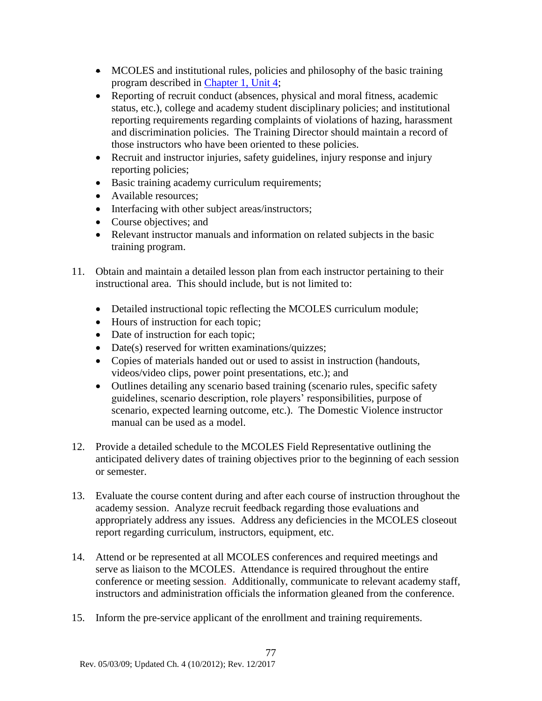- MCOLES and institutional rules, policies and philosophy of the basic training program described in [Chapter 1, Unit 4;](#page-58-0)
- Reporting of recruit conduct (absences, physical and moral fitness, academic status, etc.), college and academy student disciplinary policies; and institutional reporting requirements regarding complaints of violations of hazing, harassment and discrimination policies. The Training Director should maintain a record of those instructors who have been oriented to these policies.
- Recruit and instructor injuries, safety guidelines, injury response and injury reporting policies;
- Basic training academy curriculum requirements;
- Available resources:
- Interfacing with other subject areas/instructors;
- Course objectives; and
- Relevant instructor manuals and information on related subjects in the basic training program.
- 11. Obtain and maintain a detailed lesson plan from each instructor pertaining to their instructional area. This should include, but is not limited to:
	- Detailed instructional topic reflecting the MCOLES curriculum module;
	- Hours of instruction for each topic;
	- Date of instruction for each topic;
	- Date(s) reserved for written examinations/quizzes;
	- Copies of materials handed out or used to assist in instruction (handouts, videos/video clips, power point presentations, etc.); and
	- Outlines detailing any scenario based training (scenario rules, specific safety guidelines, scenario description, role players' responsibilities, purpose of scenario, expected learning outcome, etc.). The Domestic Violence instructor manual can be used as a model.
- 12. Provide a detailed schedule to the MCOLES Field Representative outlining the anticipated delivery dates of training objectives prior to the beginning of each session or semester.
- 13. Evaluate the course content during and after each course of instruction throughout the academy session. Analyze recruit feedback regarding those evaluations and appropriately address any issues. Address any deficiencies in the MCOLES closeout report regarding curriculum, instructors, equipment, etc.
- 14. Attend or be represented at all MCOLES conferences and required meetings and serve as liaison to the MCOLES. Attendance is required throughout the entire conference or meeting session. Additionally, communicate to relevant academy staff, instructors and administration officials the information gleaned from the conference.
- 15. Inform the pre-service applicant of the enrollment and training requirements.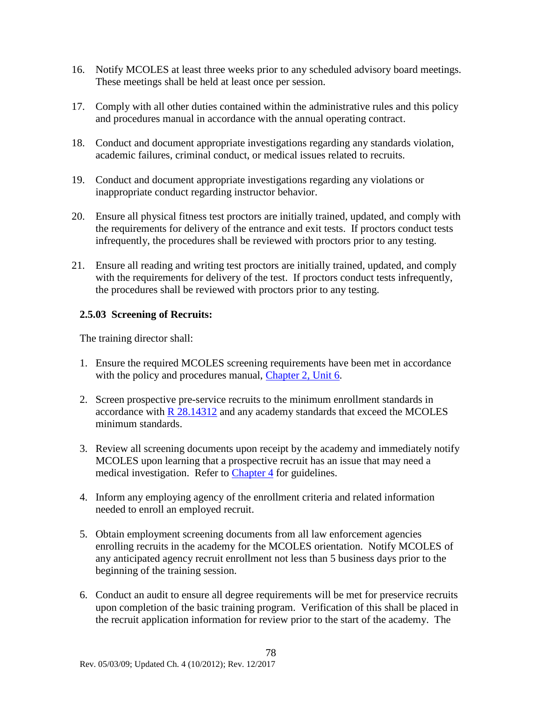- 16. Notify MCOLES at least three weeks prior to any scheduled advisory board meetings. These meetings shall be held at least once per session.
- 17. Comply with all other duties contained within the administrative rules and this policy and procedures manual in accordance with the annual operating contract.
- 18. Conduct and document appropriate investigations regarding any standards violation, academic failures, criminal conduct, or medical issues related to recruits.
- 19. Conduct and document appropriate investigations regarding any violations or inappropriate conduct regarding instructor behavior.
- 20. Ensure all physical fitness test proctors are initially trained, updated, and comply with the requirements for delivery of the entrance and exit tests. If proctors conduct tests infrequently, the procedures shall be reviewed with proctors prior to any testing.
- 21. Ensure all reading and writing test proctors are initially trained, updated, and comply with the requirements for delivery of the test. If proctors conduct tests infrequently, the procedures shall be reviewed with proctors prior to any testing.

### **2.5.03 Screening of Recruits:**

The training director shall:

- 1. Ensure the required MCOLES screening requirements have been met in accordance with the policy and procedures manual, [Chapter 2, Unit](#page-83-0) 6.
- 2. Screen prospective pre-service recruits to the minimum enrollment standards in accordance with [R 28.14312](#page-48-0) and any academy standards that exceed the MCOLES minimum standards.
- 3. Review all screening documents upon receipt by the academy and immediately notify MCOLES upon learning that a prospective recruit has an issue that may need a medical investigation. Refer to [Chapter 4](#page-122-0) for guidelines.
- 4. Inform any employing agency of the enrollment criteria and related information needed to enroll an employed recruit.
- 5. Obtain employment screening documents from all law enforcement agencies enrolling recruits in the academy for the MCOLES orientation. Notify MCOLES of any anticipated agency recruit enrollment not less than 5 business days prior to the beginning of the training session.
- 6. Conduct an audit to ensure all degree requirements will be met for preservice recruits upon completion of the basic training program. Verification of this shall be placed in the recruit application information for review prior to the start of the academy. The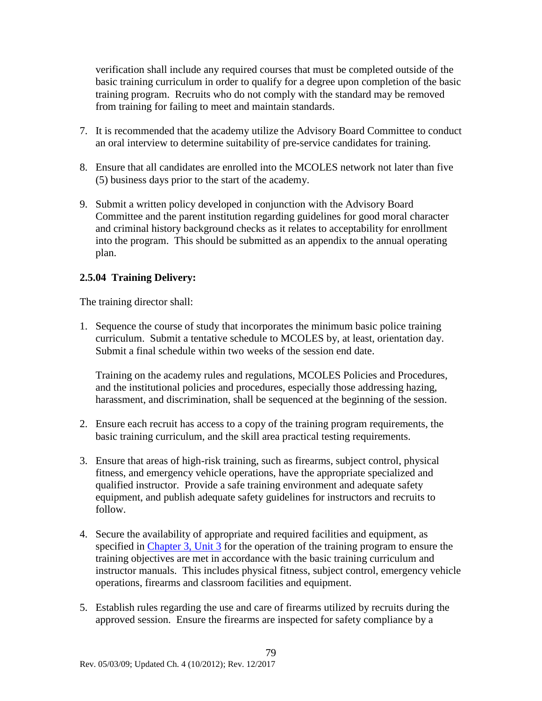verification shall include any required courses that must be completed outside of the basic training curriculum in order to qualify for a degree upon completion of the basic training program. Recruits who do not comply with the standard may be removed from training for failing to meet and maintain standards.

- 7. It is recommended that the academy utilize the Advisory Board Committee to conduct an oral interview to determine suitability of pre-service candidates for training.
- 8. Ensure that all candidates are enrolled into the MCOLES network not later than five (5) business days prior to the start of the academy.
- 9. Submit a written policy developed in conjunction with the Advisory Board Committee and the parent institution regarding guidelines for good moral character and criminal history background checks as it relates to acceptability for enrollment into the program. This should be submitted as an appendix to the annual operating plan.

### **2.5.04 Training Delivery:**

The training director shall:

1. Sequence the course of study that incorporates the minimum basic police training curriculum. Submit a tentative schedule to MCOLES by, at least, orientation day. Submit a final schedule within two weeks of the session end date.

Training on the academy rules and regulations, MCOLES Policies and Procedures, and the institutional policies and procedures, especially those addressing hazing, harassment, and discrimination, shall be sequenced at the beginning of the session.

- 2. Ensure each recruit has access to a copy of the training program requirements, the basic training curriculum, and the skill area practical testing requirements.
- 3. Ensure that areas of high-risk training, such as firearms, subject control, physical fitness, and emergency vehicle operations, have the appropriate specialized and qualified instructor. Provide a safe training environment and adequate safety equipment, and publish adequate safety guidelines for instructors and recruits to follow.
- 4. Secure the availability of appropriate and required facilities and equipment, as specified in [Chapter 3, Unit 3](#page-99-0) for the operation of the training program to ensure the training objectives are met in accordance with the basic training curriculum and instructor manuals. This includes physical fitness, subject control, emergency vehicle operations, firearms and classroom facilities and equipment.
- 5. Establish rules regarding the use and care of firearms utilized by recruits during the approved session. Ensure the firearms are inspected for safety compliance by a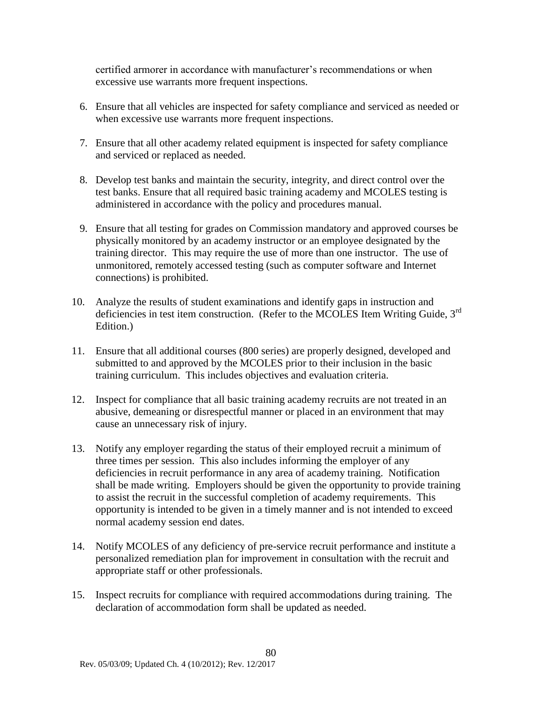certified armorer in accordance with manufacturer's recommendations or when excessive use warrants more frequent inspections.

- 6. Ensure that all vehicles are inspected for safety compliance and serviced as needed or when excessive use warrants more frequent inspections.
- 7. Ensure that all other academy related equipment is inspected for safety compliance and serviced or replaced as needed.
- 8. Develop test banks and maintain the security, integrity, and direct control over the test banks. Ensure that all required basic training academy and MCOLES testing is administered in accordance with the policy and procedures manual.
- 9. Ensure that all testing for grades on Commission mandatory and approved courses be physically monitored by an academy instructor or an employee designated by the training director. This may require the use of more than one instructor. The use of unmonitored, remotely accessed testing (such as computer software and Internet connections) is prohibited.
- 10. Analyze the results of student examinations and identify gaps in instruction and deficiencies in test item construction. (Refer to the MCOLES Item Writing Guide, 3<sup>rd</sup> Edition.)
- 11. Ensure that all additional courses (800 series) are properly designed, developed and submitted to and approved by the MCOLES prior to their inclusion in the basic training curriculum. This includes objectives and evaluation criteria.
- 12. Inspect for compliance that all basic training academy recruits are not treated in an abusive, demeaning or disrespectful manner or placed in an environment that may cause an unnecessary risk of injury.
- 13. Notify any employer regarding the status of their employed recruit a minimum of three times per session. This also includes informing the employer of any deficiencies in recruit performance in any area of academy training. Notification shall be made writing. Employers should be given the opportunity to provide training to assist the recruit in the successful completion of academy requirements. This opportunity is intended to be given in a timely manner and is not intended to exceed normal academy session end dates.
- 14. Notify MCOLES of any deficiency of pre-service recruit performance and institute a personalized remediation plan for improvement in consultation with the recruit and appropriate staff or other professionals.
- 15. Inspect recruits for compliance with required accommodations during training. The declaration of accommodation form shall be updated as needed.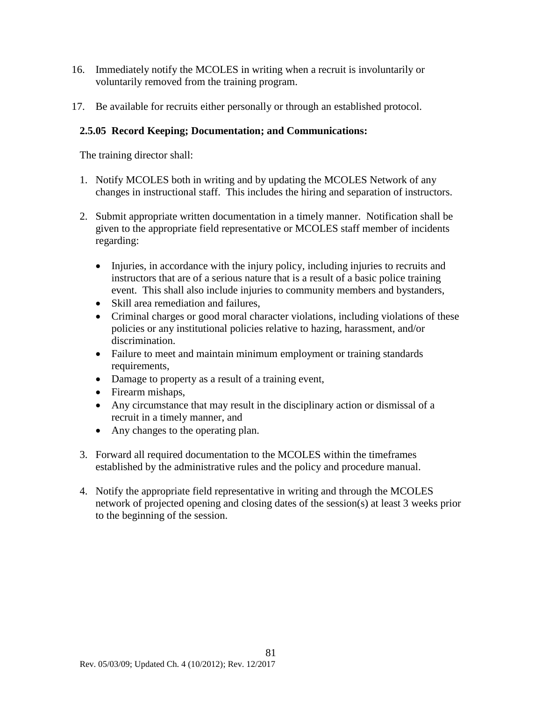- 16. Immediately notify the MCOLES in writing when a recruit is involuntarily or voluntarily removed from the training program.
- 17. Be available for recruits either personally or through an established protocol.

### **2.5.05 Record Keeping; Documentation; and Communications:**

The training director shall:

- 1. Notify MCOLES both in writing and by updating the MCOLES Network of any changes in instructional staff. This includes the hiring and separation of instructors.
- 2. Submit appropriate written documentation in a timely manner. Notification shall be given to the appropriate field representative or MCOLES staff member of incidents regarding:
	- Injuries, in accordance with the injury policy, including injuries to recruits and instructors that are of a serious nature that is a result of a basic police training event. This shall also include injuries to community members and bystanders,
	- Skill area remediation and failures.
	- Criminal charges or good moral character violations, including violations of these policies or any institutional policies relative to hazing, harassment, and/or discrimination.
	- Failure to meet and maintain minimum employment or training standards requirements,
	- Damage to property as a result of a training event,
	- Firearm mishaps,
	- Any circumstance that may result in the disciplinary action or dismissal of a recruit in a timely manner, and
	- Any changes to the operating plan.
- 3. Forward all required documentation to the MCOLES within the timeframes established by the administrative rules and the policy and procedure manual.
- 4. Notify the appropriate field representative in writing and through the MCOLES network of projected opening and closing dates of the session(s) at least 3 weeks prior to the beginning of the session.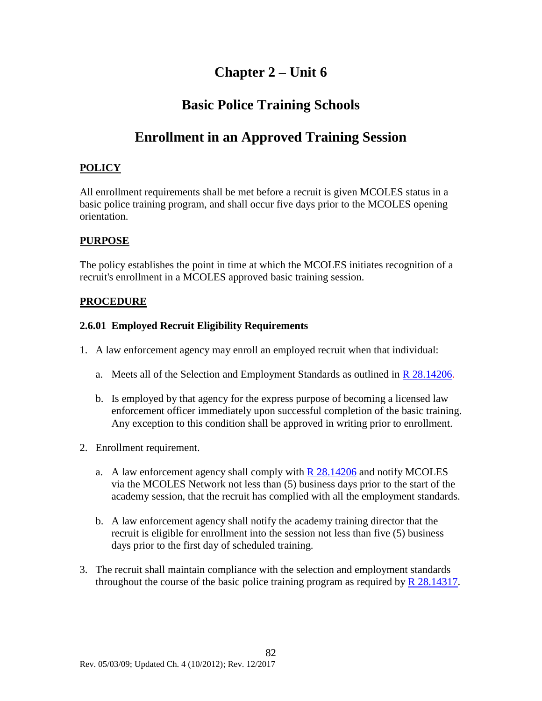# **Chapter 2 – Unit 6**

# **Basic Police Training Schools**

# **Enrollment in an Approved Training Session**

### <span id="page-83-0"></span>**POLICY**

All enrollment requirements shall be met before a recruit is given MCOLES status in a basic police training program, and shall occur five days prior to the MCOLES opening orientation.

### **PURPOSE**

The policy establishes the point in time at which the MCOLES initiates recognition of a recruit's enrollment in a MCOLES approved basic training session.

### **PROCEDURE**

### **2.6.01 Employed Recruit Eligibility Requirements**

- 1. A law enforcement agency may enroll an employed recruit when that individual:
	- a. Meets all of the Selection and Employment Standards as outlined in R [28.14206.](#page-41-0)
	- b. Is employed by that agency for the express purpose of becoming a licensed law enforcement officer immediately upon successful completion of the basic training. Any exception to this condition shall be approved in writing prior to enrollment.
- 2. Enrollment requirement.
	- a. A law enforcement agency shall comply with  $R$  28.14206 and notify MCOLES via the MCOLES Network not less than (5) business days prior to the start of the academy session, that the recruit has complied with all the employment standards.
	- b. A law enforcement agency shall notify the academy training director that the recruit is eligible for enrollment into the session not less than five (5) business days prior to the first day of scheduled training.
- 3. The recruit shall maintain compliance with the selection and employment standards throughout the course of the basic police training program as required by  $R$  28.14317.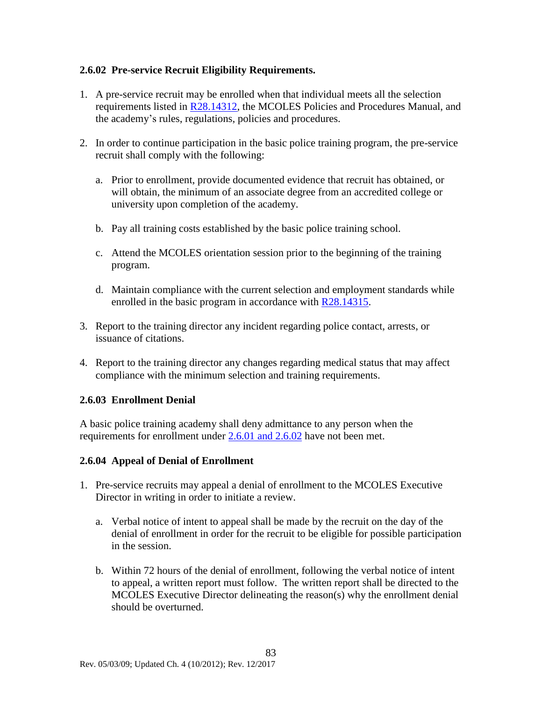### **2.6.02 Pre-service Recruit Eligibility Requirements.**

- 1. A pre-service recruit may be enrolled when that individual meets all the selection requirements listed in [R28.14312,](#page-48-0) the MCOLES Policies and Procedures Manual, and the academy's rules, regulations, policies and procedures.
- 2. In order to continue participation in the basic police training program, the pre-service recruit shall comply with the following:
	- a. Prior to enrollment, provide documented evidence that recruit has obtained, or will obtain, the minimum of an associate degree from an accredited college or university upon completion of the academy.
	- b. Pay all training costs established by the basic police training school.
	- c. Attend the MCOLES orientation session prior to the beginning of the training program.
	- d. Maintain compliance with the current selection and employment standards while enrolled in the basic program in accordance with [R28.14315.](#page-50-1)
- 3. Report to the training director any incident regarding police contact, arrests, or issuance of citations.
- 4. Report to the training director any changes regarding medical status that may affect compliance with the minimum selection and training requirements.

### **2.6.03 Enrollment Denial**

A basic police training academy shall deny admittance to any person when the requirements for enrollment under [2.6.01 and 2.6.02](#page-83-0) have not been met.

### **2.6.04 Appeal of Denial of Enrollment**

- 1. Pre-service recruits may appeal a denial of enrollment to the MCOLES Executive Director in writing in order to initiate a review.
	- a. Verbal notice of intent to appeal shall be made by the recruit on the day of the denial of enrollment in order for the recruit to be eligible for possible participation in the session.
	- b. Within 72 hours of the denial of enrollment, following the verbal notice of intent to appeal, a written report must follow. The written report shall be directed to the MCOLES Executive Director delineating the reason(s) why the enrollment denial should be overturned.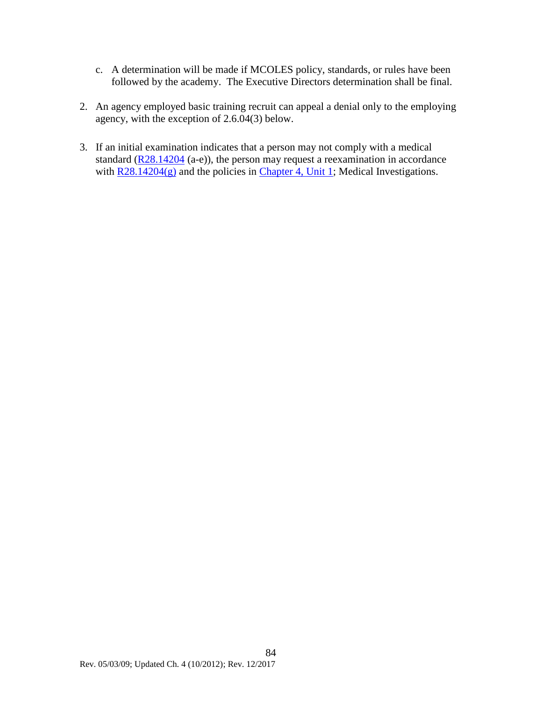- c. A determination will be made if MCOLES policy, standards, or rules have been followed by the academy. The Executive Directors determination shall be final.
- 2. An agency employed basic training recruit can appeal a denial only to the employing agency, with the exception of 2.6.04(3) below.
- 3. If an initial examination indicates that a person may not comply with a medical standard  $(R28.14204$  (a-e)), the person may request a reexamination in accordance with <u>R28.14204(g)</u> and the policies in [Chapter 4, Unit 1;](#page-122-0) Medical Investigations.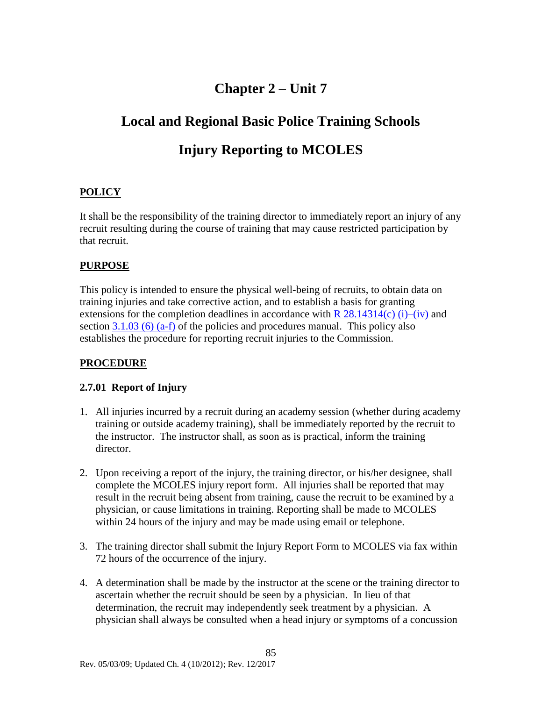# **Chapter 2 – Unit 7**

# **Local and Regional Basic Police Training Schools**

# **Injury Reporting to MCOLES**

### **POLICY**

It shall be the responsibility of the training director to immediately report an injury of any recruit resulting during the course of training that may cause restricted participation by that recruit.

### **PURPOSE**

This policy is intended to ensure the physical well-being of recruits, to obtain data on training injuries and take corrective action, and to establish a basis for granting extensions for the completion deadlines in accordance with  $R$  28.14314(c) (i)–(iv) and section  $3.1.03$  (6) (a-f) of the policies and procedures manual. This policy also establishes the procedure for reporting recruit injuries to the Commission.

### **PROCEDURE**

### **2.7.01 Report of Injury**

- 1. All injuries incurred by a recruit during an academy session (whether during academy training or outside academy training), shall be immediately reported by the recruit to the instructor. The instructor shall, as soon as is practical, inform the training director.
- 2. Upon receiving a report of the injury, the training director, or his/her designee, shall complete the MCOLES injury report form. All injuries shall be reported that may result in the recruit being absent from training, cause the recruit to be examined by a physician, or cause limitations in training. Reporting shall be made to MCOLES within 24 hours of the injury and may be made using email or telephone.
- 3. The training director shall submit the Injury Report Form to MCOLES via fax within 72 hours of the occurrence of the injury.
- 4. A determination shall be made by the instructor at the scene or the training director to ascertain whether the recruit should be seen by a physician. In lieu of that determination, the recruit may independently seek treatment by a physician. A physician shall always be consulted when a head injury or symptoms of a concussion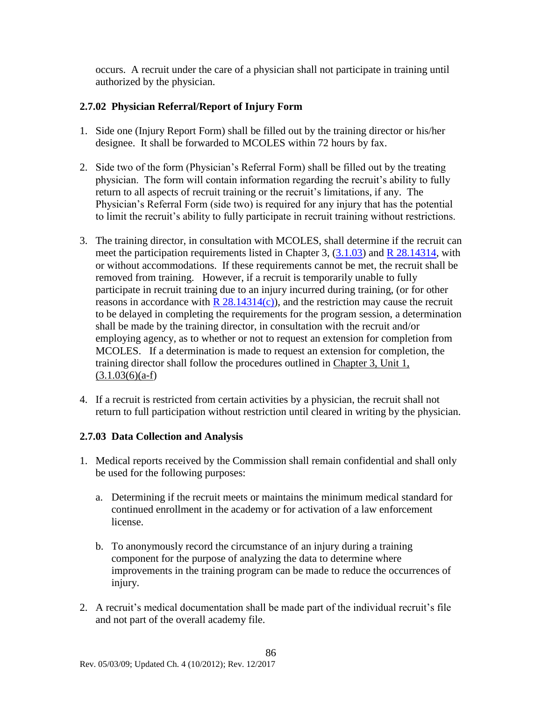occurs. A recruit under the care of a physician shall not participate in training until authorized by the physician.

### **2.7.02 Physician Referral/Report of Injury Form**

- 1. Side one (Injury Report Form) shall be filled out by the training director or his/her designee. It shall be forwarded to MCOLES within 72 hours by fax.
- 2. Side two of the form (Physician's Referral Form) shall be filled out by the treating physician. The form will contain information regarding the recruit's ability to fully return to all aspects of recruit training or the recruit's limitations, if any. The Physician's Referral Form (side two) is required for any injury that has the potential to limit the recruit's ability to fully participate in recruit training without restrictions.
- 3. The training director, in consultation with MCOLES, shall determine if the recruit can meet the participation requirements listed in Chapter 3, [\(3.1.03\)](#page-91-0) and [R 28.14314,](#page-49-0) with or without accommodations. If these requirements cannot be met, the recruit shall be removed from training. However, if a recruit is temporarily unable to fully participate in recruit training due to an injury incurred during training, (or for other reasons in accordance with  $R$  28.14314(c)), and the restriction may cause the recruit to be delayed in completing the requirements for the program session, a determination shall be made by the training director, in consultation with the recruit and/or employing agency, as to whether or not to request an extension for completion from MCOLES. If a determination is made to request an extension for completion, the training director shall follow the procedures outlined in [Chapter 3, Unit 1,](#page-93-0)   $(3.1.03(6)(a-f))$  $(3.1.03(6)(a-f))$
- 4. If a recruit is restricted from certain activities by a physician, the recruit shall not return to full participation without restriction until cleared in writing by the physician.

### **2.7.03 Data Collection and Analysis**

- 1. Medical reports received by the Commission shall remain confidential and shall only be used for the following purposes:
	- a. Determining if the recruit meets or maintains the minimum medical standard for continued enrollment in the academy or for activation of a law enforcement license.
	- b. To anonymously record the circumstance of an injury during a training component for the purpose of analyzing the data to determine where improvements in the training program can be made to reduce the occurrences of injury.
- 2. A recruit's medical documentation shall be made part of the individual recruit's file and not part of the overall academy file.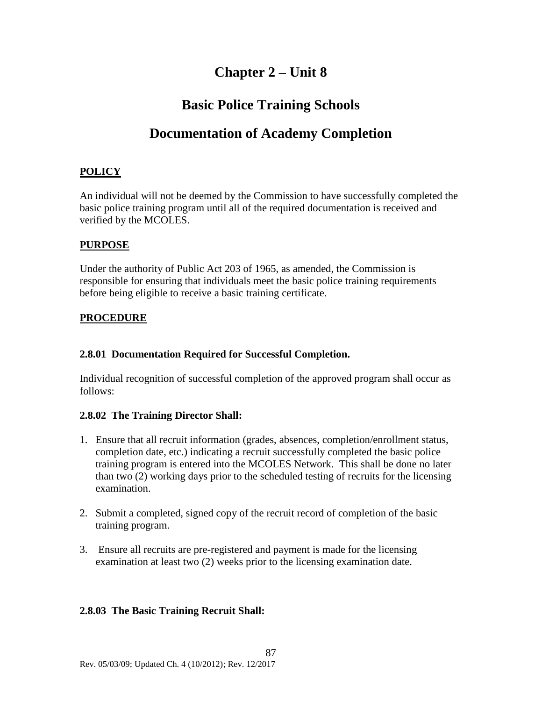# **Chapter 2 – Unit 8**

## **Basic Police Training Schools**

## **Documentation of Academy Completion**

### **POLICY**

An individual will not be deemed by the Commission to have successfully completed the basic police training program until all of the required documentation is received and verified by the MCOLES.

### **PURPOSE**

Under the authority of Public Act 203 of 1965, as amended, the Commission is responsible for ensuring that individuals meet the basic police training requirements before being eligible to receive a basic training certificate.

### **PROCEDURE**

### **2.8.01 Documentation Required for Successful Completion.**

Individual recognition of successful completion of the approved program shall occur as follows:

### **2.8.02 The Training Director Shall:**

- 1. Ensure that all recruit information (grades, absences, completion/enrollment status, completion date, etc.) indicating a recruit successfully completed the basic police training program is entered into the MCOLES Network. This shall be done no later than two (2) working days prior to the scheduled testing of recruits for the licensing examination.
- 2. Submit a completed, signed copy of the recruit record of completion of the basic training program.
- 3. Ensure all recruits are pre-registered and payment is made for the licensing examination at least two (2) weeks prior to the licensing examination date.

### **2.8.03 The Basic Training Recruit Shall:**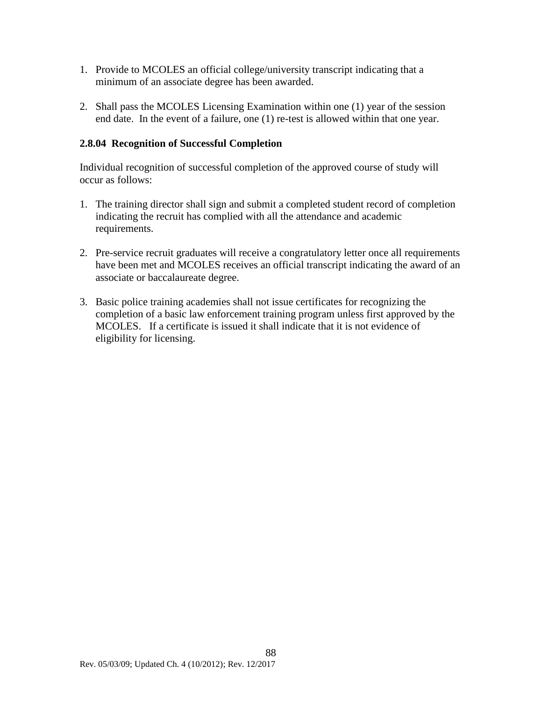- 1. Provide to MCOLES an official college/university transcript indicating that a minimum of an associate degree has been awarded.
- 2. Shall pass the MCOLES Licensing Examination within one (1) year of the session end date. In the event of a failure, one (1) re-test is allowed within that one year.

### **2.8.04 Recognition of Successful Completion**

Individual recognition of successful completion of the approved course of study will occur as follows:

- 1. The training director shall sign and submit a completed student record of completion indicating the recruit has complied with all the attendance and academic requirements.
- 2. Pre-service recruit graduates will receive a congratulatory letter once all requirements have been met and MCOLES receives an official transcript indicating the award of an associate or baccalaureate degree.
- 3. Basic police training academies shall not issue certificates for recognizing the completion of a basic law enforcement training program unless first approved by the MCOLES. If a certificate is issued it shall indicate that it is not evidence of eligibility for licensing.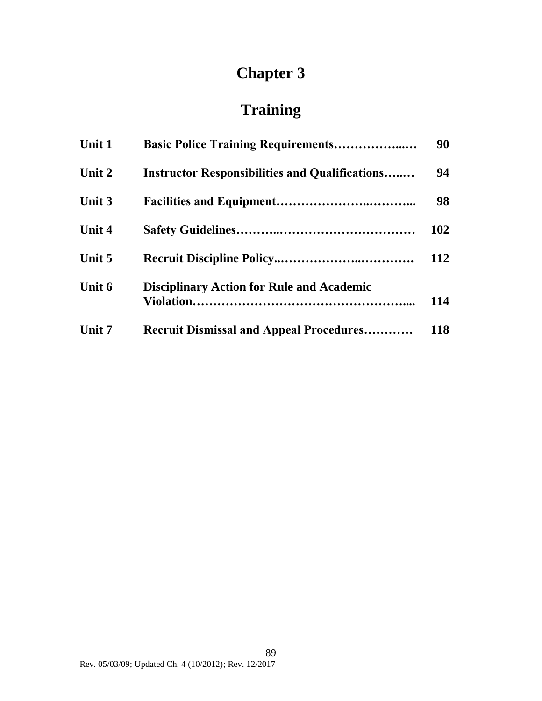# **Chapter 3**

# **Training**

| Unit 1 | <b>Basic Police Training Requirements</b>             | 90         |
|--------|-------------------------------------------------------|------------|
| Unit 2 | <b>Instructor Responsibilities and Qualifications</b> | 94         |
| Unit 3 |                                                       | 98         |
| Unit 4 |                                                       | 102        |
| Unit 5 |                                                       | 112        |
| Unit 6 | <b>Disciplinary Action for Rule and Academic</b>      | 114        |
| Unit 7 | <b>Recruit Dismissal and Appeal Procedures</b>        | <b>118</b> |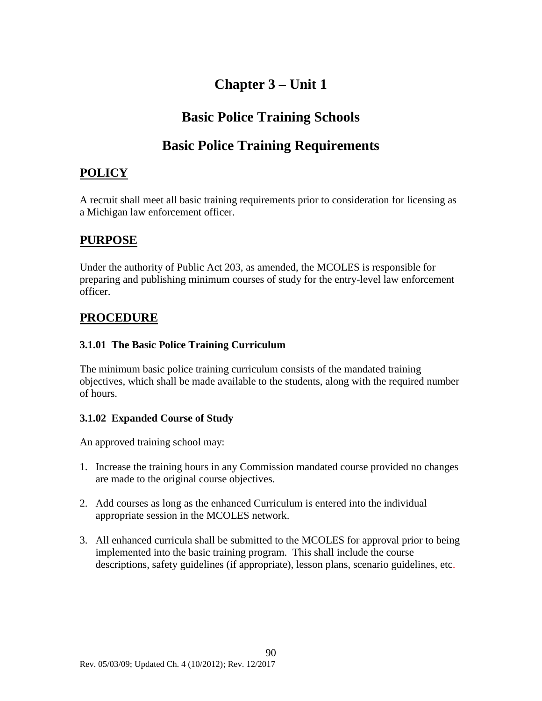# **Chapter 3 – Unit 1**

# **Basic Police Training Schools**

# **Basic Police Training Requirements**

### <span id="page-91-0"></span>**POLICY**

A recruit shall meet all basic training requirements prior to consideration for licensing as a Michigan law enforcement officer.

### **PURPOSE**

Under the authority of Public Act 203, as amended, the MCOLES is responsible for preparing and publishing minimum courses of study for the entry-level law enforcement officer.

### **PROCEDURE**

### **3.1.01 The Basic Police Training Curriculum**

The minimum basic police training curriculum consists of the mandated training objectives, which shall be made available to the students, along with the required number of hours.

### **3.1.02 Expanded Course of Study**

An approved training school may:

- 1. Increase the training hours in any Commission mandated course provided no changes are made to the original course objectives.
- 2. Add courses as long as the enhanced Curriculum is entered into the individual appropriate session in the MCOLES network.
- 3. All enhanced curricula shall be submitted to the MCOLES for approval prior to being implemented into the basic training program. This shall include the course descriptions, safety guidelines (if appropriate), lesson plans, scenario guidelines, etc.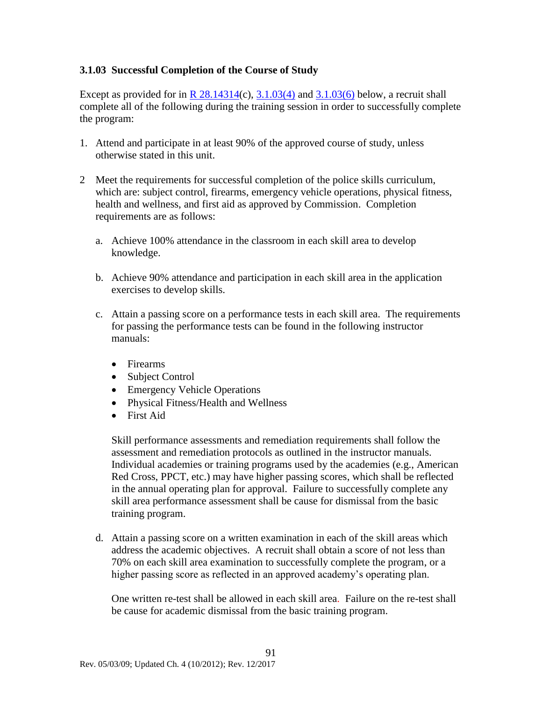### **3.1.03 Successful Completion of the Course of Study**

Except as provided for in R  $28.14314(c)$ ,  $3.1.03(4)$  and  $3.1.03(6)$  below, a recruit shall complete all of the following during the training session in order to successfully complete the program:

- 1. Attend and participate in at least 90% of the approved course of study, unless otherwise stated in this unit.
- 2 Meet the requirements for successful completion of the police skills curriculum, which are: subject control, firearms, emergency vehicle operations, physical fitness, health and wellness, and first aid as approved by Commission. Completion requirements are as follows:
	- a. Achieve 100% attendance in the classroom in each skill area to develop knowledge.
	- b. Achieve 90% attendance and participation in each skill area in the application exercises to develop skills.
	- c. Attain a passing score on a performance tests in each skill area. The requirements for passing the performance tests can be found in the following instructor manuals:
		- Firearms
		- Subject Control
		- Emergency Vehicle Operations
		- Physical Fitness/Health and Wellness
		- First Aid

Skill performance assessments and remediation requirements shall follow the assessment and remediation protocols as outlined in the instructor manuals. Individual academies or training programs used by the academies (e.g., American Red Cross, PPCT, etc.) may have higher passing scores, which shall be reflected in the annual operating plan for approval. Failure to successfully complete any skill area performance assessment shall be cause for dismissal from the basic training program.

d. Attain a passing score on a written examination in each of the skill areas which address the academic objectives. A recruit shall obtain a score of not less than 70% on each skill area examination to successfully complete the program, or a higher passing score as reflected in an approved academy's operating plan.

One written re-test shall be allowed in each skill area. Failure on the re-test shall be cause for academic dismissal from the basic training program.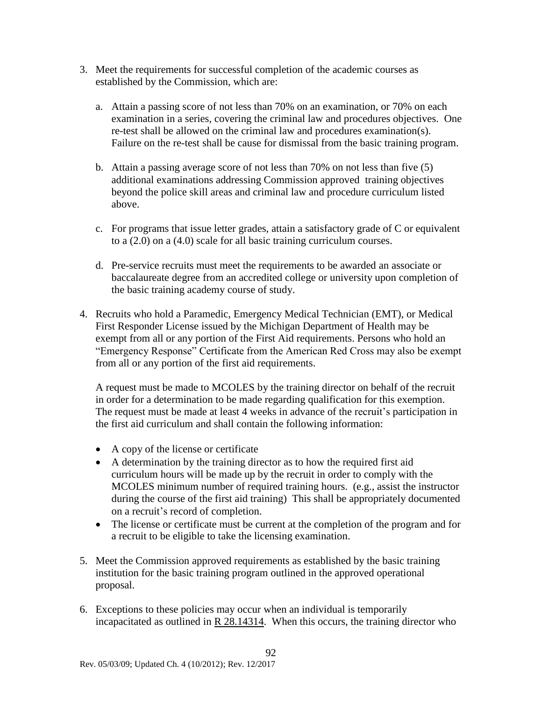- 3. Meet the requirements for successful completion of the academic courses as established by the Commission, which are:
	- a. Attain a passing score of not less than 70% on an examination, or 70% on each examination in a series, covering the criminal law and procedures objectives. One re-test shall be allowed on the criminal law and procedures examination(s). Failure on the re-test shall be cause for dismissal from the basic training program.
	- b. Attain a passing average score of not less than 70% on not less than five (5) additional examinations addressing Commission approved training objectives beyond the police skill areas and criminal law and procedure curriculum listed above.
	- c. For programs that issue letter grades, attain a satisfactory grade of C or equivalent to a (2.0) on a (4.0) scale for all basic training curriculum courses.
	- d. Pre-service recruits must meet the requirements to be awarded an associate or baccalaureate degree from an accredited college or university upon completion of the basic training academy course of study.
- <span id="page-93-1"></span>4. Recruits who hold a Paramedic, Emergency Medical Technician (EMT), or Medical First Responder License issued by the Michigan Department of Health may be exempt from all or any portion of the First Aid requirements. Persons who hold an "Emergency Response" Certificate from the American Red Cross may also be exempt from all or any portion of the first aid requirements.

A request must be made to MCOLES by the training director on behalf of the recruit in order for a determination to be made regarding qualification for this exemption. The request must be made at least 4 weeks in advance of the recruit's participation in the first aid curriculum and shall contain the following information:

- A copy of the license or certificate
- A determination by the training director as to how the required first aid curriculum hours will be made up by the recruit in order to comply with the MCOLES minimum number of required training hours. (e.g., assist the instructor during the course of the first aid training) This shall be appropriately documented on a recruit's record of completion.
- The license or certificate must be current at the completion of the program and for a recruit to be eligible to take the licensing examination.
- 5. Meet the Commission approved requirements as established by the basic training institution for the basic training program outlined in the approved operational proposal.
- <span id="page-93-0"></span>6. Exceptions to these policies may occur when an individual is temporarily incapacitated as outlined in  $R$  [28.14314.](#page-49-0) When this occurs, the training director who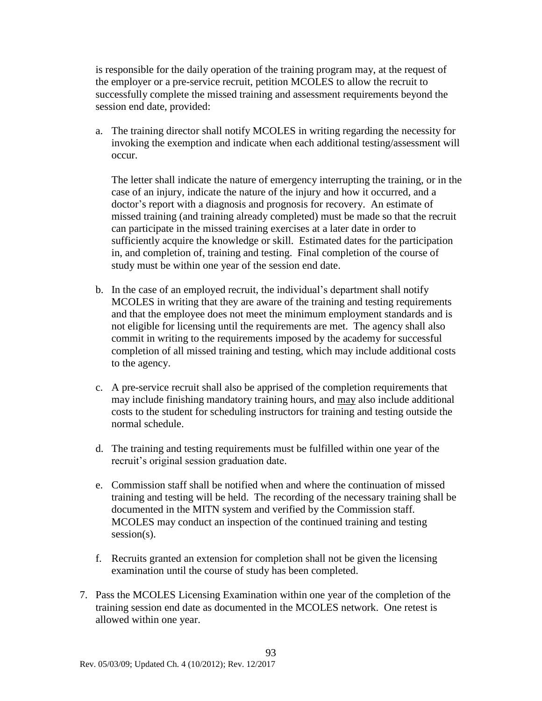is responsible for the daily operation of the training program may, at the request of the employer or a pre-service recruit, petition MCOLES to allow the recruit to successfully complete the missed training and assessment requirements beyond the session end date, provided:

a. The training director shall notify MCOLES in writing regarding the necessity for invoking the exemption and indicate when each additional testing/assessment will occur.

The letter shall indicate the nature of emergency interrupting the training, or in the case of an injury, indicate the nature of the injury and how it occurred, and a doctor's report with a diagnosis and prognosis for recovery. An estimate of missed training (and training already completed) must be made so that the recruit can participate in the missed training exercises at a later date in order to sufficiently acquire the knowledge or skill. Estimated dates for the participation in, and completion of, training and testing. Final completion of the course of study must be within one year of the session end date.

- b. In the case of an employed recruit, the individual's department shall notify MCOLES in writing that they are aware of the training and testing requirements and that the employee does not meet the minimum employment standards and is not eligible for licensing until the requirements are met. The agency shall also commit in writing to the requirements imposed by the academy for successful completion of all missed training and testing, which may include additional costs to the agency.
- c. A pre-service recruit shall also be apprised of the completion requirements that may include finishing mandatory training hours, and may also include additional costs to the student for scheduling instructors for training and testing outside the normal schedule.
- d. The training and testing requirements must be fulfilled within one year of the recruit's original session graduation date.
- e. Commission staff shall be notified when and where the continuation of missed training and testing will be held. The recording of the necessary training shall be documented in the MITN system and verified by the Commission staff. MCOLES may conduct an inspection of the continued training and testing session(s).
- f. Recruits granted an extension for completion shall not be given the licensing examination until the course of study has been completed.
- 7. Pass the MCOLES Licensing Examination within one year of the completion of the training session end date as documented in the MCOLES network. One retest is allowed within one year.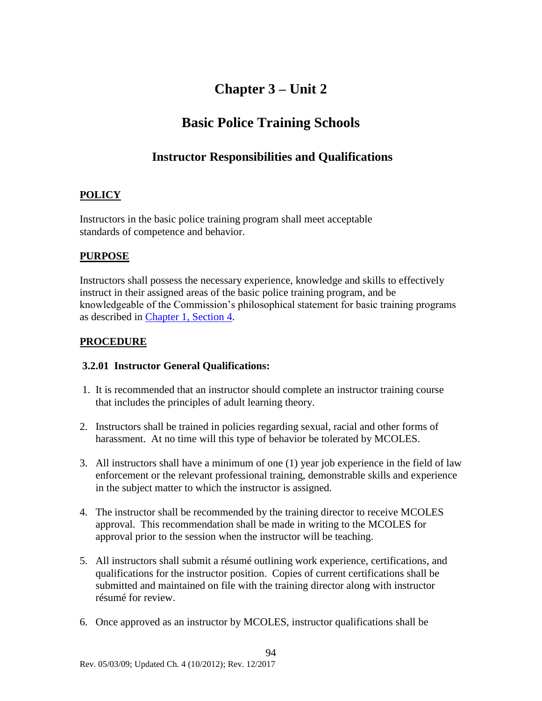# **Chapter 3 – Unit 2**

# **Basic Police Training Schools**

### **Instructor Responsibilities and Qualifications**

### <span id="page-95-0"></span>**POLICY**

Instructors in the basic police training program shall meet acceptable standards of competence and behavior.

### **PURPOSE**

Instructors shall possess the necessary experience, knowledge and skills to effectively instruct in their assigned areas of the basic police training program, and be knowledgeable of the Commission's philosophical statement for basic training programs as described in [Chapter 1, Section 4.](#page-58-0)

### **PROCEDURE**

### **3.2.01 Instructor General Qualifications:**

- 1. It is recommended that an instructor should complete an instructor training course that includes the principles of adult learning theory.
- 2. Instructors shall be trained in policies regarding sexual, racial and other forms of harassment. At no time will this type of behavior be tolerated by MCOLES.
- 3. All instructors shall have a minimum of one (1) year job experience in the field of law enforcement or the relevant professional training, demonstrable skills and experience in the subject matter to which the instructor is assigned.
- 4. The instructor shall be recommended by the training director to receive MCOLES approval. This recommendation shall be made in writing to the MCOLES for approval prior to the session when the instructor will be teaching.
- 5. All instructors shall submit a résumé outlining work experience, certifications, and qualifications for the instructor position. Copies of current certifications shall be submitted and maintained on file with the training director along with instructor résumé for review.
- 6. Once approved as an instructor by MCOLES, instructor qualifications shall be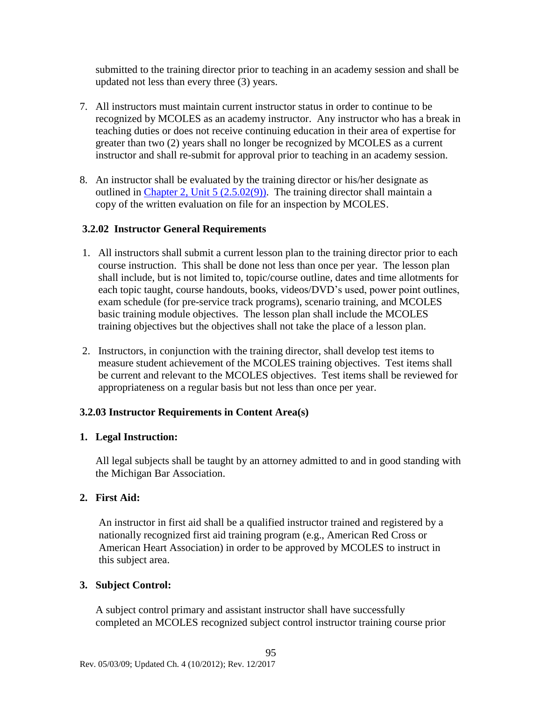submitted to the training director prior to teaching in an academy session and shall be updated not less than every three (3) years.

- 7. All instructors must maintain current instructor status in order to continue to be recognized by MCOLES as an academy instructor. Any instructor who has a break in teaching duties or does not receive continuing education in their area of expertise for greater than two (2) years shall no longer be recognized by MCOLES as a current instructor and shall re-submit for approval prior to teaching in an academy session.
- 8. An instructor shall be evaluated by the training director or his/her designate as outlined in Chapter 2, Unit  $5(2.5.02(9))$ . The training director shall maintain a copy of the written evaluation on file for an inspection by MCOLES.

### **3.2.02 Instructor General Requirements**

- 1. All instructors shall submit a current lesson plan to the training director prior to each course instruction. This shall be done not less than once per year. The lesson plan shall include, but is not limited to, topic/course outline, dates and time allotments for each topic taught, course handouts, books, videos/DVD's used, power point outlines, exam schedule (for pre-service track programs), scenario training, and MCOLES basic training module objectives. The lesson plan shall include the MCOLES training objectives but the objectives shall not take the place of a lesson plan.
- 2. Instructors, in conjunction with the training director, shall develop test items to measure student achievement of the MCOLES training objectives. Test items shall be current and relevant to the MCOLES objectives. Test items shall be reviewed for appropriateness on a regular basis but not less than once per year.

### **3.2.03 Instructor Requirements in Content Area(s)**

### **1. Legal Instruction:**

All legal subjects shall be taught by an attorney admitted to and in good standing with the Michigan Bar Association.

### **2. First Aid:**

An instructor in first aid shall be a qualified instructor trained and registered by a nationally recognized first aid training program (e.g., American Red Cross or American Heart Association) in order to be approved by MCOLES to instruct in this subject area.

### **3. Subject Control:**

A subject control primary and assistant instructor shall have successfully completed an MCOLES recognized subject control instructor training course prior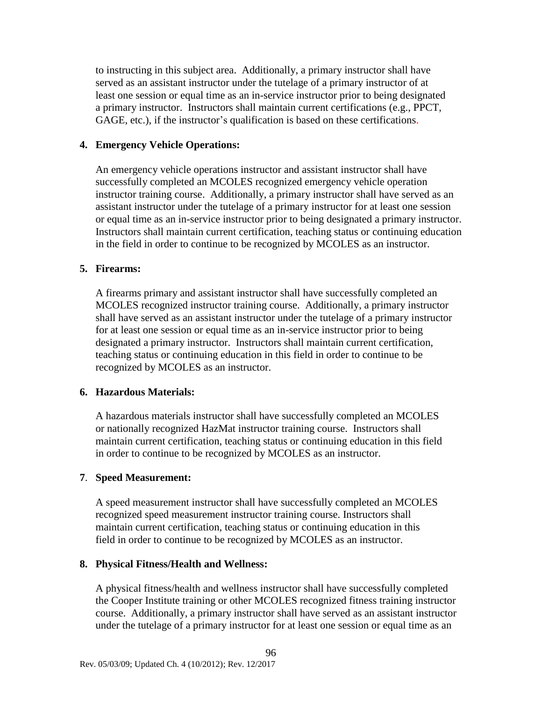to instructing in this subject area. Additionally, a primary instructor shall have served as an assistant instructor under the tutelage of a primary instructor of at least one session or equal time as an in-service instructor prior to being designated a primary instructor. Instructors shall maintain current certifications (e.g., PPCT, GAGE, etc.), if the instructor's qualification is based on these certifications.

#### **4. Emergency Vehicle Operations:**

An emergency vehicle operations instructor and assistant instructor shall have successfully completed an MCOLES recognized emergency vehicle operation instructor training course. Additionally, a primary instructor shall have served as an assistant instructor under the tutelage of a primary instructor for at least one session or equal time as an in-service instructor prior to being designated a primary instructor. Instructors shall maintain current certification, teaching status or continuing education in the field in order to continue to be recognized by MCOLES as an instructor.

#### **5. Firearms:**

A firearms primary and assistant instructor shall have successfully completed an MCOLES recognized instructor training course. Additionally, a primary instructor shall have served as an assistant instructor under the tutelage of a primary instructor for at least one session or equal time as an in-service instructor prior to being designated a primary instructor. Instructors shall maintain current certification, teaching status or continuing education in this field in order to continue to be recognized by MCOLES as an instructor.

### **6. Hazardous Materials:**

A hazardous materials instructor shall have successfully completed an MCOLES or nationally recognized HazMat instructor training course. Instructors shall maintain current certification, teaching status or continuing education in this field in order to continue to be recognized by MCOLES as an instructor.

#### **7**. **Speed Measurement:**

A speed measurement instructor shall have successfully completed an MCOLES recognized speed measurement instructor training course. Instructors shall maintain current certification, teaching status or continuing education in this field in order to continue to be recognized by MCOLES as an instructor.

#### **8. Physical Fitness/Health and Wellness:**

A physical fitness/health and wellness instructor shall have successfully completed the Cooper Institute training or other MCOLES recognized fitness training instructor course. Additionally, a primary instructor shall have served as an assistant instructor under the tutelage of a primary instructor for at least one session or equal time as an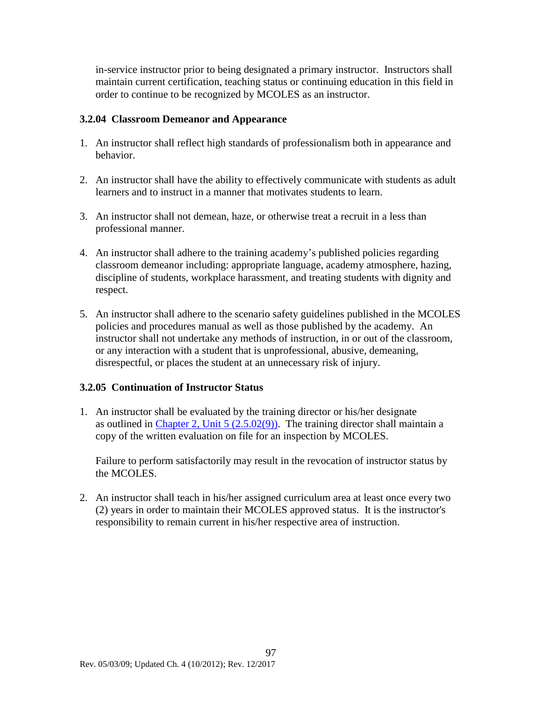in-service instructor prior to being designated a primary instructor. Instructors shall maintain current certification, teaching status or continuing education in this field in order to continue to be recognized by MCOLES as an instructor.

### **3.2.04 Classroom Demeanor and Appearance**

- 1. An instructor shall reflect high standards of professionalism both in appearance and behavior.
- 2. An instructor shall have the ability to effectively communicate with students as adult learners and to instruct in a manner that motivates students to learn.
- 3. An instructor shall not demean, haze, or otherwise treat a recruit in a less than professional manner.
- 4. An instructor shall adhere to the training academy's published policies regarding classroom demeanor including: appropriate language, academy atmosphere, hazing, discipline of students, workplace harassment, and treating students with dignity and respect.
- 5. An instructor shall adhere to the scenario safety guidelines published in the MCOLES policies and procedures manual as well as those published by the academy. An instructor shall not undertake any methods of instruction, in or out of the classroom, or any interaction with a student that is unprofessional, abusive, demeaning, disrespectful, or places the student at an unnecessary risk of injury.

### **3.2.05 Continuation of Instructor Status**

1. An instructor shall be evaluated by the training director or his/her designate as outlined in [Chapter 2, Unit 5](#page-76-0) (2.5.02(9)). The training director shall maintain a copy of the written evaluation on file for an inspection by MCOLES.

Failure to perform satisfactorily may result in the revocation of instructor status by the MCOLES.

2. An instructor shall teach in his/her assigned curriculum area at least once every two (2) years in order to maintain their MCOLES approved status. It is the instructor's responsibility to remain current in his/her respective area of instruction.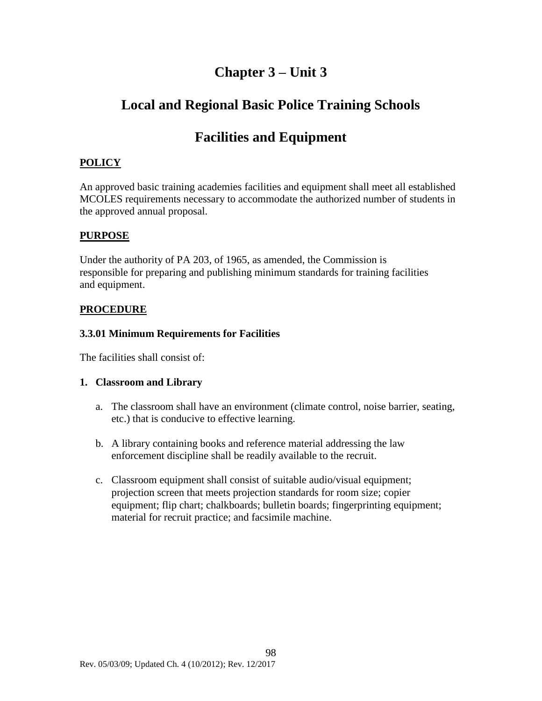# **Chapter 3 – Unit 3**

# **Local and Regional Basic Police Training Schools**

# **Facilities and Equipment**

### <span id="page-99-0"></span>**POLICY**

An approved basic training academies facilities and equipment shall meet all established MCOLES requirements necessary to accommodate the authorized number of students in the approved annual proposal.

### **PURPOSE**

Under the authority of PA 203, of 1965, as amended, the Commission is responsible for preparing and publishing minimum standards for training facilities and equipment.

### **PROCEDURE**

### **3.3.01 Minimum Requirements for Facilities**

The facilities shall consist of:

### **1. Classroom and Library**

- a. The classroom shall have an environment (climate control, noise barrier, seating, etc.) that is conducive to effective learning.
- b. A library containing books and reference material addressing the law enforcement discipline shall be readily available to the recruit.
- c. Classroom equipment shall consist of suitable audio/visual equipment; projection screen that meets projection standards for room size; copier equipment; flip chart; chalkboards; bulletin boards; fingerprinting equipment; material for recruit practice; and facsimile machine.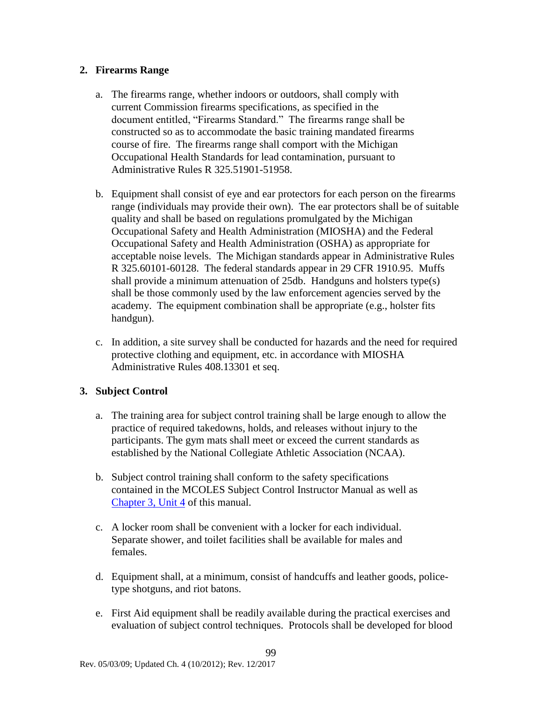### **2. Firearms Range**

- a. The firearms range, whether indoors or outdoors, shall comply with current Commission firearms specifications, as specified in the document entitled, "Firearms Standard." The firearms range shall be constructed so as to accommodate the basic training mandated firearms course of fire. The firearms range shall comport with the Michigan Occupational Health Standards for lead contamination, pursuant to Administrative Rules R 325.51901-51958.
- b. Equipment shall consist of eye and ear protectors for each person on the firearms range (individuals may provide their own). The ear protectors shall be of suitable quality and shall be based on regulations promulgated by the Michigan Occupational Safety and Health Administration (MIOSHA) and the Federal Occupational Safety and Health Administration (OSHA) as appropriate for acceptable noise levels. The Michigan standards appear in Administrative Rules R 325.60101-60128. The federal standards appear in 29 CFR 1910.95. Muffs shall provide a minimum attenuation of 25db. Handguns and holsters type(s) shall be those commonly used by the law enforcement agencies served by the academy. The equipment combination shall be appropriate (e.g., holster fits handgun).
- c. In addition, a site survey shall be conducted for hazards and the need for required protective clothing and equipment, etc. in accordance with MIOSHA Administrative Rules 408.13301 et seq.

### **3. Subject Control**

- a. The training area for subject control training shall be large enough to allow the practice of required takedowns, holds, and releases without injury to the participants. The gym mats shall meet or exceed the current standards as established by the National Collegiate Athletic Association (NCAA).
- b. Subject control training shall conform to the safety specifications contained in the MCOLES Subject Control Instructor Manual as well as [Chapter 3, Unit 4](#page-103-0) of this manual.
- c. A locker room shall be convenient with a locker for each individual. Separate shower, and toilet facilities shall be available for males and females.
- d. Equipment shall, at a minimum, consist of handcuffs and leather goods, policetype shotguns, and riot batons.
- e. First Aid equipment shall be readily available during the practical exercises and evaluation of subject control techniques. Protocols shall be developed for blood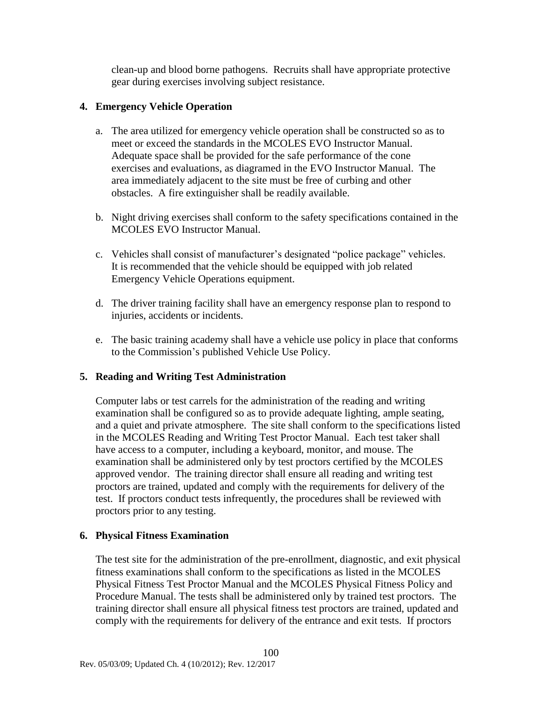clean-up and blood borne pathogens. Recruits shall have appropriate protective gear during exercises involving subject resistance.

### **4. Emergency Vehicle Operation**

- a. The area utilized for emergency vehicle operation shall be constructed so as to meet or exceed the standards in the MCOLES EVO Instructor Manual. Adequate space shall be provided for the safe performance of the cone exercises and evaluations, as diagramed in the EVO Instructor Manual. The area immediately adjacent to the site must be free of curbing and other obstacles. A fire extinguisher shall be readily available.
- b. Night driving exercises shall conform to the safety specifications contained in the MCOLES EVO Instructor Manual.
- c. Vehicles shall consist of manufacturer's designated "police package" vehicles. It is recommended that the vehicle should be equipped with job related Emergency Vehicle Operations equipment.
- d. The driver training facility shall have an emergency response plan to respond to injuries, accidents or incidents.
- e. The basic training academy shall have a vehicle use policy in place that conforms to the Commission's published Vehicle Use Policy.

### **5. Reading and Writing Test Administration**

Computer labs or test carrels for the administration of the reading and writing examination shall be configured so as to provide adequate lighting, ample seating, and a quiet and private atmosphere. The site shall conform to the specifications listed in the MCOLES Reading and Writing Test Proctor Manual. Each test taker shall have access to a computer, including a keyboard, monitor, and mouse. The examination shall be administered only by test proctors certified by the MCOLES approved vendor. The training director shall ensure all reading and writing test proctors are trained, updated and comply with the requirements for delivery of the test. If proctors conduct tests infrequently, the procedures shall be reviewed with proctors prior to any testing.

### **6. Physical Fitness Examination**

The test site for the administration of the pre-enrollment, diagnostic, and exit physical fitness examinations shall conform to the specifications as listed in the MCOLES Physical Fitness Test Proctor Manual and the MCOLES Physical Fitness Policy and Procedure Manual. The tests shall be administered only by trained test proctors. The training director shall ensure all physical fitness test proctors are trained, updated and comply with the requirements for delivery of the entrance and exit tests. If proctors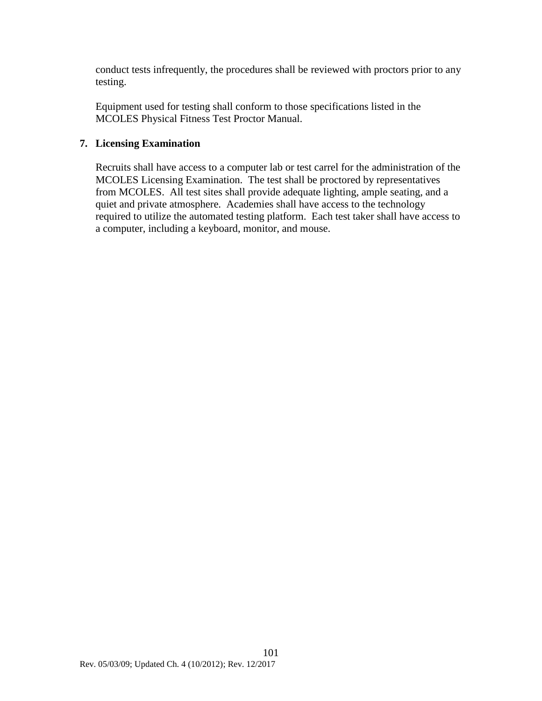conduct tests infrequently, the procedures shall be reviewed with proctors prior to any testing.

Equipment used for testing shall conform to those specifications listed in the MCOLES Physical Fitness Test Proctor Manual.

### **7. Licensing Examination**

Recruits shall have access to a computer lab or test carrel for the administration of the MCOLES Licensing Examination. The test shall be proctored by representatives from MCOLES. All test sites shall provide adequate lighting, ample seating, and a quiet and private atmosphere. Academies shall have access to the technology required to utilize the automated testing platform. Each test taker shall have access to a computer, including a keyboard, monitor, and mouse.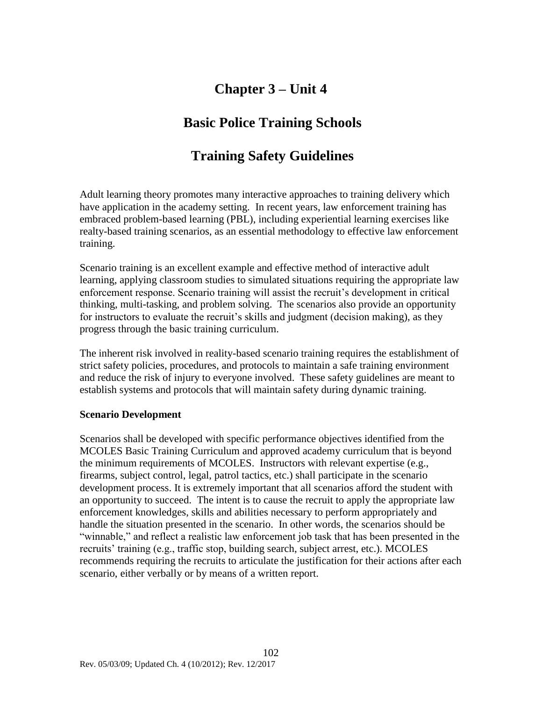# **Chapter 3 – Unit 4**

# **Basic Police Training Schools**

# **Training Safety Guidelines**

<span id="page-103-0"></span>Adult learning theory promotes many interactive approaches to training delivery which have application in the academy setting. In recent years, law enforcement training has embraced problem-based learning (PBL), including experiential learning exercises like realty-based training scenarios, as an essential methodology to effective law enforcement training.

Scenario training is an excellent example and effective method of interactive adult learning, applying classroom studies to simulated situations requiring the appropriate law enforcement response. Scenario training will assist the recruit's development in critical thinking, multi-tasking, and problem solving. The scenarios also provide an opportunity for instructors to evaluate the recruit's skills and judgment (decision making), as they progress through the basic training curriculum.

The inherent risk involved in reality-based scenario training requires the establishment of strict safety policies, procedures, and protocols to maintain a safe training environment and reduce the risk of injury to everyone involved. These safety guidelines are meant to establish systems and protocols that will maintain safety during dynamic training.

### **Scenario Development**

Scenarios shall be developed with specific performance objectives identified from the MCOLES Basic Training Curriculum and approved academy curriculum that is beyond the minimum requirements of MCOLES. Instructors with relevant expertise (e.g., firearms, subject control, legal, patrol tactics, etc.) shall participate in the scenario development process. It is extremely important that all scenarios afford the student with an opportunity to succeed. The intent is to cause the recruit to apply the appropriate law enforcement knowledges, skills and abilities necessary to perform appropriately and handle the situation presented in the scenario. In other words, the scenarios should be "winnable," and reflect a realistic law enforcement job task that has been presented in the recruits' training (e.g., traffic stop, building search, subject arrest, etc.). MCOLES recommends requiring the recruits to articulate the justification for their actions after each scenario, either verbally or by means of a written report.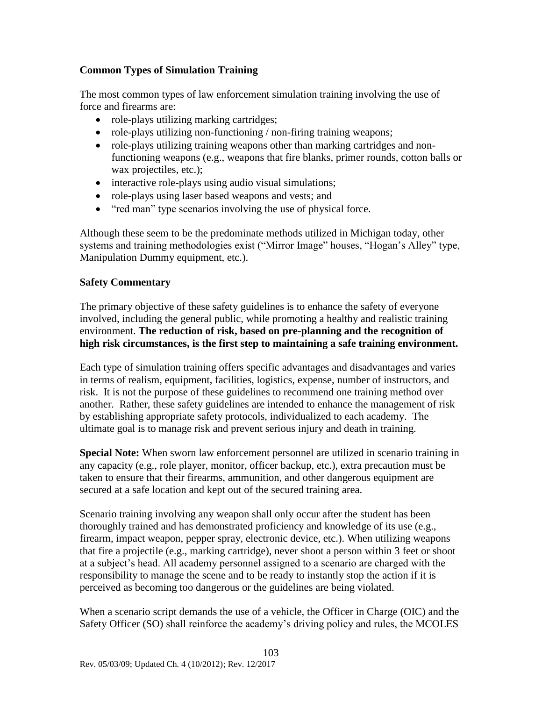### **Common Types of Simulation Training**

The most common types of law enforcement simulation training involving the use of force and firearms are:

- role-plays utilizing marking cartridges;
- role-plays utilizing non-functioning / non-firing training weapons;
- role-plays utilizing training weapons other than marking cartridges and nonfunctioning weapons (e.g., weapons that fire blanks, primer rounds, cotton balls or wax projectiles, etc.);
- interactive role-plays using audio visual simulations;
- role-plays using laser based weapons and vests; and
- "red man" type scenarios involving the use of physical force.

Although these seem to be the predominate methods utilized in Michigan today, other systems and training methodologies exist ("Mirror Image" houses, "Hogan's Alley" type, Manipulation Dummy equipment, etc.).

### **Safety Commentary**

The primary objective of these safety guidelines is to enhance the safety of everyone involved, including the general public, while promoting a healthy and realistic training environment. **The reduction of risk, based on pre-planning and the recognition of high risk circumstances, is the first step to maintaining a safe training environment.**

Each type of simulation training offers specific advantages and disadvantages and varies in terms of realism, equipment, facilities, logistics, expense, number of instructors, and risk. It is not the purpose of these guidelines to recommend one training method over another. Rather, these safety guidelines are intended to enhance the management of risk by establishing appropriate safety protocols, individualized to each academy. The ultimate goal is to manage risk and prevent serious injury and death in training.

**Special Note:** When sworn law enforcement personnel are utilized in scenario training in any capacity (e.g., role player, monitor, officer backup, etc.), extra precaution must be taken to ensure that their firearms, ammunition, and other dangerous equipment are secured at a safe location and kept out of the secured training area.

Scenario training involving any weapon shall only occur after the student has been thoroughly trained and has demonstrated proficiency and knowledge of its use (e.g., firearm, impact weapon, pepper spray, electronic device, etc.). When utilizing weapons that fire a projectile (e.g., marking cartridge), never shoot a person within 3 feet or shoot at a subject's head. All academy personnel assigned to a scenario are charged with the responsibility to manage the scene and to be ready to instantly stop the action if it is perceived as becoming too dangerous or the guidelines are being violated.

When a scenario script demands the use of a vehicle, the Officer in Charge (OIC) and the Safety Officer (SO) shall reinforce the academy's driving policy and rules, the MCOLES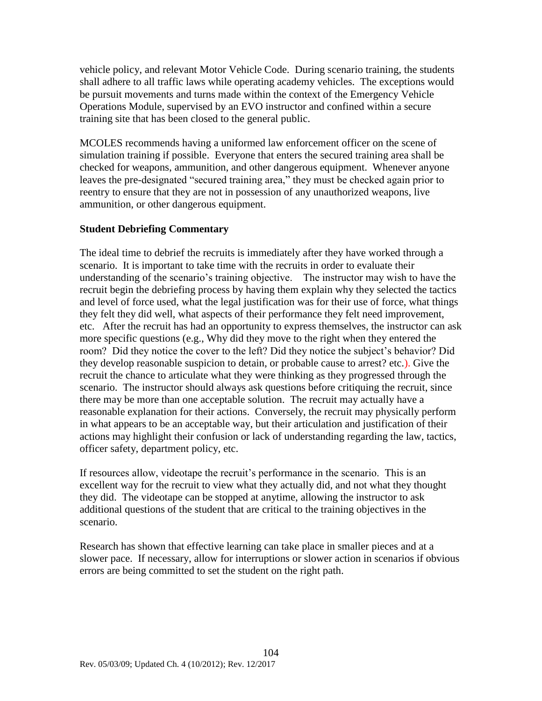vehicle policy, and relevant Motor Vehicle Code. During scenario training, the students shall adhere to all traffic laws while operating academy vehicles. The exceptions would be pursuit movements and turns made within the context of the Emergency Vehicle Operations Module, supervised by an EVO instructor and confined within a secure training site that has been closed to the general public.

MCOLES recommends having a uniformed law enforcement officer on the scene of simulation training if possible. Everyone that enters the secured training area shall be checked for weapons, ammunition, and other dangerous equipment. Whenever anyone leaves the pre-designated "secured training area," they must be checked again prior to reentry to ensure that they are not in possession of any unauthorized weapons, live ammunition, or other dangerous equipment.

### **Student Debriefing Commentary**

The ideal time to debrief the recruits is immediately after they have worked through a scenario. It is important to take time with the recruits in order to evaluate their understanding of the scenario's training objective. The instructor may wish to have the recruit begin the debriefing process by having them explain why they selected the tactics and level of force used, what the legal justification was for their use of force, what things they felt they did well, what aspects of their performance they felt need improvement, etc. After the recruit has had an opportunity to express themselves, the instructor can ask more specific questions (e.g., Why did they move to the right when they entered the room? Did they notice the cover to the left? Did they notice the subject's behavior? Did they develop reasonable suspicion to detain, or probable cause to arrest? etc.). Give the recruit the chance to articulate what they were thinking as they progressed through the scenario. The instructor should always ask questions before critiquing the recruit, since there may be more than one acceptable solution. The recruit may actually have a reasonable explanation for their actions. Conversely, the recruit may physically perform in what appears to be an acceptable way, but their articulation and justification of their actions may highlight their confusion or lack of understanding regarding the law, tactics, officer safety, department policy, etc.

If resources allow, videotape the recruit's performance in the scenario. This is an excellent way for the recruit to view what they actually did, and not what they thought they did. The videotape can be stopped at anytime, allowing the instructor to ask additional questions of the student that are critical to the training objectives in the scenario.

Research has shown that effective learning can take place in smaller pieces and at a slower pace. If necessary, allow for interruptions or slower action in scenarios if obvious errors are being committed to set the student on the right path.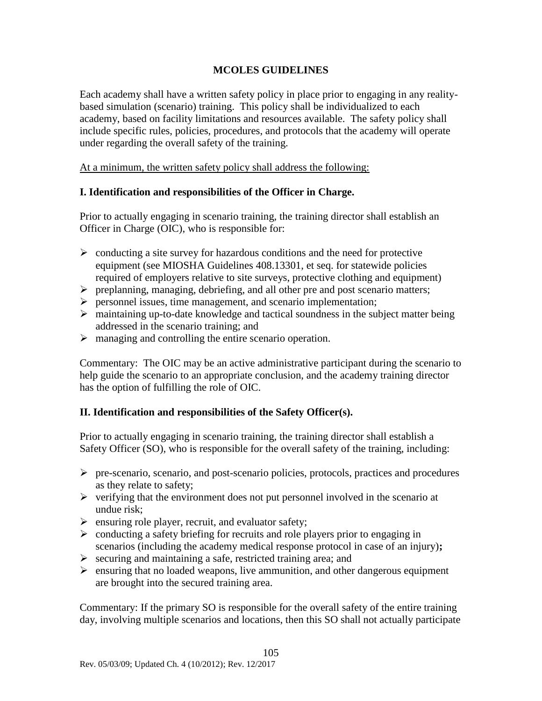### **MCOLES GUIDELINES**

Each academy shall have a written safety policy in place prior to engaging in any realitybased simulation (scenario) training. This policy shall be individualized to each academy, based on facility limitations and resources available. The safety policy shall include specific rules, policies, procedures, and protocols that the academy will operate under regarding the overall safety of the training.

At a minimum, the written safety policy shall address the following:

### **I. Identification and responsibilities of the Officer in Charge.**

Prior to actually engaging in scenario training, the training director shall establish an Officer in Charge (OIC), who is responsible for:

- $\triangleright$  conducting a site survey for hazardous conditions and the need for protective equipment (see MIOSHA Guidelines 408.13301, et seq. for statewide policies required of employers relative to site surveys, protective clothing and equipment)
- $\triangleright$  preplanning, managing, debriefing, and all other pre and post scenario matters;
- $\triangleright$  personnel issues, time management, and scenario implementation;
- maintaining up-to-date knowledge and tactical soundness in the subject matter being addressed in the scenario training; and
- $\triangleright$  managing and controlling the entire scenario operation.

Commentary: The OIC may be an active administrative participant during the scenario to help guide the scenario to an appropriate conclusion, and the academy training director has the option of fulfilling the role of OIC.

### **II. Identification and responsibilities of the Safety Officer(s).**

Prior to actually engaging in scenario training, the training director shall establish a Safety Officer (SO), who is responsible for the overall safety of the training, including:

- $\triangleright$  pre-scenario, scenario, and post-scenario policies, protocols, practices and procedures as they relate to safety;
- $\triangleright$  verifying that the environment does not put personnel involved in the scenario at undue risk;
- $\triangleright$  ensuring role player, recruit, and evaluator safety;
- $\triangleright$  conducting a safety briefing for recruits and role players prior to engaging in scenarios (including the academy medical response protocol in case of an injury)**;**
- $\triangleright$  securing and maintaining a safe, restricted training area; and
- $\triangleright$  ensuring that no loaded weapons, live ammunition, and other dangerous equipment are brought into the secured training area.

Commentary: If the primary SO is responsible for the overall safety of the entire training day, involving multiple scenarios and locations, then this SO shall not actually participate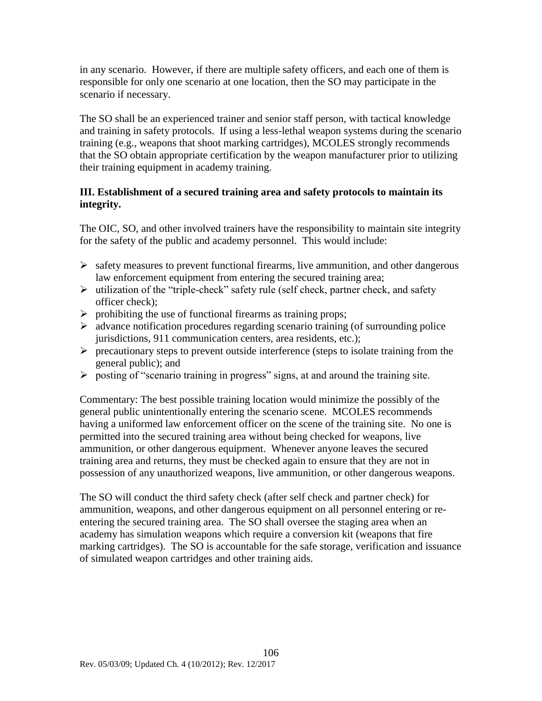in any scenario. However, if there are multiple safety officers, and each one of them is responsible for only one scenario at one location, then the SO may participate in the scenario if necessary.

The SO shall be an experienced trainer and senior staff person, with tactical knowledge and training in safety protocols. If using a less-lethal weapon systems during the scenario training (e.g., weapons that shoot marking cartridges), MCOLES strongly recommends that the SO obtain appropriate certification by the weapon manufacturer prior to utilizing their training equipment in academy training.

### **III. Establishment of a secured training area and safety protocols to maintain its integrity.**

The OIC, SO, and other involved trainers have the responsibility to maintain site integrity for the safety of the public and academy personnel. This would include:

- $\triangleright$  safety measures to prevent functional firearms, live ammunition, and other dangerous law enforcement equipment from entering the secured training area;
- $\triangleright$  utilization of the "triple-check" safety rule (self check, partner check, and safety officer check);
- $\triangleright$  prohibiting the use of functional firearms as training props;
- $\triangleright$  advance notification procedures regarding scenario training (of surrounding police jurisdictions, 911 communication centers, area residents, etc.);
- $\triangleright$  precautionary steps to prevent outside interference (steps to isolate training from the general public); and
- $\triangleright$  posting of "scenario training in progress" signs, at and around the training site.

Commentary: The best possible training location would minimize the possibly of the general public unintentionally entering the scenario scene. MCOLES recommends having a uniformed law enforcement officer on the scene of the training site. No one is permitted into the secured training area without being checked for weapons, live ammunition, or other dangerous equipment. Whenever anyone leaves the secured training area and returns, they must be checked again to ensure that they are not in possession of any unauthorized weapons, live ammunition, or other dangerous weapons.

The SO will conduct the third safety check (after self check and partner check) for ammunition, weapons, and other dangerous equipment on all personnel entering or reentering the secured training area. The SO shall oversee the staging area when an academy has simulation weapons which require a conversion kit (weapons that fire marking cartridges). The SO is accountable for the safe storage, verification and issuance of simulated weapon cartridges and other training aids.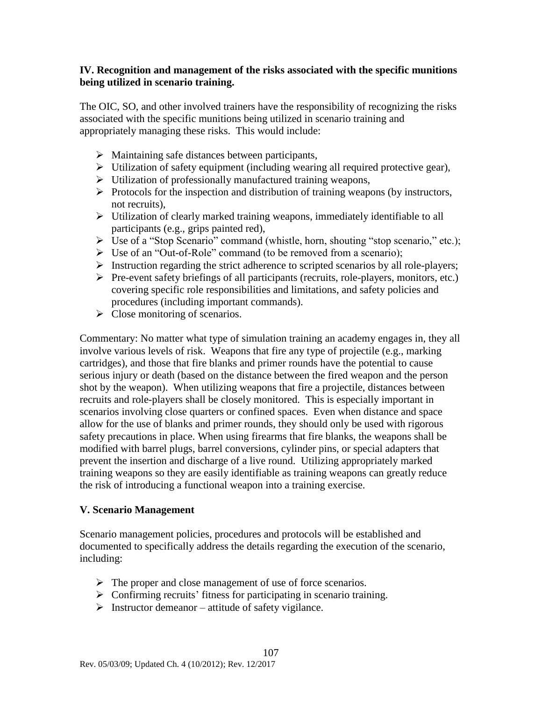#### **IV. Recognition and management of the risks associated with the specific munitions being utilized in scenario training.**

The OIC, SO, and other involved trainers have the responsibility of recognizing the risks associated with the specific munitions being utilized in scenario training and appropriately managing these risks. This would include:

- $\triangleright$  Maintaining safe distances between participants,
- $\triangleright$  Utilization of safety equipment (including wearing all required protective gear),
- $\triangleright$  Utilization of professionally manufactured training weapons,
- $\triangleright$  Protocols for the inspection and distribution of training weapons (by instructors, not recruits),
- Utilization of clearly marked training weapons, immediately identifiable to all participants (e.g., grips painted red),
- Use of a "Stop Scenario" command (whistle, horn, shouting "stop scenario," etc.);
- Use of an "Out-of-Role" command (to be removed from a scenario);
- $\triangleright$  Instruction regarding the strict adherence to scripted scenarios by all role-players;
- $\triangleright$  Pre-event safety briefings of all participants (recruits, role-players, monitors, etc.) covering specific role responsibilities and limitations, and safety policies and procedures (including important commands).
- $\triangleright$  Close monitoring of scenarios.

Commentary: No matter what type of simulation training an academy engages in, they all involve various levels of risk. Weapons that fire any type of projectile (e.g., marking cartridges), and those that fire blanks and primer rounds have the potential to cause serious injury or death (based on the distance between the fired weapon and the person shot by the weapon). When utilizing weapons that fire a projectile, distances between recruits and role-players shall be closely monitored. This is especially important in scenarios involving close quarters or confined spaces. Even when distance and space allow for the use of blanks and primer rounds, they should only be used with rigorous safety precautions in place. When using firearms that fire blanks, the weapons shall be modified with barrel plugs, barrel conversions, cylinder pins, or special adapters that prevent the insertion and discharge of a live round. Utilizing appropriately marked training weapons so they are easily identifiable as training weapons can greatly reduce the risk of introducing a functional weapon into a training exercise.

#### **V. Scenario Management**

Scenario management policies, procedures and protocols will be established and documented to specifically address the details regarding the execution of the scenario, including:

- $\triangleright$  The proper and close management of use of force scenarios.
- $\triangleright$  Confirming recruits' fitness for participating in scenario training.
- $\triangleright$  Instructor demeanor attitude of safety vigilance.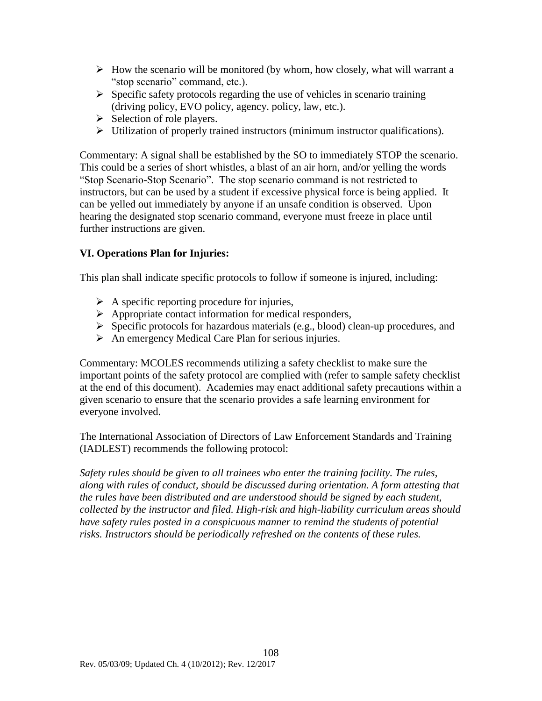- $\triangleright$  How the scenario will be monitored (by whom, how closely, what will warrant a "stop scenario" command, etc.).
- $\triangleright$  Specific safety protocols regarding the use of vehicles in scenario training (driving policy, EVO policy, agency. policy, law, etc.).
- $\triangleright$  Selection of role players.
- $\triangleright$  Utilization of properly trained instructors (minimum instructor qualifications).

Commentary: A signal shall be established by the SO to immediately STOP the scenario. This could be a series of short whistles, a blast of an air horn, and/or yelling the words "Stop Scenario-Stop Scenario". The stop scenario command is not restricted to instructors, but can be used by a student if excessive physical force is being applied. It can be yelled out immediately by anyone if an unsafe condition is observed. Upon hearing the designated stop scenario command, everyone must freeze in place until further instructions are given.

### **VI. Operations Plan for Injuries:**

This plan shall indicate specific protocols to follow if someone is injured, including:

- $\triangleright$  A specific reporting procedure for injuries,
- $\triangleright$  Appropriate contact information for medical responders,
- $\triangleright$  Specific protocols for hazardous materials (e.g., blood) clean-up procedures, and
- $\triangleright$  An emergency Medical Care Plan for serious injuries.

Commentary: MCOLES recommends utilizing a safety checklist to make sure the important points of the safety protocol are complied with (refer to sample safety checklist at the end of this document). Academies may enact additional safety precautions within a given scenario to ensure that the scenario provides a safe learning environment for everyone involved.

The International Association of Directors of Law Enforcement Standards and Training (IADLEST) recommends the following protocol:

*Safety rules should be given to all trainees who enter the training facility. The rules, along with rules of conduct, should be discussed during orientation. A form attesting that the rules have been distributed and are understood should be signed by each student, collected by the instructor and filed. High-risk and high-liability curriculum areas should have safety rules posted in a conspicuous manner to remind the students of potential risks. Instructors should be periodically refreshed on the contents of these rules.*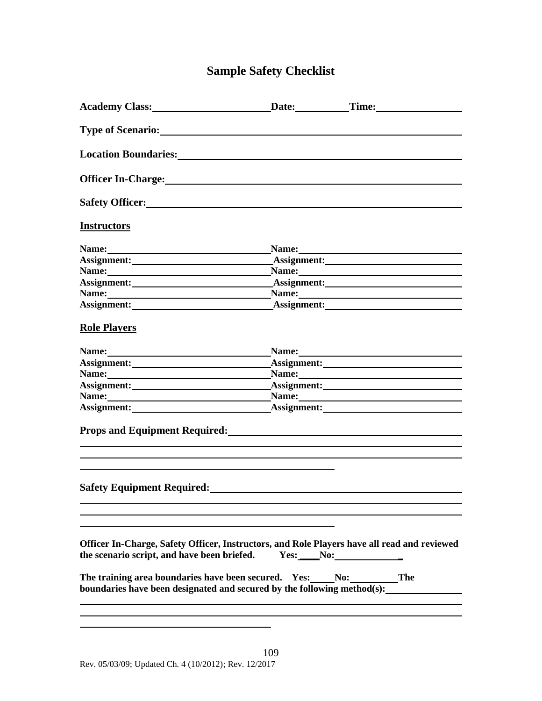### **Sample Safety Checklist**

| Safety Officer:<br><u>Safety Officer:</u>                                                                                                                                                                                                                                             |  |
|---------------------------------------------------------------------------------------------------------------------------------------------------------------------------------------------------------------------------------------------------------------------------------------|--|
| <b>Instructors</b>                                                                                                                                                                                                                                                                    |  |
| Name: Name: Name: Name: Name: Name: Name: Name: Name: Name: Name: Name: Name: Name: Name: Name: Name: Name: Name: Name: Name: Name: Name: Name: Name: Name: Name: Name: Name: Name: Name: Name: Name: Name: Name: Name: Name:                                                         |  |
| Assignment: Assignment: Assignment:                                                                                                                                                                                                                                                   |  |
|                                                                                                                                                                                                                                                                                       |  |
|                                                                                                                                                                                                                                                                                       |  |
| Name: Name: Name: Name: Name: Name: Name: Name: Name: Name: Name: Name: Name: Name: Name: Name: Name: Name: Name: Name: Name: Name: Name: Name: Name: Name: Name: Name: Name: Name: Name: Name: Name: Name: Name: Name: Name:                                                         |  |
|                                                                                                                                                                                                                                                                                       |  |
| <b>Role Players</b>                                                                                                                                                                                                                                                                   |  |
| Name: Name: Name: Name: Name: Name: Name: Name: Name: Name: Name: Name: Name: Name: Name: Name: Name: Name: Name: Name: Name: Name: Name: Name: Name: Name: Name: Name: Name: Name: Name: Name: Name: Name: Name: Name: Name:                                                         |  |
|                                                                                                                                                                                                                                                                                       |  |
| Name: Name: Name: Name: Name: Name: Name: Name: Name: Name: Name: Name: Name: Name: Name: Name: Name: Name: Name: Name: Name: Name: Name: Name: Name: Name: Name: Name: Name: Name: Name: Name: Name: Name: Name: Name: Name:                                                         |  |
| Assignment: Assignment: Assignment:                                                                                                                                                                                                                                                   |  |
| Name: <u>Name:</u> Name: Name: Name: Name: Name: Name: Name: Name: Name: Name: Name: Name: Name: Name: Name: Name: Name: Name: Name: Name: Name: Name: Name: Name: Name: Name: Name: Name: Name: Name: Name: Name: Name: Name: Name                                                   |  |
| Assignment: Assignment: Assignment:                                                                                                                                                                                                                                                   |  |
| Props and Equipment Required: Manual Props and Equipment Required:                                                                                                                                                                                                                    |  |
| Safety Equipment Required:<br><u>Safety Equipment Required:</u>                                                                                                                                                                                                                       |  |
| Officer In-Charge, Safety Officer, Instructors, and Role Players have all read and reviewed<br>the scenario script, and have been briefed.<br>The training area boundaries have been secured. Yes: No: The<br>boundaries have been designated and secured by the following method(s): |  |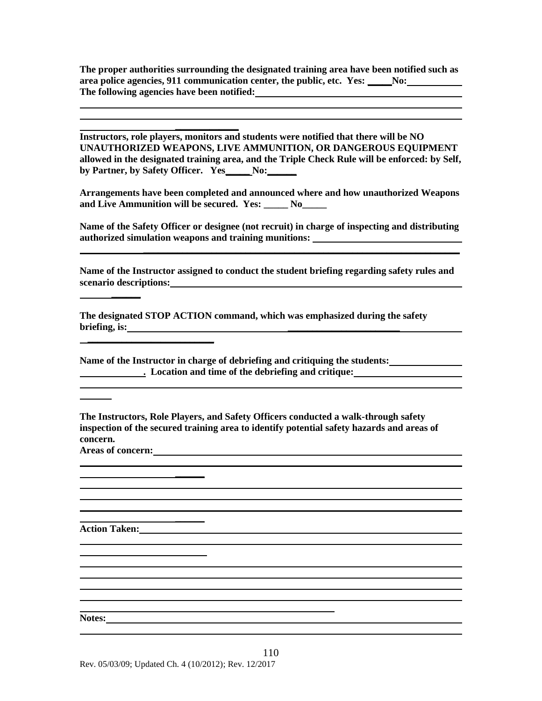**The proper authorities surrounding the designated training area have been notified such as area police agencies, 911 communication center, the public, etc. Yes: \_\_\_\_\_No: The following agencies have been notified:**

**Instructors, role players, monitors and students were notified that there will be NO UNAUTHORIZED WEAPONS, LIVE AMMUNITION, OR DANGEROUS EQUIPMENT allowed in the designated training area, and the Triple Check Rule will be enforced: by Self, by Partner, by Safety Officer. Yes\_\_\_\_\_ No:\_\_\_\_\_\_**

**\_\_\_\_\_\_\_\_\_\_\_\_\_**

**Arrangements have been completed and announced where and how unauthorized Weapons and Live Ammunition will be secured. Yes: \_\_\_\_\_ No\_\_\_\_\_**

**Name of the Safety Officer or designee (not recruit) in charge of inspecting and distributing authorized simulation weapons and training munitions:** 

**Name of the Instructor assigned to conduct the student briefing regarding safety rules and scenario descriptions:**

**The designated STOP ACTION command, which was emphasized during the safety briefing, is: \_\_\_\_\_\_\_\_\_\_\_\_\_\_\_\_\_\_\_\_\_\_\_**

**Name of the Instructor in charge of debriefing and critiquing the students: . Location and time of the debriefing and critique:**

**The Instructors, Role Players, and Safety Officers conducted a walk-through safety inspection of the secured training area to identify potential safety hazards and areas of concern. Areas of concern:**

**\_\_\_\_\_\_**

**\_\_\_\_\_\_\_\_\_\_\_\_\_\_\_\_\_\_\_\_\_\_\_\_\_\_**

**Action Taken:**

**Notes:**

**\_\_\_\_\_\_**

**\_\_\_\_\_\_**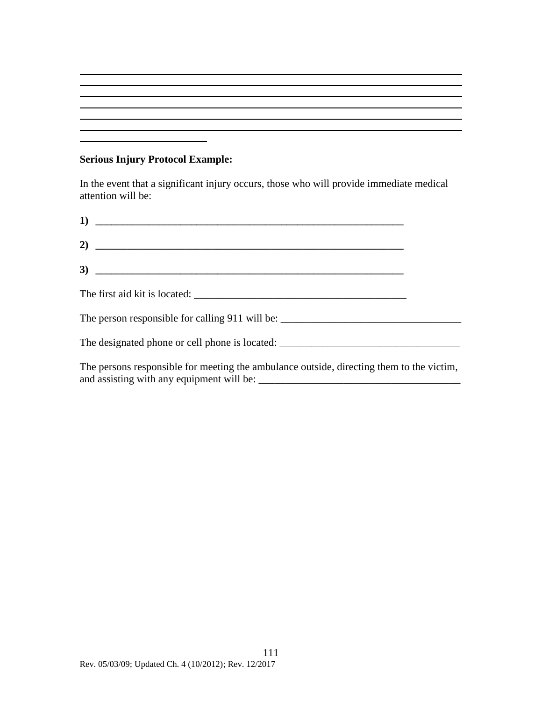#### **Serious Injury Protocol Example:**

In the event that a significant injury occurs, those who will provide immediate medical attention will be:

| $\overline{1}$ $\overline{1}$                                                          |  |
|----------------------------------------------------------------------------------------|--|
| 2) $\overline{\phantom{a}}$                                                            |  |
| $\overline{3}$ ) $\overline{\phantom{3}}$                                              |  |
|                                                                                        |  |
|                                                                                        |  |
|                                                                                        |  |
| The persons responsible for meeting the ambulance outside directing them to the victim |  |

The persons responsible for meeting the ambulance outside, directing them to the victim, and assisting with any equipment will be: \_\_\_\_\_\_\_\_\_\_\_\_\_\_\_\_\_\_\_\_\_\_\_\_\_\_\_\_\_\_\_\_\_\_\_\_\_\_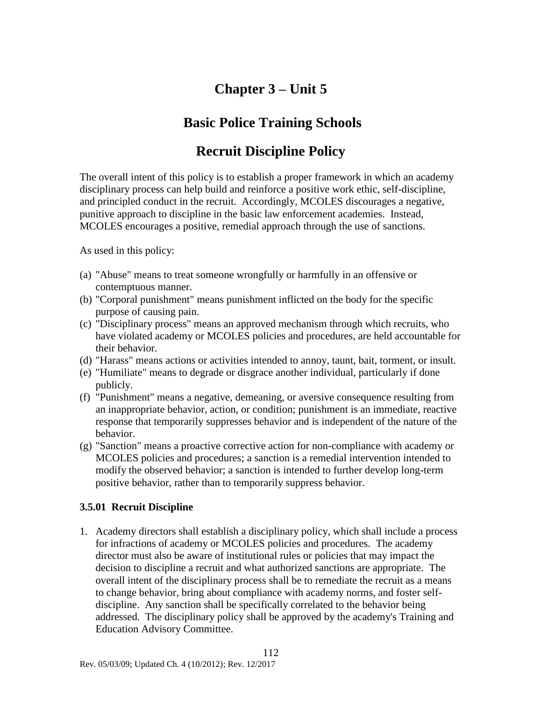## **Chapter 3 – Unit 5**

### **Basic Police Training Schools**

### **Recruit Discipline Policy**

The overall intent of this policy is to establish a proper framework in which an academy disciplinary process can help build and reinforce a positive work ethic, self-discipline, and principled conduct in the recruit. Accordingly, MCOLES discourages a negative, punitive approach to discipline in the basic law enforcement academies. Instead, MCOLES encourages a positive, remedial approach through the use of sanctions.

As used in this policy:

- (a) "Abuse" means to treat someone wrongfully or harmfully in an offensive or contemptuous manner.
- (b) "Corporal punishment" means punishment inflicted on the body for the specific purpose of causing pain.
- (c) "Disciplinary process" means an approved mechanism through which recruits, who have violated academy or MCOLES policies and procedures, are held accountable for their behavior.
- (d) "Harass" means actions or activities intended to annoy, taunt, bait, torment, or insult.
- (e) "Humiliate" means to degrade or disgrace another individual, particularly if done publicly.
- (f) "Punishment" means a negative, demeaning, or aversive consequence resulting from an inappropriate behavior, action, or condition; punishment is an immediate, reactive response that temporarily suppresses behavior and is independent of the nature of the behavior.
- (g) "Sanction" means a proactive corrective action for non-compliance with academy or MCOLES policies and procedures; a sanction is a remedial intervention intended to modify the observed behavior; a sanction is intended to further develop long-term positive behavior, rather than to temporarily suppress behavior.

### **3.5.01 Recruit Discipline**

1. Academy directors shall establish a disciplinary policy, which shall include a process for infractions of academy or MCOLES policies and procedures. The academy director must also be aware of institutional rules or policies that may impact the decision to discipline a recruit and what authorized sanctions are appropriate. The overall intent of the disciplinary process shall be to remediate the recruit as a means to change behavior, bring about compliance with academy norms, and foster selfdiscipline. Any sanction shall be specifically correlated to the behavior being addressed. The disciplinary policy shall be approved by the academy's Training and Education Advisory Committee.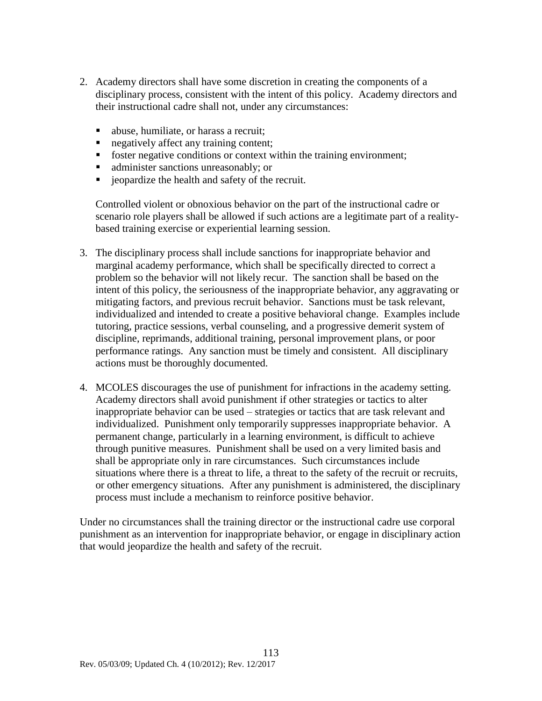- 2. Academy directors shall have some discretion in creating the components of a disciplinary process, consistent with the intent of this policy. Academy directors and their instructional cadre shall not, under any circumstances:
	- abuse, humiliate, or harass a recruit;
	- negatively affect any training content;
	- **f** foster negative conditions or context within the training environment;
	- **administer sanctions unreasonably; or**
	- jeopardize the health and safety of the recruit.

Controlled violent or obnoxious behavior on the part of the instructional cadre or scenario role players shall be allowed if such actions are a legitimate part of a realitybased training exercise or experiential learning session.

- 3. The disciplinary process shall include sanctions for inappropriate behavior and marginal academy performance, which shall be specifically directed to correct a problem so the behavior will not likely recur. The sanction shall be based on the intent of this policy, the seriousness of the inappropriate behavior, any aggravating or mitigating factors, and previous recruit behavior. Sanctions must be task relevant, individualized and intended to create a positive behavioral change. Examples include tutoring, practice sessions, verbal counseling, and a progressive demerit system of discipline, reprimands, additional training, personal improvement plans, or poor performance ratings. Any sanction must be timely and consistent. All disciplinary actions must be thoroughly documented.
- 4. MCOLES discourages the use of punishment for infractions in the academy setting. Academy directors shall avoid punishment if other strategies or tactics to alter inappropriate behavior can be used – strategies or tactics that are task relevant and individualized. Punishment only temporarily suppresses inappropriate behavior. A permanent change, particularly in a learning environment, is difficult to achieve through punitive measures. Punishment shall be used on a very limited basis and shall be appropriate only in rare circumstances. Such circumstances include situations where there is a threat to life, a threat to the safety of the recruit or recruits, or other emergency situations. After any punishment is administered, the disciplinary process must include a mechanism to reinforce positive behavior.

Under no circumstances shall the training director or the instructional cadre use corporal punishment as an intervention for inappropriate behavior, or engage in disciplinary action that would jeopardize the health and safety of the recruit.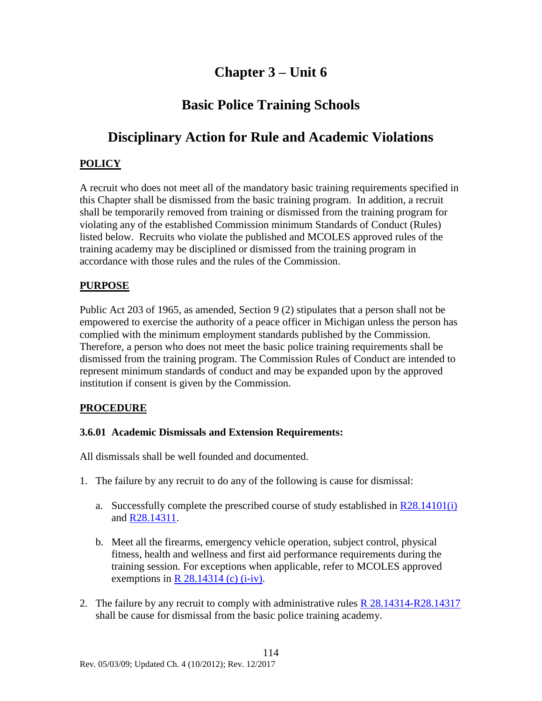### **Chapter 3 – Unit 6**

### **Basic Police Training Schools**

### **Disciplinary Action for Rule and Academic Violations**

### **POLICY**

A recruit who does not meet all of the mandatory basic training requirements specified in this Chapter shall be dismissed from the basic training program. In addition, a recruit shall be temporarily removed from training or dismissed from the training program for violating any of the established Commission minimum Standards of Conduct (Rules) listed below. Recruits who violate the published and MCOLES approved rules of the training academy may be disciplined or dismissed from the training program in accordance with those rules and the rules of the Commission.

### **PURPOSE**

Public Act 203 of 1965, as amended, Section 9 (2) stipulates that a person shall not be empowered to exercise the authority of a peace officer in Michigan unless the person has complied with the minimum employment standards published by the Commission. Therefore, a person who does not meet the basic police training requirements shall be dismissed from the training program. The Commission Rules of Conduct are intended to represent minimum standards of conduct and may be expanded upon by the approved institution if consent is given by the Commission.

### **PROCEDURE**

### **3.6.01 Academic Dismissals and Extension Requirements:**

All dismissals shall be well founded and documented.

- 1. The failure by any recruit to do any of the following is cause for dismissal:
	- a. Successfully complete the prescribed course of study established in  $\frac{R28.14101(i)}{2}$  $\frac{R28.14101(i)}{2}$  $\frac{R28.14101(i)}{2}$ and [R28.14311.](#page-48-0)
	- b. Meet all the firearms, emergency vehicle operation, subject control, physical fitness, health and wellness and first aid performance requirements during the training session. For exceptions when applicable, refer to MCOLES approved exemptions in R  $28.14314$  (c) (i-iv).
- 2. The failure by any recruit to comply with administrative rules  $R$  28.14314-R28.14317 shall be cause for dismissal from the basic police training academy.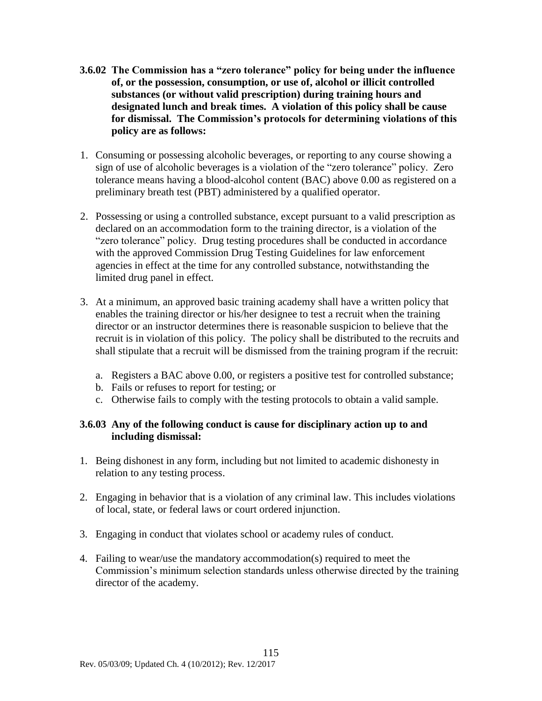- **3.6.02 The Commission has a "zero tolerance" policy for being under the influence of, or the possession, consumption, or use of, alcohol or illicit controlled substances (or without valid prescription) during training hours and designated lunch and break times. A violation of this policy shall be cause for dismissal. The Commission's protocols for determining violations of this policy are as follows:**
- 1. Consuming or possessing alcoholic beverages, or reporting to any course showing a sign of use of alcoholic beverages is a violation of the "zero tolerance" policy. Zero tolerance means having a blood-alcohol content (BAC) above 0.00 as registered on a preliminary breath test (PBT) administered by a qualified operator.
- 2. Possessing or using a controlled substance, except pursuant to a valid prescription as declared on an accommodation form to the training director, is a violation of the "zero tolerance" policy. Drug testing procedures shall be conducted in accordance with the approved Commission Drug Testing Guidelines for law enforcement agencies in effect at the time for any controlled substance, notwithstanding the limited drug panel in effect.
- 3. At a minimum, an approved basic training academy shall have a written policy that enables the training director or his/her designee to test a recruit when the training director or an instructor determines there is reasonable suspicion to believe that the recruit is in violation of this policy. The policy shall be distributed to the recruits and shall stipulate that a recruit will be dismissed from the training program if the recruit:
	- a. Registers a BAC above 0.00, or registers a positive test for controlled substance;
	- b. Fails or refuses to report for testing; or
	- c. Otherwise fails to comply with the testing protocols to obtain a valid sample.

### **3.6.03 Any of the following conduct is cause for disciplinary action up to and including dismissal:**

- 1. Being dishonest in any form, including but not limited to academic dishonesty in relation to any testing process.
- 2. Engaging in behavior that is a violation of any criminal law. This includes violations of local, state, or federal laws or court ordered injunction.
- 3. Engaging in conduct that violates school or academy rules of conduct.
- 4. Failing to wear/use the mandatory accommodation(s) required to meet the Commission's minimum selection standards unless otherwise directed by the training director of the academy.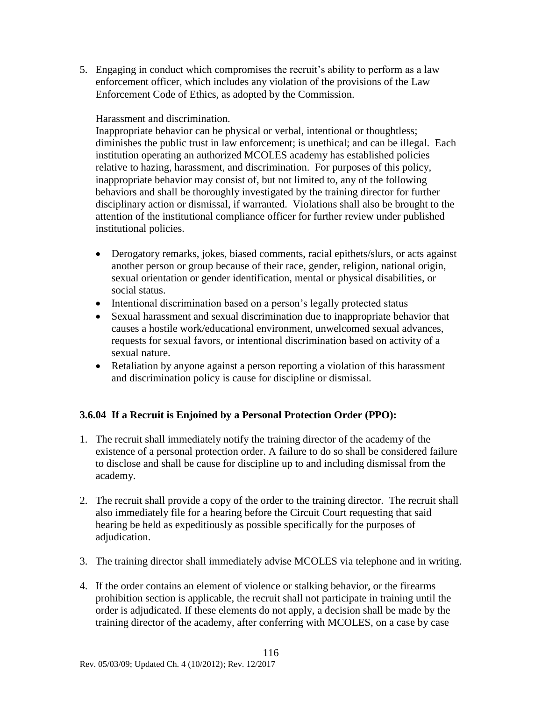5. Engaging in conduct which compromises the recruit's ability to perform as a law enforcement officer, which includes any violation of the provisions of the Law Enforcement Code of Ethics, as adopted by the Commission.

#### Harassment and discrimination.

Inappropriate behavior can be physical or verbal, intentional or thoughtless; diminishes the public trust in law enforcement; is unethical; and can be illegal. Each institution operating an authorized MCOLES academy has established policies relative to hazing, harassment, and discrimination. For purposes of this policy, inappropriate behavior may consist of, but not limited to, any of the following behaviors and shall be thoroughly investigated by the training director for further disciplinary action or dismissal, if warranted. Violations shall also be brought to the attention of the institutional compliance officer for further review under published institutional policies.

- Derogatory remarks, jokes, biased comments, racial epithets/slurs, or acts against another person or group because of their race, gender, religion, national origin, sexual orientation or gender identification, mental or physical disabilities, or social status.
- Intentional discrimination based on a person's legally protected status
- Sexual harassment and sexual discrimination due to inappropriate behavior that causes a hostile work/educational environment, unwelcomed sexual advances, requests for sexual favors, or intentional discrimination based on activity of a sexual nature.
- Retaliation by anyone against a person reporting a violation of this harassment and discrimination policy is cause for discipline or dismissal.

### **3.6.04 If a Recruit is Enjoined by a Personal Protection Order (PPO):**

- 1. The recruit shall immediately notify the training director of the academy of the existence of a personal protection order. A failure to do so shall be considered failure to disclose and shall be cause for discipline up to and including dismissal from the academy.
- 2. The recruit shall provide a copy of the order to the training director. The recruit shall also immediately file for a hearing before the Circuit Court requesting that said hearing be held as expeditiously as possible specifically for the purposes of adjudication.
- 3. The training director shall immediately advise MCOLES via telephone and in writing.
- 4. If the order contains an element of violence or stalking behavior, or the firearms prohibition section is applicable, the recruit shall not participate in training until the order is adjudicated. If these elements do not apply, a decision shall be made by the training director of the academy, after conferring with MCOLES, on a case by case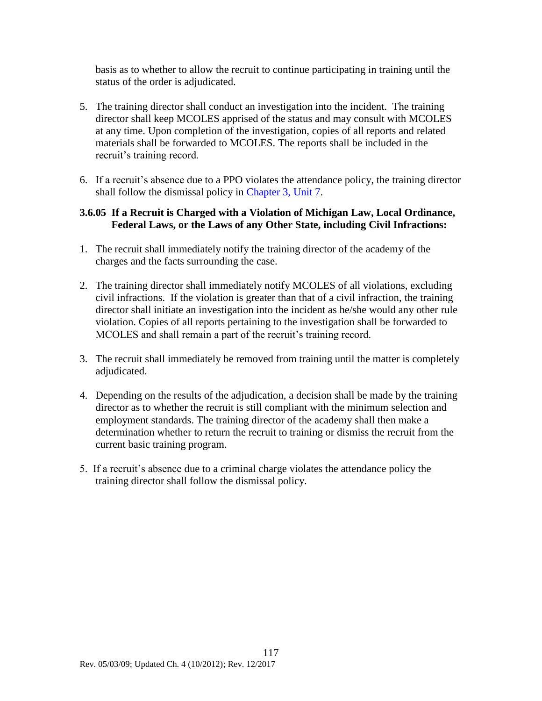basis as to whether to allow the recruit to continue participating in training until the status of the order is adjudicated.

- 5. The training director shall conduct an investigation into the incident. The training director shall keep MCOLES apprised of the status and may consult with MCOLES at any time. Upon completion of the investigation, copies of all reports and related materials shall be forwarded to MCOLES. The reports shall be included in the recruit's training record.
- 6. If a recruit's absence due to a PPO violates the attendance policy, the training director shall follow the dismissal policy in [Chapter 3, Unit 7.](#page-119-0)

#### **3.6.05 If a Recruit is Charged with a Violation of Michigan Law, Local Ordinance, Federal Laws, or the Laws of any Other State, including Civil Infractions:**

- 1. The recruit shall immediately notify the training director of the academy of the charges and the facts surrounding the case.
- 2. The training director shall immediately notify MCOLES of all violations, excluding civil infractions. If the violation is greater than that of a civil infraction, the training director shall initiate an investigation into the incident as he/she would any other rule violation. Copies of all reports pertaining to the investigation shall be forwarded to MCOLES and shall remain a part of the recruit's training record.
- 3. The recruit shall immediately be removed from training until the matter is completely adjudicated.
- 4. Depending on the results of the adjudication, a decision shall be made by the training director as to whether the recruit is still compliant with the minimum selection and employment standards. The training director of the academy shall then make a determination whether to return the recruit to training or dismiss the recruit from the current basic training program.
- 5. If a recruit's absence due to a criminal charge violates the attendance policy the training director shall follow the dismissal policy.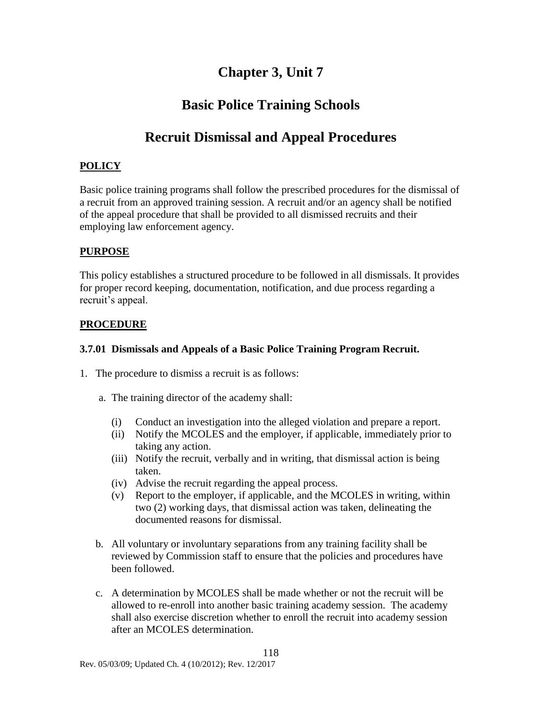### **Chapter 3, Unit 7**

### **Basic Police Training Schools**

### <span id="page-119-0"></span>**Recruit Dismissal and Appeal Procedures**

### **POLICY**

Basic police training programs shall follow the prescribed procedures for the dismissal of a recruit from an approved training session. A recruit and/or an agency shall be notified of the appeal procedure that shall be provided to all dismissed recruits and their employing law enforcement agency.

### **PURPOSE**

This policy establishes a structured procedure to be followed in all dismissals. It provides for proper record keeping, documentation, notification, and due process regarding a recruit's appeal.

#### **PROCEDURE**

#### **3.7.01 Dismissals and Appeals of a Basic Police Training Program Recruit.**

- 1. The procedure to dismiss a recruit is as follows:
	- a. The training director of the academy shall:
		- (i) Conduct an investigation into the alleged violation and prepare a report.
		- (ii) Notify the MCOLES and the employer, if applicable, immediately prior to taking any action.
		- (iii) Notify the recruit, verbally and in writing, that dismissal action is being taken.
		- (iv) Advise the recruit regarding the appeal process.
		- (v) Report to the employer, if applicable, and the MCOLES in writing, within two (2) working days, that dismissal action was taken, delineating the documented reasons for dismissal.
	- b. All voluntary or involuntary separations from any training facility shall be reviewed by Commission staff to ensure that the policies and procedures have been followed.
	- c. A determination by MCOLES shall be made whether or not the recruit will be allowed to re-enroll into another basic training academy session. The academy shall also exercise discretion whether to enroll the recruit into academy session after an MCOLES determination.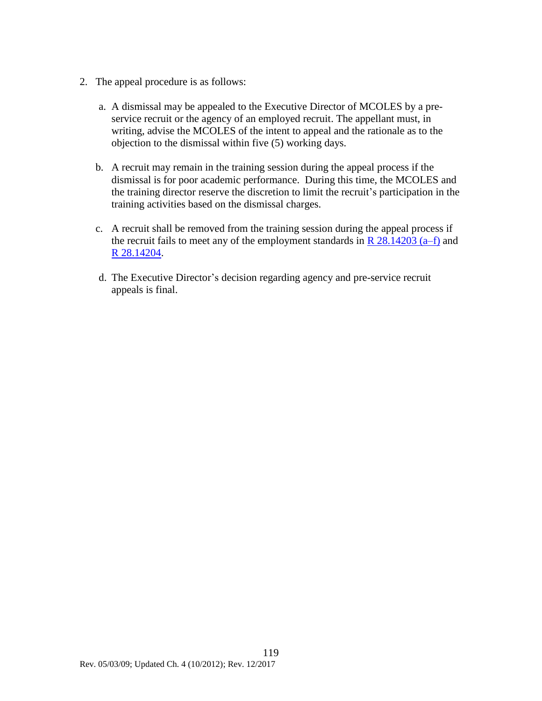- 2. The appeal procedure is as follows:
	- a. A dismissal may be appealed to the Executive Director of MCOLES by a preservice recruit or the agency of an employed recruit. The appellant must, in writing, advise the MCOLES of the intent to appeal and the rationale as to the objection to the dismissal within five (5) working days.
	- b. A recruit may remain in the training session during the appeal process if the dismissal is for poor academic performance. During this time, the MCOLES and the training director reserve the discretion to limit the recruit's participation in the training activities based on the dismissal charges.
	- c. A recruit shall be removed from the training session during the appeal process if the recruit fails to meet any of the employment standards in  $\mathbb{R}$  28.14203 (a–f) and [R 28.14204.](#page-38-0)
	- d. The Executive Director's decision regarding agency and pre-service recruit appeals is final.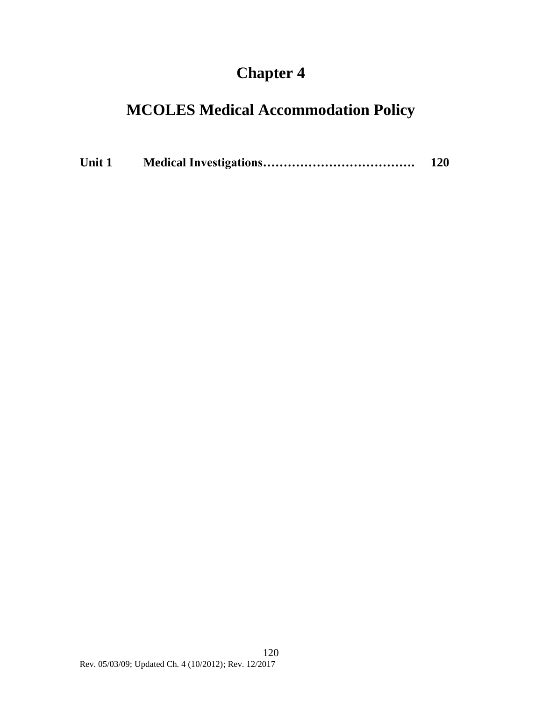# **Chapter 4**

# **MCOLES Medical Accommodation Policy**

| Unit 1 |  | 120 |
|--------|--|-----|
|--------|--|-----|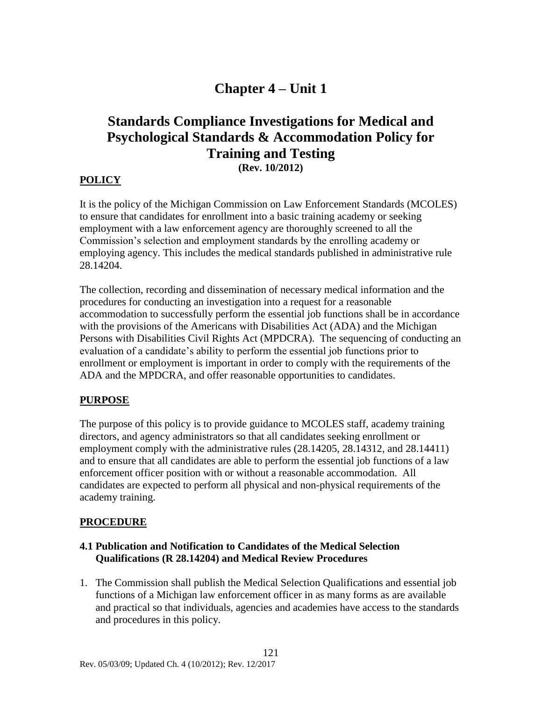## **Chapter 4 – Unit 1**

### **Standards Compliance Investigations for Medical and Psychological Standards & Accommodation Policy for Training and Testing (Rev. 10/2012)**

### **POLICY**

It is the policy of the Michigan Commission on Law Enforcement Standards (MCOLES) to ensure that candidates for enrollment into a basic training academy or seeking employment with a law enforcement agency are thoroughly screened to all the Commission's selection and employment standards by the enrolling academy or employing agency. This includes the medical standards published in administrative rule 28.14204.

The collection, recording and dissemination of necessary medical information and the procedures for conducting an investigation into a request for a reasonable accommodation to successfully perform the essential job functions shall be in accordance with the provisions of the Americans with Disabilities Act (ADA) and the Michigan Persons with Disabilities Civil Rights Act (MPDCRA). The sequencing of conducting an evaluation of a candidate's ability to perform the essential job functions prior to enrollment or employment is important in order to comply with the requirements of the ADA and the MPDCRA, and offer reasonable opportunities to candidates.

#### **PURPOSE**

The purpose of this policy is to provide guidance to MCOLES staff, academy training directors, and agency administrators so that all candidates seeking enrollment or employment comply with the administrative rules (28.14205, 28.14312, and 28.14411) and to ensure that all candidates are able to perform the essential job functions of a law enforcement officer position with or without a reasonable accommodation. All candidates are expected to perform all physical and non-physical requirements of the academy training.

#### **PROCEDURE**

#### **4.1 Publication and Notification to Candidates of the Medical Selection Qualifications (R 28.14204) and Medical Review Procedures**

1. The Commission shall publish the Medical Selection Qualifications and essential job functions of a Michigan law enforcement officer in as many forms as are available and practical so that individuals, agencies and academies have access to the standards and procedures in this policy.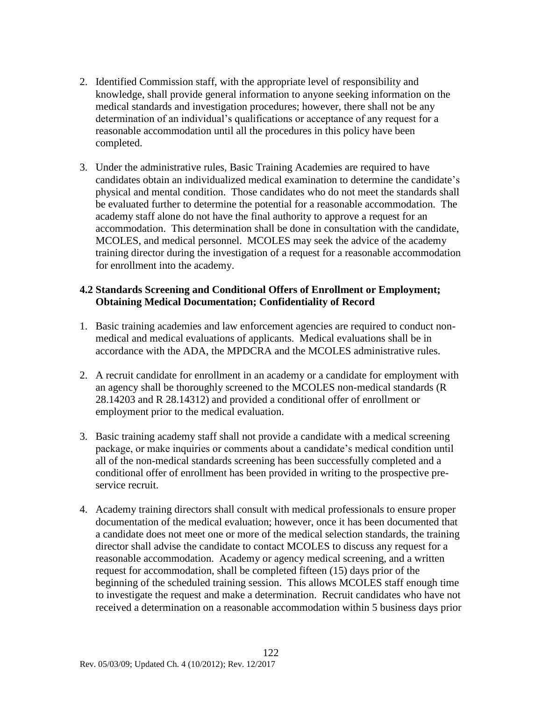- 2. Identified Commission staff, with the appropriate level of responsibility and knowledge, shall provide general information to anyone seeking information on the medical standards and investigation procedures; however, there shall not be any determination of an individual's qualifications or acceptance of any request for a reasonable accommodation until all the procedures in this policy have been completed.
- 3. Under the administrative rules, Basic Training Academies are required to have candidates obtain an individualized medical examination to determine the candidate's physical and mental condition. Those candidates who do not meet the standards shall be evaluated further to determine the potential for a reasonable accommodation. The academy staff alone do not have the final authority to approve a request for an accommodation. This determination shall be done in consultation with the candidate, MCOLES, and medical personnel. MCOLES may seek the advice of the academy training director during the investigation of a request for a reasonable accommodation for enrollment into the academy.

#### **4.2 Standards Screening and Conditional Offers of Enrollment or Employment; Obtaining Medical Documentation; Confidentiality of Record**

- 1. Basic training academies and law enforcement agencies are required to conduct nonmedical and medical evaluations of applicants. Medical evaluations shall be in accordance with the ADA, the MPDCRA and the MCOLES administrative rules.
- 2. A recruit candidate for enrollment in an academy or a candidate for employment with an agency shall be thoroughly screened to the MCOLES non-medical standards (R 28.14203 and R 28.14312) and provided a conditional offer of enrollment or employment prior to the medical evaluation.
- 3. Basic training academy staff shall not provide a candidate with a medical screening package, or make inquiries or comments about a candidate's medical condition until all of the non-medical standards screening has been successfully completed and a conditional offer of enrollment has been provided in writing to the prospective preservice recruit.
- 4. Academy training directors shall consult with medical professionals to ensure proper documentation of the medical evaluation; however, once it has been documented that a candidate does not meet one or more of the medical selection standards, the training director shall advise the candidate to contact MCOLES to discuss any request for a reasonable accommodation. Academy or agency medical screening, and a written request for accommodation, shall be completed fifteen (15) days prior of the beginning of the scheduled training session. This allows MCOLES staff enough time to investigate the request and make a determination. Recruit candidates who have not received a determination on a reasonable accommodation within 5 business days prior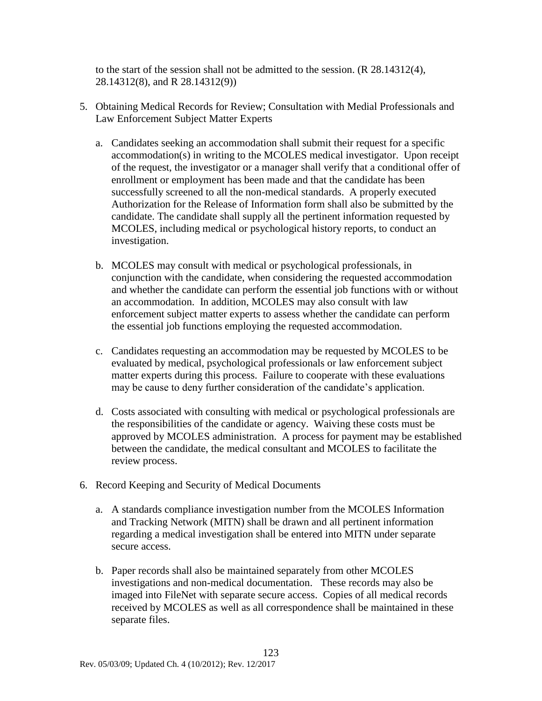to the start of the session shall not be admitted to the session. (R 28.14312(4), 28.14312(8), and R 28.14312(9))

- 5. Obtaining Medical Records for Review; Consultation with Medial Professionals and Law Enforcement Subject Matter Experts
	- a. Candidates seeking an accommodation shall submit their request for a specific accommodation(s) in writing to the MCOLES medical investigator. Upon receipt of the request, the investigator or a manager shall verify that a conditional offer of enrollment or employment has been made and that the candidate has been successfully screened to all the non-medical standards. A properly executed Authorization for the Release of Information form shall also be submitted by the candidate. The candidate shall supply all the pertinent information requested by MCOLES, including medical or psychological history reports, to conduct an investigation.
	- b. MCOLES may consult with medical or psychological professionals, in conjunction with the candidate, when considering the requested accommodation and whether the candidate can perform the essential job functions with or without an accommodation. In addition, MCOLES may also consult with law enforcement subject matter experts to assess whether the candidate can perform the essential job functions employing the requested accommodation.
	- c. Candidates requesting an accommodation may be requested by MCOLES to be evaluated by medical, psychological professionals or law enforcement subject matter experts during this process. Failure to cooperate with these evaluations may be cause to deny further consideration of the candidate's application.
	- d. Costs associated with consulting with medical or psychological professionals are the responsibilities of the candidate or agency. Waiving these costs must be approved by MCOLES administration. A process for payment may be established between the candidate, the medical consultant and MCOLES to facilitate the review process.
- 6. Record Keeping and Security of Medical Documents
	- a. A standards compliance investigation number from the MCOLES Information and Tracking Network (MITN) shall be drawn and all pertinent information regarding a medical investigation shall be entered into MITN under separate secure access.
	- b. Paper records shall also be maintained separately from other MCOLES investigations and non-medical documentation. These records may also be imaged into FileNet with separate secure access. Copies of all medical records received by MCOLES as well as all correspondence shall be maintained in these separate files.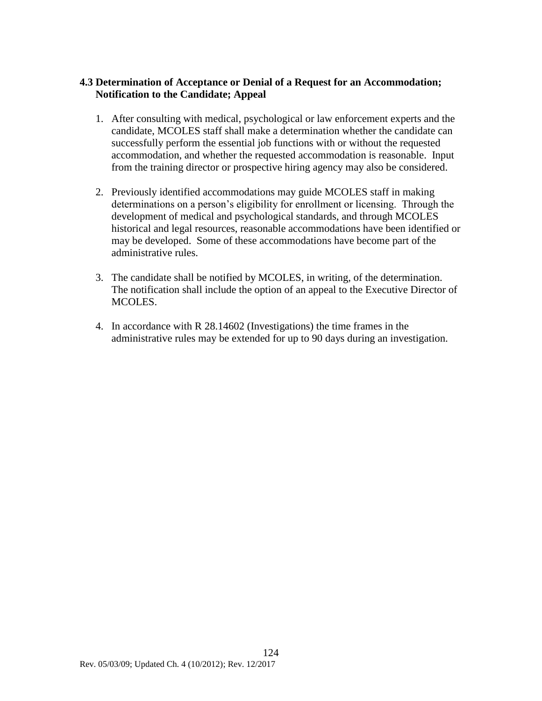### **4.3 Determination of Acceptance or Denial of a Request for an Accommodation; Notification to the Candidate; Appeal**

- 1. After consulting with medical, psychological or law enforcement experts and the candidate, MCOLES staff shall make a determination whether the candidate can successfully perform the essential job functions with or without the requested accommodation, and whether the requested accommodation is reasonable. Input from the training director or prospective hiring agency may also be considered.
- 2. Previously identified accommodations may guide MCOLES staff in making determinations on a person's eligibility for enrollment or licensing. Through the development of medical and psychological standards, and through MCOLES historical and legal resources, reasonable accommodations have been identified or may be developed. Some of these accommodations have become part of the administrative rules.
- 3. The candidate shall be notified by MCOLES, in writing, of the determination. The notification shall include the option of an appeal to the Executive Director of MCOLES.
- 4. In accordance with R 28.14602 (Investigations) the time frames in the administrative rules may be extended for up to 90 days during an investigation.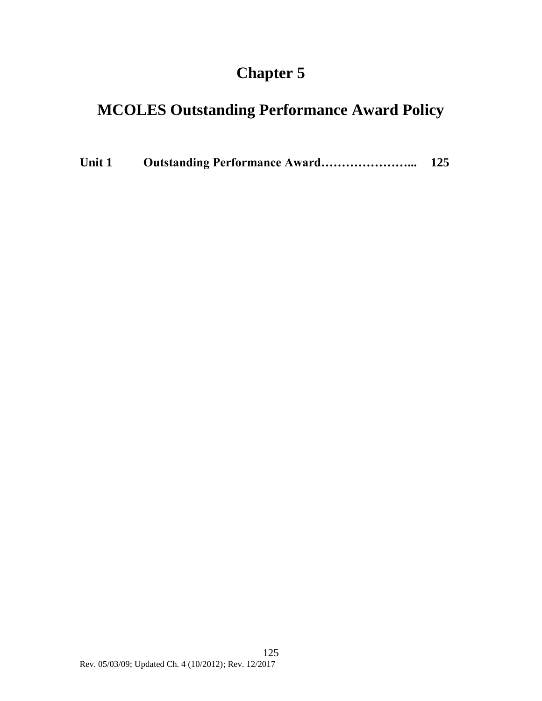# **Chapter 5**

# **MCOLES Outstanding Performance Award Policy**

| Unit 1 | <b>Outstanding Performance Award</b> | 125 |
|--------|--------------------------------------|-----|
|        |                                      |     |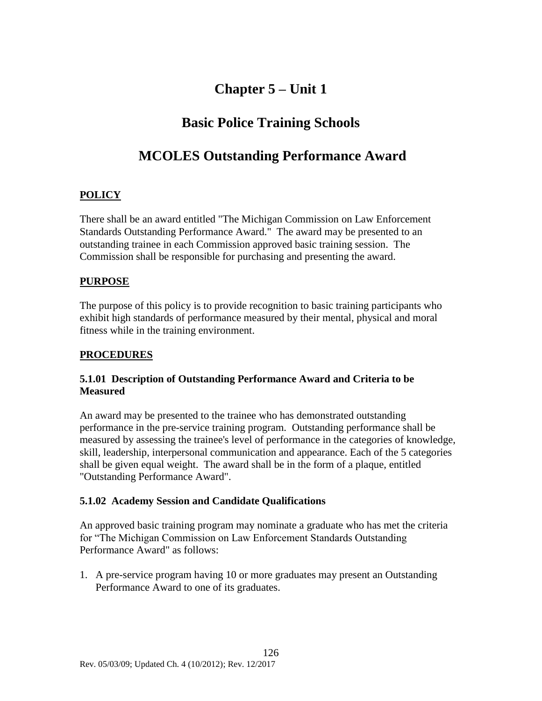# **Chapter 5 – Unit 1**

## **Basic Police Training Schools**

### **MCOLES Outstanding Performance Award**

### **POLICY**

There shall be an award entitled "The Michigan Commission on Law Enforcement Standards Outstanding Performance Award." The award may be presented to an outstanding trainee in each Commission approved basic training session. The Commission shall be responsible for purchasing and presenting the award.

### **PURPOSE**

The purpose of this policy is to provide recognition to basic training participants who exhibit high standards of performance measured by their mental, physical and moral fitness while in the training environment.

### **PROCEDURES**

### **5.1.01 Description of Outstanding Performance Award and Criteria to be Measured**

An award may be presented to the trainee who has demonstrated outstanding performance in the pre-service training program. Outstanding performance shall be measured by assessing the trainee's level of performance in the categories of knowledge, skill, leadership, interpersonal communication and appearance. Each of the 5 categories shall be given equal weight. The award shall be in the form of a plaque, entitled "Outstanding Performance Award".

### **5.1.02 Academy Session and Candidate Qualifications**

An approved basic training program may nominate a graduate who has met the criteria for "The Michigan Commission on Law Enforcement Standards Outstanding Performance Award" as follows:

1. A pre-service program having 10 or more graduates may present an Outstanding Performance Award to one of its graduates.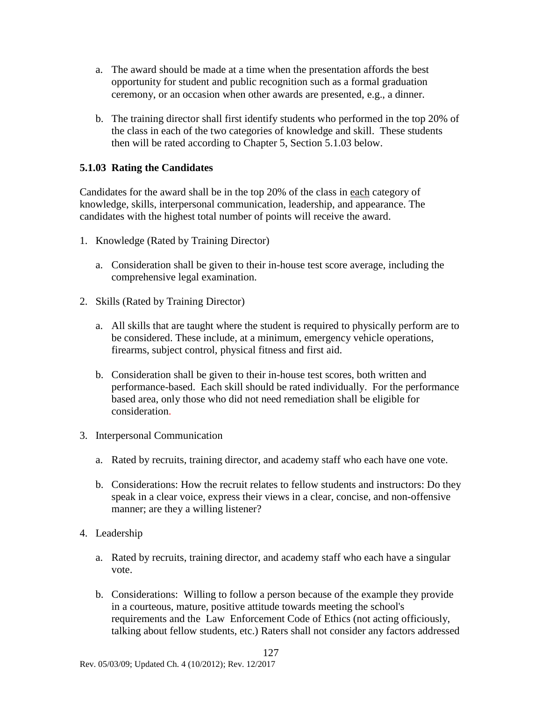- a. The award should be made at a time when the presentation affords the best opportunity for student and public recognition such as a formal graduation ceremony, or an occasion when other awards are presented, e.g., a dinner.
- b. The training director shall first identify students who performed in the top 20% of the class in each of the two categories of knowledge and skill. These students then will be rated according to Chapter 5, Section 5.1.03 below.

### **5.1.03 Rating the Candidates**

Candidates for the award shall be in the top 20% of the class in each category of knowledge, skills, interpersonal communication, leadership, and appearance. The candidates with the highest total number of points will receive the award.

- 1. Knowledge (Rated by Training Director)
	- a. Consideration shall be given to their in-house test score average, including the comprehensive legal examination.
- 2. Skills (Rated by Training Director)
	- a. All skills that are taught where the student is required to physically perform are to be considered. These include, at a minimum, emergency vehicle operations, firearms, subject control, physical fitness and first aid.
	- b. Consideration shall be given to their in-house test scores, both written and performance-based. Each skill should be rated individually. For the performance based area, only those who did not need remediation shall be eligible for consideration.
- 3. Interpersonal Communication
	- a. Rated by recruits, training director, and academy staff who each have one vote.
	- b. Considerations: How the recruit relates to fellow students and instructors: Do they speak in a clear voice, express their views in a clear, concise, and non-offensive manner; are they a willing listener?
- 4. Leadership
	- a. Rated by recruits, training director, and academy staff who each have a singular vote.
	- b. Considerations: Willing to follow a person because of the example they provide in a courteous, mature, positive attitude towards meeting the school's requirements and the Law Enforcement Code of Ethics (not acting officiously, talking about fellow students, etc.) Raters shall not consider any factors addressed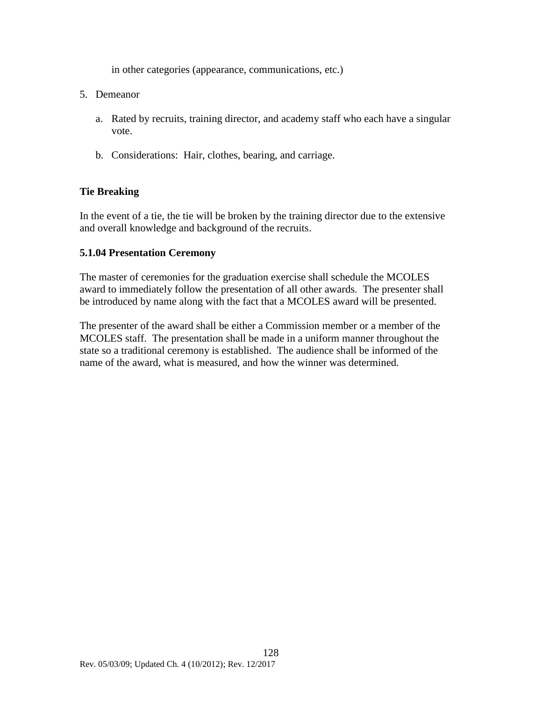in other categories (appearance, communications, etc.)

- 5. Demeanor
	- a. Rated by recruits, training director, and academy staff who each have a singular vote.
	- b. Considerations: Hair, clothes, bearing, and carriage.

### **Tie Breaking**

In the event of a tie, the tie will be broken by the training director due to the extensive and overall knowledge and background of the recruits.

### **5.1.04 Presentation Ceremony**

The master of ceremonies for the graduation exercise shall schedule the MCOLES award to immediately follow the presentation of all other awards. The presenter shall be introduced by name along with the fact that a MCOLES award will be presented.

The presenter of the award shall be either a Commission member or a member of the MCOLES staff. The presentation shall be made in a uniform manner throughout the state so a traditional ceremony is established. The audience shall be informed of the name of the award, what is measured, and how the winner was determined.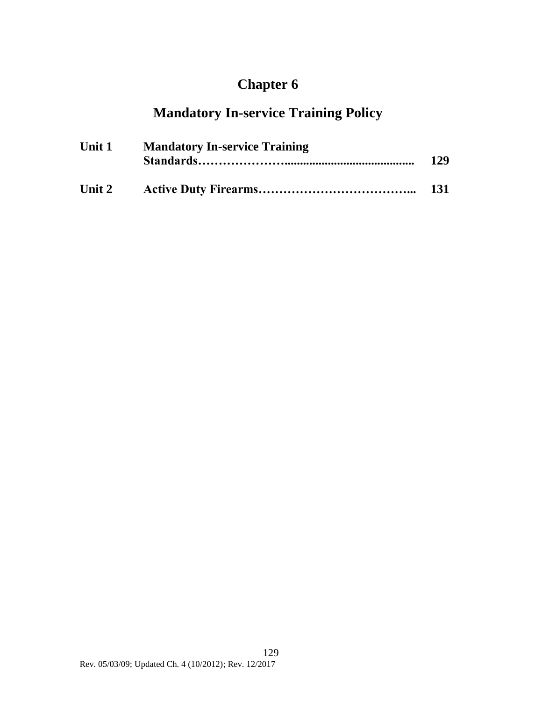# **Chapter 6**

# **Mandatory In-service Training Policy**

| Unit 1 | <b>Mandatory In-service Training</b> |            |
|--------|--------------------------------------|------------|
|        |                                      | <b>131</b> |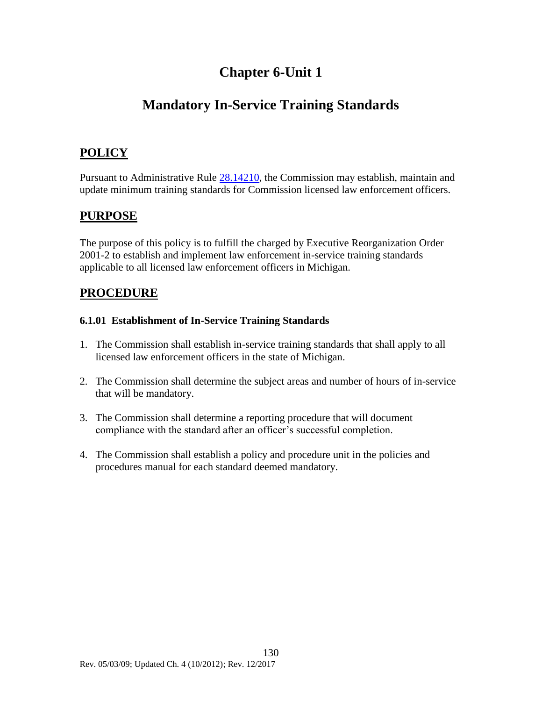## **Chapter 6-Unit 1**

# **Mandatory In-Service Training Standards**

### **POLICY**

Pursuant to Administrative Rule [28.14210,](#page-43-0) the Commission may establish, maintain and update minimum training standards for Commission licensed law enforcement officers.

### **PURPOSE**

The purpose of this policy is to fulfill the charged by Executive Reorganization Order 2001-2 to establish and implement law enforcement in-service training standards applicable to all licensed law enforcement officers in Michigan.

### **PROCEDURE**

### **6.1.01 Establishment of In-Service Training Standards**

- 1. The Commission shall establish in-service training standards that shall apply to all licensed law enforcement officers in the state of Michigan.
- 2. The Commission shall determine the subject areas and number of hours of in-service that will be mandatory.
- 3. The Commission shall determine a reporting procedure that will document compliance with the standard after an officer's successful completion.
- 4. The Commission shall establish a policy and procedure unit in the policies and procedures manual for each standard deemed mandatory.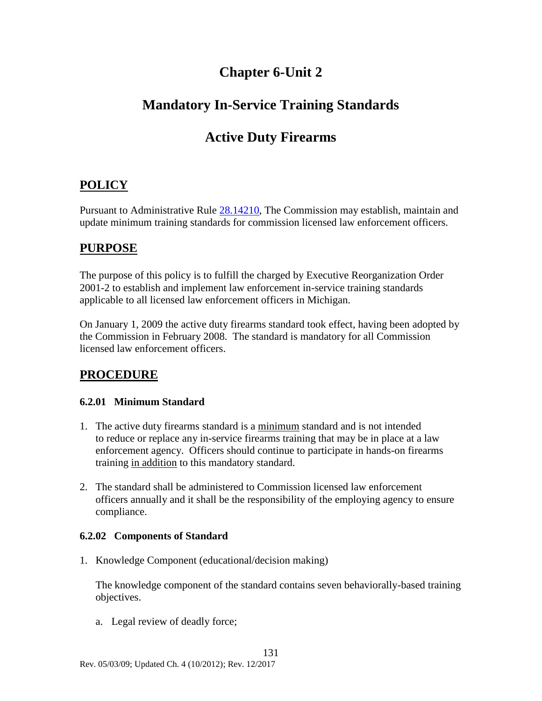### **Chapter 6-Unit 2**

## **Mandatory In-Service Training Standards**

## **Active Duty Firearms**

### **POLICY**

Pursuant to Administrative Rule [28.14210,](#page-43-0) The Commission may establish, maintain and update minimum training standards for commission licensed law enforcement officers.

### **PURPOSE**

The purpose of this policy is to fulfill the charged by Executive Reorganization Order 2001-2 to establish and implement law enforcement in-service training standards applicable to all licensed law enforcement officers in Michigan.

On January 1, 2009 the active duty firearms standard took effect, having been adopted by the Commission in February 2008. The standard is mandatory for all Commission licensed law enforcement officers.

### **PROCEDURE**

### **6.2.01 Minimum Standard**

- 1. The active duty firearms standard is a minimum standard and is not intended to reduce or replace any in-service firearms training that may be in place at a law enforcement agency. Officers should continue to participate in hands-on firearms training in addition to this mandatory standard.
- 2. The standard shall be administered to Commission licensed law enforcement officers annually and it shall be the responsibility of the employing agency to ensure compliance.

### **6.2.02 Components of Standard**

1. Knowledge Component (educational/decision making)

The knowledge component of the standard contains seven behaviorally-based training objectives.

a. Legal review of deadly force;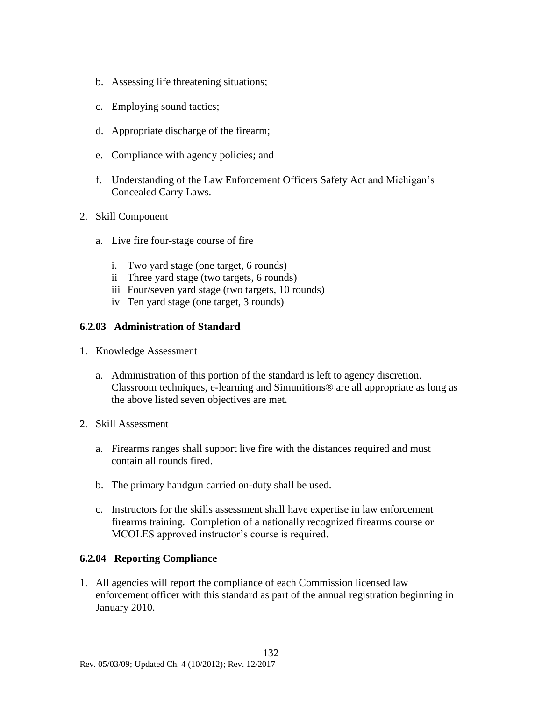- b. Assessing life threatening situations;
- c. Employing sound tactics;
- d. Appropriate discharge of the firearm;
- e. Compliance with agency policies; and
- f. Understanding of the Law Enforcement Officers Safety Act and Michigan's Concealed Carry Laws.
- 2. Skill Component
	- a. Live fire four-stage course of fire
		- i. Two yard stage (one target, 6 rounds)
		- ii Three yard stage (two targets, 6 rounds)
		- iii Four/seven yard stage (two targets, 10 rounds)
		- iv Ten yard stage (one target, 3 rounds)

#### **6.2.03 Administration of Standard**

- 1. Knowledge Assessment
	- a. Administration of this portion of the standard is left to agency discretion. Classroom techniques, e-learning and Simunitions® are all appropriate as long as the above listed seven objectives are met.
- 2. Skill Assessment
	- a. Firearms ranges shall support live fire with the distances required and must contain all rounds fired.
	- b. The primary handgun carried on-duty shall be used.
	- c. Instructors for the skills assessment shall have expertise in law enforcement firearms training. Completion of a nationally recognized firearms course or MCOLES approved instructor's course is required.

#### **6.2.04 Reporting Compliance**

1. All agencies will report the compliance of each Commission licensed law enforcement officer with this standard as part of the annual registration beginning in January 2010.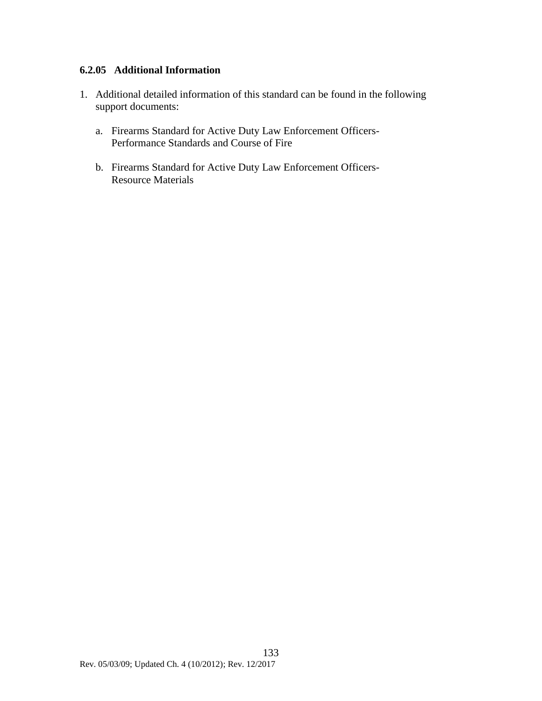### **6.2.05 Additional Information**

- 1. Additional detailed information of this standard can be found in the following support documents:
	- a. Firearms Standard for Active Duty Law Enforcement Officers-Performance Standards and Course of Fire
	- b. Firearms Standard for Active Duty Law Enforcement Officers-Resource Materials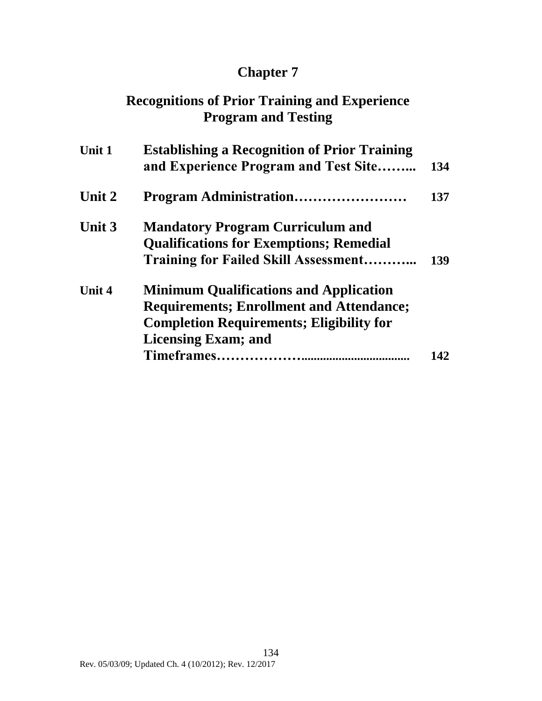# **Chapter 7**

## **Recognitions of Prior Training and Experience Program and Testing**

| <b>Establishing a Recognition of Prior Training</b><br>and Experience Program and Test Site                                                                                       | 134 |
|-----------------------------------------------------------------------------------------------------------------------------------------------------------------------------------|-----|
| Program Administration                                                                                                                                                            | 137 |
| <b>Mandatory Program Curriculum and</b><br><b>Qualifications for Exemptions; Remedial</b><br><b>Training for Failed Skill Assessment</b>                                          | 139 |
| <b>Minimum Qualifications and Application</b><br><b>Requirements; Enrollment and Attendance;</b><br><b>Completion Requirements; Eligibility for</b><br><b>Licensing Exam; and</b> |     |
|                                                                                                                                                                                   |     |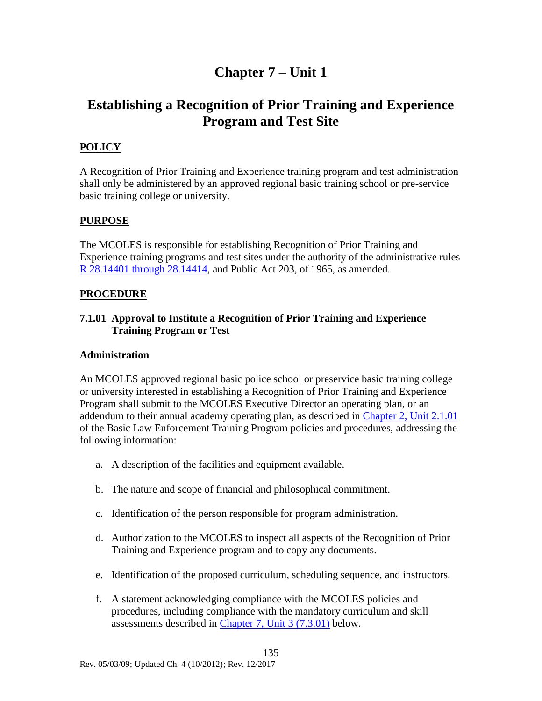### **Chapter 7 – Unit 1**

### **Establishing a Recognition of Prior Training and Experience Program and Test Site**

### **POLICY**

A Recognition of Prior Training and Experience training program and test administration shall only be administered by an approved regional basic training school or pre-service basic training college or university.

### **PURPOSE**

The MCOLES is responsible for establishing Recognition of Prior Training and Experience training programs and test sites under the authority of the administrative rules [R 28.14401 through 28.14414,](#page-52-0) and Public Act 203, of 1965, as amended.

### **PROCEDURE**

### **7.1.01 Approval to Institute a Recognition of Prior Training and Experience Training Program or Test**

### **Administration**

An MCOLES approved regional basic police school or preservice basic training college or university interested in establishing a Recognition of Prior Training and Experience Program shall submit to the MCOLES Executive Director an operating plan, or an addendum to their annual academy operating plan, as described in [Chapter 2, Unit 2.1.01](#page-67-0) of the Basic Law Enforcement Training Program policies and procedures, addressing the following information:

- a. A description of the facilities and equipment available.
- b. The nature and scope of financial and philosophical commitment.
- c. Identification of the person responsible for program administration.
- d. Authorization to the MCOLES to inspect all aspects of the Recognition of Prior Training and Experience program and to copy any documents.
- e. Identification of the proposed curriculum, scheduling sequence, and instructors.
- f. A statement acknowledging compliance with the MCOLES policies and procedures, including compliance with the mandatory curriculum and skill assessments described in [Chapter 7, Unit 3](#page-140-0) (7.3.01) below.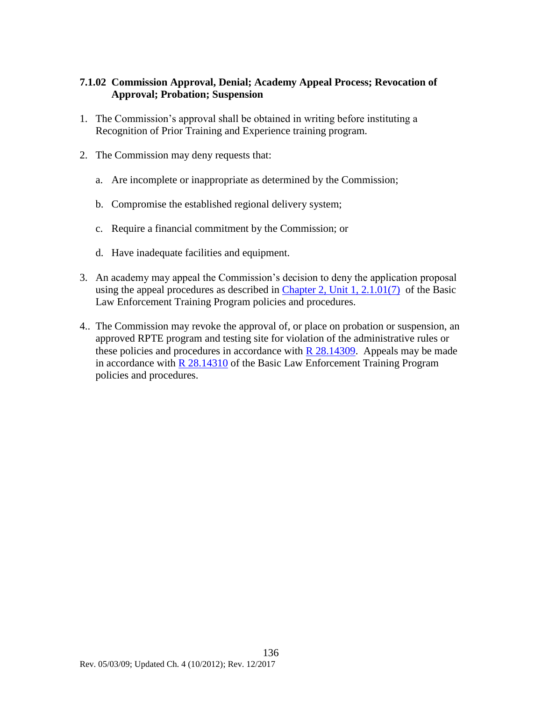### **7.1.02 Commission Approval, Denial; Academy Appeal Process; Revocation of Approval; Probation; Suspension**

- 1. The Commission's approval shall be obtained in writing before instituting a Recognition of Prior Training and Experience training program.
- 2. The Commission may deny requests that:
	- a. Are incomplete or inappropriate as determined by the Commission;
	- b. Compromise the established regional delivery system;
	- c. Require a financial commitment by the Commission; or
	- d. Have inadequate facilities and equipment.
- 3. An academy may appeal the Commission's decision to deny the application proposal using the appeal procedures as described in [Chapter 2, Unit](#page-67-0) 1, 2.1.01(7) of the Basic Law Enforcement Training Program policies and procedures.
- 4.. The Commission may revoke the approval of, or place on probation or suspension, an approved RPTE program and testing site for violation of the administrative rules or these policies and procedures in accordance with  $R$  28.14309. Appeals may be made in accordance with  $R$  28.14310 of the Basic Law Enforcement Training Program policies and procedures.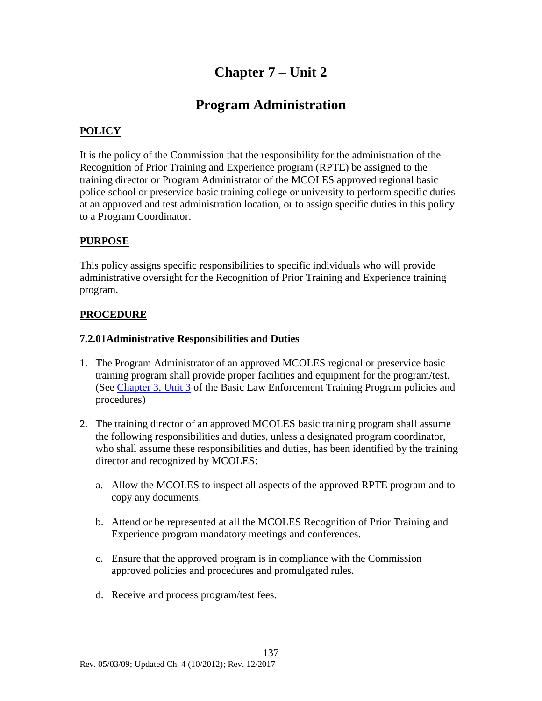## **Chapter 7 – Unit 2**

### **Program Administration**

### **POLICY**

It is the policy of the Commission that the responsibility for the administration of the Recognition of Prior Training and Experience program (RPTE) be assigned to the training director or Program Administrator of the MCOLES approved regional basic police school or preservice basic training college or university to perform specific duties at an approved and test administration location, or to assign specific duties in this policy to a Program Coordinator.

### **PURPOSE**

This policy assigns specific responsibilities to specific individuals who will provide administrative oversight for the Recognition of Prior Training and Experience training program.

### **PROCEDURE**

#### **7.2.01Administrative Responsibilities and Duties**

- 1. The Program Administrator of an approved MCOLES regional or preservice basic training program shall provide proper facilities and equipment for the program/test. (See [Chapter 3, Unit 3](#page-99-0) of the Basic Law Enforcement Training Program policies and procedures)
- 2. The training director of an approved MCOLES basic training program shall assume the following responsibilities and duties, unless a designated program coordinator, who shall assume these responsibilities and duties, has been identified by the training director and recognized by MCOLES:
	- a. Allow the MCOLES to inspect all aspects of the approved RPTE program and to copy any documents.
	- b. Attend or be represented at all the MCOLES Recognition of Prior Training and Experience program mandatory meetings and conferences.
	- c. Ensure that the approved program is in compliance with the Commission approved policies and procedures and promulgated rules.
	- d. Receive and process program/test fees.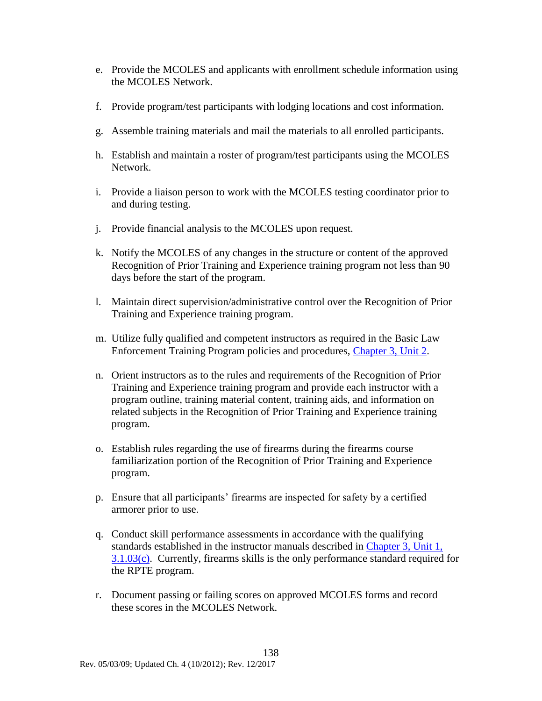- e. Provide the MCOLES and applicants with enrollment schedule information using the MCOLES Network.
- f. Provide program/test participants with lodging locations and cost information.
- g. Assemble training materials and mail the materials to all enrolled participants.
- h. Establish and maintain a roster of program/test participants using the MCOLES Network.
- i. Provide a liaison person to work with the MCOLES testing coordinator prior to and during testing.
- j. Provide financial analysis to the MCOLES upon request.
- k. Notify the MCOLES of any changes in the structure or content of the approved Recognition of Prior Training and Experience training program not less than 90 days before the start of the program.
- l. Maintain direct supervision/administrative control over the Recognition of Prior Training and Experience training program.
- m. Utilize fully qualified and competent instructors as required in the Basic Law Enforcement Training Program policies and procedures, [Chapter 3, Unit 2.](#page-95-0)
- n. Orient instructors as to the rules and requirements of the Recognition of Prior Training and Experience training program and provide each instructor with a program outline, training material content, training aids, and information on related subjects in the Recognition of Prior Training and Experience training program.
- o. Establish rules regarding the use of firearms during the firearms course familiarization portion of the Recognition of Prior Training and Experience program.
- p. Ensure that all participants' firearms are inspected for safety by a certified armorer prior to use.
- q. Conduct skill performance assessments in accordance with the qualifying standards established in the instructor manuals described in Chapter 3, Unit 1, 3.1.03(c). Currently, firearms skills is the only performance standard required for the RPTE program.
- r. Document passing or failing scores on approved MCOLES forms and record these scores in the MCOLES Network.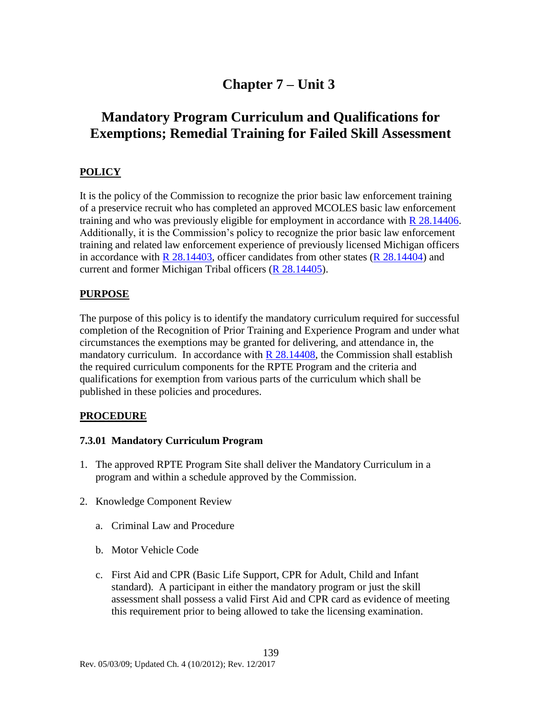### **Chapter 7 – Unit 3**

### **Mandatory Program Curriculum and Qualifications for Exemptions; Remedial Training for Failed Skill Assessment**

### **POLICY**

It is the policy of the Commission to recognize the prior basic law enforcement training of a preservice recruit who has completed an approved MCOLES basic law enforcement training and who was previously eligible for employment in accordance with [R 28.14406.](#page-53-0) Additionally, it is the Commission's policy to recognize the prior basic law enforcement training and related law enforcement experience of previously licensed Michigan officers in accordance with R  $28.14403$ , officer candidates from other states (R  $28.14404$ ) and current and former Michigan Tribal officers [\(R 28.14405\)](#page-53-1).

### **PURPOSE**

The purpose of this policy is to identify the mandatory curriculum required for successful completion of the Recognition of Prior Training and Experience Program and under what circumstances the exemptions may be granted for delivering, and attendance in, the mandatory curriculum. In accordance with  $R$  28.14408, the Commission shall establish the required curriculum components for the RPTE Program and the criteria and qualifications for exemption from various parts of the curriculum which shall be published in these policies and procedures.

### **PROCEDURE**

### <span id="page-140-0"></span>**7.3.01 Mandatory Curriculum Program**

- 1. The approved RPTE Program Site shall deliver the Mandatory Curriculum in a program and within a schedule approved by the Commission.
- 2. Knowledge Component Review
	- a. Criminal Law and Procedure
	- b. Motor Vehicle Code
	- c. First Aid and CPR (Basic Life Support, CPR for Adult, Child and Infant standard). A participant in either the mandatory program or just the skill assessment shall possess a valid First Aid and CPR card as evidence of meeting this requirement prior to being allowed to take the licensing examination.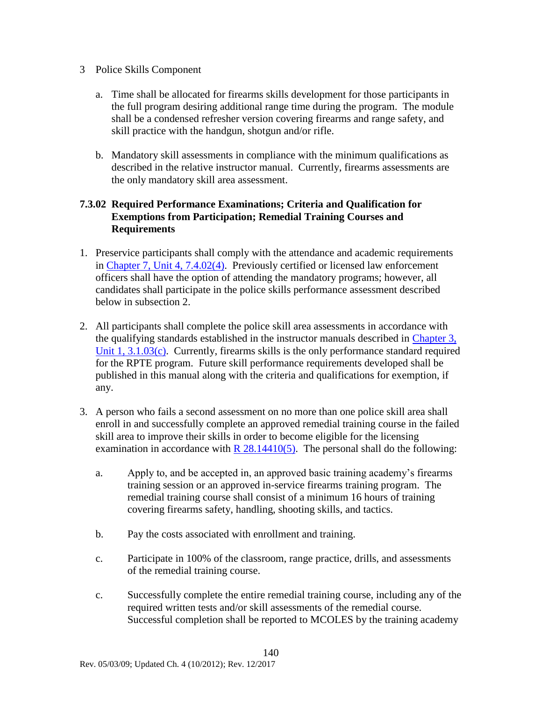- 3 Police Skills Component
	- a. Time shall be allocated for firearms skills development for those participants in the full program desiring additional range time during the program. The module shall be a condensed refresher version covering firearms and range safety, and skill practice with the handgun, shotgun and/or rifle.
	- b. Mandatory skill assessments in compliance with the minimum qualifications as described in the relative instructor manual. Currently, firearms assessments are the only mandatory skill area assessment.

### **7.3.02 Required Performance Examinations; Criteria and Qualification for Exemptions from Participation; Remedial Training Courses and Requirements**

- 1. Preservice participants shall comply with the attendance and academic requirements in [Chapter 7, Unit 4, 7.4.02\(4\).](#page-144-0) Previously certified or licensed law enforcement officers shall have the option of attending the mandatory programs; however, all candidates shall participate in the police skills performance assessment described below in subsection 2.
- 2. All participants shall complete the police skill area assessments in accordance with the qualifying standards established in the instructor manuals described in Chapter 3, Unit 1, 3.1.03(c). Currently, firearms skills is the only performance standard required for the RPTE program. Future skill performance requirements developed shall be published in this manual along with the criteria and qualifications for exemption, if any.
- 3. A person who fails a second assessment on no more than one police skill area shall enroll in and successfully complete an approved remedial training course in the failed skill area to improve their skills in order to become eligible for the licensing examination in accordance with  $R$  28.14410(5). The personal shall do the following:
	- a. Apply to, and be accepted in, an approved basic training academy's firearms training session or an approved in-service firearms training program. The remedial training course shall consist of a minimum 16 hours of training covering firearms safety, handling, shooting skills, and tactics.
	- b. Pay the costs associated with enrollment and training.
	- c. Participate in 100% of the classroom, range practice, drills, and assessments of the remedial training course.
	- c. Successfully complete the entire remedial training course, including any of the required written tests and/or skill assessments of the remedial course. Successful completion shall be reported to MCOLES by the training academy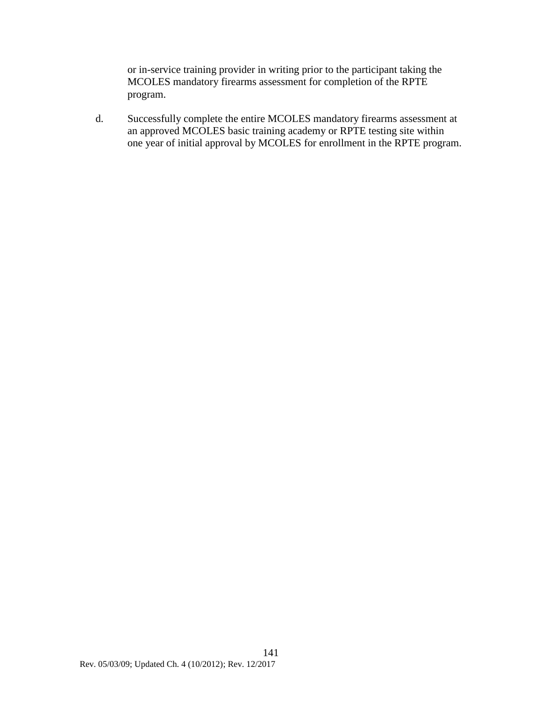or in-service training provider in writing prior to the participant taking the MCOLES mandatory firearms assessment for completion of the RPTE program.

d. Successfully complete the entire MCOLES mandatory firearms assessment at an approved MCOLES basic training academy or RPTE testing site within one year of initial approval by MCOLES for enrollment in the RPTE program.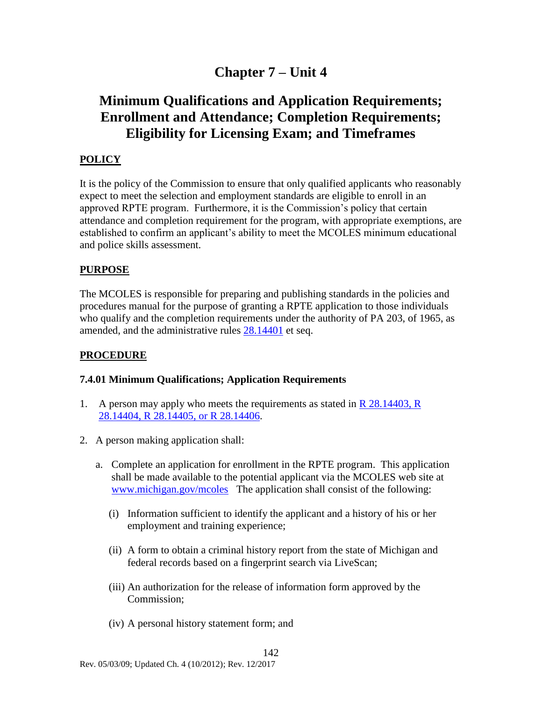### **Chapter 7 – Unit 4**

### **Minimum Qualifications and Application Requirements; Enrollment and Attendance; Completion Requirements; Eligibility for Licensing Exam; and Timeframes**

### **POLICY**

It is the policy of the Commission to ensure that only qualified applicants who reasonably expect to meet the selection and employment standards are eligible to enroll in an approved RPTE program. Furthermore, it is the Commission's policy that certain attendance and completion requirement for the program, with appropriate exemptions, are established to confirm an applicant's ability to meet the MCOLES minimum educational and police skills assessment.

#### **PURPOSE**

The MCOLES is responsible for preparing and publishing standards in the policies and procedures manual for the purpose of granting a RPTE application to those individuals who qualify and the completion requirements under the authority of PA 203, of 1965, as amended, and the administrative rules [28.14401](#page-52-0) et seq.

#### **PROCEDURE**

#### **7.4.01 Minimum Qualifications; Application Requirements**

- 1. A person may apply who meets the requirements as stated in  $\overline{R}$  28.14403,  $\overline{R}$ [28.14404, R 28.14405, or R 28.14406.](#page-52-1)
- 2. A person making application shall:
	- a. Complete an application for enrollment in the RPTE program. This application shall be made available to the potential applicant via the MCOLES web site at [www.michigan.gov/mcoles](http://www.michigan.gov/mcoles) The application shall consist of the following:
		- (i) Information sufficient to identify the applicant and a history of his or her employment and training experience;
		- (ii) A form to obtain a criminal history report from the state of Michigan and federal records based on a fingerprint search via LiveScan;
		- (iii) An authorization for the release of information form approved by the Commission;

142

(iv) A personal history statement form; and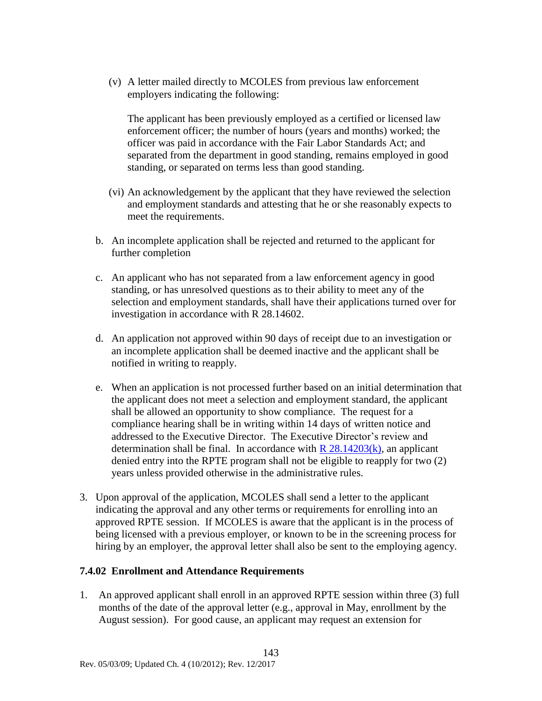(v) A letter mailed directly to MCOLES from previous law enforcement employers indicating the following:

The applicant has been previously employed as a certified or licensed law enforcement officer; the number of hours (years and months) worked; the officer was paid in accordance with the Fair Labor Standards Act; and separated from the department in good standing, remains employed in good standing, or separated on terms less than good standing.

- (vi) An acknowledgement by the applicant that they have reviewed the selection and employment standards and attesting that he or she reasonably expects to meet the requirements.
- b. An incomplete application shall be rejected and returned to the applicant for further completion
- c. An applicant who has not separated from a law enforcement agency in good standing, or has unresolved questions as to their ability to meet any of the selection and employment standards, shall have their applications turned over for investigation in accordance with R 28.14602.
- d. An application not approved within 90 days of receipt due to an investigation or an incomplete application shall be deemed inactive and the applicant shall be notified in writing to reapply.
- e. When an application is not processed further based on an initial determination that the applicant does not meet a selection and employment standard, the applicant shall be allowed an opportunity to show compliance. The request for a compliance hearing shall be in writing within 14 days of written notice and addressed to the Executive Director. The Executive Director's review and determination shall be final. In accordance with  $R$  28.14203(k), an applicant denied entry into the RPTE program shall not be eligible to reapply for two (2) years unless provided otherwise in the administrative rules.
- 3. Upon approval of the application, MCOLES shall send a letter to the applicant indicating the approval and any other terms or requirements for enrolling into an approved RPTE session. If MCOLES is aware that the applicant is in the process of being licensed with a previous employer, or known to be in the screening process for hiring by an employer, the approval letter shall also be sent to the employing agency.

## **7.4.02 Enrollment and Attendance Requirements**

1. An approved applicant shall enroll in an approved RPTE session within three (3) full months of the date of the approval letter (e.g., approval in May, enrollment by the August session). For good cause, an applicant may request an extension for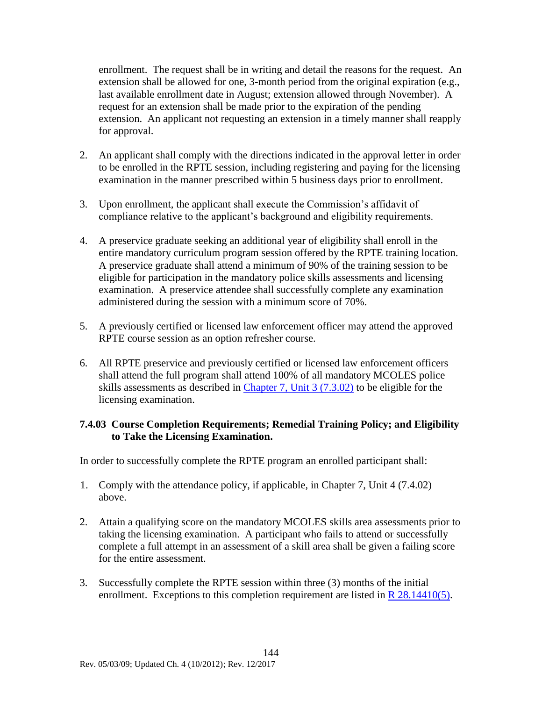enrollment. The request shall be in writing and detail the reasons for the request. An extension shall be allowed for one, 3-month period from the original expiration (e.g., last available enrollment date in August; extension allowed through November). A request for an extension shall be made prior to the expiration of the pending extension. An applicant not requesting an extension in a timely manner shall reapply for approval.

- 2. An applicant shall comply with the directions indicated in the approval letter in order to be enrolled in the RPTE session, including registering and paying for the licensing examination in the manner prescribed within 5 business days prior to enrollment.
- 3. Upon enrollment, the applicant shall execute the Commission's affidavit of compliance relative to the applicant's background and eligibility requirements.
- 4. A preservice graduate seeking an additional year of eligibility shall enroll in the entire mandatory curriculum program session offered by the RPTE training location. A preservice graduate shall attend a minimum of 90% of the training session to be eligible for participation in the mandatory police skills assessments and licensing examination. A preservice attendee shall successfully complete any examination administered during the session with a minimum score of 70%.
- 5. A previously certified or licensed law enforcement officer may attend the approved RPTE course session as an option refresher course.
- 6. All RPTE preservice and previously certified or licensed law enforcement officers shall attend the full program shall attend 100% of all mandatory MCOLES police skills assessments as described in [Chapter 7, Unit 3](#page-141-0) (7.3.02) to be eligible for the licensing examination.

## **7.4.03 Course Completion Requirements; Remedial Training Policy; and Eligibility to Take the Licensing Examination.**

In order to successfully complete the RPTE program an enrolled participant shall:

- 1. Comply with the attendance policy, if applicable, in Chapter 7, Unit 4 (7.4.02) above.
- 2. Attain a qualifying score on the mandatory MCOLES skills area assessments prior to taking the licensing examination. A participant who fails to attend or successfully complete a full attempt in an assessment of a skill area shall be given a failing score for the entire assessment.
- 3. Successfully complete the RPTE session within three (3) months of the initial enrollment. Exceptions to this completion requirement are listed in [R 28.14410\(5\).](#page-54-0)